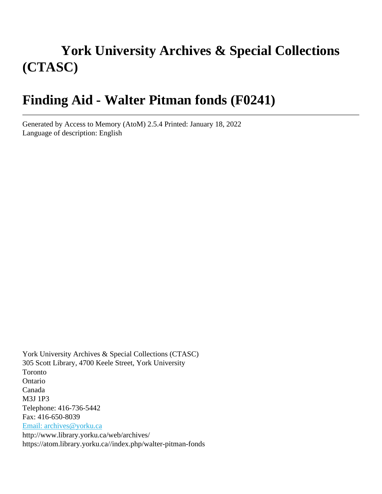# **York University Archives & Special Collections (CTASC)**

# **Finding Aid - Walter Pitman fonds (F0241)**

Generated by Access to Memory (AtoM) 2.5.4 Printed: January 18, 2022 Language of description: English

York University Archives & Special Collections (CTASC) 305 Scott Library, 4700 Keele Street, York University Toronto Ontario Canada M3J 1P3 Telephone: 416-736-5442 Fax: 416-650-8039 [Email: archives@yorku.ca](mailto:Email:%20archives@yorku.ca) http://www.library.yorku.ca/web/archives/ https://atom.library.yorku.ca//index.php/walter-pitman-fonds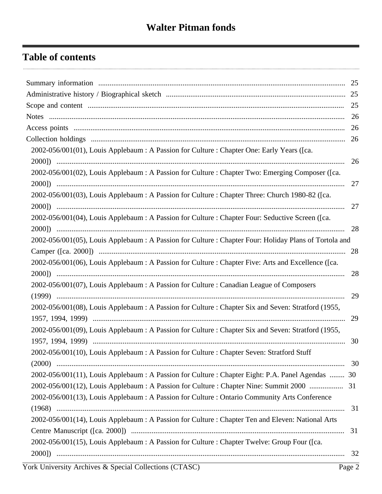### **Table of contents**

|                                                                                                        | 25 |
|--------------------------------------------------------------------------------------------------------|----|
|                                                                                                        | 26 |
|                                                                                                        | 26 |
|                                                                                                        | 26 |
| 2002-056/001(01), Louis Applebaum : A Passion for Culture : Chapter One: Early Years ([ca.             |    |
|                                                                                                        | 26 |
| 2002-056/001(02), Louis Applebaum : A Passion for Culture : Chapter Two: Emerging Composer ([ca.       |    |
|                                                                                                        | 27 |
| 2002-056/001(03), Louis Applebaum : A Passion for Culture : Chapter Three: Church 1980-82 ([ca.        |    |
|                                                                                                        | 27 |
| 2002-056/001(04), Louis Applebaum : A Passion for Culture : Chapter Four: Seductive Screen ([ca.       |    |
|                                                                                                        | 28 |
| 2002-056/001(05), Louis Applebaum : A Passion for Culture : Chapter Four: Holiday Plans of Tortola and |    |
|                                                                                                        | 28 |
| 2002-056/001(06), Louis Applebaum : A Passion for Culture : Chapter Five: Arts and Excellence ([ca.    |    |
|                                                                                                        | 28 |
| 2002-056/001(07), Louis Applebaum : A Passion for Culture : Canadian League of Composers               |    |
|                                                                                                        | 29 |
| 2002-056/001(08), Louis Applebaum : A Passion for Culture : Chapter Six and Seven: Stratford (1955,    |    |
|                                                                                                        | 29 |
| 2002-056/001(09), Louis Applebaum : A Passion for Culture : Chapter Six and Seven: Stratford (1955,    |    |
|                                                                                                        | 30 |
| 2002-056/001(10), Louis Applebaum : A Passion for Culture : Chapter Seven: Stratford Stuff             |    |
|                                                                                                        |    |
| 2002-056/001(11), Louis Applebaum : A Passion for Culture : Chapter Eight: P.A. Panel Agendas  30      |    |
| 2002-056/001(12), Louis Applebaum : A Passion for Culture : Chapter Nine: Summit 2000  31              |    |
| 2002-056/001(13), Louis Applebaum : A Passion for Culture : Ontario Community Arts Conference          |    |
|                                                                                                        | 31 |
| 2002-056/001(14), Louis Applebaum : A Passion for Culture : Chapter Ten and Eleven: National Arts      |    |
|                                                                                                        | 31 |
| 2002-056/001(15), Louis Applebaum : A Passion for Culture : Chapter Twelve: Group Four ([ca.           |    |
|                                                                                                        | 32 |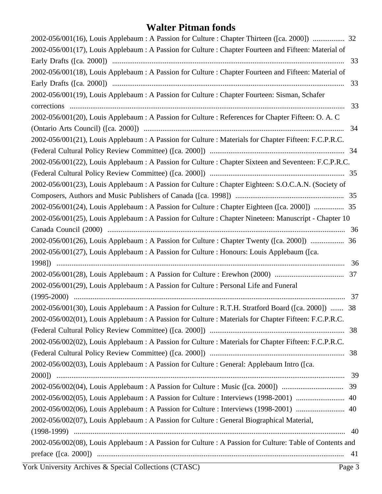| 33<br>33<br>33<br>34<br>2002-056/001(24), Louis Applebaum : A Passion for Culture : Chapter Eighteen ([ca. 2000])  35<br>2002-056/001(25), Louis Applebaum : A Passion for Culture : Chapter Nineteen: Manuscript - Chapter 10<br>36<br>2002-056/001(26), Louis Applebaum : A Passion for Culture : Chapter Twenty ([ca. 2000])  36<br>36<br>37<br>37<br>2002-056/001(30), Louis Applebaum : A Passion for Culture : R.T.H. Stratford Board ([ca. 2000])  38<br>-39<br>39<br>40<br>2002-056/002(06), Louis Applebaum : A Passion for Culture : Interviews (1998-2001)  40<br>40<br>2002-056/002(08), Louis Applebaum : A Passion for Culture : A Passion for Culture: Table of Contents and | 2002-056/001(16), Louis Applebaum : A Passion for Culture : Chapter Thirteen ([ca. 2000])  32         |  |
|---------------------------------------------------------------------------------------------------------------------------------------------------------------------------------------------------------------------------------------------------------------------------------------------------------------------------------------------------------------------------------------------------------------------------------------------------------------------------------------------------------------------------------------------------------------------------------------------------------------------------------------------------------------------------------------------|-------------------------------------------------------------------------------------------------------|--|
|                                                                                                                                                                                                                                                                                                                                                                                                                                                                                                                                                                                                                                                                                             | 2002-056/001(17), Louis Applebaum : A Passion for Culture : Chapter Fourteen and Fifteen: Material of |  |
|                                                                                                                                                                                                                                                                                                                                                                                                                                                                                                                                                                                                                                                                                             |                                                                                                       |  |
|                                                                                                                                                                                                                                                                                                                                                                                                                                                                                                                                                                                                                                                                                             | 2002-056/001(18), Louis Applebaum : A Passion for Culture : Chapter Fourteen and Fifteen: Material of |  |
|                                                                                                                                                                                                                                                                                                                                                                                                                                                                                                                                                                                                                                                                                             |                                                                                                       |  |
|                                                                                                                                                                                                                                                                                                                                                                                                                                                                                                                                                                                                                                                                                             | 2002-056/001(19), Louis Applebaum : A Passion for Culture : Chapter Fourteen: Sisman, Schafer         |  |
|                                                                                                                                                                                                                                                                                                                                                                                                                                                                                                                                                                                                                                                                                             |                                                                                                       |  |
|                                                                                                                                                                                                                                                                                                                                                                                                                                                                                                                                                                                                                                                                                             | 2002-056/001(20), Louis Applebaum : A Passion for Culture : References for Chapter Fifteen: O. A. C   |  |
|                                                                                                                                                                                                                                                                                                                                                                                                                                                                                                                                                                                                                                                                                             |                                                                                                       |  |
|                                                                                                                                                                                                                                                                                                                                                                                                                                                                                                                                                                                                                                                                                             | 2002-056/001(21), Louis Applebaum : A Passion for Culture : Materials for Chapter Fifteen: F.C.P.R.C. |  |
|                                                                                                                                                                                                                                                                                                                                                                                                                                                                                                                                                                                                                                                                                             |                                                                                                       |  |
|                                                                                                                                                                                                                                                                                                                                                                                                                                                                                                                                                                                                                                                                                             | 2002-056/001(22), Louis Applebaum : A Passion for Culture : Chapter Sixteen and Seventeen: F.C.P.R.C. |  |
|                                                                                                                                                                                                                                                                                                                                                                                                                                                                                                                                                                                                                                                                                             |                                                                                                       |  |
|                                                                                                                                                                                                                                                                                                                                                                                                                                                                                                                                                                                                                                                                                             | 2002-056/001(23), Louis Applebaum : A Passion for Culture : Chapter Eighteen: S.O.C.A.N. (Society of  |  |
|                                                                                                                                                                                                                                                                                                                                                                                                                                                                                                                                                                                                                                                                                             |                                                                                                       |  |
|                                                                                                                                                                                                                                                                                                                                                                                                                                                                                                                                                                                                                                                                                             |                                                                                                       |  |
|                                                                                                                                                                                                                                                                                                                                                                                                                                                                                                                                                                                                                                                                                             |                                                                                                       |  |
|                                                                                                                                                                                                                                                                                                                                                                                                                                                                                                                                                                                                                                                                                             |                                                                                                       |  |
|                                                                                                                                                                                                                                                                                                                                                                                                                                                                                                                                                                                                                                                                                             |                                                                                                       |  |
|                                                                                                                                                                                                                                                                                                                                                                                                                                                                                                                                                                                                                                                                                             | 2002-056/001(27), Louis Applebaum : A Passion for Culture : Honours: Louis Applebaum ([ca.            |  |
|                                                                                                                                                                                                                                                                                                                                                                                                                                                                                                                                                                                                                                                                                             |                                                                                                       |  |
|                                                                                                                                                                                                                                                                                                                                                                                                                                                                                                                                                                                                                                                                                             |                                                                                                       |  |
|                                                                                                                                                                                                                                                                                                                                                                                                                                                                                                                                                                                                                                                                                             | 2002-056/001(29), Louis Applebaum : A Passion for Culture : Personal Life and Funeral                 |  |
|                                                                                                                                                                                                                                                                                                                                                                                                                                                                                                                                                                                                                                                                                             |                                                                                                       |  |
|                                                                                                                                                                                                                                                                                                                                                                                                                                                                                                                                                                                                                                                                                             |                                                                                                       |  |
|                                                                                                                                                                                                                                                                                                                                                                                                                                                                                                                                                                                                                                                                                             | 2002-056/002(01), Louis Applebaum : A Passion for Culture : Materials for Chapter Fifteen: F.C.P.R.C. |  |
|                                                                                                                                                                                                                                                                                                                                                                                                                                                                                                                                                                                                                                                                                             |                                                                                                       |  |
|                                                                                                                                                                                                                                                                                                                                                                                                                                                                                                                                                                                                                                                                                             | 2002-056/002(02), Louis Applebaum : A Passion for Culture : Materials for Chapter Fifteen: F.C.P.R.C. |  |
|                                                                                                                                                                                                                                                                                                                                                                                                                                                                                                                                                                                                                                                                                             |                                                                                                       |  |
|                                                                                                                                                                                                                                                                                                                                                                                                                                                                                                                                                                                                                                                                                             | 2002-056/002(03), Louis Applebaum : A Passion for Culture : General: Applebaum Intro ([ca.            |  |
|                                                                                                                                                                                                                                                                                                                                                                                                                                                                                                                                                                                                                                                                                             |                                                                                                       |  |
|                                                                                                                                                                                                                                                                                                                                                                                                                                                                                                                                                                                                                                                                                             | 2002-056/002(04), Louis Applebaum : A Passion for Culture : Music ([ca. 2000])                        |  |
|                                                                                                                                                                                                                                                                                                                                                                                                                                                                                                                                                                                                                                                                                             | 2002-056/002(05), Louis Applebaum : A Passion for Culture : Interviews (1998-2001)                    |  |
|                                                                                                                                                                                                                                                                                                                                                                                                                                                                                                                                                                                                                                                                                             |                                                                                                       |  |
|                                                                                                                                                                                                                                                                                                                                                                                                                                                                                                                                                                                                                                                                                             | 2002-056/002(07), Louis Applebaum : A Passion for Culture : General Biographical Material,            |  |
|                                                                                                                                                                                                                                                                                                                                                                                                                                                                                                                                                                                                                                                                                             |                                                                                                       |  |
|                                                                                                                                                                                                                                                                                                                                                                                                                                                                                                                                                                                                                                                                                             |                                                                                                       |  |
|                                                                                                                                                                                                                                                                                                                                                                                                                                                                                                                                                                                                                                                                                             |                                                                                                       |  |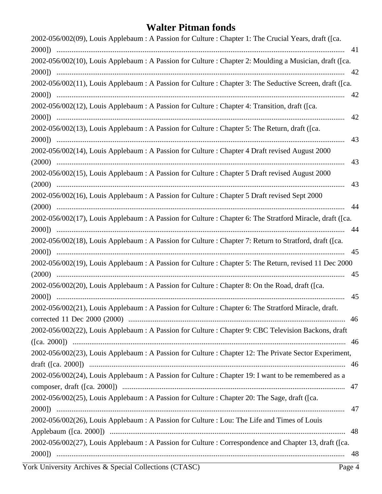| 2002-056/002(09), Louis Applebaum : A Passion for Culture : Chapter 1: The Crucial Years, draft ([ca.     |
|-----------------------------------------------------------------------------------------------------------|
| 41                                                                                                        |
| 2002-056/002(10), Louis Applebaum : A Passion for Culture : Chapter 2: Moulding a Musician, draft ([ca.   |
| 42                                                                                                        |
| 2002-056/002(11), Louis Applebaum : A Passion for Culture : Chapter 3: The Seductive Screen, draft ([ca.  |
| 42                                                                                                        |
| 2002-056/002(12), Louis Applebaum : A Passion for Culture : Chapter 4: Transition, draft ([ca.            |
| 42                                                                                                        |
| 2002-056/002(13), Louis Applebaum : A Passion for Culture : Chapter 5: The Return, draft ([ca.            |
| 43                                                                                                        |
| 2002-056/002(14), Louis Applebaum : A Passion for Culture : Chapter 4 Draft revised August 2000<br>43     |
| 2002-056/002(15), Louis Applebaum : A Passion for Culture : Chapter 5 Draft revised August 2000           |
| 43                                                                                                        |
| 2002-056/002(16), Louis Applebaum : A Passion for Culture : Chapter 5 Draft revised Sept 2000             |
| 44                                                                                                        |
| 2002-056/002(17), Louis Applebaum : A Passion for Culture : Chapter 6: The Stratford Miracle, draft ([ca. |
| 44                                                                                                        |
| 2002-056/002(18), Louis Applebaum : A Passion for Culture : Chapter 7: Return to Stratford, draft ([ca.   |
| 45                                                                                                        |
| 2002-056/002(19), Louis Applebaum : A Passion for Culture : Chapter 5: The Return, revised 11 Dec 2000    |
| 45                                                                                                        |
| 2002-056/002(20), Louis Applebaum : A Passion for Culture : Chapter 8: On the Road, draft ([ca.           |
| 45                                                                                                        |
| 2002-056/002(21), Louis Applebaum : A Passion for Culture : Chapter 6: The Stratford Miracle, draft.      |
|                                                                                                           |
| 2002-056/002(22), Louis Applebaum : A Passion for Culture : Chapter 9: CBC Television Backons, draft      |
|                                                                                                           |
| 2002-056/002(23), Louis Applebaum : A Passion for Culture : Chapter 12: The Private Sector Experiment,    |
|                                                                                                           |
| 2002-056/002(24), Louis Applebaum : A Passion for Culture : Chapter 19: I want to be remembered as a      |
|                                                                                                           |
| 2002-056/002(25), Louis Applebaum : A Passion for Culture : Chapter 20: The Sage, draft ([ca.             |
| 47                                                                                                        |
| 2002-056/002(26), Louis Applebaum : A Passion for Culture : Lou: The Life and Times of Louis              |
|                                                                                                           |
| 2002-056/002(27), Louis Applebaum: A Passion for Culture: Correspondence and Chapter 13, draft ([ca.      |
|                                                                                                           |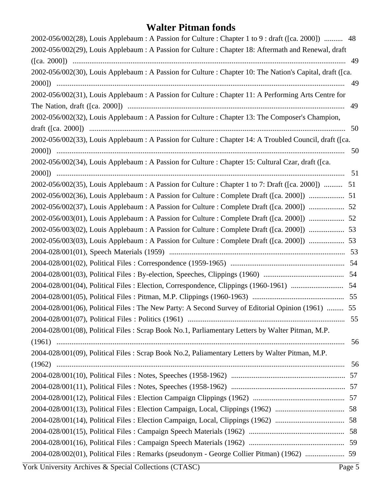| 2002-056/002(28), Louis Applebaum : A Passion for Culture : Chapter 1 to 9 : draft ([ca. 2000])  48       |    |
|-----------------------------------------------------------------------------------------------------------|----|
| 2002-056/002(29), Louis Applebaum : A Passion for Culture : Chapter 18: Aftermath and Renewal, draft      |    |
|                                                                                                           |    |
| 2002-056/002(30), Louis Applebaum : A Passion for Culture : Chapter 10: The Nation's Capital, draft ([ca. |    |
|                                                                                                           | 49 |
| 2002-056/002(31), Louis Applebaum : A Passion for Culture : Chapter 11: A Performing Arts Centre for      |    |
|                                                                                                           | 49 |
| 2002-056/002(32), Louis Applebaum : A Passion for Culture : Chapter 13: The Composer's Champion,          |    |
|                                                                                                           |    |
| 2002-056/002(33), Louis Applebaum : A Passion for Culture : Chapter 14: A Troubled Council, draft ([ca.   |    |
|                                                                                                           | 50 |
| 2002-056/002(34), Louis Applebaum : A Passion for Culture : Chapter 15: Cultural Czar, draft ([ca.        |    |
|                                                                                                           |    |
| 2002-056/002(35), Louis Applebaum : A Passion for Culture : Chapter 1 to 7: Draft ([ca. 2000])  51        |    |
| 2002-056/002(36), Louis Applebaum : A Passion for Culture : Complete Draft ([ca. 2000])  51               |    |
| 2002-056/002(37), Louis Applebaum : A Passion for Culture : Complete Draft ([ca. 2000])  52               |    |
| 2002-056/003(01), Louis Applebaum : A Passion for Culture : Complete Draft ([ca. 2000])  52               |    |
| 2002-056/003(02), Louis Applebaum : A Passion for Culture : Complete Draft ([ca. 2000])  53               |    |
| 2002-056/003(03), Louis Applebaum : A Passion for Culture : Complete Draft ([ca. 2000])  53               |    |
|                                                                                                           |    |
|                                                                                                           |    |
|                                                                                                           |    |
|                                                                                                           |    |
|                                                                                                           |    |
| 2004-028/001(06), Political Files: The New Party: A Second Survey of Editorial Opinion (1961)  55         |    |
|                                                                                                           | 55 |
| 2004-028/001(08), Political Files: Scrap Book No.1, Parliamentary Letters by Walter Pitman, M.P.          |    |
|                                                                                                           | 56 |
| 2004-028/001(09), Political Files: Scrap Book No.2, Paliamentary Letters by Walter Pitman, M.P.           |    |
|                                                                                                           | 56 |
|                                                                                                           |    |
|                                                                                                           |    |
|                                                                                                           |    |
|                                                                                                           |    |
|                                                                                                           |    |
|                                                                                                           |    |
|                                                                                                           |    |
| 2004-028/002(01), Political Files: Remarks (pseudonym - George Collier Pitman) (1962)  59                 |    |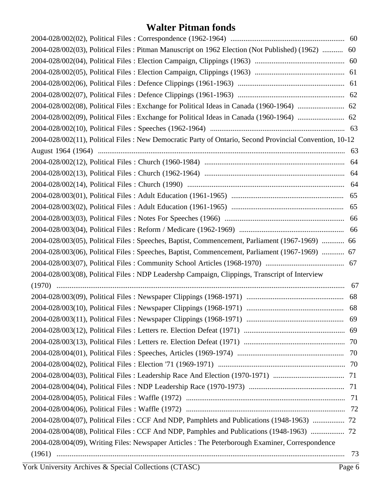| 2004-028/002(03), Political Files: Pitman Manuscript on 1962 Election (Not Published) (1962)  60        |    |
|---------------------------------------------------------------------------------------------------------|----|
|                                                                                                         |    |
|                                                                                                         |    |
|                                                                                                         |    |
|                                                                                                         |    |
|                                                                                                         |    |
|                                                                                                         |    |
|                                                                                                         |    |
| 2004-028/002(11), Political Files: New Democratic Party of Ontario, Second Provincial Convention, 10-12 |    |
|                                                                                                         |    |
|                                                                                                         | 64 |
|                                                                                                         |    |
|                                                                                                         |    |
|                                                                                                         |    |
|                                                                                                         |    |
|                                                                                                         |    |
|                                                                                                         |    |
| 2004-028/003(05), Political Files: Speeches, Baptist, Commencement, Parliament (1967-1969)  66          |    |
| 2004-028/003(06), Political Files: Speeches, Baptist, Commencement, Parliament (1967-1969)  67          |    |
|                                                                                                         |    |
| 2004-028/003(08), Political Files: NDP Leadershp Campaign, Clippings, Transcript of Interview           |    |
|                                                                                                         | 67 |
|                                                                                                         | 68 |
|                                                                                                         |    |
|                                                                                                         |    |
|                                                                                                         |    |
|                                                                                                         |    |
|                                                                                                         |    |
|                                                                                                         |    |
|                                                                                                         |    |
|                                                                                                         |    |
|                                                                                                         |    |
|                                                                                                         |    |
| 2004-028/004(07), Political Files: CCF And NDP, Pamphlets and Publications (1948-1963)  72              |    |
| 2004-028/004(08), Political Files: CCF And NDP, Pamphles and Publications (1948-1963)                   |    |
| 2004-028/004(09), Writing Files: Newspaper Articles : The Peterborough Examiner, Correspondence         |    |
|                                                                                                         | 73 |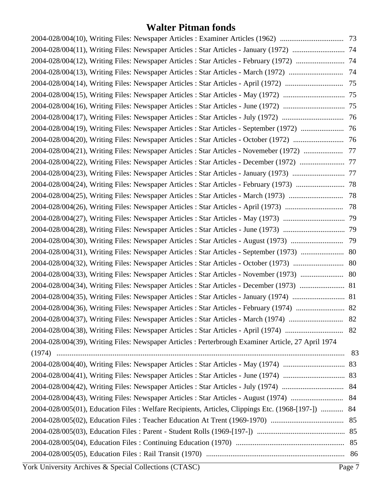| 2004-028/004(19), Writing Files: Newspaper Articles : Star Articles - September (1972)  76         |  |
|----------------------------------------------------------------------------------------------------|--|
|                                                                                                    |  |
| 2004-028/004(21), Writing Files: Newspaper Articles : Star Articles - Novemeber (1972)  77         |  |
| 2004-028/004(22), Writing Files: Newspaper Articles : Star Articles - December (1972)  77          |  |
|                                                                                                    |  |
|                                                                                                    |  |
|                                                                                                    |  |
|                                                                                                    |  |
|                                                                                                    |  |
|                                                                                                    |  |
|                                                                                                    |  |
|                                                                                                    |  |
|                                                                                                    |  |
|                                                                                                    |  |
| 2004-028/004(34), Writing Files: Newspaper Articles : Star Articles - December (1973)  81          |  |
|                                                                                                    |  |
|                                                                                                    |  |
|                                                                                                    |  |
|                                                                                                    |  |
| 2004-028/004(39), Writing Files: Newspaper Articles : Perterbrough Examiner Article, 27 April 1974 |  |
|                                                                                                    |  |
|                                                                                                    |  |
|                                                                                                    |  |
|                                                                                                    |  |
|                                                                                                    |  |
| 2004-028/005(01), Education Files: Welfare Recipients, Articles, Clippings Etc. (1968-[197-])  84  |  |
|                                                                                                    |  |
|                                                                                                    |  |
|                                                                                                    |  |
|                                                                                                    |  |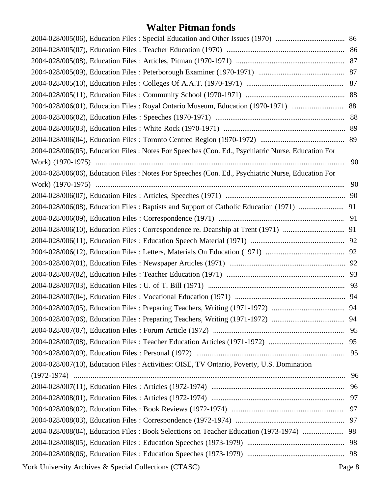|                                                                                                    | 89 |
|----------------------------------------------------------------------------------------------------|----|
| 2004-028/006(05), Education Files : Notes For Speeches (Con. Ed., Psychiatric Nurse, Education For |    |
|                                                                                                    | 90 |
| 2004-028/006(06), Education Files: Notes For Speeches (Con. Ed., Psychiatric Nurse, Education For  |    |
|                                                                                                    | 90 |
|                                                                                                    |    |
|                                                                                                    |    |
|                                                                                                    |    |
|                                                                                                    |    |
|                                                                                                    |    |
|                                                                                                    |    |
|                                                                                                    |    |
|                                                                                                    |    |
|                                                                                                    |    |
|                                                                                                    |    |
|                                                                                                    |    |
|                                                                                                    |    |
|                                                                                                    |    |
|                                                                                                    | 95 |
|                                                                                                    | 95 |
| 2004-028/007(10), Education Files: Activities: OISE, TV Ontario, Poverty, U.S. Domination          |    |
|                                                                                                    | 96 |
|                                                                                                    |    |
|                                                                                                    |    |
|                                                                                                    |    |
|                                                                                                    |    |
| 2004-028/008(04), Education Files: Book Selections on Teacher Education (1973-1974)  98            |    |
|                                                                                                    |    |
|                                                                                                    |    |
|                                                                                                    |    |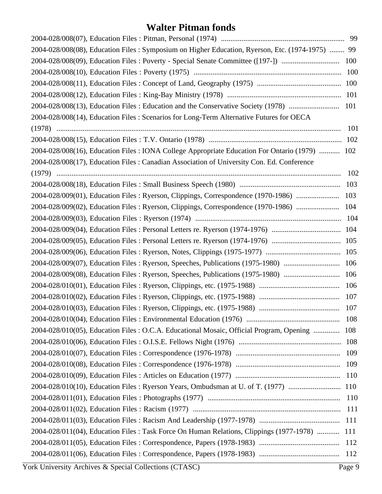| 2004-028/008(08), Education Files : Symposium on Higher Education, Ryerson, Etc. (1974-1975)  99 |            |
|--------------------------------------------------------------------------------------------------|------------|
|                                                                                                  |            |
|                                                                                                  | 100        |
|                                                                                                  |            |
|                                                                                                  |            |
|                                                                                                  |            |
| 2004-028/008(14), Education Files: Scenarios for Long-Term Alternative Futures for OECA          |            |
|                                                                                                  | 101        |
|                                                                                                  | 102        |
| 2004-028/008(16), Education Files : IONA College Appropriate Education For Ontario (1979)  102   |            |
| 2004-028/008(17), Education Files: Canadian Association of University Con. Ed. Conference        |            |
|                                                                                                  | 102        |
|                                                                                                  | 103        |
| 2004-028/009(01), Education Files: Ryerson, Clippings, Correspondence (1970-1986)                | 103        |
| 2004-028/009(02), Education Files: Ryerson, Clippings, Correspondence (1970-1986)                | 104        |
|                                                                                                  | 104        |
|                                                                                                  |            |
|                                                                                                  |            |
|                                                                                                  |            |
| 2004-028/009(07), Education Files: Ryerson, Speeches, Publications (1975-1980)                   | 106        |
| 2004-028/009(08), Education Files: Ryerson, Speeches, Publications (1975-1980)                   | 106        |
|                                                                                                  | 106        |
|                                                                                                  | 107        |
|                                                                                                  |            |
|                                                                                                  | 108        |
| 2004-028/010(05), Education Files : O.C.A. Educational Mosaic, Official Program, Opening         | 108        |
|                                                                                                  | 108        |
|                                                                                                  | 109        |
|                                                                                                  | 109        |
|                                                                                                  | 110        |
| 2004-028/010(10), Education Files: Ryerson Years, Ombudsman at U. of T. (1977)                   | 110        |
|                                                                                                  | 110        |
|                                                                                                  | <b>111</b> |
|                                                                                                  | 111        |
| 2004-028/011(04), Education Files: Task Force On Human Relations, Clippings (1977-1978)          | 111        |
|                                                                                                  | 112        |
|                                                                                                  | 112        |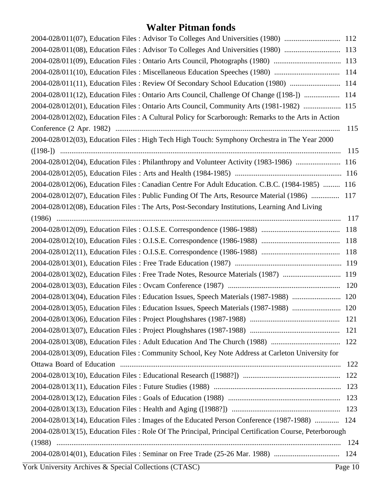| 2004-028/011(08), Education Files: Advisor To Colleges And Universities (1980)  113                    |  |
|--------------------------------------------------------------------------------------------------------|--|
| 2004-028/011(09), Education Files: Ontario Arts Council, Photographs (1980)  113                       |  |
| 2004-028/011(10), Education Files : Miscellaneous Education Speeches (1980)  114                       |  |
| 2004-028/011(11), Education Files: Review Of Secondary School Education (1980)  114                    |  |
| 2004-028/011(12), Education Files : Ontario Arts Council, Challenge Of Change ([198-])  114            |  |
| 2004-028/012(01), Education Files: Ontario Arts Council, Community Arts (1981-1982)  115               |  |
| 2004-028/012(02), Education Files: A Cultural Policy for Scarborough: Remarks to the Arts in Action    |  |
| 115                                                                                                    |  |
| 2004-028/012(03), Education Files : High Tech High Touch: Symphony Orchestra in The Year 2000          |  |
| 115                                                                                                    |  |
| 2004-028/012(04), Education Files: Philanthropy and Volunteer Activity (1983-1986)  116                |  |
|                                                                                                        |  |
| 2004-028/012(06), Education Files: Canadian Centre For Adult Education. C.B.C. (1984-1985)  116        |  |
| 2004-028/012(07), Education Files : Public Funding Of The Arts, Resource Material (1986)  117          |  |
| 2004-028/012(08), Education Files: The Arts, Post-Secondary Institutions, Learning And Living          |  |
| 117                                                                                                    |  |
| 118                                                                                                    |  |
| 118                                                                                                    |  |
| 118                                                                                                    |  |
|                                                                                                        |  |
| 2004-028/013(02), Education Files : Free Trade Notes, Resource Materials (1987)  119                   |  |
|                                                                                                        |  |
| 2004-028/013(04), Education Files : Education Issues, Speech Materials (1987-1988)  120                |  |
| 2004-028/013(05), Education Files : Education Issues, Speech Materials (1987-1988)  120                |  |
| 121                                                                                                    |  |
| 121                                                                                                    |  |
| 122                                                                                                    |  |
| 2004-028/013(09), Education Files: Community School, Key Note Address at Carleton University for       |  |
| 122                                                                                                    |  |
| 122                                                                                                    |  |
| 123                                                                                                    |  |
|                                                                                                        |  |
|                                                                                                        |  |
| 2004-028/013(14), Education Files: Images of the Educated Person Conference (1987-1988)  124           |  |
| 2004-028/013(15), Education Files: Role Of The Principal, Principal Certification Course, Peterborough |  |
| 124                                                                                                    |  |
| 2004-028/014(01), Education Files: Seminar on Free Trade (25-26 Mar. 1988)<br>124                      |  |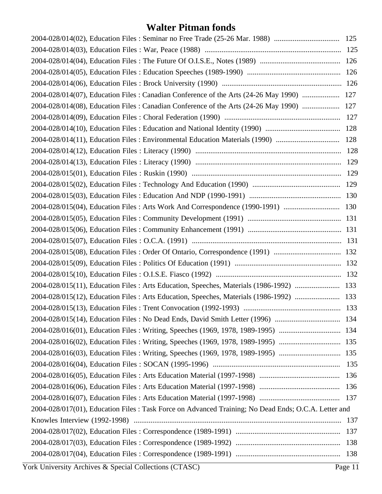| 2004-028/014(07), Education Files : Canadian Conference of the Arts (24-26 May 1990)  127            |         |
|------------------------------------------------------------------------------------------------------|---------|
| 2004-028/014(08), Education Files : Canadian Conference of the Arts (24-26 May 1990)  127            |         |
|                                                                                                      |         |
|                                                                                                      |         |
| 2004-028/014(11), Education Files : Environmental Education Materials (1990)  128                    |         |
|                                                                                                      |         |
|                                                                                                      |         |
|                                                                                                      |         |
|                                                                                                      |         |
|                                                                                                      |         |
| 2004-028/015(04), Education Files : Arts Work And Correspondence (1990-1991)  130                    |         |
|                                                                                                      |         |
|                                                                                                      |         |
|                                                                                                      |         |
|                                                                                                      |         |
|                                                                                                      |         |
|                                                                                                      |         |
| 2004-028/015(11), Education Files : Arts Education, Speeches, Materials (1986-1992)  133             |         |
| 2004-028/015(12), Education Files : Arts Education, Speeches, Materials (1986-1992)  133             |         |
|                                                                                                      |         |
|                                                                                                      |         |
| 2004-028/016(01), Education Files: Writing, Speeches (1969, 1978, 1989-1995)  134                    |         |
| 2004-028/016(02), Education Files: Writing, Speeches (1969, 1978, 1989-1995)  135                    |         |
| 2004-028/016(03), Education Files: Writing, Speeches (1969, 1978, 1989-1995)  135                    |         |
|                                                                                                      |         |
|                                                                                                      |         |
|                                                                                                      |         |
|                                                                                                      |         |
| 2004-028/017(01), Education Files : Task Force on Advanced Training; No Dead Ends; O.C.A. Letter and |         |
|                                                                                                      |         |
|                                                                                                      |         |
|                                                                                                      |         |
|                                                                                                      |         |
| York University Archives & Special Collections (CTASC)                                               | Page 11 |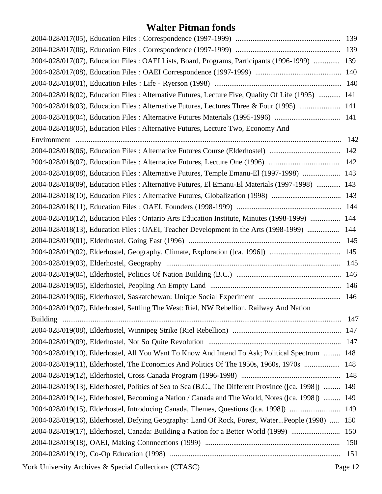| 2004-028/017(07), Education Files : OAEI Lists, Board, Programs, Participants (1996-1999)  139        |       |
|-------------------------------------------------------------------------------------------------------|-------|
|                                                                                                       |       |
|                                                                                                       |       |
| 2004-028/018(02), Education Files : Alternative Futures, Lecture Five, Quality Of Life (1995)  141    |       |
| 2004-028/018(03), Education Files : Alternative Futures, Lectures Three & Four (1995)  141            |       |
|                                                                                                       |       |
| 2004-028/018(05), Education Files : Alternative Futures, Lecture Two, Economy And                     |       |
|                                                                                                       | 142   |
|                                                                                                       |       |
|                                                                                                       |       |
| 2004-028/018(08), Education Files : Alternative Futures, Temple Emanu-El (1997-1998)  143             |       |
| 2004-028/018(09), Education Files : Alternative Futures, El Emanu-El Materials (1997-1998)  143       |       |
|                                                                                                       |       |
|                                                                                                       |       |
| 2004-028/018(12), Education Files : Ontario Arts Education Institute, Minutes (1998-1999)  144        |       |
| 2004-028/018(13), Education Files: OAEI, Teacher Development in the Arts (1998-1999)                  | 144   |
|                                                                                                       |       |
|                                                                                                       |       |
|                                                                                                       | 145   |
|                                                                                                       | 146   |
|                                                                                                       |       |
|                                                                                                       |       |
| 2004-028/019(07), Elderhostel, Settling The West: Riel, NW Rebellion, Railway And Nation              |       |
|                                                                                                       | - 147 |
|                                                                                                       |       |
|                                                                                                       |       |
| 2004-028/019(10), Elderhostel, All You Want To Know And Intend To Ask; Political Spectrum  148        |       |
| 2004-028/019(11), Elderhostel, The Economics And Politics Of The 1950s, 1960s, 1970s  148             |       |
|                                                                                                       |       |
| 2004-028/019(13), Elderhostel, Politics of Sea to Sea (B.C., The Different Province ([ca. 1998])  149 |       |
| 2004-028/019(14), Elderhostel, Becoming a Nation / Canada and The World, Notes ([ca. 1998])  149      |       |
| 2004-028/019(15), Elderhostel, Introducing Canada, Themes, Questions ([ca. 1998])                     | 149   |
| 2004-028/019(16), Elderhostel, Defying Geography: Land Of Rock, Forest, WaterPeople (1998)            | 150   |
| 2004-028/019(17), Elderhostel, Canada: Building a Nation for a Better World (1999)                    | 150   |
|                                                                                                       | 150   |
|                                                                                                       | 151   |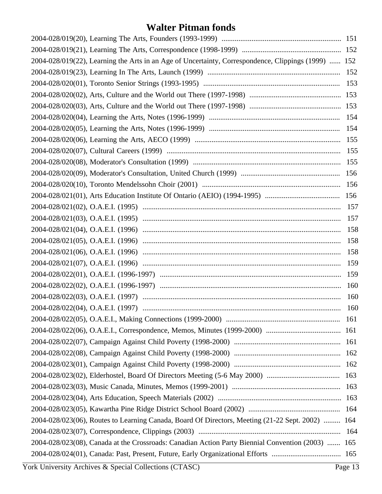| 2004-028/019(22), Learning the Arts in an Age of Uncertainty, Correspondence, Clippings (1999)  152 |     |
|-----------------------------------------------------------------------------------------------------|-----|
|                                                                                                     |     |
|                                                                                                     |     |
|                                                                                                     |     |
|                                                                                                     |     |
|                                                                                                     |     |
|                                                                                                     |     |
|                                                                                                     |     |
|                                                                                                     |     |
|                                                                                                     |     |
|                                                                                                     |     |
|                                                                                                     |     |
|                                                                                                     |     |
|                                                                                                     |     |
|                                                                                                     |     |
|                                                                                                     | 158 |
|                                                                                                     | 158 |
|                                                                                                     | 158 |
|                                                                                                     | 159 |
|                                                                                                     |     |
|                                                                                                     |     |
|                                                                                                     | 160 |
|                                                                                                     |     |
|                                                                                                     |     |
|                                                                                                     |     |
|                                                                                                     |     |
|                                                                                                     |     |
|                                                                                                     |     |
|                                                                                                     |     |
|                                                                                                     |     |
|                                                                                                     |     |
|                                                                                                     |     |
| 2004-028/023(06), Routes to Learning Canada, Board Of Directors, Meeting (21-22 Sept. 2002)  164    |     |
|                                                                                                     |     |
| 2004-028/023(08), Canada at the Crossroads: Canadian Action Party Biennial Convention (2003)  165   |     |
|                                                                                                     |     |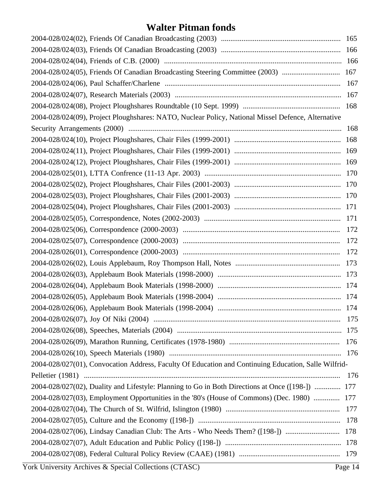| 2004-028/024(05), Friends Of Canadian Broadcasting Steering Committee (2003)  167                    |     |
|------------------------------------------------------------------------------------------------------|-----|
|                                                                                                      |     |
|                                                                                                      |     |
|                                                                                                      |     |
| 2004-028/024(09), Project Ploughshares: NATO, Nuclear Policy, National Missel Defence, Alternative   |     |
|                                                                                                      |     |
|                                                                                                      |     |
|                                                                                                      |     |
|                                                                                                      |     |
|                                                                                                      |     |
|                                                                                                      |     |
|                                                                                                      |     |
|                                                                                                      |     |
|                                                                                                      |     |
|                                                                                                      |     |
|                                                                                                      |     |
|                                                                                                      |     |
|                                                                                                      |     |
|                                                                                                      |     |
|                                                                                                      |     |
|                                                                                                      |     |
|                                                                                                      |     |
|                                                                                                      | 175 |
|                                                                                                      |     |
|                                                                                                      |     |
|                                                                                                      |     |
| 2004-028/027(01), Convocation Address, Faculty Of Education and Continuing Education, Salle Wilfrid- |     |
|                                                                                                      |     |
| 2004-028/027(02), Duality and Lifestyle: Planning to Go in Both Directions at Once ([198-])  177     |     |
| 2004-028/027(03), Employment Opportunities in the '80's (House of Commons) (Dec. 1980)  177          |     |
|                                                                                                      |     |
|                                                                                                      |     |
| 2004-028/027(06), Lindsay Canadian Club: The Arts - Who Needs Them? ([198-])  178                    |     |
|                                                                                                      |     |
|                                                                                                      |     |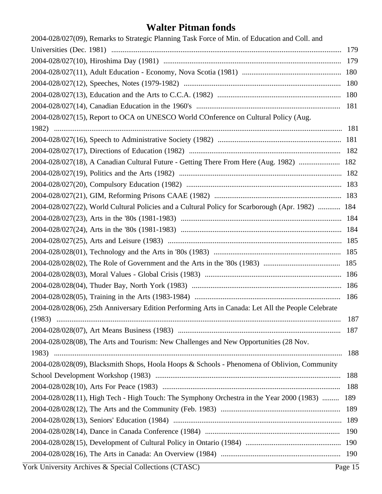| 2004-028/027(09), Remarks to Strategic Planning Task Force of Min. of Education and Coll. and      |     |
|----------------------------------------------------------------------------------------------------|-----|
|                                                                                                    |     |
|                                                                                                    |     |
|                                                                                                    |     |
|                                                                                                    |     |
|                                                                                                    |     |
|                                                                                                    |     |
| 2004-028/027(15), Report to OCA on UNESCO World COnference on Cultural Policy (Aug.                |     |
|                                                                                                    |     |
|                                                                                                    |     |
|                                                                                                    |     |
| 2004-028/027(18), A Canadian Cultural Future - Getting There From Here (Aug. 1982)  182            |     |
|                                                                                                    |     |
|                                                                                                    |     |
|                                                                                                    |     |
| 2004-028/027(22), World Cultural Policies and a Cultural Policy for Scarborough (Apr. 1982)  184   |     |
|                                                                                                    |     |
|                                                                                                    |     |
|                                                                                                    |     |
|                                                                                                    |     |
|                                                                                                    |     |
|                                                                                                    |     |
|                                                                                                    |     |
|                                                                                                    |     |
| 2004-028/028(06), 25th Anniversary Edition Performing Arts in Canada: Let All the People Celebrate |     |
|                                                                                                    | 187 |
|                                                                                                    | 187 |
| 2004-028/028(08), The Arts and Tourism: New Challenges and New Opportunities (28 Nov.              |     |
|                                                                                                    | 188 |
| 2004-028/028(09), Blacksmith Shops, Hoola Hoops & Schools - Phenomena of Oblivion, Community       |     |
|                                                                                                    | 188 |
|                                                                                                    | 188 |
| 2004-028/028(11), High Tech - High Touch: The Symphony Orchestra in the Year 2000 (1983)           | 189 |
|                                                                                                    | 189 |
|                                                                                                    | 189 |
|                                                                                                    | 190 |
|                                                                                                    |     |
|                                                                                                    |     |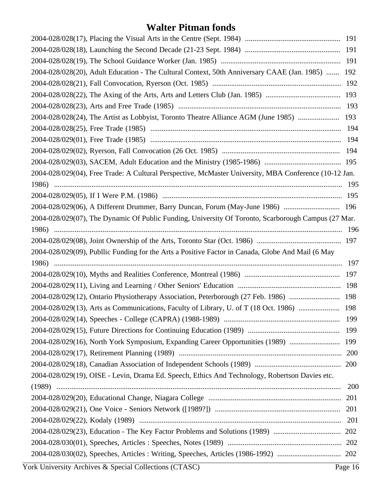| 2004-028/028(20), Adult Education - The Cultural Context, 50th Anniversary CAAE (Jan. 1985)  192      |            |
|-------------------------------------------------------------------------------------------------------|------------|
|                                                                                                       |            |
|                                                                                                       |            |
|                                                                                                       |            |
| 2004-028/028(24), The Artist as Lobbyist, Toronto Theatre Alliance AGM (June 1985)  193               |            |
|                                                                                                       |            |
|                                                                                                       |            |
|                                                                                                       |            |
|                                                                                                       |            |
| 2004-028/029(04), Free Trade: A Cultural Perspective, McMaster University, MBA Conference (10-12 Jan. |            |
|                                                                                                       |            |
|                                                                                                       |            |
| 2004-028/029(06), A Different Drummer, Barry Duncan, Forum (May-June 1986)  196                       |            |
| 2004-028/029(07), The Dynamic Of Public Funding, University Of Toronto, Scarborough Campus (27 Mar.   |            |
|                                                                                                       |            |
|                                                                                                       |            |
|                                                                                                       |            |
| 2004-028/029(09), Publlic Funding for the Arts a Positive Factor in Canada, Globe And Mail (6 May     |            |
|                                                                                                       |            |
|                                                                                                       |            |
|                                                                                                       |            |
| 2004-028/029(12), Ontario Physiotherapy Association, Peterborough (27 Feb. 1986)  198                 |            |
| 2004-028/029(13), Arts as Communications, Faculty of Library, U. of T (18 Oct. 1986)  198             |            |
|                                                                                                       |            |
|                                                                                                       |            |
| 2004-028/029(16), North York Symposium, Expanding Career Opportunities (1989)  199                    |            |
|                                                                                                       |            |
|                                                                                                       |            |
| 2004-028/029(19), OISE - Levin, Drama Ed. Speech, Ethics And Technology, Robertson Davies etc.        |            |
|                                                                                                       | <b>200</b> |
|                                                                                                       | 201        |
|                                                                                                       |            |
|                                                                                                       |            |
|                                                                                                       |            |
|                                                                                                       |            |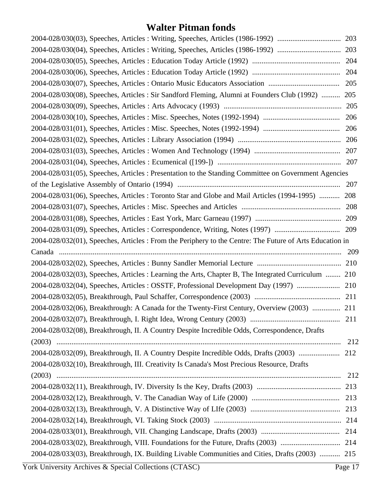| 2004-028/030(04), Speeches, Articles: Writing, Speeches, Articles (1986-1992)                            | 203 |
|----------------------------------------------------------------------------------------------------------|-----|
|                                                                                                          | 204 |
|                                                                                                          | 204 |
| 2004-028/030(07), Speeches, Articles : Ontario Music Educators Association                               | 205 |
| 2004-028/030(08), Speeches, Articles: Sir Sandford Fleming, Alumni at Founders Club (1992)  205          |     |
|                                                                                                          | 205 |
|                                                                                                          | 206 |
|                                                                                                          | 206 |
|                                                                                                          | 206 |
|                                                                                                          |     |
|                                                                                                          | 207 |
| 2004-028/031(05), Speeches, Articles: Presentation to the Standing Committee on Government Agencies      |     |
|                                                                                                          | 207 |
| 2004-028/031(06), Speeches, Articles: Toronto Star and Globe and Mail Articles (1994-1995)  208          |     |
|                                                                                                          | 208 |
|                                                                                                          |     |
|                                                                                                          |     |
| 2004-028/032(01), Speeches, Articles : From the Periphery to the Centre: The Future of Arts Education in |     |
| Canada                                                                                                   | 209 |
|                                                                                                          |     |
| 2004-028/032(03), Speeches, Articles : Learning the Arts, Chapter B, The Integrated Curriculum  210      |     |
| 2004-028/032(04), Speeches, Articles : OSSTF, Professional Development Day (1997)  210                   |     |
|                                                                                                          |     |
| 2004-028/032(06), Breakthrough: A Canada for the Twenty-First Century, Overview (2003)  211              |     |
|                                                                                                          |     |
| 2004-028/032(08), Breakthrough, II. A Country Despite Incredible Odds, Correspondence, Drafts            |     |
|                                                                                                          | 212 |
| 2004-028/032(09), Breakthrough, II. A Country Despite Incredible Odds, Drafts (2003)                     | 212 |
| 2004-028/032(10), Breakthrough, III. Creativity Is Canada's Most Precious Resource, Drafts               |     |
|                                                                                                          | 212 |
|                                                                                                          |     |
|                                                                                                          |     |
|                                                                                                          |     |
|                                                                                                          |     |
|                                                                                                          |     |
|                                                                                                          |     |
|                                                                                                          |     |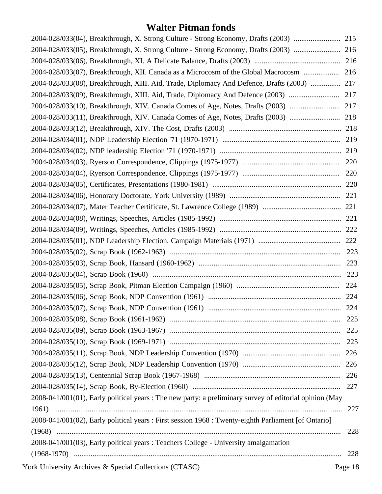| 2004-028/033(04), Breakthrough, X. Strong Culture - Strong Economy, Drafts (2003)  215                  |     |
|---------------------------------------------------------------------------------------------------------|-----|
| 2004-028/033(05), Breakthrough, X. Strong Culture - Strong Economy, Drafts (2003)  216                  |     |
|                                                                                                         |     |
| 2004-028/033(07), Breakthrough, XII. Canada as a Microcosm of the Global Macrocosm  216                 |     |
| 2004-028/033(08), Breakthrough, XIII. Aid, Trade, Diplomacy And Defence, Drafts (2003)  217             |     |
| 2004-028/033(09), Breakthrough, XIII. Aid, Trade, Diplomacy And Defence (2003)  217                     |     |
| 2004-028/033(10), Breakthrough, XIV. Canada Comes of Age, Notes, Drafts (2003)  217                     |     |
| 2004-028/033(11), Breakthrough, XIV. Canada Comes of Age, Notes, Drafts (2003)  218                     |     |
|                                                                                                         |     |
|                                                                                                         |     |
|                                                                                                         |     |
|                                                                                                         |     |
|                                                                                                         |     |
|                                                                                                         |     |
|                                                                                                         |     |
|                                                                                                         |     |
|                                                                                                         |     |
|                                                                                                         |     |
|                                                                                                         |     |
|                                                                                                         |     |
|                                                                                                         |     |
|                                                                                                         |     |
|                                                                                                         |     |
|                                                                                                         |     |
|                                                                                                         |     |
|                                                                                                         |     |
|                                                                                                         | 225 |
|                                                                                                         |     |
|                                                                                                         |     |
|                                                                                                         |     |
|                                                                                                         |     |
|                                                                                                         |     |
| 2008-041/001(01), Early political years : The new party: a preliminary survey of editorial opinion (May |     |
|                                                                                                         | 227 |
| 2008-041/001(02), Early political years : First session 1968 : Twenty-eighth Parliament [of Ontario]    |     |
|                                                                                                         | 228 |
| 2008-041/001(03), Early political years : Teachers College - University amalgamation                    |     |
|                                                                                                         | 228 |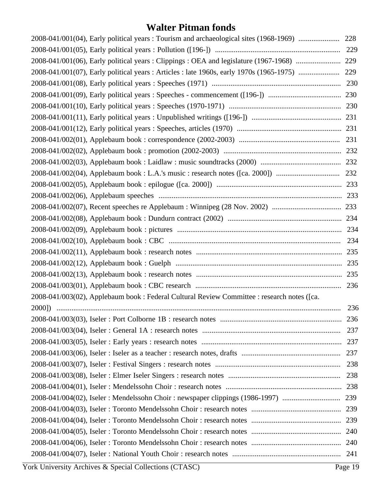| 2008-041/001(06), Early political years: Clippings: OEA and legislature (1967-1968)  229<br>2008-041/003(02), Applebaum book : Federal Cultural Review Committee : research notes ([ca. | 2008-041/001(04), Early political years: Tourism and archaeological sites (1968-1969)  228 |     |
|-----------------------------------------------------------------------------------------------------------------------------------------------------------------------------------------|--------------------------------------------------------------------------------------------|-----|
|                                                                                                                                                                                         |                                                                                            |     |
|                                                                                                                                                                                         |                                                                                            |     |
|                                                                                                                                                                                         |                                                                                            |     |
|                                                                                                                                                                                         |                                                                                            |     |
|                                                                                                                                                                                         |                                                                                            |     |
|                                                                                                                                                                                         |                                                                                            |     |
|                                                                                                                                                                                         |                                                                                            |     |
|                                                                                                                                                                                         |                                                                                            |     |
|                                                                                                                                                                                         |                                                                                            |     |
|                                                                                                                                                                                         |                                                                                            |     |
|                                                                                                                                                                                         |                                                                                            |     |
|                                                                                                                                                                                         |                                                                                            |     |
|                                                                                                                                                                                         |                                                                                            |     |
|                                                                                                                                                                                         |                                                                                            |     |
|                                                                                                                                                                                         |                                                                                            |     |
|                                                                                                                                                                                         |                                                                                            |     |
|                                                                                                                                                                                         |                                                                                            |     |
|                                                                                                                                                                                         |                                                                                            |     |
|                                                                                                                                                                                         |                                                                                            |     |
|                                                                                                                                                                                         |                                                                                            |     |
|                                                                                                                                                                                         |                                                                                            |     |
|                                                                                                                                                                                         |                                                                                            |     |
|                                                                                                                                                                                         |                                                                                            |     |
|                                                                                                                                                                                         |                                                                                            | 236 |
|                                                                                                                                                                                         |                                                                                            |     |
|                                                                                                                                                                                         |                                                                                            | 237 |
|                                                                                                                                                                                         |                                                                                            |     |
|                                                                                                                                                                                         |                                                                                            |     |
|                                                                                                                                                                                         |                                                                                            | 238 |
|                                                                                                                                                                                         |                                                                                            |     |
|                                                                                                                                                                                         |                                                                                            |     |
|                                                                                                                                                                                         |                                                                                            |     |
|                                                                                                                                                                                         |                                                                                            |     |
|                                                                                                                                                                                         |                                                                                            |     |
|                                                                                                                                                                                         |                                                                                            |     |
|                                                                                                                                                                                         |                                                                                            |     |
|                                                                                                                                                                                         |                                                                                            |     |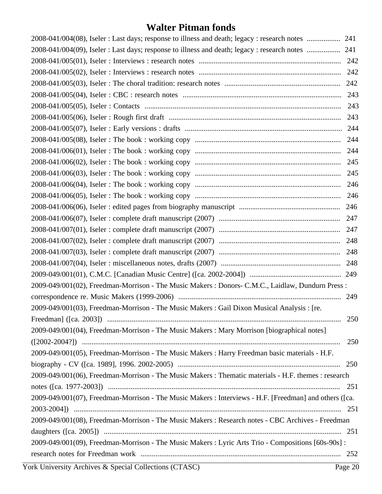|                                                                                                        | 243 |
|--------------------------------------------------------------------------------------------------------|-----|
|                                                                                                        | 243 |
|                                                                                                        | 243 |
|                                                                                                        |     |
|                                                                                                        | 244 |
|                                                                                                        |     |
|                                                                                                        | 245 |
|                                                                                                        |     |
|                                                                                                        | 246 |
|                                                                                                        |     |
|                                                                                                        |     |
|                                                                                                        |     |
|                                                                                                        |     |
|                                                                                                        |     |
|                                                                                                        |     |
|                                                                                                        |     |
|                                                                                                        |     |
| 2009-049/001(02), Freedman-Morrison - The Music Makers : Donors- C.M.C., Laidlaw, Dundurn Press :      |     |
|                                                                                                        |     |
| 2009-049/001(03), Freedman-Morrison - The Music Makers : Gail Dixon Musical Analysis : [re.            |     |
|                                                                                                        | 250 |
| 2009-049/001(04), Freedman-Morrison - The Music Makers : Mary Morrison [biographical notes]            |     |
|                                                                                                        | 250 |
| 2009-049/001(05), Freedman-Morrison - The Music Makers : Harry Freedman basic materials - H.F.         |     |
|                                                                                                        |     |
| 2009-049/001(06), Freedman-Morrison - The Music Makers : Thematic materials - H.F. themes : research   |     |
|                                                                                                        |     |
| 2009-049/001(07), Freedman-Morrison - The Music Makers : Interviews - H.F. [Freedman] and others ([ca. |     |
|                                                                                                        |     |
| 2009-049/001(08), Freedman-Morrison - The Music Makers : Research notes - CBC Archives - Freedman      |     |
|                                                                                                        |     |
| 2009-049/001(09), Freedman-Morrison - The Music Makers : Lyric Arts Trio - Compositions [60s-90s] :    |     |
|                                                                                                        |     |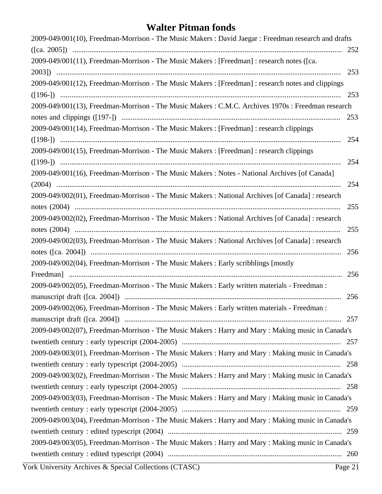| 2009-049/001(10), Freedman-Morrison - The Music Makers : David Jaegar : Freedman research and drafts |
|------------------------------------------------------------------------------------------------------|
|                                                                                                      |
| 2009-049/001(11), Freedman-Morrison - The Music Makers : [Freedman] : research notes ([ca.           |
|                                                                                                      |
| 2009-049/001(12), Freedman-Morrison - The Music Makers : [Freedman] : research notes and clippings   |
| 253                                                                                                  |
| 2009-049/001(13), Freedman-Morrison - The Music Makers : C.M.C. Archives 1970s : Freedman research   |
| 253                                                                                                  |
| 2009-049/001(14), Freedman-Morrison - The Music Makers : [Freedman] : research clippings             |
| 254                                                                                                  |
| 2009-049/001(15), Freedman-Morrison - The Music Makers : [Freedman] : research clippings             |
| 254                                                                                                  |
| 2009-049/001(16), Freedman-Morrison - The Music Makers : Notes - National Archives [of Canada]       |
| 254                                                                                                  |
| 2009-049/002(01), Freedman-Morrison - The Music Makers : National Archives [of Canada] : research    |
| 255                                                                                                  |
| 2009-049/002(02), Freedman-Morrison - The Music Makers : National Archives [of Canada] : research    |
| 255                                                                                                  |
| 2009-049/002(03), Freedman-Morrison - The Music Makers : National Archives [of Canada] : research    |
| 256                                                                                                  |
| 2009-049/002(04), Freedman-Morrison - The Music Makers : Early scribblings [mostly                   |
| 256                                                                                                  |
| 2009-049/002(05), Freedman-Morrison - The Music Makers : Early written materials - Freedman :        |
| 256                                                                                                  |
| 2009-049/002(06), Freedman-Morrison - The Music Makers : Early written materials - Freedman :        |
|                                                                                                      |
| 2009-049/002(07), Freedman-Morrison - The Music Makers : Harry and Mary : Making music in Canada's   |
|                                                                                                      |
| 2009-049/003(01), Freedman-Morrison - The Music Makers : Harry and Mary : Making music in Canada's   |
|                                                                                                      |
| 2009-049/003(02), Freedman-Morrison - The Music Makers : Harry and Mary : Making music in Canada's   |
|                                                                                                      |
| 2009-049/003(03), Freedman-Morrison - The Music Makers : Harry and Mary : Making music in Canada's   |
|                                                                                                      |
| 2009-049/003(04), Freedman-Morrison - The Music Makers : Harry and Mary : Making music in Canada's   |
|                                                                                                      |
| 2009-049/003(05), Freedman-Morrison - The Music Makers : Harry and Mary : Making music in Canada's   |
|                                                                                                      |
|                                                                                                      |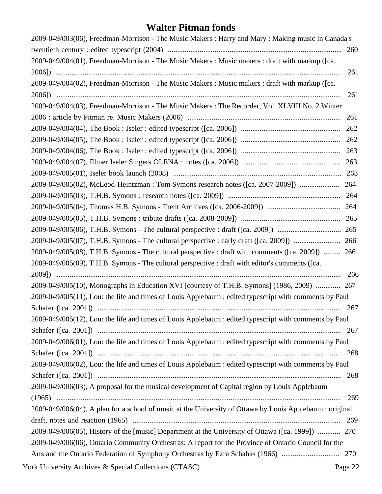| 2009-049/003(06), Freedman-Morrison - The Music Makers : Harry and Mary : Making music in Canada's       |     |
|----------------------------------------------------------------------------------------------------------|-----|
|                                                                                                          |     |
| 2009-049/004(01), Freedman-Morrison - The Music Makers : Music makers : draft with markup ([ca.          |     |
|                                                                                                          | 261 |
| 2009-049/004(02), Freedman-Morrison - The Music Makers : Music makers : draft with markup ([ca.          |     |
|                                                                                                          | 261 |
| 2009-049/004(03), Freedman-Morrison - The Music Makers : The Recorder, Vol. XLVIII No. 2 Winter          |     |
|                                                                                                          | 261 |
|                                                                                                          | 262 |
|                                                                                                          |     |
|                                                                                                          |     |
|                                                                                                          |     |
|                                                                                                          |     |
|                                                                                                          |     |
|                                                                                                          |     |
|                                                                                                          |     |
|                                                                                                          |     |
|                                                                                                          |     |
|                                                                                                          |     |
| 2009-049/005(08), T.H.B. Symons - The cultural perspective : draft with comments ([ca. 2009])  266       |     |
| 2009-049/005(09), T.H.B. Symons - The cultural perspective : draft with editor's comments ([ca.          |     |
|                                                                                                          | 266 |
| 2009-049/005(10), Monographs in Education XVI [courtesy of T.H.B. Symons] (1986, 2009)  267              |     |
| 2009-049/005(11), Lou: the life and times of Louis Applebaum : edited typescript with comments by Paul   |     |
|                                                                                                          |     |
| 2009-049/005(12), Lou: the life and times of Louis Applebaum : edited typescript with comments by Paul   |     |
|                                                                                                          |     |
| 2009-049/006(01), Lou: the life and times of Louis Applebaum : edited typescript with comments by Paul   |     |
|                                                                                                          |     |
| 2009-049/006(02), Lou: the life and times of Louis Applebaum : edited typescript with comments by Paul   |     |
|                                                                                                          |     |
| 2009-049/006(03), A proposal for the musical development of Capital region by Louis Applebaum            |     |
|                                                                                                          | 269 |
| 2009-049/006(04), A plan for a school of music at the University of Ottawa by Louis Applebaum : original |     |
|                                                                                                          |     |
| 2009-049/006(05), History of the [music] Department at the University of Ottawa ([ca. 1999])  270        |     |
| 2009-049/006(06), Ontario Community Orchestras: A report for the Province of Ontario Council for the     |     |
|                                                                                                          |     |
|                                                                                                          |     |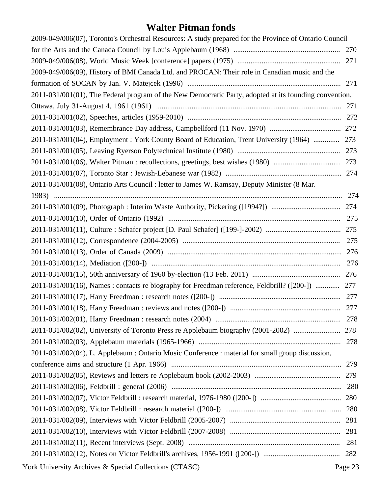| 2009-049/006(07), Toronto's Orchestral Resources: A study prepared for the Province of Ontario Council |     |
|--------------------------------------------------------------------------------------------------------|-----|
|                                                                                                        |     |
|                                                                                                        |     |
| 2009-049/006(09), History of BMI Canada Ltd. and PROCAN: Their role in Canadian music and the          |     |
|                                                                                                        |     |
| 2011-031/001(01), The Federal program of the New Democratic Party, adopted at its founding convention, |     |
|                                                                                                        |     |
|                                                                                                        |     |
|                                                                                                        |     |
| 2011-031/001(04), Employment : York County Board of Education, Trent University (1964)  273            |     |
|                                                                                                        |     |
|                                                                                                        |     |
|                                                                                                        |     |
| 2011-031/001(08), Ontario Arts Council : letter to James W. Ramsay, Deputy Minister (8 Mar.            |     |
|                                                                                                        |     |
|                                                                                                        |     |
|                                                                                                        |     |
|                                                                                                        |     |
|                                                                                                        |     |
|                                                                                                        |     |
|                                                                                                        |     |
|                                                                                                        |     |
| 2011-031/001(16), Names : contacts re biography for Freedman reference, Feldbrill? ([200-])  277       |     |
|                                                                                                        |     |
|                                                                                                        |     |
|                                                                                                        |     |
| 2011-031/002(02), University of Toronto Press re Applebaum biography (2001-2002)  278                  |     |
|                                                                                                        |     |
| 2011-031/002(04), L. Applebaum : Ontario Music Conference : material for small group discussion,       |     |
|                                                                                                        |     |
|                                                                                                        |     |
|                                                                                                        |     |
|                                                                                                        |     |
|                                                                                                        |     |
|                                                                                                        |     |
|                                                                                                        |     |
|                                                                                                        | 281 |
|                                                                                                        |     |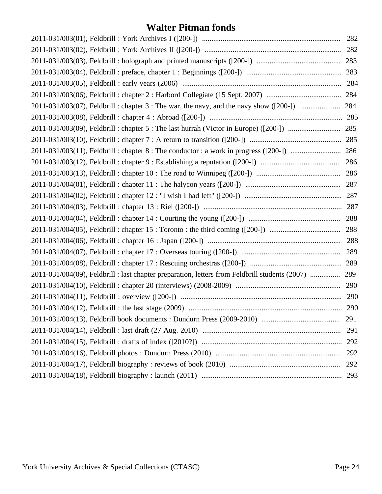| 2011-031/004(09), Feldbrill : last chapter preparation, letters from Feldbrill students (2007)  289 |     |
|-----------------------------------------------------------------------------------------------------|-----|
|                                                                                                     |     |
|                                                                                                     |     |
|                                                                                                     |     |
|                                                                                                     | 291 |
|                                                                                                     | 291 |
|                                                                                                     | 292 |
|                                                                                                     | 292 |
|                                                                                                     | 292 |
|                                                                                                     | 293 |
|                                                                                                     |     |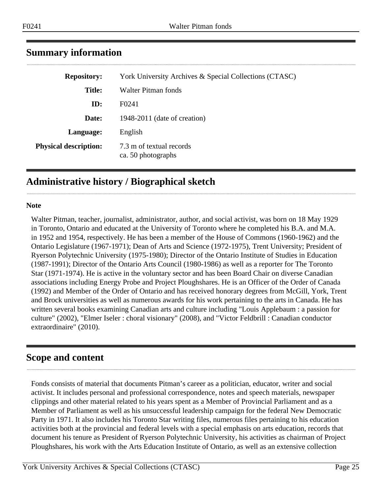| <b>Repository:</b>           | York University Archives & Special Collections (CTASC) |
|------------------------------|--------------------------------------------------------|
| <b>Title:</b>                | Walter Pitman fonds                                    |
| ID:                          | F <sub>0241</sub>                                      |
| Date:                        | 1948-2011 (date of creation)                           |
| Language:                    | English                                                |
| <b>Physical description:</b> | 7.3 m of textual records<br>ca. 50 photographs         |

### <span id="page-24-0"></span>**Summary information**

### <span id="page-24-1"></span>**Administrative history / Biographical sketch**

#### **Note**

Walter Pitman, teacher, journalist, administrator, author, and social activist, was born on 18 May 1929 in Toronto, Ontario and educated at the University of Toronto where he completed his B.A. and M.A. in 1952 and 1954, respectively. He has been a member of the House of Commons (1960-1962) and the Ontario Legislature (1967-1971); Dean of Arts and Science (1972-1975), Trent University; President of Ryerson Polytechnic University (1975-1980); Director of the Ontario Institute of Studies in Education (1987-1991); Director of the Ontario Arts Council (1980-1986) as well as a reporter for The Toronto Star (1971-1974). He is active in the voluntary sector and has been Board Chair on diverse Canadian associations including Energy Probe and Project Ploughshares. He is an Officer of the Order of Canada (1992) and Member of the Order of Ontario and has received honorary degrees from McGill, York, Trent and Brock universities as well as numerous awards for his work pertaining to the arts in Canada. He has written several books examining Canadian arts and culture including "Louis Applebaum : a passion for culture" (2002), "Elmer Iseler : choral visionary" (2008), and "Victor Feldbrill : Canadian conductor extraordinaire" (2010).

#### <span id="page-24-2"></span>**Scope and content**

Fonds consists of material that documents Pitman's career as a politician, educator, writer and social activist. It includes personal and professional correspondence, notes and speech materials, newspaper clippings and other material related to his years spent as a Member of Provincial Parliament and as a Member of Parliament as well as his unsuccessful leadership campaign for the federal New Democratic Party in 1971. It also includes his Toronto Star writing files, numerous files pertaining to his education activities both at the provincial and federal levels with a special emphasis on arts education, records that document his tenure as President of Ryerson Polytechnic University, his activities as chairman of Project Ploughshares, his work with the Arts Education Institute of Ontario, as well as an extensive collection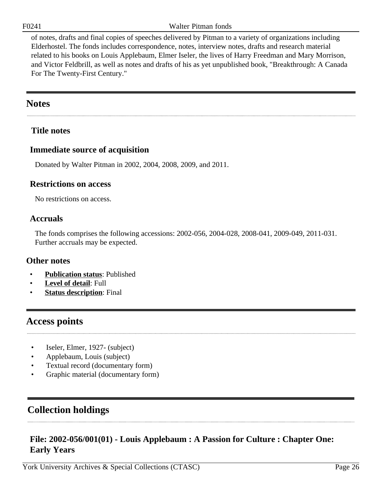F0241 Walter Pitman fonds

of notes, drafts and final copies of speeches delivered by Pitman to a variety of organizations including Elderhostel. The fonds includes correspondence, notes, interview notes, drafts and research material related to his books on Louis Applebaum, Elmer Iseler, the lives of Harry Freedman and Mary Morrison, and Victor Feldbrill, as well as notes and drafts of his as yet unpublished book, "Breakthrough: A Canada For The Twenty-First Century."

### <span id="page-25-0"></span>**Notes**

#### **Title notes**

#### **Immediate source of acquisition**

Donated by Walter Pitman in 2002, 2004, 2008, 2009, and 2011.

#### **Restrictions on access**

No restrictions on access.

#### **Accruals**

The fonds comprises the following accessions: 2002-056, 2004-028, 2008-041, 2009-049, 2011-031. Further accruals may be expected.

#### **Other notes**

- **Publication status**: Published
- Level of detail: Full
- **Status description**: Final

#### <span id="page-25-1"></span>**Access points**

- Iseler, Elmer, 1927- (subject)
- Applebaum, Louis (subject)
- Textual record (documentary form)
- Graphic material (documentary form)

### <span id="page-25-2"></span>**Collection holdings**

#### <span id="page-25-3"></span>**File: 2002-056/001(01) - Louis Applebaum : A Passion for Culture : Chapter One: Early Years**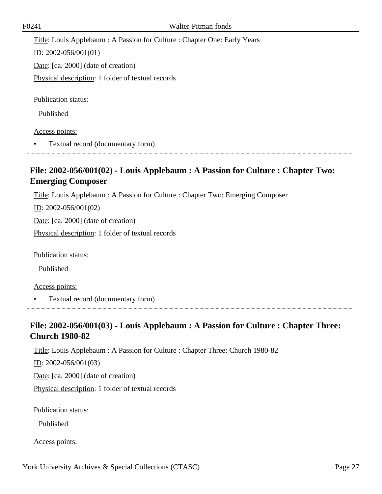Title: Louis Applebaum : A Passion for Culture : Chapter One: Early Years

ID: 2002-056/001(01)

Date: [ca. 2000] (date of creation)

Physical description: 1 folder of textual records

Publication status:

Published

#### Access points:

• Textual record (documentary form)

#### <span id="page-26-0"></span>**File: 2002-056/001(02) - Louis Applebaum : A Passion for Culture : Chapter Two: Emerging Composer**

Title: Louis Applebaum : A Passion for Culture : Chapter Two: Emerging Composer

 $ID: 2002-056/001(02)$ 

Date: [ca. 2000] (date of creation)

Physical description: 1 folder of textual records

Publication status:

Published

Access points:

• Textual record (documentary form)

### <span id="page-26-1"></span>**File: 2002-056/001(03) - Louis Applebaum : A Passion for Culture : Chapter Three: Church 1980-82**

Title: Louis Applebaum : A Passion for Culture : Chapter Three: Church 1980-82

ID: 2002-056/001(03)

Date: [ca. 2000] (date of creation)

Physical description: 1 folder of textual records

Publication status:

Published

Access points: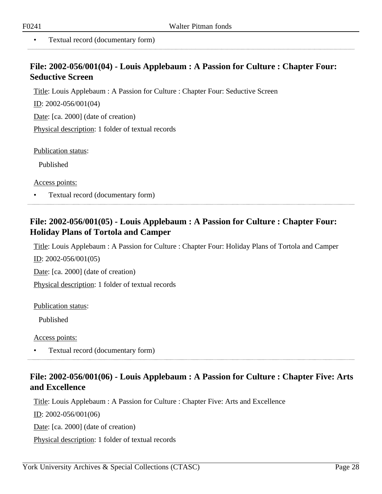• Textual record (documentary form)

#### <span id="page-27-0"></span>**File: 2002-056/001(04) - Louis Applebaum : A Passion for Culture : Chapter Four: Seductive Screen**

Title: Louis Applebaum : A Passion for Culture : Chapter Four: Seductive Screen

ID: 2002-056/001(04)

Date: [ca. 2000] (date of creation)

Physical description: 1 folder of textual records

Publication status:

Published

Access points:

• Textual record (documentary form)

#### <span id="page-27-1"></span>**File: 2002-056/001(05) - Louis Applebaum : A Passion for Culture : Chapter Four: Holiday Plans of Tortola and Camper**

Title: Louis Applebaum : A Passion for Culture : Chapter Four: Holiday Plans of Tortola and Camper

ID: 2002-056/001(05)

Date: [ca. 2000] (date of creation)

Physical description: 1 folder of textual records

Publication status:

Published

Access points:

• Textual record (documentary form)

#### <span id="page-27-2"></span>**File: 2002-056/001(06) - Louis Applebaum : A Passion for Culture : Chapter Five: Arts and Excellence**

Title: Louis Applebaum : A Passion for Culture : Chapter Five: Arts and Excellence

ID: 2002-056/001(06)

Date: [ca. 2000] (date of creation)

Physical description: 1 folder of textual records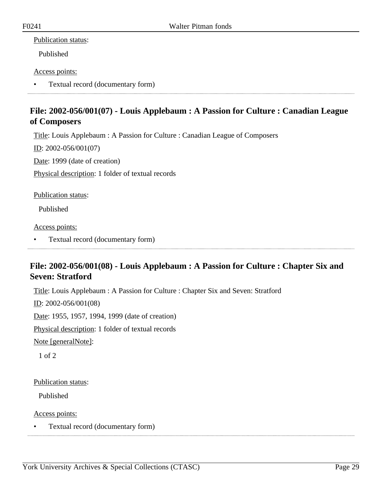#### Publication status:

Published

#### Access points:

• Textual record (documentary form)

### <span id="page-28-0"></span>**File: 2002-056/001(07) - Louis Applebaum : A Passion for Culture : Canadian League of Composers**

Title: Louis Applebaum : A Passion for Culture : Canadian League of Composers

ID: 2002-056/001(07)

Date: 1999 (date of creation)

Physical description: 1 folder of textual records

Publication status:

Published

Access points:

• Textual record (documentary form)

#### <span id="page-28-1"></span>**File: 2002-056/001(08) - Louis Applebaum : A Passion for Culture : Chapter Six and Seven: Stratford**

Title: Louis Applebaum : A Passion for Culture : Chapter Six and Seven: Stratford

ID: 2002-056/001(08)

Date: 1955, 1957, 1994, 1999 (date of creation)

Physical description: 1 folder of textual records

Note [generalNote]:

1 of 2

Publication status:

Published

Access points:

• Textual record (documentary form)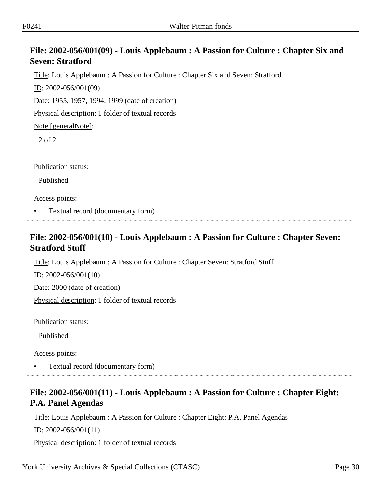### <span id="page-29-0"></span>**File: 2002-056/001(09) - Louis Applebaum : A Passion for Culture : Chapter Six and Seven: Stratford**

Title: Louis Applebaum : A Passion for Culture : Chapter Six and Seven: Stratford

ID: 2002-056/001(09)

Date: 1955, 1957, 1994, 1999 (date of creation)

Physical description: 1 folder of textual records

Note [generalNote]:

2 of 2

Publication status:

Published

Access points:

• Textual record (documentary form)

### <span id="page-29-1"></span>**File: 2002-056/001(10) - Louis Applebaum : A Passion for Culture : Chapter Seven: Stratford Stuff**

Title: Louis Applebaum : A Passion for Culture : Chapter Seven: Stratford Stuff

ID: 2002-056/001(10)

Date: 2000 (date of creation)

Physical description: 1 folder of textual records

Publication status:

Published

Access points:

• Textual record (documentary form)

### <span id="page-29-2"></span>**File: 2002-056/001(11) - Louis Applebaum : A Passion for Culture : Chapter Eight: P.A. Panel Agendas**

Title: Louis Applebaum : A Passion for Culture : Chapter Eight: P.A. Panel Agendas

 $ID: 2002-056/001(11)$ 

Physical description: 1 folder of textual records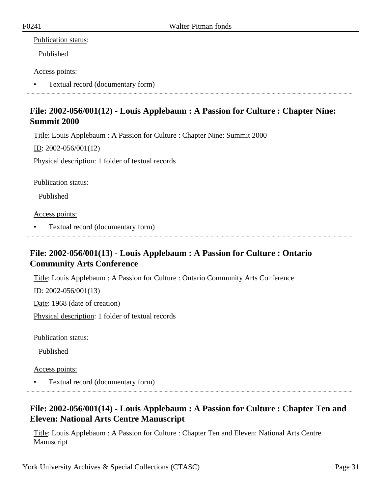#### Publication status:

Published

#### Access points:

• Textual record (documentary form)

#### <span id="page-30-0"></span>**File: 2002-056/001(12) - Louis Applebaum : A Passion for Culture : Chapter Nine: Summit 2000**

Title: Louis Applebaum : A Passion for Culture : Chapter Nine: Summit 2000

ID: 2002-056/001(12)

Physical description: 1 folder of textual records

Publication status:

Published

Access points:

• Textual record (documentary form)

### <span id="page-30-1"></span>**File: 2002-056/001(13) - Louis Applebaum : A Passion for Culture : Ontario Community Arts Conference**

Title: Louis Applebaum : A Passion for Culture : Ontario Community Arts Conference

<u>ID</u>: 2002-056/001(13)

Date: 1968 (date of creation)

Physical description: 1 folder of textual records

Publication status:

Published

Access points:

• Textual record (documentary form)

### <span id="page-30-2"></span>**File: 2002-056/001(14) - Louis Applebaum : A Passion for Culture : Chapter Ten and Eleven: National Arts Centre Manuscript**

Title: Louis Applebaum : A Passion for Culture : Chapter Ten and Eleven: National Arts Centre Manuscript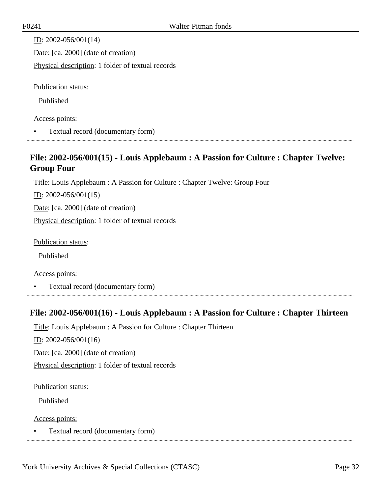| ID: $2002 - 056/001(14)$                          |
|---------------------------------------------------|
| Date: [ca. 2000] (date of creation)               |
| Physical description: 1 folder of textual records |
|                                                   |
| <b>Publication status:</b>                        |
| Published                                         |

#### Access points:

• Textual record (documentary form)

#### <span id="page-31-0"></span>**File: 2002-056/001(15) - Louis Applebaum : A Passion for Culture : Chapter Twelve: Group Four**

Title: Louis Applebaum : A Passion for Culture : Chapter Twelve: Group Four

ID: 2002-056/001(15)

Date: [ca. 2000] (date of creation)

Physical description: 1 folder of textual records

Publication status:

Published

#### Access points:

• Textual record (documentary form)

#### <span id="page-31-1"></span>**File: 2002-056/001(16) - Louis Applebaum : A Passion for Culture : Chapter Thirteen**

Title: Louis Applebaum : A Passion for Culture : Chapter Thirteen

ID: 2002-056/001(16)

Date: [ca. 2000] (date of creation)

Physical description: 1 folder of textual records

#### Publication status:

Published

Access points:

• Textual record (documentary form)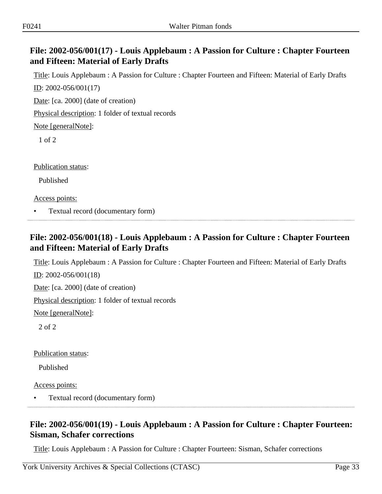#### <span id="page-32-0"></span>**File: 2002-056/001(17) - Louis Applebaum : A Passion for Culture : Chapter Fourteen and Fifteen: Material of Early Drafts**

Title: Louis Applebaum : A Passion for Culture : Chapter Fourteen and Fifteen: Material of Early Drafts ID: 2002-056/001(17)

Date: [ca. 2000] (date of creation)

Physical description: 1 folder of textual records

Note [generalNote]:

1 of 2

Publication status:

Published

Access points:

• Textual record (documentary form)

### <span id="page-32-1"></span>**File: 2002-056/001(18) - Louis Applebaum : A Passion for Culture : Chapter Fourteen and Fifteen: Material of Early Drafts**

Title: Louis Applebaum : A Passion for Culture : Chapter Fourteen and Fifteen: Material of Early Drafts ID: 2002-056/001(18)

Date: [ca. 2000] (date of creation)

Physical description: 1 folder of textual records

Note [generalNote]:

2 of 2

Publication status:

Published

Access points:

• Textual record (documentary form)

### <span id="page-32-2"></span>**File: 2002-056/001(19) - Louis Applebaum : A Passion for Culture : Chapter Fourteen: Sisman, Schafer corrections**

Title: Louis Applebaum : A Passion for Culture : Chapter Fourteen: Sisman, Schafer corrections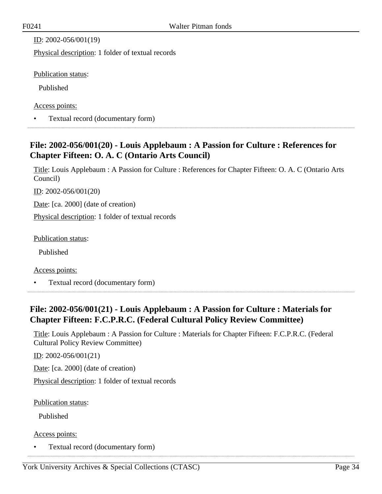ID: 2002-056/001(19)

Physical description: 1 folder of textual records

Publication status:

Published

Access points:

• Textual record (documentary form)

### <span id="page-33-0"></span>**File: 2002-056/001(20) - Louis Applebaum : A Passion for Culture : References for Chapter Fifteen: O. A. C (Ontario Arts Council)**

Title: Louis Applebaum : A Passion for Culture : References for Chapter Fifteen: O. A. C (Ontario Arts Council)

ID: 2002-056/001(20)

Date: [ca. 2000] (date of creation)

Physical description: 1 folder of textual records

Publication status:

Published

Access points:

• Textual record (documentary form)

### <span id="page-33-1"></span>**File: 2002-056/001(21) - Louis Applebaum : A Passion for Culture : Materials for Chapter Fifteen: F.C.P.R.C. (Federal Cultural Policy Review Committee)**

Title: Louis Applebaum : A Passion for Culture : Materials for Chapter Fifteen: F.C.P.R.C. (Federal Cultural Policy Review Committee)

ID: 2002-056/001(21)

Date: [ca. 2000] (date of creation)

Physical description: 1 folder of textual records

Publication status:

Published

Access points:

• Textual record (documentary form)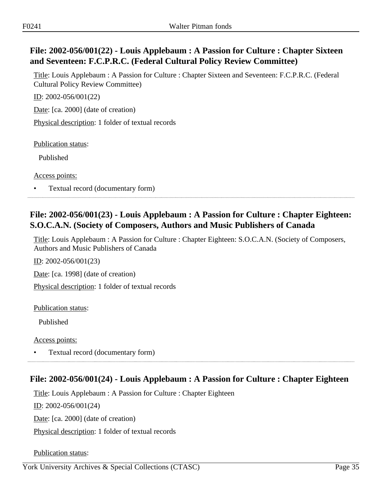### <span id="page-34-0"></span>**File: 2002-056/001(22) - Louis Applebaum : A Passion for Culture : Chapter Sixteen and Seventeen: F.C.P.R.C. (Federal Cultural Policy Review Committee)**

Title: Louis Applebaum : A Passion for Culture : Chapter Sixteen and Seventeen: F.C.P.R.C. (Federal Cultural Policy Review Committee)

ID: 2002-056/001(22)

Date: [ca. 2000] (date of creation)

Physical description: 1 folder of textual records

Publication status:

Published

Access points:

• Textual record (documentary form)

### <span id="page-34-1"></span>**File: 2002-056/001(23) - Louis Applebaum : A Passion for Culture : Chapter Eighteen: S.O.C.A.N. (Society of Composers, Authors and Music Publishers of Canada**

Title: Louis Applebaum : A Passion for Culture : Chapter Eighteen: S.O.C.A.N. (Society of Composers, Authors and Music Publishers of Canada

ID: 2002-056/001(23)

Date: [ca. 1998] (date of creation)

Physical description: 1 folder of textual records

Publication status:

Published

Access points:

• Textual record (documentary form)

#### <span id="page-34-2"></span>**File: 2002-056/001(24) - Louis Applebaum : A Passion for Culture : Chapter Eighteen**

Title: Louis Applebaum : A Passion for Culture : Chapter Eighteen

ID: 2002-056/001(24)

Date: [ca. 2000] (date of creation)

Physical description: 1 folder of textual records

Publication status: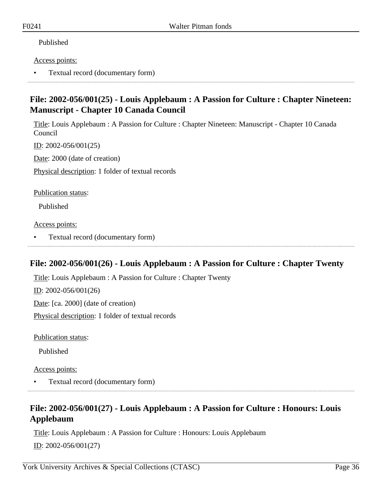#### Published

#### Access points:

• Textual record (documentary form)

#### <span id="page-35-0"></span>**File: 2002-056/001(25) - Louis Applebaum : A Passion for Culture : Chapter Nineteen: Manuscript - Chapter 10 Canada Council**

Title: Louis Applebaum : A Passion for Culture : Chapter Nineteen: Manuscript - Chapter 10 Canada Council

ID: 2002-056/001(25)

Date: 2000 (date of creation)

Physical description: 1 folder of textual records

Publication status:

Published

Access points:

• Textual record (documentary form)

#### <span id="page-35-1"></span>**File: 2002-056/001(26) - Louis Applebaum : A Passion for Culture : Chapter Twenty**

Title: Louis Applebaum : A Passion for Culture : Chapter Twenty

ID: 2002-056/001(26)

Date: [ca. 2000] (date of creation)

Physical description: 1 folder of textual records

Publication status:

Published

Access points:

• Textual record (documentary form)

#### <span id="page-35-2"></span>**File: 2002-056/001(27) - Louis Applebaum : A Passion for Culture : Honours: Louis Applebaum**

Title: Louis Applebaum : A Passion for Culture : Honours: Louis Applebaum ID: 2002-056/001(27)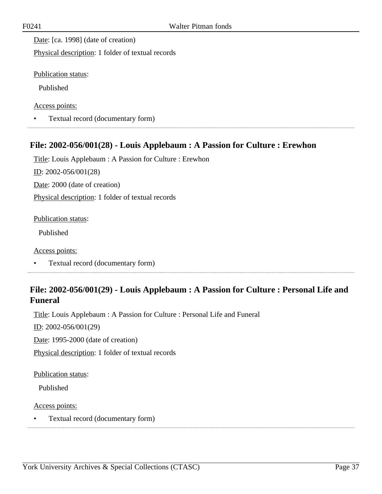Date: [ca. 1998] (date of creation)

Physical description: 1 folder of textual records

Publication status:

Published

Access points:

• Textual record (documentary form)

## **File: 2002-056/001(28) - Louis Applebaum : A Passion for Culture : Erewhon**

Title: Louis Applebaum : A Passion for Culture : Erewhon ID: 2002-056/001(28) Date: 2000 (date of creation) Physical description: 1 folder of textual records

Publication status:

Published

Access points:

• Textual record (documentary form)

# **File: 2002-056/001(29) - Louis Applebaum : A Passion for Culture : Personal Life and Funeral**

Title: Louis Applebaum : A Passion for Culture : Personal Life and Funeral

 $ID: 2002-056/001(29)$ 

Date: 1995-2000 (date of creation)

Physical description: 1 folder of textual records

Publication status:

Published

Access points:

• Textual record (documentary form)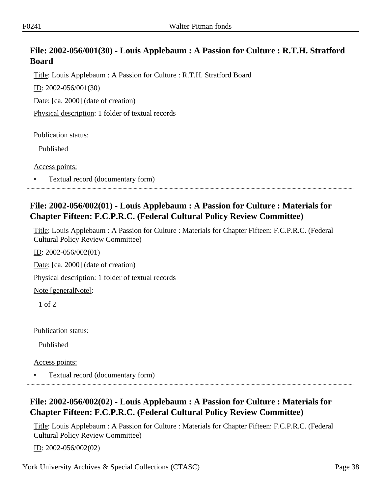# **File: 2002-056/001(30) - Louis Applebaum : A Passion for Culture : R.T.H. Stratford Board**

Title: Louis Applebaum : A Passion for Culture : R.T.H. Stratford Board

ID: 2002-056/001(30)

Date: [ca. 2000] (date of creation)

Physical description: 1 folder of textual records

Publication status:

Published

Access points:

• Textual record (documentary form)

## **File: 2002-056/002(01) - Louis Applebaum : A Passion for Culture : Materials for Chapter Fifteen: F.C.P.R.C. (Federal Cultural Policy Review Committee)**

Title: Louis Applebaum : A Passion for Culture : Materials for Chapter Fifteen: F.C.P.R.C. (Federal Cultural Policy Review Committee)

ID: 2002-056/002(01)

Date: [ca. 2000] (date of creation)

Physical description: 1 folder of textual records

Note [generalNote]:

1 of 2

Publication status:

Published

Access points:

• Textual record (documentary form)

# **File: 2002-056/002(02) - Louis Applebaum : A Passion for Culture : Materials for Chapter Fifteen: F.C.P.R.C. (Federal Cultural Policy Review Committee)**

Title: Louis Applebaum : A Passion for Culture : Materials for Chapter Fifteen: F.C.P.R.C. (Federal Cultural Policy Review Committee)

ID: 2002-056/002(02)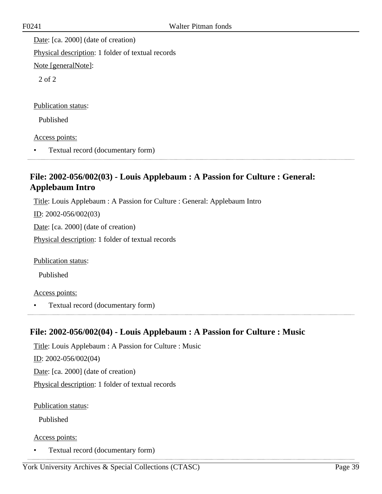Date: [ca. 2000] (date of creation) Physical description: 1 folder of textual records

Note [generalNote]:

2 of 2

Publication status:

Published

Access points:

• Textual record (documentary form) 

# **File: 2002-056/002(03) - Louis Applebaum : A Passion for Culture : General: Applebaum Intro**

Title: Louis Applebaum : A Passion for Culture : General: Applebaum Intro

ID: 2002-056/002(03)

Date: [ca. 2000] (date of creation)

Physical description: 1 folder of textual records

Publication status:

Published

Access points:

• Textual record (documentary form)

# **File: 2002-056/002(04) - Louis Applebaum : A Passion for Culture : Music**

Title: Louis Applebaum : A Passion for Culture : Music ID: 2002-056/002(04) Date: [ca. 2000] (date of creation) Physical description: 1 folder of textual records

Publication status:

Published

Access points:

• Textual record (documentary form)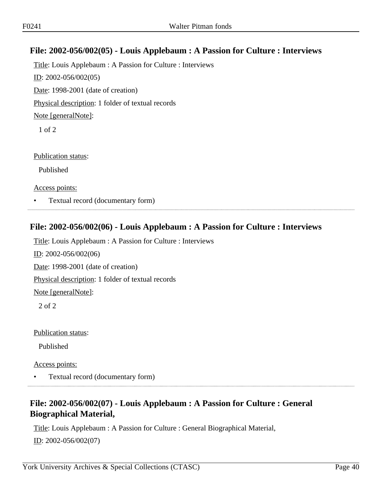# **File: 2002-056/002(05) - Louis Applebaum : A Passion for Culture : Interviews**

Title: Louis Applebaum : A Passion for Culture : Interviews ID: 2002-056/002(05) Date: 1998-2001 (date of creation) Physical description: 1 folder of textual records Note [generalNote]: 1 of 2

Publication status:

Published

Access points:

• Textual record (documentary form)

## **File: 2002-056/002(06) - Louis Applebaum : A Passion for Culture : Interviews**

Title: Louis Applebaum : A Passion for Culture : Interviews ID: 2002-056/002(06)

Date: 1998-2001 (date of creation)

Physical description: 1 folder of textual records

Note [generalNote]:

2 of 2

Publication status:

Published

Access points:

• Textual record (documentary form)

# **File: 2002-056/002(07) - Louis Applebaum : A Passion for Culture : General Biographical Material,**

Title: Louis Applebaum : A Passion for Culture : General Biographical Material, ID: 2002-056/002(07)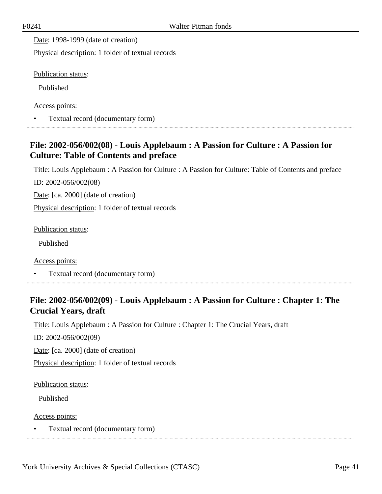Date: 1998-1999 (date of creation)

Physical description: 1 folder of textual records

Publication status:

Published

Access points:

• Textual record (documentary form)

# **File: 2002-056/002(08) - Louis Applebaum : A Passion for Culture : A Passion for Culture: Table of Contents and preface**

Title: Louis Applebaum : A Passion for Culture : A Passion for Culture: Table of Contents and preface ID: 2002-056/002(08)

Date: [ca. 2000] (date of creation)

Physical description: 1 folder of textual records

Publication status:

Published

Access points:

• Textual record (documentary form)

# **File: 2002-056/002(09) - Louis Applebaum : A Passion for Culture : Chapter 1: The Crucial Years, draft**

Title: Louis Applebaum : A Passion for Culture : Chapter 1: The Crucial Years, draft

ID: 2002-056/002(09)

Date: [ca. 2000] (date of creation)

Physical description: 1 folder of textual records

Publication status:

Published

Access points:

• Textual record (documentary form)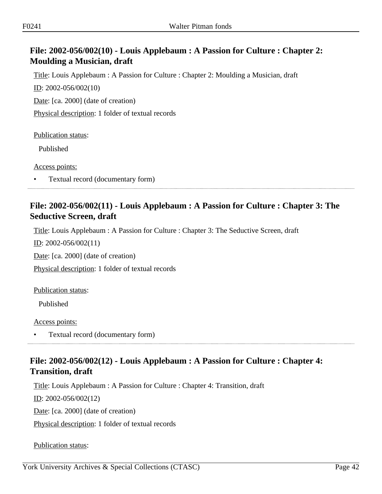# **File: 2002-056/002(10) - Louis Applebaum : A Passion for Culture : Chapter 2: Moulding a Musician, draft**

Title: Louis Applebaum : A Passion for Culture : Chapter 2: Moulding a Musician, draft ID: 2002-056/002(10)

Date: [ca. 2000] (date of creation)

Physical description: 1 folder of textual records

Publication status:

Published

Access points:

• Textual record (documentary form)

## **File: 2002-056/002(11) - Louis Applebaum : A Passion for Culture : Chapter 3: The Seductive Screen, draft**

Title: Louis Applebaum : A Passion for Culture : Chapter 3: The Seductive Screen, draft

ID: 2002-056/002(11)

Date: [ca. 2000] (date of creation)

Physical description: 1 folder of textual records

Publication status:

Published

Access points:

• Textual record (documentary form)

# **File: 2002-056/002(12) - Louis Applebaum : A Passion for Culture : Chapter 4: Transition, draft**

Title: Louis Applebaum : A Passion for Culture : Chapter 4: Transition, draft

ID: 2002-056/002(12)

Date: [ca. 2000] (date of creation)

Physical description: 1 folder of textual records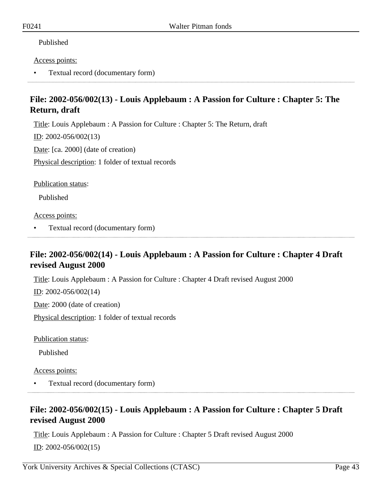#### Access points:

• Textual record (documentary form)

# **File: 2002-056/002(13) - Louis Applebaum : A Passion for Culture : Chapter 5: The Return, draft**

Title: Louis Applebaum : A Passion for Culture : Chapter 5: The Return, draft

 $ID: 2002-056/002(13)$ 

Date: [ca. 2000] (date of creation)

Physical description: 1 folder of textual records

Publication status:

Published

Access points:

• Textual record (documentary form)

# **File: 2002-056/002(14) - Louis Applebaum : A Passion for Culture : Chapter 4 Draft revised August 2000**

Title: Louis Applebaum : A Passion for Culture : Chapter 4 Draft revised August 2000

ID: 2002-056/002(14)

Date: 2000 (date of creation)

Physical description: 1 folder of textual records

Publication status:

Published

Access points:

• Textual record (documentary form)

## **File: 2002-056/002(15) - Louis Applebaum : A Passion for Culture : Chapter 5 Draft revised August 2000**

Title: Louis Applebaum : A Passion for Culture : Chapter 5 Draft revised August 2000  $ID: 2002-056/002(15)$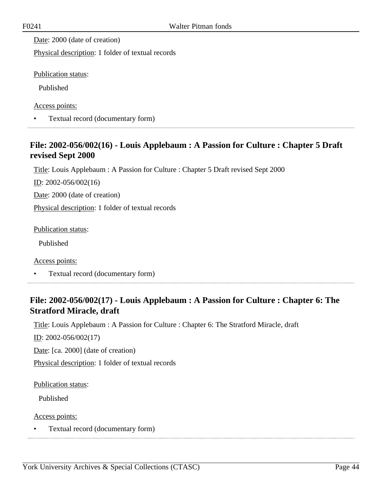Date: 2000 (date of creation)

Physical description: 1 folder of textual records

Publication status:

Published

Access points:

• Textual record (documentary form)

# **File: 2002-056/002(16) - Louis Applebaum : A Passion for Culture : Chapter 5 Draft revised Sept 2000**

Title: Louis Applebaum : A Passion for Culture : Chapter 5 Draft revised Sept 2000

ID: 2002-056/002(16)

Date: 2000 (date of creation)

Physical description: 1 folder of textual records

Publication status:

Published

Access points:

• Textual record (documentary form)

# **File: 2002-056/002(17) - Louis Applebaum : A Passion for Culture : Chapter 6: The Stratford Miracle, draft**

Title: Louis Applebaum : A Passion for Culture : Chapter 6: The Stratford Miracle, draft

ID: 2002-056/002(17)

Date: [ca. 2000] (date of creation)

Physical description: 1 folder of textual records

Publication status:

Published

Access points:

• Textual record (documentary form)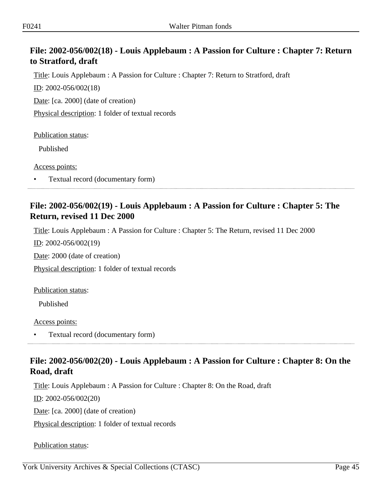# **File: 2002-056/002(18) - Louis Applebaum : A Passion for Culture : Chapter 7: Return to Stratford, draft**

Title: Louis Applebaum : A Passion for Culture : Chapter 7: Return to Stratford, draft

ID: 2002-056/002(18)

Date: [ca. 2000] (date of creation)

Physical description: 1 folder of textual records

Publication status:

Published

Access points:

• Textual record (documentary form)

## **File: 2002-056/002(19) - Louis Applebaum : A Passion for Culture : Chapter 5: The Return, revised 11 Dec 2000**

Title: Louis Applebaum : A Passion for Culture : Chapter 5: The Return, revised 11 Dec 2000

ID: 2002-056/002(19)

Date: 2000 (date of creation)

Physical description: 1 folder of textual records

Publication status:

Published

Access points:

• Textual record (documentary form)

# **File: 2002-056/002(20) - Louis Applebaum : A Passion for Culture : Chapter 8: On the Road, draft**

Title: Louis Applebaum : A Passion for Culture : Chapter 8: On the Road, draft

ID: 2002-056/002(20)

Date: [ca. 2000] (date of creation)

Physical description: 1 folder of textual records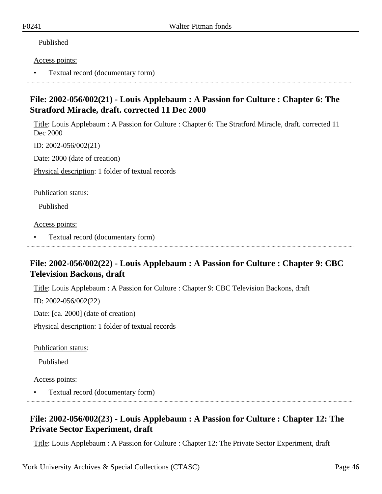#### Access points:

• Textual record (documentary form)

## **File: 2002-056/002(21) - Louis Applebaum : A Passion for Culture : Chapter 6: The Stratford Miracle, draft. corrected 11 Dec 2000**

Title: Louis Applebaum : A Passion for Culture : Chapter 6: The Stratford Miracle, draft. corrected 11 Dec 2000

ID: 2002-056/002(21)

Date: 2000 (date of creation)

Physical description: 1 folder of textual records

Publication status:

Published

Access points:

• Textual record (documentary form)

# **File: 2002-056/002(22) - Louis Applebaum : A Passion for Culture : Chapter 9: CBC Television Backons, draft**

Title: Louis Applebaum : A Passion for Culture : Chapter 9: CBC Television Backons, draft

 $ID: 2002-056/002(22)$ 

Date: [ca. 2000] (date of creation)

Physical description: 1 folder of textual records

Publication status:

Published

Access points:

• Textual record (documentary form)

# **File: 2002-056/002(23) - Louis Applebaum : A Passion for Culture : Chapter 12: The Private Sector Experiment, draft**

Title: Louis Applebaum : A Passion for Culture : Chapter 12: The Private Sector Experiment, draft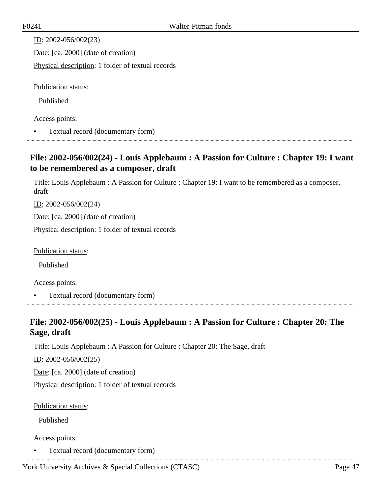| ID: $2002 - 056/002(23)$                          |
|---------------------------------------------------|
| Date: [ca. 2000] (date of creation)               |
| Physical description: 1 folder of textual records |
|                                                   |
| Publication status:                               |
| Published                                         |
|                                                   |

Access points:

• Textual record (documentary form)

# **File: 2002-056/002(24) - Louis Applebaum : A Passion for Culture : Chapter 19: I want to be remembered as a composer, draft**

Title: Louis Applebaum : A Passion for Culture : Chapter 19: I want to be remembered as a composer, draft

 $ID: 2002-056/002(24)$ 

Date: [ca. 2000] (date of creation)

Physical description: 1 folder of textual records

Publication status:

Published

Access points:

• Textual record (documentary form)

# **File: 2002-056/002(25) - Louis Applebaum : A Passion for Culture : Chapter 20: The Sage, draft**

Title: Louis Applebaum : A Passion for Culture : Chapter 20: The Sage, draft

ID: 2002-056/002(25)

Date: [ca. 2000] (date of creation)

Physical description: 1 folder of textual records

Publication status:

Published

### Access points:

• Textual record (documentary form)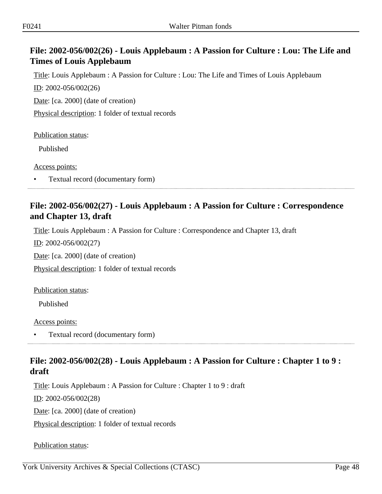# **File: 2002-056/002(26) - Louis Applebaum : A Passion for Culture : Lou: The Life and Times of Louis Applebaum**

Title: Louis Applebaum : A Passion for Culture : Lou: The Life and Times of Louis Applebaum

ID: 2002-056/002(26)

Date: [ca. 2000] (date of creation)

Physical description: 1 folder of textual records

Publication status:

Published

Access points:

• Textual record (documentary form)

## **File: 2002-056/002(27) - Louis Applebaum : A Passion for Culture : Correspondence and Chapter 13, draft**

Title: Louis Applebaum : A Passion for Culture : Correspondence and Chapter 13, draft

ID: 2002-056/002(27)

Date: [ca. 2000] (date of creation)

Physical description: 1 folder of textual records

Publication status:

Published

Access points:

• Textual record (documentary form)

# **File: 2002-056/002(28) - Louis Applebaum : A Passion for Culture : Chapter 1 to 9 : draft**

Title: Louis Applebaum : A Passion for Culture : Chapter 1 to 9 : draft

ID: 2002-056/002(28)

Date: [ca. 2000] (date of creation)

Physical description: 1 folder of textual records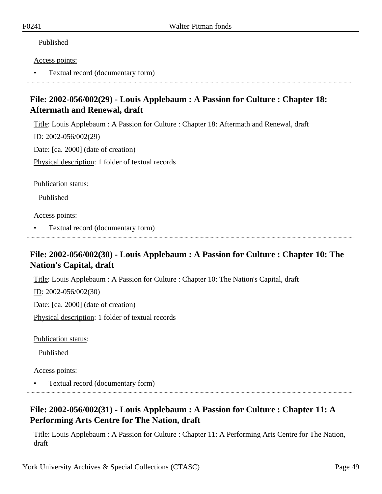#### Access points:

• Textual record (documentary form)

# **File: 2002-056/002(29) - Louis Applebaum : A Passion for Culture : Chapter 18: Aftermath and Renewal, draft**

Title: Louis Applebaum : A Passion for Culture : Chapter 18: Aftermath and Renewal, draft

ID: 2002-056/002(29)

Date: [ca. 2000] (date of creation)

Physical description: 1 folder of textual records

Publication status:

Published

Access points:

• Textual record (documentary form)

# **File: 2002-056/002(30) - Louis Applebaum : A Passion for Culture : Chapter 10: The Nation's Capital, draft**

Title: Louis Applebaum : A Passion for Culture : Chapter 10: The Nation's Capital, draft

ID: 2002-056/002(30)

Date: [ca. 2000] (date of creation)

Physical description: 1 folder of textual records

Publication status:

Published

Access points:

• Textual record (documentary form)

# **File: 2002-056/002(31) - Louis Applebaum : A Passion for Culture : Chapter 11: A Performing Arts Centre for The Nation, draft**

Title: Louis Applebaum : A Passion for Culture : Chapter 11: A Performing Arts Centre for The Nation, draft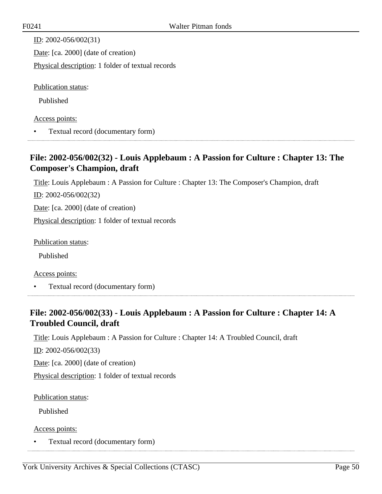| ID: $2002 - 056/002(31)$                          |
|---------------------------------------------------|
| Date: [ca. 2000] (date of creation)               |
| Physical description: 1 folder of textual records |
|                                                   |
| <b>Publication status:</b>                        |
| Published                                         |
| Access points:                                    |

• Textual record (documentary form)

## **File: 2002-056/002(32) - Louis Applebaum : A Passion for Culture : Chapter 13: The Composer's Champion, draft**

Title: Louis Applebaum : A Passion for Culture : Chapter 13: The Composer's Champion, draft

ID: 2002-056/002(32)

Date: [ca. 2000] (date of creation)

Physical description: 1 folder of textual records

Publication status:

Published

Access points:

• Textual record (documentary form)

# **File: 2002-056/002(33) - Louis Applebaum : A Passion for Culture : Chapter 14: A Troubled Council, draft**

Title: Louis Applebaum : A Passion for Culture : Chapter 14: A Troubled Council, draft

ID: 2002-056/002(33)

Date: [ca. 2000] (date of creation)

Physical description: 1 folder of textual records

Publication status:

Published

Access points:

• Textual record (documentary form)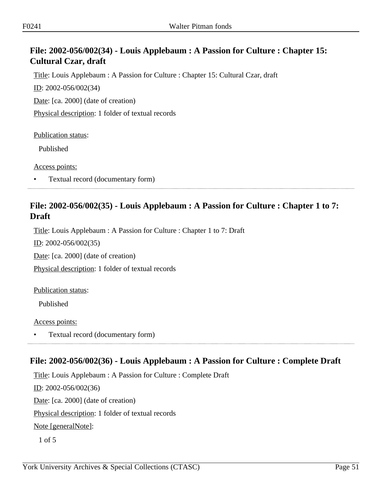# **File: 2002-056/002(34) - Louis Applebaum : A Passion for Culture : Chapter 15: Cultural Czar, draft**

Title: Louis Applebaum : A Passion for Culture : Chapter 15: Cultural Czar, draft

ID: 2002-056/002(34)

Date: [ca. 2000] (date of creation)

Physical description: 1 folder of textual records

Publication status:

Published

Access points:

• Textual record (documentary form)

## **File: 2002-056/002(35) - Louis Applebaum : A Passion for Culture : Chapter 1 to 7: Draft**

Title: Louis Applebaum : A Passion for Culture : Chapter 1 to 7: Draft

ID: 2002-056/002(35)

Date: [ca. 2000] (date of creation)

Physical description: 1 folder of textual records

Publication status:

Published

Access points:

• Textual record (documentary form)

# **File: 2002-056/002(36) - Louis Applebaum : A Passion for Culture : Complete Draft**

Title: Louis Applebaum : A Passion for Culture : Complete Draft ID: 2002-056/002(36) Date: [ca. 2000] (date of creation) Physical description: 1 folder of textual records Note [generalNote]: 1 of 5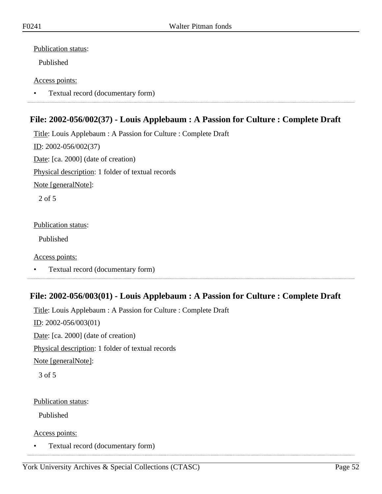### Publication status:

Published

### Access points:

• Textual record (documentary form)

# **File: 2002-056/002(37) - Louis Applebaum : A Passion for Culture : Complete Draft**

Title: Louis Applebaum : A Passion for Culture : Complete Draft

ID: 2002-056/002(37)

Date: [ca. 2000] (date of creation)

Physical description: 1 folder of textual records

Note [generalNote]:

2 of 5

Publication status:

Published

Access points:

• Textual record (documentary form)

# **File: 2002-056/003(01) - Louis Applebaum : A Passion for Culture : Complete Draft**

Title: Louis Applebaum : A Passion for Culture : Complete Draft ID: 2002-056/003(01) Date: [ca. 2000] (date of creation) Physical description: 1 folder of textual records Note [generalNote]: 3 of 5

Publication status:

Published

Access points:

• Textual record (documentary form)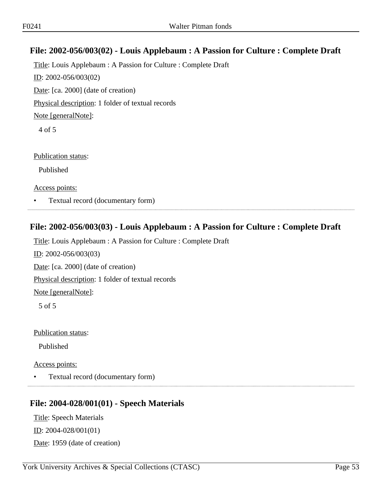# **File: 2002-056/003(02) - Louis Applebaum : A Passion for Culture : Complete Draft**

Title: Louis Applebaum : A Passion for Culture : Complete Draft ID: 2002-056/003(02) Date: [ca. 2000] (date of creation) Physical description: 1 folder of textual records Note [generalNote]: 4 of 5

Publication status:

Published

Access points:

• Textual record (documentary form)

## **File: 2002-056/003(03) - Louis Applebaum : A Passion for Culture : Complete Draft**

Title: Louis Applebaum : A Passion for Culture : Complete Draft ID: 2002-056/003(03) Date: [ca. 2000] (date of creation) Physical description: 1 folder of textual records Note [generalNote]: 5 of 5 Publication status:

Published

Access points:

• Textual record (documentary form)

## **File: 2004-028/001(01) - Speech Materials**

Title: Speech Materials ID: 2004-028/001(01) Date: 1959 (date of creation)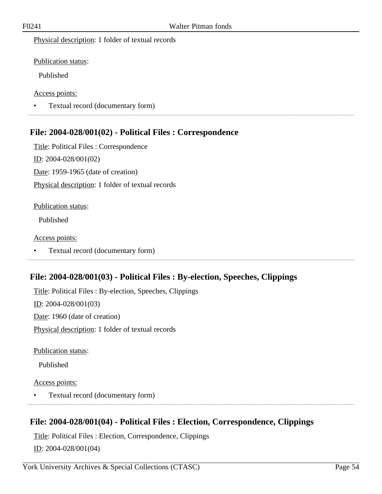Physical description: 1 folder of textual records

Publication status:

Published

Access points:

• Textual record (documentary form) 

## **File: 2004-028/001(02) - Political Files : Correspondence**

Title: Political Files : Correspondence ID: 2004-028/001(02) Date: 1959-1965 (date of creation) Physical description: 1 folder of textual records

### Publication status:

Published

#### Access points:

• Textual record (documentary form)

## **File: 2004-028/001(03) - Political Files : By-election, Speeches, Clippings**

Title: Political Files : By-election, Speeches, Clippings ID: 2004-028/001(03) Date: 1960 (date of creation) Physical description: 1 folder of textual records

Publication status:

Published

Access points:

• Textual record (documentary form)

## **File: 2004-028/001(04) - Political Files : Election, Correspondence, Clippings**

Title: Political Files : Election, Correspondence, Clippings ID: 2004-028/001(04)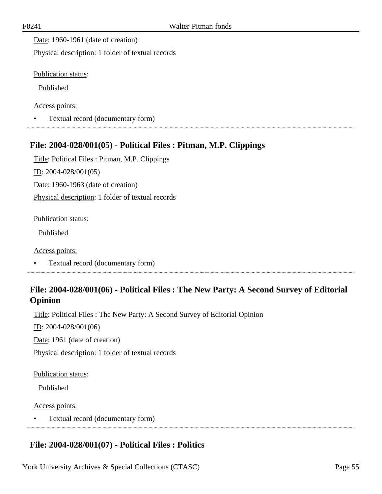Date: 1960-1961 (date of creation)

Physical description: 1 folder of textual records

Publication status:

Published

Access points:

• Textual record (documentary form)

## **File: 2004-028/001(05) - Political Files : Pitman, M.P. Clippings**

Title: Political Files : Pitman, M.P. Clippings ID: 2004-028/001(05) Date: 1960-1963 (date of creation) Physical description: 1 folder of textual records

Publication status:

Published

Access points:

• Textual record (documentary form)

# **File: 2004-028/001(06) - Political Files : The New Party: A Second Survey of Editorial Opinion**

Title: Political Files : The New Party: A Second Survey of Editorial Opinion

ID: 2004-028/001(06)

Date: 1961 (date of creation)

Physical description: 1 folder of textual records

Publication status:

Published

#### Access points:

• Textual record (documentary form)

# **File: 2004-028/001(07) - Political Files : Politics**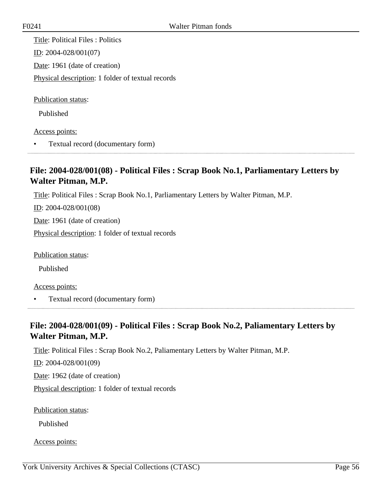Title: Political Files : Politics ID: 2004-028/001(07) Date: 1961 (date of creation) Physical description: 1 folder of textual records

Publication status:

Published

Access points:

• Textual record (documentary form)

## **File: 2004-028/001(08) - Political Files : Scrap Book No.1, Parliamentary Letters by Walter Pitman, M.P.**

Title: Political Files : Scrap Book No.1, Parliamentary Letters by Walter Pitman, M.P.

 $ID: 2004-028/001(08)$ 

Date: 1961 (date of creation)

Physical description: 1 folder of textual records

Publication status:

Published

Access points:

• Textual record (documentary form)

# **File: 2004-028/001(09) - Political Files : Scrap Book No.2, Paliamentary Letters by Walter Pitman, M.P.**

Title: Political Files : Scrap Book No.2, Paliamentary Letters by Walter Pitman, M.P.

ID: 2004-028/001(09)

Date: 1962 (date of creation)

Physical description: 1 folder of textual records

Publication status:

Published

Access points: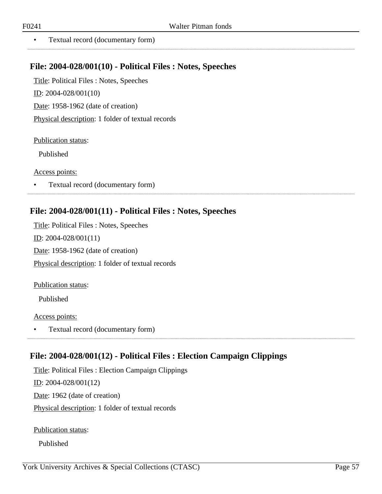..................

• Textual record (documentary form)

### **File: 2004-028/001(10) - Political Files : Notes, Speeches**

Title: Political Files : Notes, Speeches ID: 2004-028/001(10) Date: 1958-1962 (date of creation) Physical description: 1 folder of textual records

Publication status:

Published

Access points:

• Textual record (documentary form)

### **File: 2004-028/001(11) - Political Files : Notes, Speeches**

Title: Political Files : Notes, Speeches ID: 2004-028/001(11) Date: 1958-1962 (date of creation) Physical description: 1 folder of textual records

Publication status:

Published

Access points:

• Textual record (documentary form)

## **File: 2004-028/001(12) - Political Files : Election Campaign Clippings**

Title: Political Files : Election Campaign Clippings ID: 2004-028/001(12) Date: 1962 (date of creation)

Physical description: 1 folder of textual records

Publication status:

Published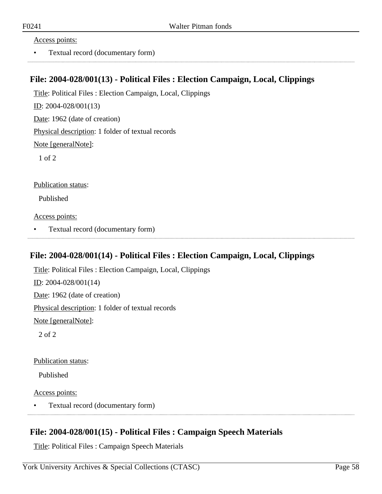#### Access points:

• Textual record (documentary form)

### **File: 2004-028/001(13) - Political Files : Election Campaign, Local, Clippings**

Title: Political Files : Election Campaign, Local, Clippings

ID: 2004-028/001(13)

Date: 1962 (date of creation)

Physical description: 1 folder of textual records

Note [generalNote]:

1 of 2

Publication status:

Published

Access points:

• Textual record (documentary form)

### **File: 2004-028/001(14) - Political Files : Election Campaign, Local, Clippings**

Title: Political Files : Election Campaign, Local, Clippings ID: 2004-028/001(14) Date: 1962 (date of creation) Physical description: 1 folder of textual records Note [generalNote]: 2 of 2

Publication status:

Published

Access points:

• Textual record (documentary form)

## **File: 2004-028/001(15) - Political Files : Campaign Speech Materials**

Title: Political Files : Campaign Speech Materials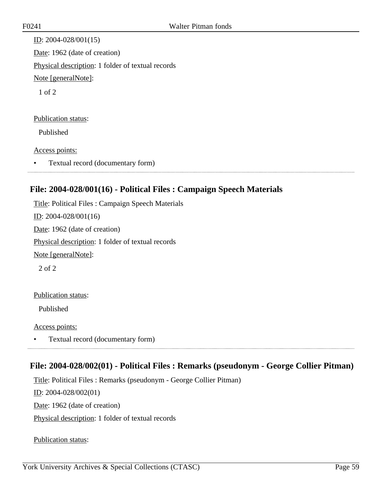ID: 2004-028/001(15) Date: 1962 (date of creation) Physical description: 1 folder of textual records Note [generalNote]: 1 of 2

#### Publication status:

Published

#### Access points:

• Textual record (documentary form)

## **File: 2004-028/001(16) - Political Files : Campaign Speech Materials**

Title: Political Files : Campaign Speech Materials

ID: 2004-028/001(16)

Date: 1962 (date of creation)

Physical description: 1 folder of textual records

Note [generalNote]:

2 of 2

### Publication status:

Published

Access points:

• Textual record (documentary form)

## **File: 2004-028/002(01) - Political Files : Remarks (pseudonym - George Collier Pitman)**

Title: Political Files : Remarks (pseudonym - George Collier Pitman)

ID: 2004-028/002(01)

Date: 1962 (date of creation)

Physical description: 1 folder of textual records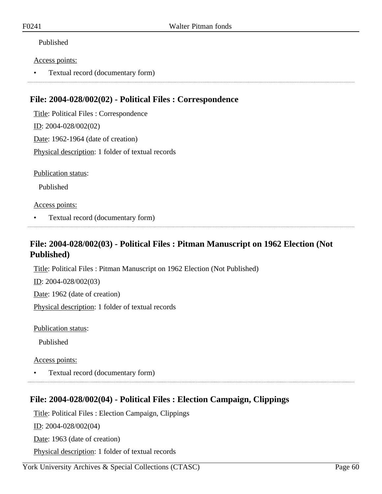#### Access points:

• Textual record (documentary form)

## **File: 2004-028/002(02) - Political Files : Correspondence**

Title: Political Files : Correspondence ID: 2004-028/002(02) Date: 1962-1964 (date of creation) Physical description: 1 folder of textual records

Publication status:

Published

#### Access points:

• Textual record (documentary form)

**File: 2004-028/002(03) - Political Files : Pitman Manuscript on 1962 Election (Not Published)**

Title: Political Files : Pitman Manuscript on 1962 Election (Not Published)

ID: 2004-028/002(03)

Date: 1962 (date of creation)

Physical description: 1 folder of textual records

Publication status:

Published

Access points:

• Textual record (documentary form)

## **File: 2004-028/002(04) - Political Files : Election Campaign, Clippings**

Title: Political Files : Election Campaign, Clippings

ID: 2004-028/002(04)

Date: 1963 (date of creation)

Physical description: 1 folder of textual records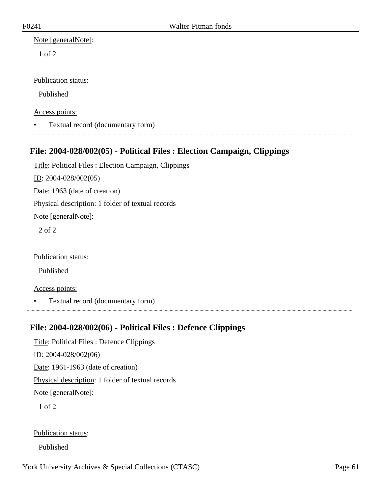1 of 2

Publication status:

Published

Access points:

• Textual record (documentary form)

# **File: 2004-028/002(05) - Political Files : Election Campaign, Clippings**

Title: Political Files : Election Campaign, Clippings ID: 2004-028/002(05) Date: 1963 (date of creation) Physical description: 1 folder of textual records Note [generalNote]: 2 of 2 Publication status:

Published

Access points:

• Textual record (documentary form)

## **File: 2004-028/002(06) - Political Files : Defence Clippings**

Title: Political Files : Defence Clippings ID: 2004-028/002(06) Date: 1961-1963 (date of creation) Physical description: 1 folder of textual records Note [generalNote]: 1 of 2

Publication status:

Published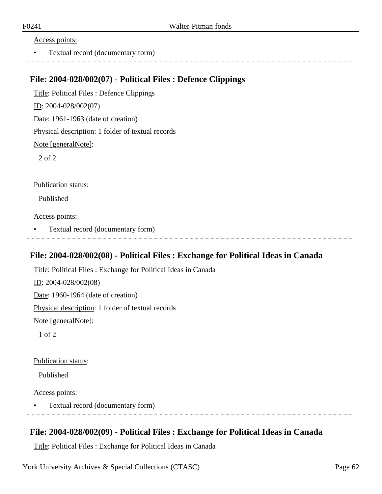#### Access points:

• Textual record (documentary form)

### **File: 2004-028/002(07) - Political Files : Defence Clippings**

Title: Political Files : Defence Clippings ID: 2004-028/002(07) Date: 1961-1963 (date of creation) Physical description: 1 folder of textual records Note [generalNote]: 2 of 2

Publication status:

Published

Access points:

• Textual record (documentary form)

### **File: 2004-028/002(08) - Political Files : Exchange for Political Ideas in Canada**

Title: Political Files : Exchange for Political Ideas in Canada ID: 2004-028/002(08) Date: 1960-1964 (date of creation) Physical description: 1 folder of textual records Note [generalNote]: 1 of 2

Publication status:

Published

Access points:

• Textual record (documentary form)

## **File: 2004-028/002(09) - Political Files : Exchange for Political Ideas in Canada**

Title: Political Files : Exchange for Political Ideas in Canada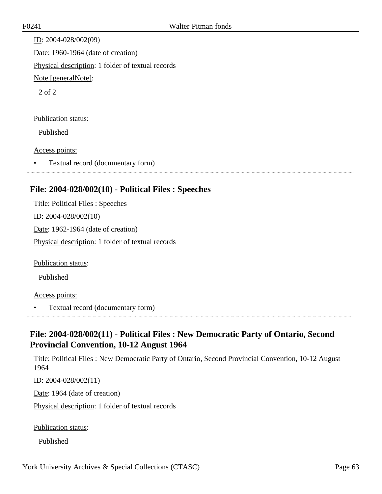ID: 2004-028/002(09) Date: 1960-1964 (date of creation) Physical description: 1 folder of textual records Note [generalNote]: 2 of 2

### Publication status:

Published

### Access points:

• Textual record (documentary form)

## **File: 2004-028/002(10) - Political Files : Speeches**

Title: Political Files : Speeches ID: 2004-028/002(10) Date: 1962-1964 (date of creation) Physical description: 1 folder of textual records

Publication status:

Published

### Access points:

• Textual record (documentary form)

# **File: 2004-028/002(11) - Political Files : New Democratic Party of Ontario, Second Provincial Convention, 10-12 August 1964**

Title: Political Files : New Democratic Party of Ontario, Second Provincial Convention, 10-12 August 1964

ID: 2004-028/002(11)

Date: 1964 (date of creation)

Physical description: 1 folder of textual records

### Publication status:

Published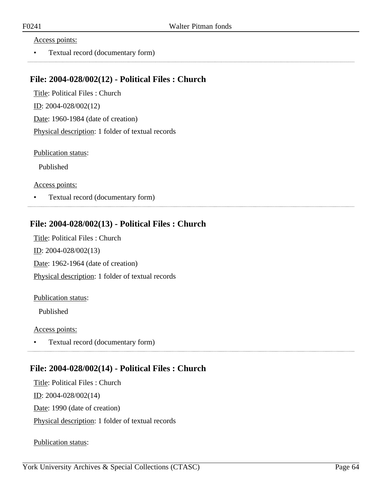#### Access points:

• Textual record (documentary form)

## **File: 2004-028/002(12) - Political Files : Church**

Title: Political Files : Church ID: 2004-028/002(12) Date: 1960-1984 (date of creation) Physical description: 1 folder of textual records

Publication status:

Published

Access points:

• Textual record (documentary form)

## **File: 2004-028/002(13) - Political Files : Church**

Title: Political Files : Church ID: 2004-028/002(13) Date: 1962-1964 (date of creation) Physical description: 1 folder of textual records

#### Publication status:

Published

#### Access points:

• Textual record (documentary form) 

## **File: 2004-028/002(14) - Political Files : Church**

Title: Political Files : Church ID: 2004-028/002(14) Date: 1990 (date of creation) Physical description: 1 folder of textual records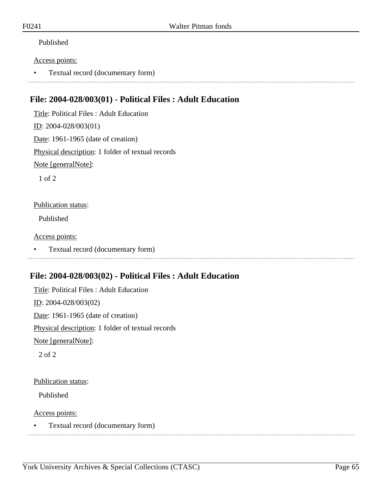#### Access points:

• Textual record (documentary form)

## **File: 2004-028/003(01) - Political Files : Adult Education**

Title: Political Files : Adult Education ID: 2004-028/003(01) Date: 1961-1965 (date of creation) Physical description: 1 folder of textual records Note [generalNote]:

1 of 2

#### Publication status:

Published

Access points:

• Textual record (documentary form)

# **File: 2004-028/003(02) - Political Files : Adult Education**

Title: Political Files : Adult Education ID: 2004-028/003(02) Date: 1961-1965 (date of creation) Physical description: 1 folder of textual records Note [generalNote]: 2 of 2

### Publication status:

Published

Access points:

• Textual record (documentary form)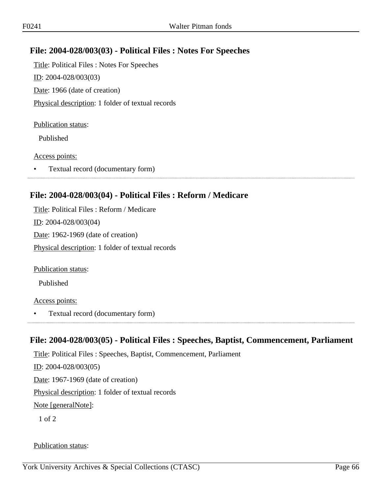## **File: 2004-028/003(03) - Political Files : Notes For Speeches**

Title: Political Files : Notes For Speeches ID: 2004-028/003(03) Date: 1966 (date of creation) Physical description: 1 folder of textual records

#### Publication status:

Published

#### Access points:

• Textual record (documentary form)

## **File: 2004-028/003(04) - Political Files : Reform / Medicare**

Title: Political Files : Reform / Medicare ID: 2004-028/003(04) Date: 1962-1969 (date of creation) Physical description: 1 folder of textual records

Publication status:

Published

### Access points:

• Textual record (documentary form)

## **File: 2004-028/003(05) - Political Files : Speeches, Baptist, Commencement, Parliament**

Title: Political Files : Speeches, Baptist, Commencement, Parliament ID: 2004-028/003(05) Date: 1967-1969 (date of creation) Physical description: 1 folder of textual records Note [generalNote]: 1 of 2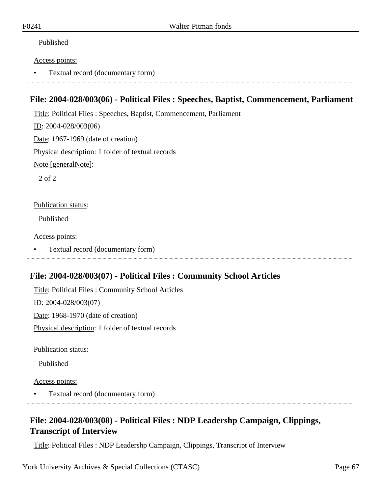#### Access points:

• Textual record (documentary form)

## **File: 2004-028/003(06) - Political Files : Speeches, Baptist, Commencement, Parliament**

Title: Political Files : Speeches, Baptist, Commencement, Parliament

ID: 2004-028/003(06)

Date: 1967-1969 (date of creation)

Physical description: 1 folder of textual records

Note [generalNote]:

2 of 2

#### Publication status:

Published

Access points:

• Textual record (documentary form)

## **File: 2004-028/003(07) - Political Files : Community School Articles**

Title: Political Files : Community School Articles ID: 2004-028/003(07) Date: 1968-1970 (date of creation)

Physical description: 1 folder of textual records

Publication status:

Published

Access points:

• Textual record (documentary form)

# **File: 2004-028/003(08) - Political Files : NDP Leadershp Campaign, Clippings, Transcript of Interview**

Title: Political Files : NDP Leadershp Campaign, Clippings, Transcript of Interview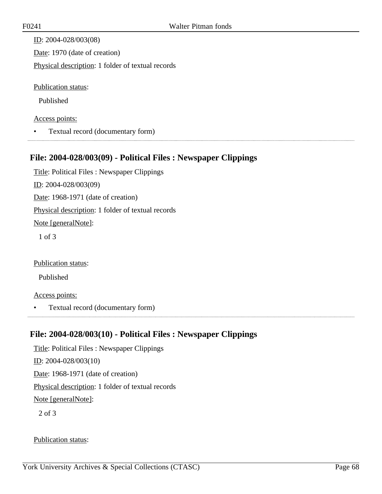| ID: $2004 - 028/003(08)$                          |
|---------------------------------------------------|
| Date: 1970 (date of creation)                     |
| Physical description: 1 folder of textual records |
|                                                   |
| <b>Publication status:</b>                        |

### Access points:

• Textual record (documentary form)

## **File: 2004-028/003(09) - Political Files : Newspaper Clippings**

Title: Political Files : Newspaper Clippings ID: 2004-028/003(09) Date: 1968-1971 (date of creation) Physical description: 1 folder of textual records Note [generalNote]: 1 of 3

### Publication status:

Published

#### Access points:

• Textual record (documentary form)

## **File: 2004-028/003(10) - Political Files : Newspaper Clippings**

Title: Political Files : Newspaper Clippings ID: 2004-028/003(10) Date: 1968-1971 (date of creation) Physical description: 1 folder of textual records Note [generalNote]: 2 of 3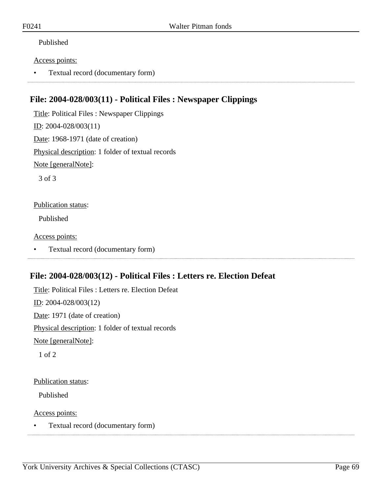#### Access points:

• Textual record (documentary form)

## **File: 2004-028/003(11) - Political Files : Newspaper Clippings**

Title: Political Files : Newspaper Clippings ID: 2004-028/003(11) Date: 1968-1971 (date of creation) Physical description: 1 folder of textual records Note [generalNote]:

3 of 3

#### Publication status:

Published

Access points:

• Textual record (documentary form)

## **File: 2004-028/003(12) - Political Files : Letters re. Election Defeat**

Title: Political Files : Letters re. Election Defeat ID: 2004-028/003(12) Date: 1971 (date of creation) Physical description: 1 folder of textual records Note [generalNote]: 1 of 2

#### Publication status:

Published

Access points:

• Textual record (documentary form)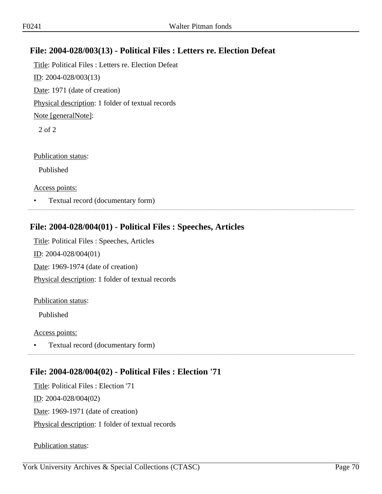# **File: 2004-028/003(13) - Political Files : Letters re. Election Defeat**

Title: Political Files : Letters re. Election Defeat ID: 2004-028/003(13) Date: 1971 (date of creation) Physical description: 1 folder of textual records Note [generalNote]: 2 of 2

Publication status:

Published

Access points:

• Textual record (documentary form)

### **File: 2004-028/004(01) - Political Files : Speeches, Articles**

Title: Political Files : Speeches, Articles ID: 2004-028/004(01) Date: 1969-1974 (date of creation) Physical description: 1 folder of textual records

#### Publication status:

Published

#### Access points:

• Textual record (documentary form)

## **File: 2004-028/004(02) - Political Files : Election '71**

Title: Political Files : Election '71 ID: 2004-028/004(02) Date: 1969-1971 (date of creation) Physical description: 1 folder of textual records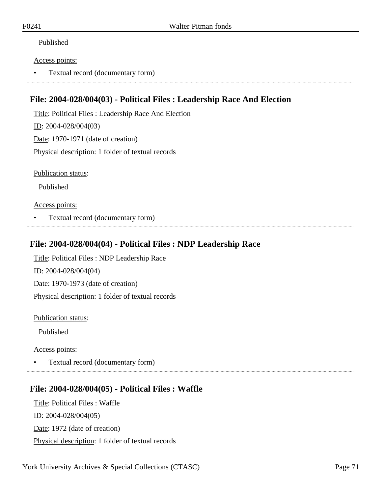#### Access points:

• Textual record (documentary form)

## **File: 2004-028/004(03) - Political Files : Leadership Race And Election**

Title: Political Files : Leadership Race And Election ID: 2004-028/004(03) Date: 1970-1971 (date of creation) Physical description: 1 folder of textual records

Publication status:

Published

### Access points:

• Textual record (documentary form)

## **File: 2004-028/004(04) - Political Files : NDP Leadership Race**

Title: Political Files : NDP Leadership Race ID: 2004-028/004(04) Date: 1970-1973 (date of creation) Physical description: 1 folder of textual records

Publication status:

Published

Access points:

• Textual record (documentary form)

# **File: 2004-028/004(05) - Political Files : Waffle**

Title: Political Files : Waffle ID: 2004-028/004(05) Date: 1972 (date of creation) Physical description: 1 folder of textual records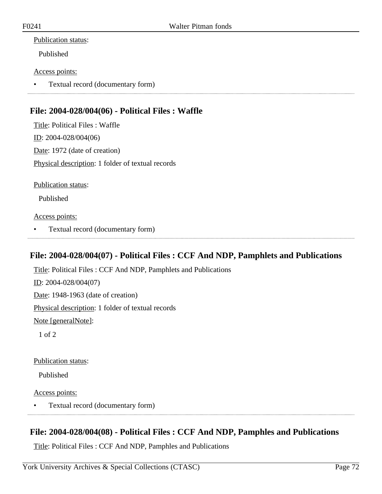#### Publication status:

Published

#### Access points:

• Textual record (documentary form)

## **File: 2004-028/004(06) - Political Files : Waffle**

Title: Political Files : Waffle ID: 2004-028/004(06) Date: 1972 (date of creation) Physical description: 1 folder of textual records

Publication status:

Published

Access points:

• Textual record (documentary form)

## **File: 2004-028/004(07) - Political Files : CCF And NDP, Pamphlets and Publications**

Title: Political Files : CCF And NDP, Pamphlets and Publications ID: 2004-028/004(07) Date: 1948-1963 (date of creation) Physical description: 1 folder of textual records Note [generalNote]: 1 of 2

Publication status:

Published

Access points:

• Textual record (documentary form)

## **File: 2004-028/004(08) - Political Files : CCF And NDP, Pamphles and Publications**

Title: Political Files : CCF And NDP, Pamphles and Publications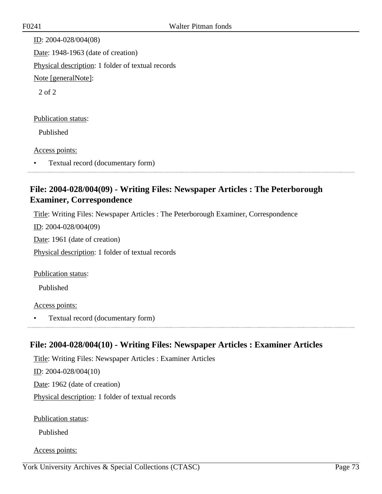ID: 2004-028/004(08) Date: 1948-1963 (date of creation) Physical description: 1 folder of textual records Note [generalNote]: 2 of 2 Publication status: Published

Access points:

• Textual record (documentary form)

# **File: 2004-028/004(09) - Writing Files: Newspaper Articles : The Peterborough Examiner, Correspondence**

Title: Writing Files: Newspaper Articles : The Peterborough Examiner, Correspondence

ID: 2004-028/004(09)

Date: 1961 (date of creation)

Physical description: 1 folder of textual records

Publication status:

Published

#### Access points:

• Textual record (documentary form)

# **File: 2004-028/004(10) - Writing Files: Newspaper Articles : Examiner Articles**

Title: Writing Files: Newspaper Articles : Examiner Articles ID: 2004-028/004(10) Date: 1962 (date of creation) Physical description: 1 folder of textual records

Publication status:

Published

Access points: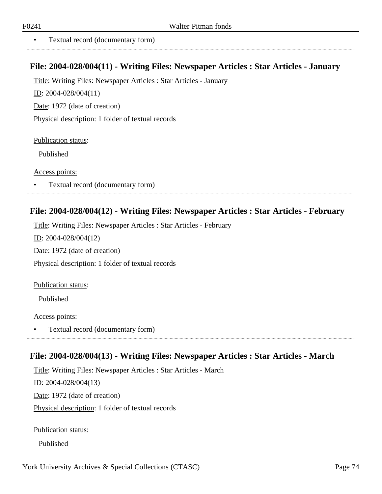..................

• Textual record (documentary form)

#### **File: 2004-028/004(11) - Writing Files: Newspaper Articles : Star Articles - January**

Title: Writing Files: Newspaper Articles : Star Articles - January

ID: 2004-028/004(11)

Date: 1972 (date of creation)

Physical description: 1 folder of textual records

Publication status:

Published

Access points:

• Textual record (documentary form)

#### **File: 2004-028/004(12) - Writing Files: Newspaper Articles : Star Articles - February**

Title: Writing Files: Newspaper Articles : Star Articles - February ID: 2004-028/004(12) Date: 1972 (date of creation) Physical description: 1 folder of textual records

Publication status:

Published

Access points:

• Textual record (documentary form)

### **File: 2004-028/004(13) - Writing Files: Newspaper Articles : Star Articles - March**

Title: Writing Files: Newspaper Articles : Star Articles - March

ID: 2004-028/004(13)

Date: 1972 (date of creation)

Physical description: 1 folder of textual records

Publication status:

Published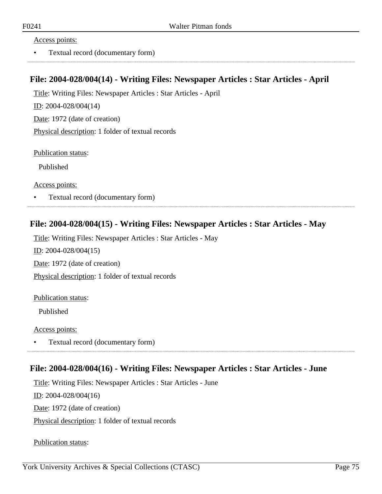#### Access points:

• Textual record (documentary form)

#### **File: 2004-028/004(14) - Writing Files: Newspaper Articles : Star Articles - April**

Title: Writing Files: Newspaper Articles : Star Articles - April ID: 2004-028/004(14) Date: 1972 (date of creation) Physical description: 1 folder of textual records

Publication status:

Published

Access points:

• Textual record (documentary form)

### **File: 2004-028/004(15) - Writing Files: Newspaper Articles : Star Articles - May**

Title: Writing Files: Newspaper Articles : Star Articles - May ID: 2004-028/004(15) Date: 1972 (date of creation) Physical description: 1 folder of textual records

Publication status:

Published

Access points:

• Textual record (documentary form) 

### **File: 2004-028/004(16) - Writing Files: Newspaper Articles : Star Articles - June**

Title: Writing Files: Newspaper Articles : Star Articles - June

ID: 2004-028/004(16)

Date: 1972 (date of creation)

Physical description: 1 folder of textual records

Publication status: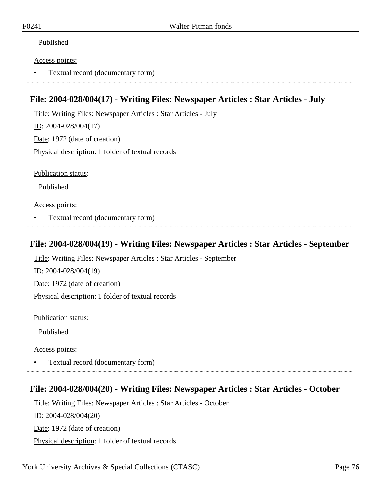#### Published

#### Access points:

• Textual record (documentary form)

### **File: 2004-028/004(17) - Writing Files: Newspaper Articles : Star Articles - July**

Title: Writing Files: Newspaper Articles : Star Articles - July ID: 2004-028/004(17) Date: 1972 (date of creation) Physical description: 1 folder of textual records

Publication status:

Published

Access points:

• Textual record (documentary form)

#### **File: 2004-028/004(19) - Writing Files: Newspaper Articles : Star Articles - September**

Title: Writing Files: Newspaper Articles : Star Articles - September

ID: 2004-028/004(19) Date: 1972 (date of creation)

Physical description: 1 folder of textual records

Publication status:

Published

Access points:

• Textual record (documentary form)

# **File: 2004-028/004(20) - Writing Files: Newspaper Articles : Star Articles - October**

Title: Writing Files: Newspaper Articles : Star Articles - October ID: 2004-028/004(20) Date: 1972 (date of creation) Physical description: 1 folder of textual records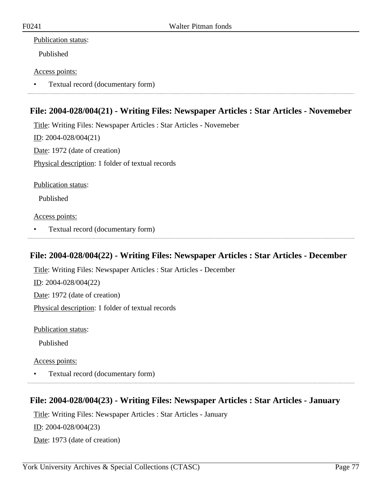#### Publication status:

Published

#### Access points:

• Textual record (documentary form)

# **File: 2004-028/004(21) - Writing Files: Newspaper Articles : Star Articles - Novemeber**

Title: Writing Files: Newspaper Articles : Star Articles - Novemeber ID: 2004-028/004(21) Date: 1972 (date of creation) Physical description: 1 folder of textual records

Publication status:

Published

Access points:

• Textual record (documentary form)

### **File: 2004-028/004(22) - Writing Files: Newspaper Articles : Star Articles - December**

Title: Writing Files: Newspaper Articles : Star Articles - December ID: 2004-028/004(22) Date: 1972 (date of creation) Physical description: 1 folder of textual records

Publication status:

Published

Access points:

• Textual record (documentary form)

### **File: 2004-028/004(23) - Writing Files: Newspaper Articles : Star Articles - January**

Title: Writing Files: Newspaper Articles : Star Articles - January

ID: 2004-028/004(23)

Date: 1973 (date of creation)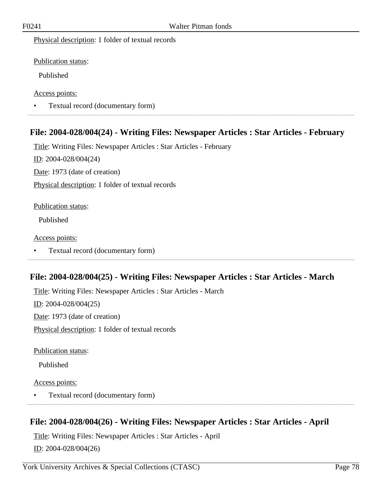Physical description: 1 folder of textual records

Publication status:

Published

Access points:

• Textual record (documentary form) 

### **File: 2004-028/004(24) - Writing Files: Newspaper Articles : Star Articles - February**

Title: Writing Files: Newspaper Articles : Star Articles - February  $ID: 2004-028/004(24)$ Date: 1973 (date of creation) Physical description: 1 folder of textual records

#### Publication status:

Published

#### Access points:

• Textual record (documentary form)

### **File: 2004-028/004(25) - Writing Files: Newspaper Articles : Star Articles - March**

Title: Writing Files: Newspaper Articles : Star Articles - March ID: 2004-028/004(25) Date: 1973 (date of creation) Physical description: 1 folder of textual records

Publication status:

Published

Access points:

• Textual record (documentary form)

### **File: 2004-028/004(26) - Writing Files: Newspaper Articles : Star Articles - April**

Title: Writing Files: Newspaper Articles : Star Articles - April ID: 2004-028/004(26)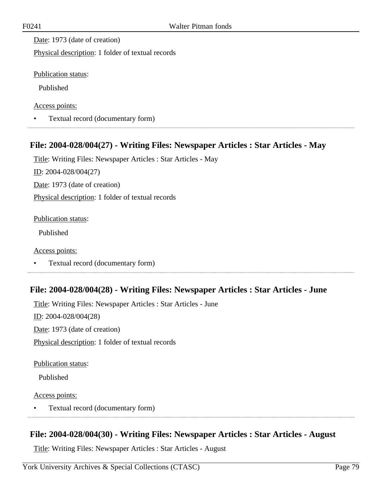Date: 1973 (date of creation)

Physical description: 1 folder of textual records

Publication status:

Published

Access points:

• Textual record (documentary form)

# **File: 2004-028/004(27) - Writing Files: Newspaper Articles : Star Articles - May**

Title: Writing Files: Newspaper Articles : Star Articles - May ID: 2004-028/004(27)

Date: 1973 (date of creation)

Physical description: 1 folder of textual records

Publication status:

Published

Access points:

• Textual record (documentary form)

### **File: 2004-028/004(28) - Writing Files: Newspaper Articles : Star Articles - June**

Title: Writing Files: Newspaper Articles : Star Articles - June ID: 2004-028/004(28) Date: 1973 (date of creation) Physical description: 1 folder of textual records

Publication status:

Published

Access points:

• Textual record (documentary form) 

### **File: 2004-028/004(30) - Writing Files: Newspaper Articles : Star Articles - August**

Title: Writing Files: Newspaper Articles : Star Articles - August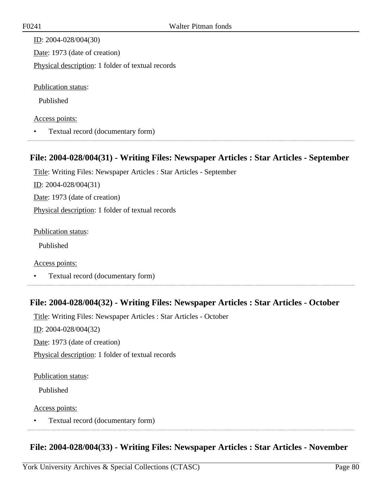| ID: $2004 - 028/004(30)$                          |
|---------------------------------------------------|
| Date: 1973 (date of creation)                     |
| Physical description: 1 folder of textual records |
|                                                   |
| <b>Publication status:</b>                        |
| Published                                         |

#### Access points:

• Textual record (documentary form)

#### **File: 2004-028/004(31) - Writing Files: Newspaper Articles : Star Articles - September**

Title: Writing Files: Newspaper Articles : Star Articles - September ID: 2004-028/004(31) Date: 1973 (date of creation) Physical description: 1 folder of textual records

Publication status:

Published

Access points:

• Textual record (documentary form)

### **File: 2004-028/004(32) - Writing Files: Newspaper Articles : Star Articles - October**

Title: Writing Files: Newspaper Articles : Star Articles - October ID: 2004-028/004(32) Date: 1973 (date of creation) Physical description: 1 folder of textual records

#### Publication status:

Published

#### Access points:

• Textual record (documentary form)

### **File: 2004-028/004(33) - Writing Files: Newspaper Articles : Star Articles - November**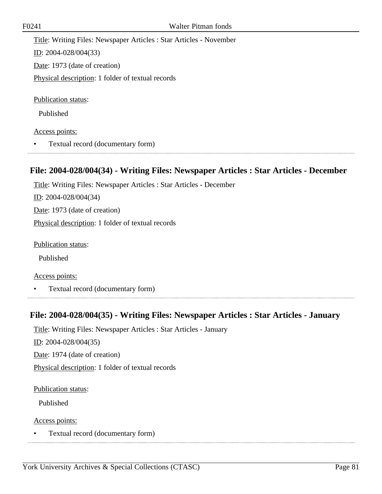Title: Writing Files: Newspaper Articles : Star Articles - November ID: 2004-028/004(33) Date: 1973 (date of creation) Physical description: 1 folder of textual records Publication status:

Published

#### Access points:

• Textual record (documentary form)

# **File: 2004-028/004(34) - Writing Files: Newspaper Articles : Star Articles - December**

Title: Writing Files: Newspaper Articles : Star Articles - December

ID: 2004-028/004(34)

Date: 1973 (date of creation)

Physical description: 1 folder of textual records

Publication status:

Published

Access points:

• Textual record (documentary form)

### **File: 2004-028/004(35) - Writing Files: Newspaper Articles : Star Articles - January**

Title: Writing Files: Newspaper Articles : Star Articles - January

 $ID: 2004-028/004(35)$ 

Date: 1974 (date of creation)

Physical description: 1 folder of textual records

Publication status:

Published

Access points:

• Textual record (documentary form)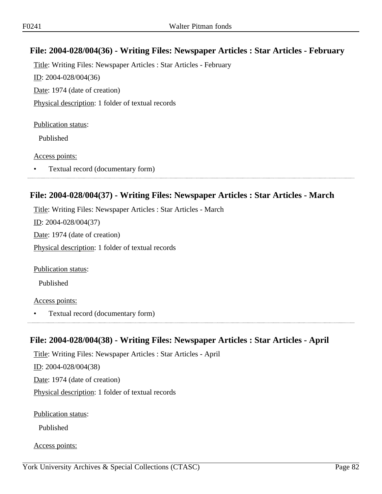# **File: 2004-028/004(36) - Writing Files: Newspaper Articles : Star Articles - February**

Title: Writing Files: Newspaper Articles : Star Articles - February ID: 2004-028/004(36) Date: 1974 (date of creation) Physical description: 1 folder of textual records

#### Publication status:

Published

#### Access points:

• Textual record (documentary form)

#### **File: 2004-028/004(37) - Writing Files: Newspaper Articles : Star Articles - March**

Title: Writing Files: Newspaper Articles : Star Articles - March ID: 2004-028/004(37) Date: 1974 (date of creation) Physical description: 1 folder of textual records

Publication status:

Published

#### Access points:

• Textual record (documentary form)

### **File: 2004-028/004(38) - Writing Files: Newspaper Articles : Star Articles - April**

Title: Writing Files: Newspaper Articles : Star Articles - April ID: 2004-028/004(38) Date: 1974 (date of creation) Physical description: 1 folder of textual records

Publication status:

Published

Access points: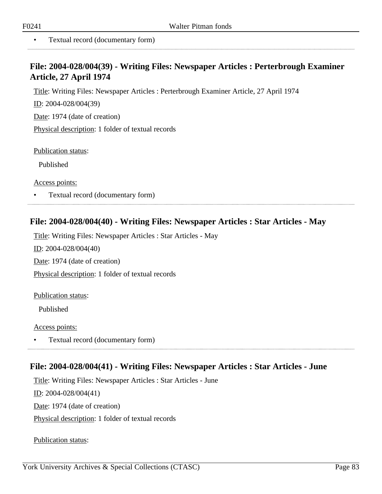. . . . . . . . . . . . . .

• Textual record (documentary form)

### **File: 2004-028/004(39) - Writing Files: Newspaper Articles : Perterbrough Examiner Article, 27 April 1974**

Title: Writing Files: Newspaper Articles : Perterbrough Examiner Article, 27 April 1974

ID: 2004-028/004(39)

Date: 1974 (date of creation)

Physical description: 1 folder of textual records

Publication status:

Published

Access points:

• Textual record (documentary form)

#### **File: 2004-028/004(40) - Writing Files: Newspaper Articles : Star Articles - May**

Title: Writing Files: Newspaper Articles : Star Articles - May

ID: 2004-028/004(40)

Date: 1974 (date of creation)

Physical description: 1 folder of textual records

Publication status:

Published

Access points:

• Textual record (documentary form)

### **File: 2004-028/004(41) - Writing Files: Newspaper Articles : Star Articles - June**

Title: Writing Files: Newspaper Articles : Star Articles - June ID: 2004-028/004(41) Date: 1974 (date of creation) Physical description: 1 folder of textual records

Publication status: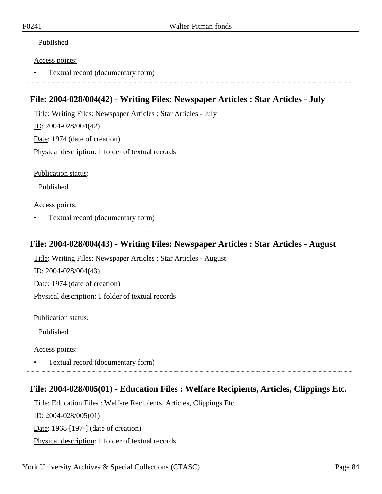#### Published

#### Access points:

• Textual record (documentary form)

### **File: 2004-028/004(42) - Writing Files: Newspaper Articles : Star Articles - July**

Title: Writing Files: Newspaper Articles : Star Articles - July ID: 2004-028/004(42) Date: 1974 (date of creation) Physical description: 1 folder of textual records

Publication status:

Published

Access points:

• Textual record (documentary form)

### **File: 2004-028/004(43) - Writing Files: Newspaper Articles : Star Articles - August**

Title: Writing Files: Newspaper Articles : Star Articles - August

ID: 2004-028/004(43)

Date: 1974 (date of creation)

Physical description: 1 folder of textual records

Publication status:

Published

Access points:

• Textual record (documentary form)

# **File: 2004-028/005(01) - Education Files : Welfare Recipients, Articles, Clippings Etc.**

Title: Education Files : Welfare Recipients, Articles, Clippings Etc.

ID: 2004-028/005(01)

Date: 1968-[197-] (date of creation)

Physical description: 1 folder of textual records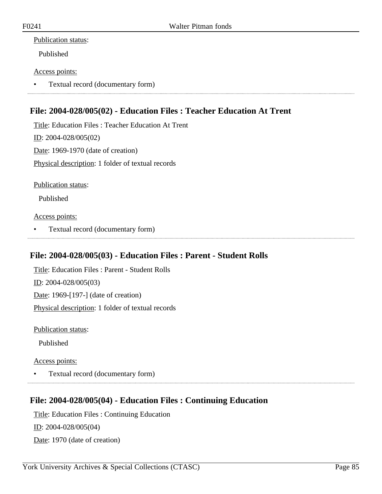#### Publication status:

Published

#### Access points:

• Textual record (documentary form)

# **File: 2004-028/005(02) - Education Files : Teacher Education At Trent**

Title: Education Files : Teacher Education At Trent ID: 2004-028/005(02) Date: 1969-1970 (date of creation) Physical description: 1 folder of textual records

Publication status:

Published

Access points:

• Textual record (documentary form)

### **File: 2004-028/005(03) - Education Files : Parent - Student Rolls**

Title: Education Files : Parent - Student Rolls ID: 2004-028/005(03) Date: 1969-[197-] (date of creation) Physical description: 1 folder of textual records

Publication status:

Published

Access points:

• Textual record (documentary form)

### **File: 2004-028/005(04) - Education Files : Continuing Education**

Title: Education Files : Continuing Education ID: 2004-028/005(04) Date: 1970 (date of creation)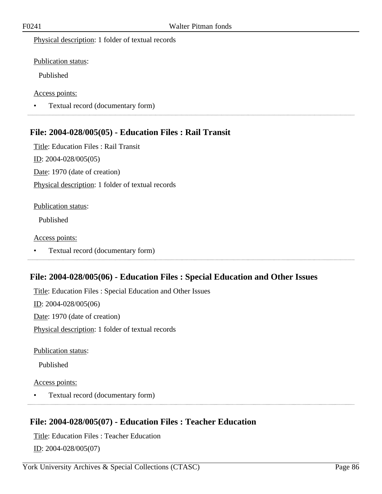Physical description: 1 folder of textual records

Publication status:

Published

Access points:

• Textual record (documentary form) 

### **File: 2004-028/005(05) - Education Files : Rail Transit**

Title: Education Files : Rail Transit ID: 2004-028/005(05) Date: 1970 (date of creation) Physical description: 1 folder of textual records

#### Publication status:

Published

#### Access points:

• Textual record (documentary form)

### **File: 2004-028/005(06) - Education Files : Special Education and Other Issues**

Title: Education Files : Special Education and Other Issues ID: 2004-028/005(06) Date: 1970 (date of creation) Physical description: 1 folder of textual records

Publication status:

Published

Access points:

• Textual record (documentary form)

### **File: 2004-028/005(07) - Education Files : Teacher Education**

Title: Education Files : Teacher Education ID: 2004-028/005(07)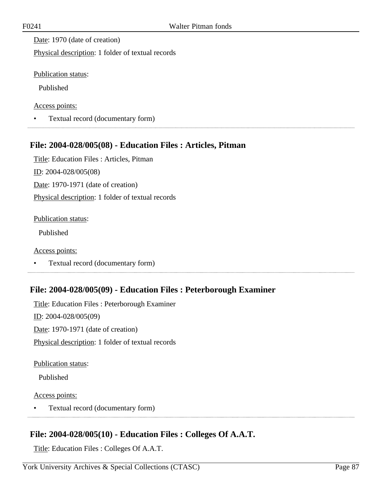Date: 1970 (date of creation)

Physical description: 1 folder of textual records

Publication status:

Published

Access points:

• Textual record (documentary form)

# **File: 2004-028/005(08) - Education Files : Articles, Pitman**

Title: Education Files : Articles, Pitman ID: 2004-028/005(08) Date: 1970-1971 (date of creation) Physical description: 1 folder of textual records

Publication status:

Published

Access points:

• Textual record (documentary form)

# **File: 2004-028/005(09) - Education Files : Peterborough Examiner**

Title: Education Files : Peterborough Examiner ID: 2004-028/005(09) Date: 1970-1971 (date of creation) Physical description: 1 folder of textual records

Publication status:

Published

Access points:

• Textual record (documentary form)

# **File: 2004-028/005(10) - Education Files : Colleges Of A.A.T.**

Title: Education Files : Colleges Of A.A.T.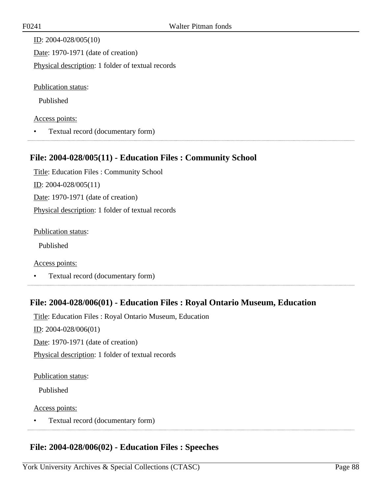ID: 2004-028/005(10) Date: 1970-1971 (date of creation) Physical description: 1 folder of textual records

Publication status:

Published

#### Access points:

• Textual record (documentary form)

# **File: 2004-028/005(11) - Education Files : Community School**

Title: Education Files : Community School ID: 2004-028/005(11) Date: 1970-1971 (date of creation) Physical description: 1 folder of textual records

Publication status:

Published

Access points:

• Textual record (documentary form)

# **File: 2004-028/006(01) - Education Files : Royal Ontario Museum, Education**

Title: Education Files : Royal Ontario Museum, Education ID: 2004-028/006(01) Date: 1970-1971 (date of creation) Physical description: 1 folder of textual records

#### Publication status:

Published

#### Access points:

• Textual record (documentary form) 

### **File: 2004-028/006(02) - Education Files : Speeches**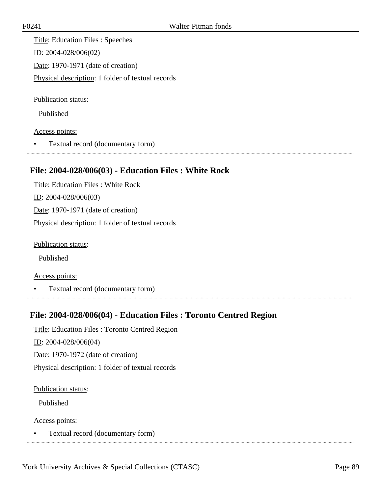Title: Education Files : Speeches ID: 2004-028/006(02) Date: 1970-1971 (date of creation) Physical description: 1 folder of textual records

Publication status:

Published

Access points:

• Textual record (documentary form)

### **File: 2004-028/006(03) - Education Files : White Rock**

Title: Education Files : White Rock ID: 2004-028/006(03) Date: 1970-1971 (date of creation) Physical description: 1 folder of textual records

Publication status:

Published

Access points:

• Textual record (documentary form)

### **File: 2004-028/006(04) - Education Files : Toronto Centred Region**

Title: Education Files : Toronto Centred Region

 $ID: 2004-028/006(04)$ 

Date: 1970-1972 (date of creation)

Physical description: 1 folder of textual records

Publication status:

Published

Access points:

• Textual record (documentary form)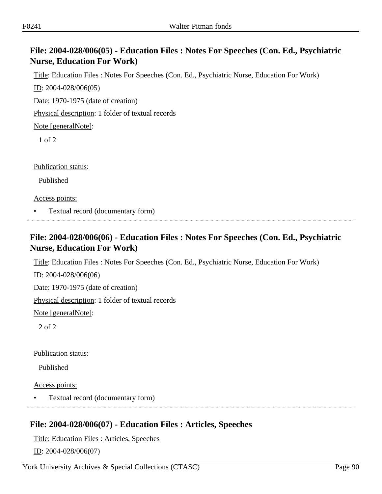# **File: 2004-028/006(05) - Education Files : Notes For Speeches (Con. Ed., Psychiatric Nurse, Education For Work)**

Title: Education Files : Notes For Speeches (Con. Ed., Psychiatric Nurse, Education For Work)

ID: 2004-028/006(05)

Date: 1970-1975 (date of creation)

Physical description: 1 folder of textual records

Note [generalNote]:

1 of 2

Publication status:

Published

Access points:

• Textual record (documentary form)

# **File: 2004-028/006(06) - Education Files : Notes For Speeches (Con. Ed., Psychiatric Nurse, Education For Work)**

Title: Education Files : Notes For Speeches (Con. Ed., Psychiatric Nurse, Education For Work)

ID: 2004-028/006(06)

Date: 1970-1975 (date of creation)

Physical description: 1 folder of textual records

Note [generalNote]:

2 of 2

Publication status:

Published

Access points:

• Textual record (documentary form)

# **File: 2004-028/006(07) - Education Files : Articles, Speeches**

Title: Education Files : Articles, Speeches ID: 2004-028/006(07)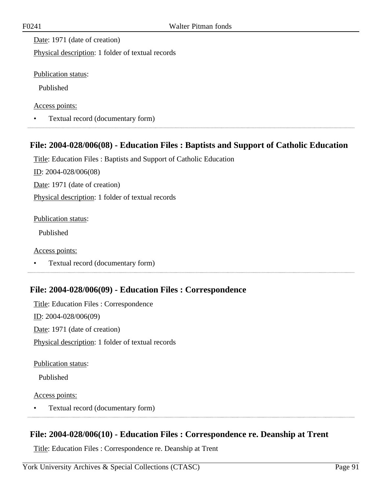Date: 1971 (date of creation)

Physical description: 1 folder of textual records

Publication status:

Published

Access points:

• Textual record (documentary form)

# **File: 2004-028/006(08) - Education Files : Baptists and Support of Catholic Education**

Title: Education Files : Baptists and Support of Catholic Education

ID: 2004-028/006(08)

Date: 1971 (date of creation)

Physical description: 1 folder of textual records

Publication status:

Published

Access points:

• Textual record (documentary form)

# **File: 2004-028/006(09) - Education Files : Correspondence**

Title: Education Files : Correspondence ID: 2004-028/006(09) Date: 1971 (date of creation) Physical description: 1 folder of textual records

Publication status:

Published

Access points:

• Textual record (documentary form) 

### **File: 2004-028/006(10) - Education Files : Correspondence re. Deanship at Trent**

Title: Education Files : Correspondence re. Deanship at Trent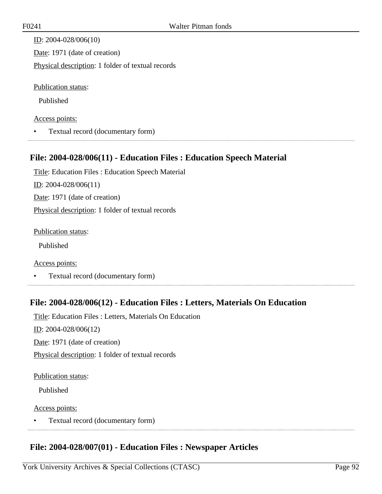ID: 2004-028/006(10) Date: 1971 (date of creation) Physical description: 1 folder of textual records

Publication status:

Published

#### Access points:

• Textual record (documentary form)

# **File: 2004-028/006(11) - Education Files : Education Speech Material**

Title: Education Files : Education Speech Material ID: 2004-028/006(11) Date: 1971 (date of creation) Physical description: 1 folder of textual records

Publication status:

Published

Access points:

• Textual record (documentary form)

# **File: 2004-028/006(12) - Education Files : Letters, Materials On Education**

Title: Education Files : Letters, Materials On Education ID: 2004-028/006(12) Date: 1971 (date of creation) Physical description: 1 folder of textual records

#### Publication status:

Published

#### Access points:

• Textual record (documentary form) 

### **File: 2004-028/007(01) - Education Files : Newspaper Articles**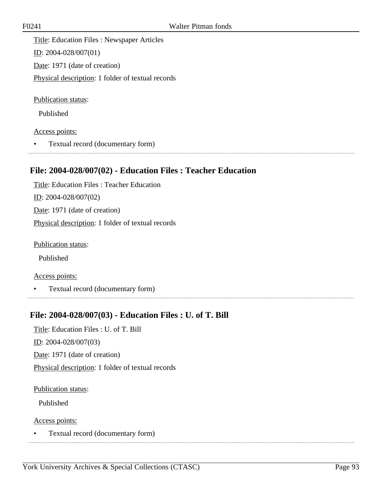Title: Education Files : Newspaper Articles ID: 2004-028/007(01) Date: 1971 (date of creation) Physical description: 1 folder of textual records

Publication status:

Published

Access points:

• Textual record (documentary form)

### **File: 2004-028/007(02) - Education Files : Teacher Education**

Title: Education Files : Teacher Education ID: 2004-028/007(02) Date: 1971 (date of creation) Physical description: 1 folder of textual records

Publication status:

Published

Access points:

• Textual record (documentary form)

### **File: 2004-028/007(03) - Education Files : U. of T. Bill**

Title: Education Files : U. of T. Bill  $ID: 2004-028/007(03)$ 

Date: 1971 (date of creation)

Physical description: 1 folder of textual records

Publication status:

Published

Access points:

• Textual record (documentary form)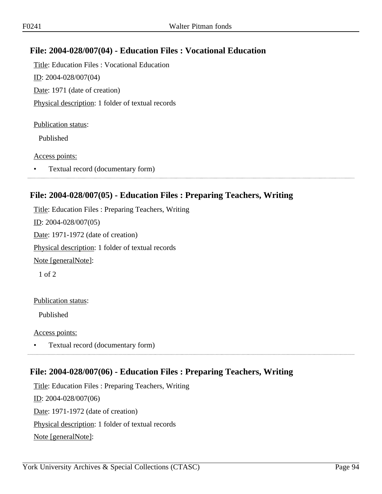# **File: 2004-028/007(04) - Education Files : Vocational Education**

Title: Education Files : Vocational Education ID: 2004-028/007(04) Date: 1971 (date of creation) Physical description: 1 folder of textual records

#### Publication status:

Published

#### Access points:

• Textual record (documentary form)

#### **File: 2004-028/007(05) - Education Files : Preparing Teachers, Writing**

Title: Education Files : Preparing Teachers, Writing ID: 2004-028/007(05) Date: 1971-1972 (date of creation) Physical description: 1 folder of textual records Note [generalNote]: 1 of 2

#### Publication status:

Published

#### Access points:

• Textual record (documentary form)

### **File: 2004-028/007(06) - Education Files : Preparing Teachers, Writing**

Title: Education Files : Preparing Teachers, Writing ID: 2004-028/007(06) Date: 1971-1972 (date of creation) Physical description: 1 folder of textual records Note [generalNote]: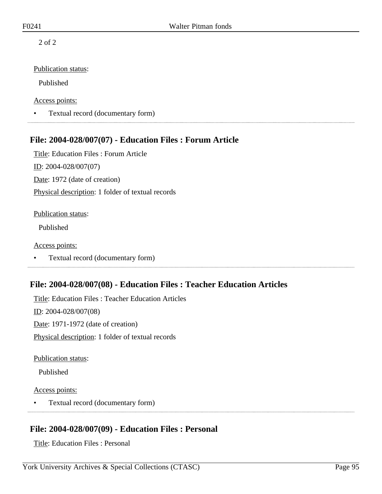2 of 2

#### Publication status:

Published

#### Access points:

• Textual record (documentary form)

# **File: 2004-028/007(07) - Education Files : Forum Article**

Title: Education Files : Forum Article ID: 2004-028/007(07) Date: 1972 (date of creation) Physical description: 1 folder of textual records

#### Publication status:

Published

#### Access points:

• Textual record (documentary form)

# **File: 2004-028/007(08) - Education Files : Teacher Education Articles**

Title: Education Files : Teacher Education Articles ID: 2004-028/007(08) Date: 1971-1972 (date of creation) Physical description: 1 folder of textual records

Publication status:

Published

#### Access points:

• Textual record (documentary form)

# **File: 2004-028/007(09) - Education Files : Personal**

Title: Education Files : Personal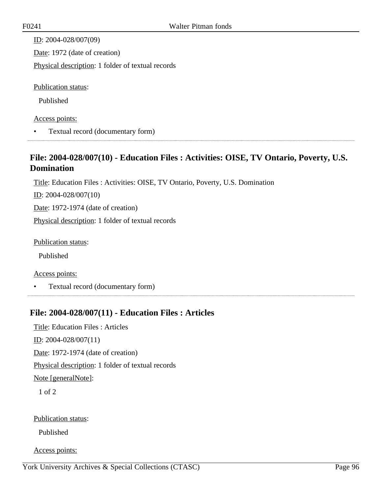ID: 2004-028/007(09) Date: 1972 (date of creation) Physical description: 1 folder of textual records Publication status: Published

Access points:

• Textual record (documentary form)

# **File: 2004-028/007(10) - Education Files : Activities: OISE, TV Ontario, Poverty, U.S. Domination**

Title: Education Files : Activities: OISE, TV Ontario, Poverty, U.S. Domination

ID: 2004-028/007(10)

Date: 1972-1974 (date of creation)

Physical description: 1 folder of textual records

Publication status:

Published

Access points:

• Textual record (documentary form) 

# **File: 2004-028/007(11) - Education Files : Articles**

Title: Education Files : Articles ID: 2004-028/007(11) Date: 1972-1974 (date of creation) Physical description: 1 folder of textual records Note [generalNote]: 1 of 2

Publication status:

Published

Access points: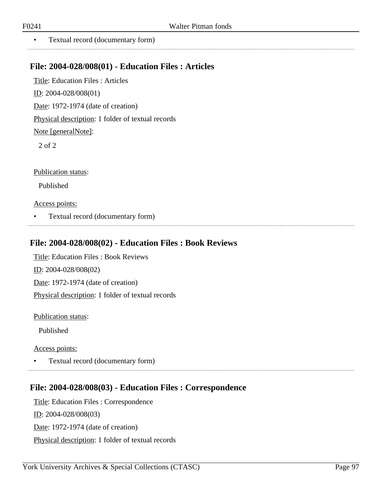...............

• Textual record (documentary form)

#### **File: 2004-028/008(01) - Education Files : Articles**

Title: Education Files : Articles ID: 2004-028/008(01) Date: 1972-1974 (date of creation) Physical description: 1 folder of textual records Note [generalNote]: 2 of 2

Publication status:

Published

Access points:

• Textual record (documentary form)

#### **File: 2004-028/008(02) - Education Files : Book Reviews**

Title: Education Files : Book Reviews ID: 2004-028/008(02) Date: 1972-1974 (date of creation) Physical description: 1 folder of textual records

Publication status:

Published

Access points:

• Textual record (documentary form)

#### **File: 2004-028/008(03) - Education Files : Correspondence**

Title: Education Files : Correspondence ID: 2004-028/008(03)

Date: 1972-1974 (date of creation)

Physical description: 1 folder of textual records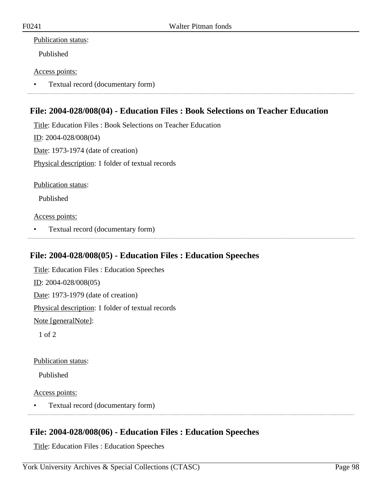#### Publication status:

Published

#### Access points:

• Textual record (documentary form)

# **File: 2004-028/008(04) - Education Files : Book Selections on Teacher Education**

Title: Education Files : Book Selections on Teacher Education ID: 2004-028/008(04) Date: 1973-1974 (date of creation) Physical description: 1 folder of textual records

Publication status:

Published

Access points:

• Textual record (documentary form)

### **File: 2004-028/008(05) - Education Files : Education Speeches**

Title: Education Files : Education Speeches ID: 2004-028/008(05) Date: 1973-1979 (date of creation) Physical description: 1 folder of textual records Note [generalNote]:

1 of 2

Publication status:

Published

Access points:

• Textual record (documentary form) 

# **File: 2004-028/008(06) - Education Files : Education Speeches**

Title: Education Files : Education Speeches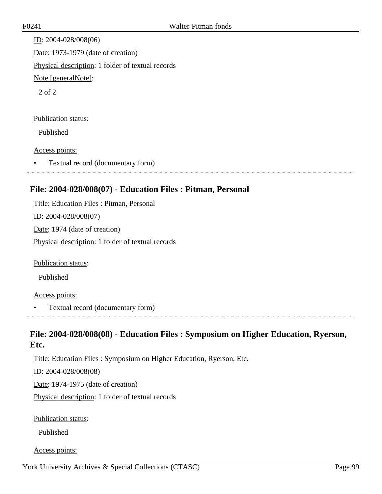ID: 2004-028/008(06) Date: 1973-1979 (date of creation) Physical description: 1 folder of textual records Note [generalNote]: 2 of 2 Publication status:

Published

#### Access points:

• Textual record (documentary form)

# **File: 2004-028/008(07) - Education Files : Pitman, Personal**

Title: Education Files : Pitman, Personal ID: 2004-028/008(07) Date: 1974 (date of creation) Physical description: 1 folder of textual records

Publication status:

Published

#### Access points:

• Textual record (documentary form)

# **File: 2004-028/008(08) - Education Files : Symposium on Higher Education, Ryerson, Etc.**

Title: Education Files : Symposium on Higher Education, Ryerson, Etc. ID: 2004-028/008(08) Date: 1974-1975 (date of creation) Physical description: 1 folder of textual records

Publication status:

Published

Access points: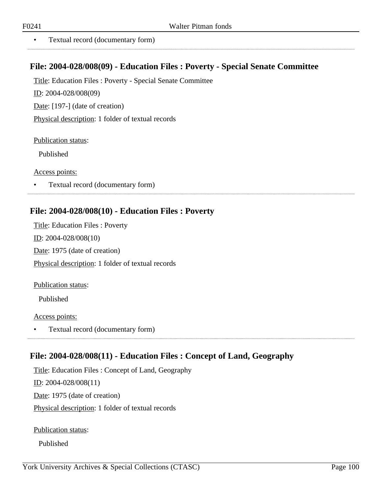..................

• Textual record (documentary form)

#### **File: 2004-028/008(09) - Education Files : Poverty - Special Senate Committee**

Title: Education Files : Poverty - Special Senate Committee

ID: 2004-028/008(09)

Date: [197-] (date of creation)

Physical description: 1 folder of textual records

Publication status:

Published

Access points:

• Textual record (documentary form) 

#### **File: 2004-028/008(10) - Education Files : Poverty**

Title: Education Files : Poverty ID: 2004-028/008(10) Date: 1975 (date of creation) Physical description: 1 folder of textual records

Publication status:

Published

Access points:

• Textual record (documentary form)

### **File: 2004-028/008(11) - Education Files : Concept of Land, Geography**

Title: Education Files : Concept of Land, Geography ID: 2004-028/008(11) Date: 1975 (date of creation) Physical description: 1 folder of textual records

Publication status:

Published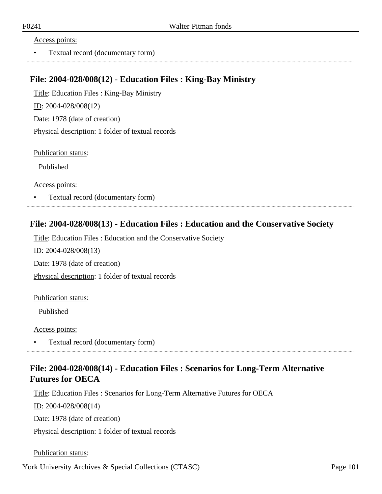#### Access points:

• Textual record (documentary form)

#### **File: 2004-028/008(12) - Education Files : King-Bay Ministry**

Title: Education Files : King-Bay Ministry ID: 2004-028/008(12) Date: 1978 (date of creation) Physical description: 1 folder of textual records

Publication status:

Published

Access points:

• Textual record (documentary form)

# **File: 2004-028/008(13) - Education Files : Education and the Conservative Society**

Title: Education Files : Education and the Conservative Society

ID: 2004-028/008(13)

Date: 1978 (date of creation)

Physical description: 1 folder of textual records

#### Publication status:

Published

Access points:

• Textual record (documentary form) 

# **File: 2004-028/008(14) - Education Files : Scenarios for Long-Term Alternative Futures for OECA**

Title: Education Files : Scenarios for Long-Term Alternative Futures for OECA

ID: 2004-028/008(14)

Date: 1978 (date of creation)

Physical description: 1 folder of textual records

Publication status: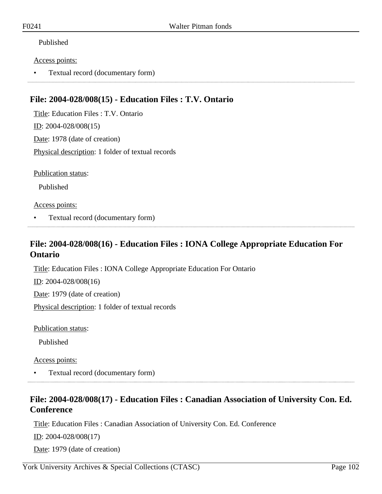#### Published

#### Access points:

• Textual record (documentary form)

### **File: 2004-028/008(15) - Education Files : T.V. Ontario**

Title: Education Files : T.V. Ontario ID: 2004-028/008(15) Date: 1978 (date of creation) Physical description: 1 folder of textual records

Publication status:

Published

#### Access points:

• Textual record (documentary form)

# **File: 2004-028/008(16) - Education Files : IONA College Appropriate Education For Ontario**

Title: Education Files : IONA College Appropriate Education For Ontario

ID: 2004-028/008(16)

Date: 1979 (date of creation)

Physical description: 1 folder of textual records

Publication status:

Published

Access points:

• Textual record (documentary form)

# **File: 2004-028/008(17) - Education Files : Canadian Association of University Con. Ed. Conference**

Title: Education Files : Canadian Association of University Con. Ed. Conference

ID: 2004-028/008(17)

Date: 1979 (date of creation)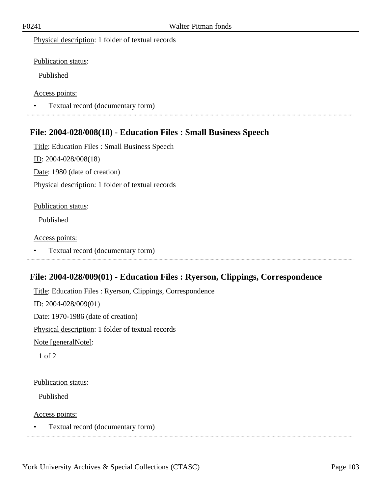Physical description: 1 folder of textual records

Publication status:

Published

Access points:

• Textual record (documentary form)

#### **File: 2004-028/008(18) - Education Files : Small Business Speech**

Title: Education Files : Small Business Speech

ID: 2004-028/008(18)

Date: 1980 (date of creation)

Physical description: 1 folder of textual records

#### Publication status:

Published

#### Access points:

• Textual record (documentary form)

### **File: 2004-028/009(01) - Education Files : Ryerson, Clippings, Correspondence**

Title: Education Files : Ryerson, Clippings, Correspondence ID: 2004-028/009(01) Date: 1970-1986 (date of creation) Physical description: 1 folder of textual records Note [generalNote]: 1 of 2

#### Publication status:

Published

Access points:

• Textual record (documentary form)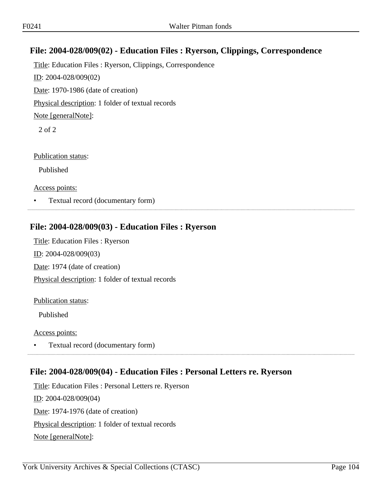# **File: 2004-028/009(02) - Education Files : Ryerson, Clippings, Correspondence**

Title: Education Files : Ryerson, Clippings, Correspondence ID: 2004-028/009(02) Date: 1970-1986 (date of creation) Physical description: 1 folder of textual records Note [generalNote]: 2 of 2

Publication status:

Published

Access points:

• Textual record (documentary form)

### **File: 2004-028/009(03) - Education Files : Ryerson**

Title: Education Files : Ryerson ID: 2004-028/009(03) Date: 1974 (date of creation) Physical description: 1 folder of textual records

#### Publication status:

Published

#### Access points:

• Textual record (documentary form)

### **File: 2004-028/009(04) - Education Files : Personal Letters re. Ryerson**

Title: Education Files : Personal Letters re. Ryerson ID: 2004-028/009(04) Date: 1974-1976 (date of creation) Physical description: 1 folder of textual records Note [generalNote]: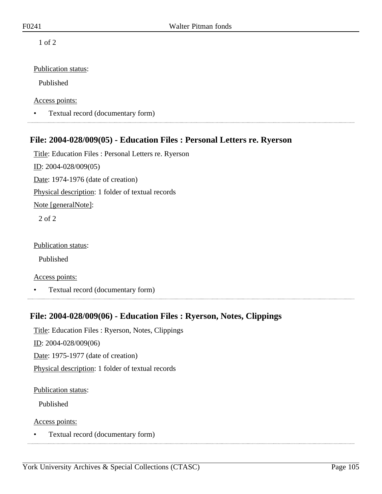1 of 2

#### Publication status:

Published

Access points:

• Textual record (documentary form)

### **File: 2004-028/009(05) - Education Files : Personal Letters re. Ryerson**

Title: Education Files : Personal Letters re. Ryerson

ID: 2004-028/009(05)

Date: 1974-1976 (date of creation)

Physical description: 1 folder of textual records

Note [generalNote]:

2 of 2

Publication status:

Published

Access points:

• Textual record (documentary form)

### **File: 2004-028/009(06) - Education Files : Ryerson, Notes, Clippings**

Title: Education Files : Ryerson, Notes, Clippings

ID: 2004-028/009(06)

Date: 1975-1977 (date of creation)

Physical description: 1 folder of textual records

Publication status:

Published

Access points:

• Textual record (documentary form)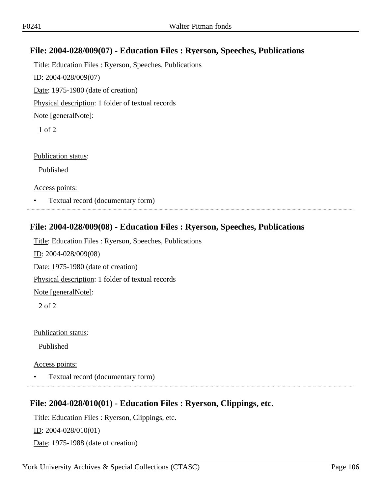# **File: 2004-028/009(07) - Education Files : Ryerson, Speeches, Publications**

Title: Education Files : Ryerson, Speeches, Publications ID: 2004-028/009(07) Date: 1975-1980 (date of creation) Physical description: 1 folder of textual records Note [generalNote]: 1 of 2

Publication status:

Published

Access points:

• Textual record (documentary form)

#### **File: 2004-028/009(08) - Education Files : Ryerson, Speeches, Publications**

Title: Education Files : Ryerson, Speeches, Publications ID: 2004-028/009(08) Date: 1975-1980 (date of creation) Physical description: 1 folder of textual records Note [generalNote]:

2 of 2

Publication status:

Published

Access points:

• Textual record (documentary form)

### **File: 2004-028/010(01) - Education Files : Ryerson, Clippings, etc.**

Title: Education Files : Ryerson, Clippings, etc.

ID: 2004-028/010(01)

Date: 1975-1988 (date of creation)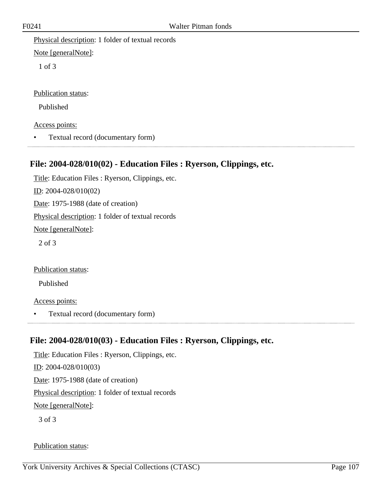Physical description: 1 folder of textual records

Note [generalNote]:

1 of 3

Publication status:

Published

Access points:

• Textual record (documentary form)

# **File: 2004-028/010(02) - Education Files : Ryerson, Clippings, etc.**

Title: Education Files : Ryerson, Clippings, etc. ID: 2004-028/010(02) Date: 1975-1988 (date of creation) Physical description: 1 folder of textual records Note [generalNote]: 2 of 3

Publication status:

Published

Access points:

• Textual record (documentary form)

# **File: 2004-028/010(03) - Education Files : Ryerson, Clippings, etc.**

Title: Education Files : Ryerson, Clippings, etc. ID: 2004-028/010(03) Date: 1975-1988 (date of creation) Physical description: 1 folder of textual records Note [generalNote]: 3 of 3

# Publication status: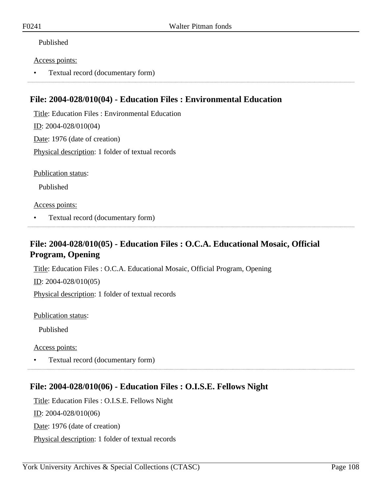#### Published

#### Access points:

• Textual record (documentary form)

### **File: 2004-028/010(04) - Education Files : Environmental Education**

Title: Education Files : Environmental Education

ID: 2004-028/010(04)

Date: 1976 (date of creation)

Physical description: 1 folder of textual records

Publication status:

Published

#### Access points:

• Textual record (documentary form)

# **File: 2004-028/010(05) - Education Files : O.C.A. Educational Mosaic, Official Program, Opening**

Title: Education Files : O.C.A. Educational Mosaic, Official Program, Opening

ID: 2004-028/010(05)

Physical description: 1 folder of textual records

Publication status:

Published

Access points:

• Textual record (documentary form)

### **File: 2004-028/010(06) - Education Files : O.I.S.E. Fellows Night**

Title: Education Files : O.I.S.E. Fellows Night ID: 2004-028/010(06) Date: 1976 (date of creation) Physical description: 1 folder of textual records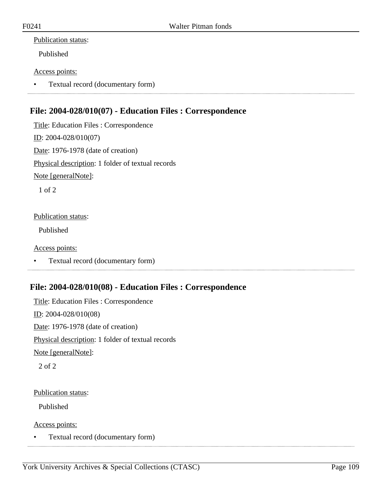#### Publication status:

Published

#### Access points:

• Textual record (documentary form)

## **File: 2004-028/010(07) - Education Files : Correspondence**

Title: Education Files : Correspondence ID: 2004-028/010(07) Date: 1976-1978 (date of creation) Physical description: 1 folder of textual records Note [generalNote]:

1 of 2

#### Publication status:

Published

#### Access points:

• Textual record (documentary form)

## **File: 2004-028/010(08) - Education Files : Correspondence**

Title: Education Files : Correspondence ID: 2004-028/010(08) Date: 1976-1978 (date of creation) Physical description: 1 folder of textual records Note [generalNote]: 2 of 2

#### Publication status:

Published

Access points:

• Textual record (documentary form)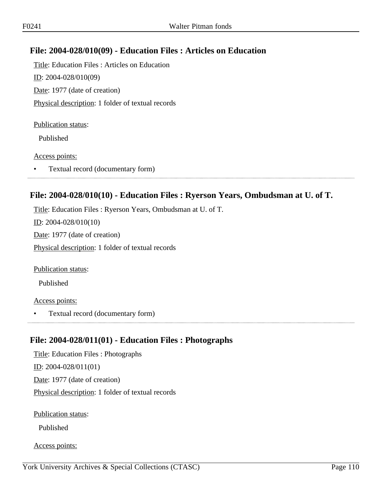## **File: 2004-028/010(09) - Education Files : Articles on Education**

Title: Education Files : Articles on Education ID: 2004-028/010(09) Date: 1977 (date of creation) Physical description: 1 folder of textual records

#### Publication status:

Published

#### Access points:

• Textual record (documentary form)

#### **File: 2004-028/010(10) - Education Files : Ryerson Years, Ombudsman at U. of T.**

Title: Education Files : Ryerson Years, Ombudsman at U. of T. ID: 2004-028/010(10) Date: 1977 (date of creation) Physical description: 1 folder of textual records

Publication status:

Published

#### Access points:

• Textual record (documentary form)

## **File: 2004-028/011(01) - Education Files : Photographs**

Title: Education Files : Photographs ID: 2004-028/011(01) Date: 1977 (date of creation) Physical description: 1 folder of textual records

Publication status:

Published

Access points: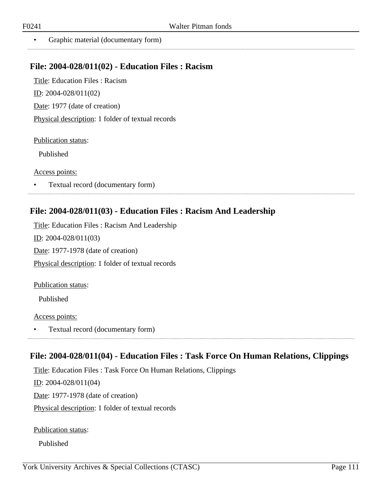...................

• Graphic material (documentary form)

#### **File: 2004-028/011(02) - Education Files : Racism**

Title: Education Files : Racism ID: 2004-028/011(02) Date: 1977 (date of creation) Physical description: 1 folder of textual records

Publication status:

Published

Access points:

• Textual record (documentary form)

#### **File: 2004-028/011(03) - Education Files : Racism And Leadership**

Title: Education Files : Racism And Leadership ID: 2004-028/011(03) Date: 1977-1978 (date of creation) Physical description: 1 folder of textual records

Publication status:

Published

Access points:

• Textual record (documentary form)

## **File: 2004-028/011(04) - Education Files : Task Force On Human Relations, Clippings**

Title: Education Files : Task Force On Human Relations, Clippings

ID: 2004-028/011(04)

Date: 1977-1978 (date of creation)

Physical description: 1 folder of textual records

Publication status:

Published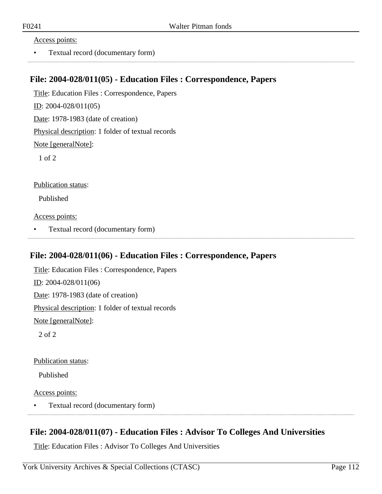#### Access points:

• Textual record (documentary form)

#### **File: 2004-028/011(05) - Education Files : Correspondence, Papers**

Title: Education Files : Correspondence, Papers

ID: 2004-028/011(05)

Date: 1978-1983 (date of creation)

Physical description: 1 folder of textual records

Note [generalNote]:

1 of 2

Publication status:

Published

Access points:

• Textual record (documentary form)

#### **File: 2004-028/011(06) - Education Files : Correspondence, Papers**

Title: Education Files : Correspondence, Papers ID: 2004-028/011(06) Date: 1978-1983 (date of creation) Physical description: 1 folder of textual records Note [generalNote]: 2 of 2

Publication status:

Published

Access points:

• Textual record (documentary form) 

## **File: 2004-028/011(07) - Education Files : Advisor To Colleges And Universities**

Title: Education Files : Advisor To Colleges And Universities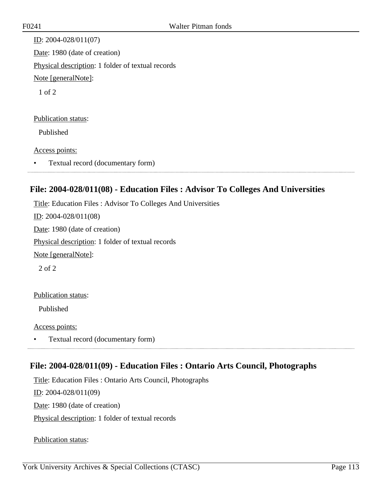ID: 2004-028/011(07) Date: 1980 (date of creation) Physical description: 1 folder of textual records Note [generalNote]: 1 of 2

#### Publication status:

Published

#### Access points:

• Textual record (documentary form)

## **File: 2004-028/011(08) - Education Files : Advisor To Colleges And Universities**

Title: Education Files : Advisor To Colleges And Universities

ID: 2004-028/011(08)

Date: 1980 (date of creation)

Physical description: 1 folder of textual records

Note [generalNote]:

2 of 2

#### Publication status:

Published

Access points:

• Textual record (documentary form) 

## **File: 2004-028/011(09) - Education Files : Ontario Arts Council, Photographs**

Title: Education Files : Ontario Arts Council, Photographs

ID: 2004-028/011(09)

Date: 1980 (date of creation)

Physical description: 1 folder of textual records

Publication status: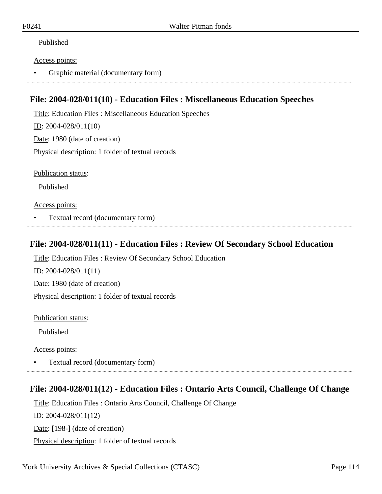#### Published

#### Access points:

• Graphic material (documentary form)

## **File: 2004-028/011(10) - Education Files : Miscellaneous Education Speeches**

Title: Education Files : Miscellaneous Education Speeches ID: 2004-028/011(10) Date: 1980 (date of creation) Physical description: 1 folder of textual records

Publication status:

Published

Access points:

• Textual record (documentary form)

#### **File: 2004-028/011(11) - Education Files : Review Of Secondary School Education**

Title: Education Files : Review Of Secondary School Education

ID: 2004-028/011(11)

Date: 1980 (date of creation)

Physical description: 1 folder of textual records

Publication status:

Published

Access points:

• Textual record (documentary form)

## **File: 2004-028/011(12) - Education Files : Ontario Arts Council, Challenge Of Change**

Title: Education Files : Ontario Arts Council, Challenge Of Change ID: 2004-028/011(12) Date: [198-] (date of creation) Physical description: 1 folder of textual records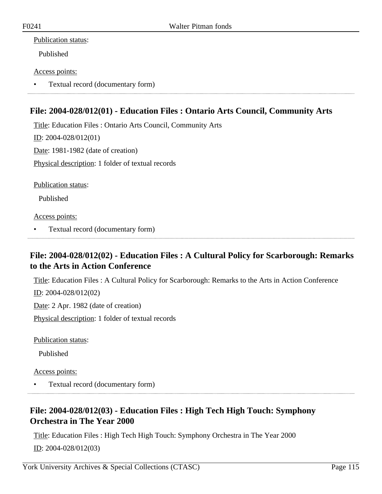#### Publication status:

Published

#### Access points:

• Textual record (documentary form)

## **File: 2004-028/012(01) - Education Files : Ontario Arts Council, Community Arts**

Title: Education Files : Ontario Arts Council, Community Arts ID: 2004-028/012(01) Date: 1981-1982 (date of creation) Physical description: 1 folder of textual records

Publication status:

Published

Access points:

• Textual record (documentary form)

## **File: 2004-028/012(02) - Education Files : A Cultural Policy for Scarborough: Remarks to the Arts in Action Conference**

Title: Education Files : A Cultural Policy for Scarborough: Remarks to the Arts in Action Conference

ID: 2004-028/012(02)

Date: 2 Apr. 1982 (date of creation)

Physical description: 1 folder of textual records

Publication status:

Published

Access points:

• Textual record (documentary form)

## **File: 2004-028/012(03) - Education Files : High Tech High Touch: Symphony Orchestra in The Year 2000**

Title: Education Files : High Tech High Touch: Symphony Orchestra in The Year 2000 ID: 2004-028/012(03)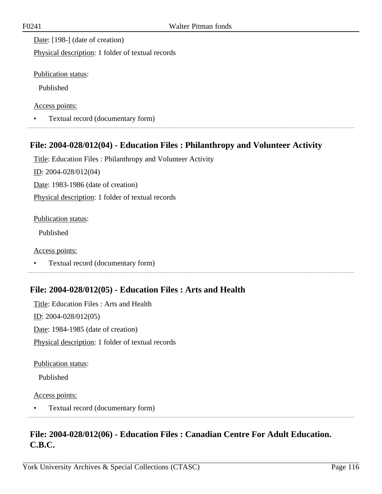Date: [198-] (date of creation)

Physical description: 1 folder of textual records

Publication status:

Published

Access points:

• Textual record (documentary form)

## **File: 2004-028/012(04) - Education Files : Philanthropy and Volunteer Activity**

Title: Education Files : Philanthropy and Volunteer Activity

ID: 2004-028/012(04)

Date: 1983-1986 (date of creation)

Physical description: 1 folder of textual records

Publication status:

Published

Access points:

• Textual record (documentary form)

## **File: 2004-028/012(05) - Education Files : Arts and Health**

Title: Education Files : Arts and Health ID: 2004-028/012(05) Date: 1984-1985 (date of creation) Physical description: 1 folder of textual records

Publication status:

Published

Access points:

• Textual record (documentary form) 

## **File: 2004-028/012(06) - Education Files : Canadian Centre For Adult Education. C.B.C.**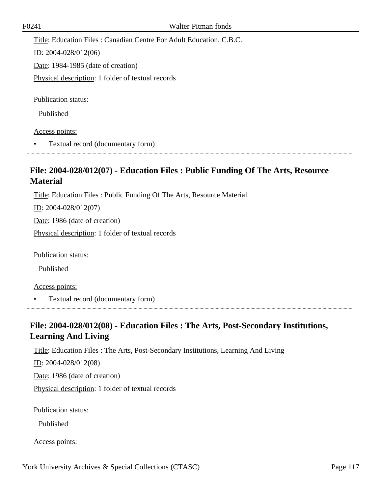Title: Education Files : Canadian Centre For Adult Education. C.B.C.

ID: 2004-028/012(06)

Date: 1984-1985 (date of creation)

Physical description: 1 folder of textual records

Publication status:

Published

Access points:

• Textual record (documentary form)

## **File: 2004-028/012(07) - Education Files : Public Funding Of The Arts, Resource Material**

Title: Education Files : Public Funding Of The Arts, Resource Material

ID: 2004-028/012(07)

Date: 1986 (date of creation)

Physical description: 1 folder of textual records

Publication status:

Published

Access points:

• Textual record (documentary form)

## **File: 2004-028/012(08) - Education Files : The Arts, Post-Secondary Institutions, Learning And Living**

Title: Education Files : The Arts, Post-Secondary Institutions, Learning And Living

ID: 2004-028/012(08)

Date: 1986 (date of creation)

Physical description: 1 folder of textual records

Publication status:

Published

Access points: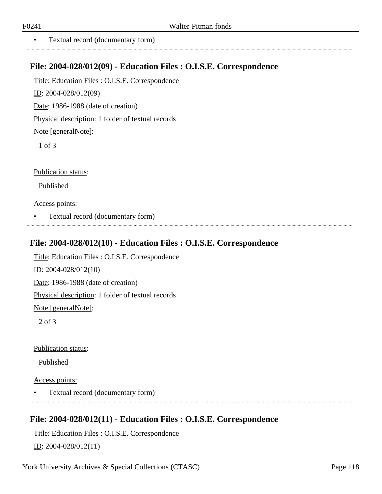. . . . . . . . . . . . . . .

• Textual record (documentary form)

#### **File: 2004-028/012(09) - Education Files : O.I.S.E. Correspondence**

Title: Education Files : O.I.S.E. Correspondence

ID: 2004-028/012(09)

Date: 1986-1988 (date of creation)

Physical description: 1 folder of textual records

Note [generalNote]:

1 of 3

Publication status:

Published

Access points:

• Textual record (documentary form)

#### **File: 2004-028/012(10) - Education Files : O.I.S.E. Correspondence**

Title: Education Files : O.I.S.E. Correspondence ID: 2004-028/012(10) Date: 1986-1988 (date of creation) Physical description: 1 folder of textual records Note [generalNote]: 2 of 3

Publication status:

Published

Access points:

• Textual record (documentary form)

## **File: 2004-028/012(11) - Education Files : O.I.S.E. Correspondence**

Title: Education Files : O.I.S.E. Correspondence ID: 2004-028/012(11)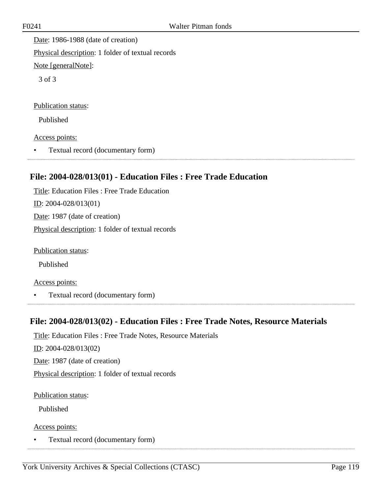Date: 1986-1988 (date of creation) Physical description: 1 folder of textual records Note [generalNote]:

3 of 3

#### Publication status:

Published

Access points:

• Textual record (documentary form)

## **File: 2004-028/013(01) - Education Files : Free Trade Education**

Title: Education Files : Free Trade Education ID: 2004-028/013(01) Date: 1987 (date of creation) Physical description: 1 folder of textual records

Publication status:

Published

Access points:

• Textual record (documentary form)

# **File: 2004-028/013(02) - Education Files : Free Trade Notes, Resource Materials**

Title: Education Files : Free Trade Notes, Resource Materials

ID: 2004-028/013(02)

Date: 1987 (date of creation)

Physical description: 1 folder of textual records

Publication status:

Published

Access points:

• Textual record (documentary form)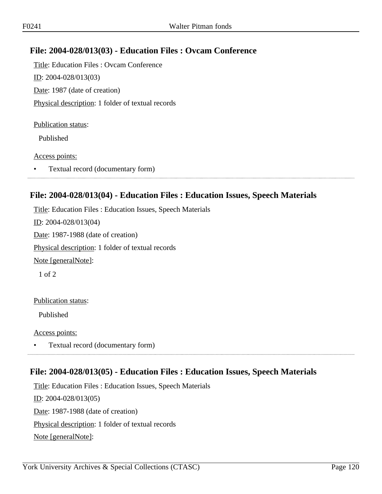## **File: 2004-028/013(03) - Education Files : Ovcam Conference**

Title: Education Files : Ovcam Conference ID: 2004-028/013(03) Date: 1987 (date of creation) Physical description: 1 folder of textual records

#### Publication status:

Published

#### Access points:

• Textual record (documentary form)

#### **File: 2004-028/013(04) - Education Files : Education Issues, Speech Materials**

Title: Education Files : Education Issues, Speech Materials ID: 2004-028/013(04) Date: 1987-1988 (date of creation) Physical description: 1 folder of textual records Note [generalNote]: 1 of 2

#### Publication status:

Published

Access points:

• Textual record (documentary form)

## **File: 2004-028/013(05) - Education Files : Education Issues, Speech Materials**

Title: Education Files : Education Issues, Speech Materials ID: 2004-028/013(05) Date: 1987-1988 (date of creation) Physical description: 1 folder of textual records Note [generalNote]: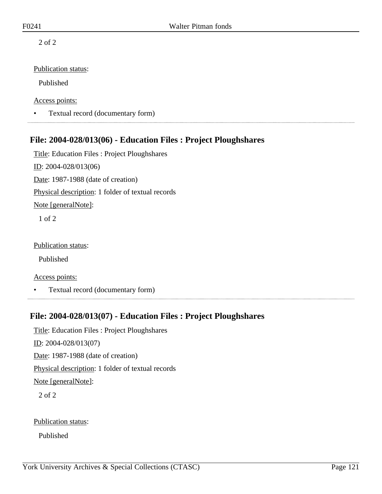2 of 2

#### Publication status:

Published

Access points:

• Textual record (documentary form)

## **File: 2004-028/013(06) - Education Files : Project Ploughshares**

Title: Education Files : Project Ploughshares ID: 2004-028/013(06) Date: 1987-1988 (date of creation) Physical description: 1 folder of textual records Note [generalNote]: 1 of 2 Publication status:

Published

Access points:

• Textual record (documentary form)

## **File: 2004-028/013(07) - Education Files : Project Ploughshares**

Title: Education Files : Project Ploughshares ID: 2004-028/013(07) Date: 1987-1988 (date of creation) Physical description: 1 folder of textual records Note [generalNote]: 2 of 2

Publication status:

Published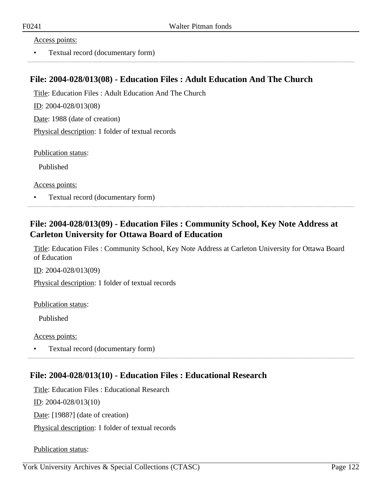#### Access points:

• Textual record (documentary form)

#### **File: 2004-028/013(08) - Education Files : Adult Education And The Church**

Title: Education Files : Adult Education And The Church

ID: 2004-028/013(08)

Date: 1988 (date of creation)

Physical description: 1 folder of textual records

Publication status:

Published

Access points:

• Textual record (documentary form)

## **File: 2004-028/013(09) - Education Files : Community School, Key Note Address at Carleton University for Ottawa Board of Education**

Title: Education Files : Community School, Key Note Address at Carleton University for Ottawa Board of Education

ID: 2004-028/013(09)

Physical description: 1 folder of textual records

Publication status:

Published

Access points:

• Textual record (documentary form)

## **File: 2004-028/013(10) - Education Files : Educational Research**

Title: Education Files : Educational Research ID: 2004-028/013(10) Date: [1988?] (date of creation) Physical description: 1 folder of textual records

Publication status: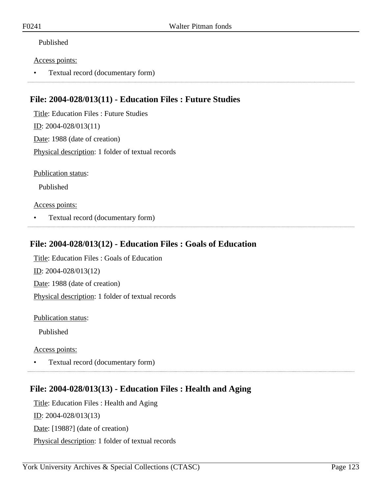#### Published

#### Access points:

• Textual record (documentary form)

## **File: 2004-028/013(11) - Education Files : Future Studies**

Title: Education Files : Future Studies ID: 2004-028/013(11) Date: 1988 (date of creation) Physical description: 1 folder of textual records

Publication status:

Published

#### Access points:

• Textual record (documentary form)

#### **File: 2004-028/013(12) - Education Files : Goals of Education**

Title: Education Files : Goals of Education ID: 2004-028/013(12) Date: 1988 (date of creation) Physical description: 1 folder of textual records

Publication status:

Published

Access points:

• Textual record (documentary form)

## **File: 2004-028/013(13) - Education Files : Health and Aging**

Title: Education Files : Health and Aging ID: 2004-028/013(13) Date: [1988?] (date of creation) Physical description: 1 folder of textual records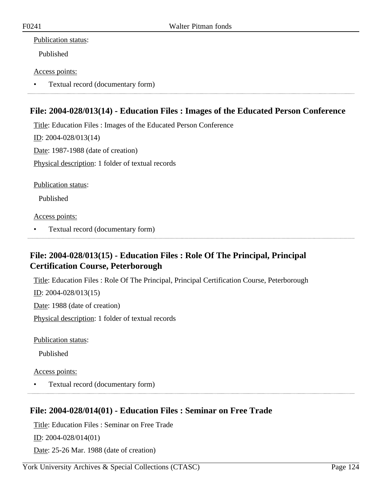#### Publication status:

Published

#### Access points:

• Textual record (documentary form)

## **File: 2004-028/013(14) - Education Files : Images of the Educated Person Conference**

Title: Education Files : Images of the Educated Person Conference

ID: 2004-028/013(14)

Date: 1987-1988 (date of creation)

Physical description: 1 folder of textual records

Publication status:

Published

Access points:

• Textual record (documentary form)

## **File: 2004-028/013(15) - Education Files : Role Of The Principal, Principal Certification Course, Peterborough**

Title: Education Files : Role Of The Principal, Principal Certification Course, Peterborough

ID: 2004-028/013(15)

Date: 1988 (date of creation)

Physical description: 1 folder of textual records

Publication status:

Published

Access points:

• Textual record (documentary form)

## **File: 2004-028/014(01) - Education Files : Seminar on Free Trade**

Title: Education Files : Seminar on Free Trade

ID: 2004-028/014(01)

Date: 25-26 Mar. 1988 (date of creation)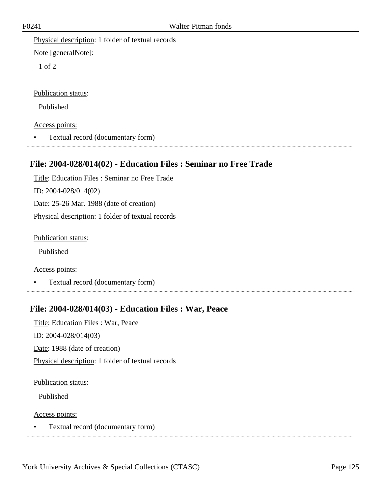Physical description: 1 folder of textual records

Note [generalNote]:

1 of 2

Publication status:

Published

Access points:

• Textual record (documentary form)

## **File: 2004-028/014(02) - Education Files : Seminar no Free Trade**

Title: Education Files : Seminar no Free Trade ID: 2004-028/014(02) Date: 25-26 Mar. 1988 (date of creation) Physical description: 1 folder of textual records

Publication status:

Published

Access points:

• Textual record (documentary form)

## **File: 2004-028/014(03) - Education Files : War, Peace**

Title: Education Files : War, Peace ID: 2004-028/014(03) Date: 1988 (date of creation) Physical description: 1 folder of textual records

Publication status:

Published

Access points:

• Textual record (documentary form)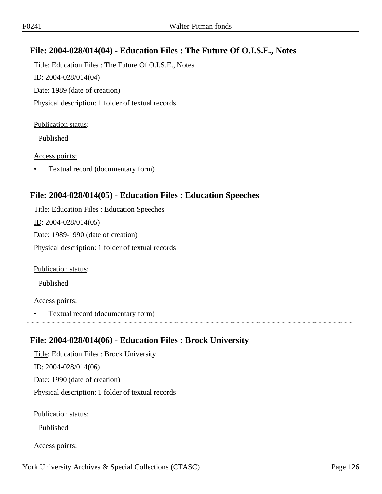## **File: 2004-028/014(04) - Education Files : The Future Of O.I.S.E., Notes**

Title: Education Files : The Future Of O.I.S.E., Notes ID: 2004-028/014(04) Date: 1989 (date of creation) Physical description: 1 folder of textual records

#### Publication status:

Published

#### Access points:

• Textual record (documentary form)

## **File: 2004-028/014(05) - Education Files : Education Speeches**

Title: Education Files : Education Speeches ID: 2004-028/014(05) Date: 1989-1990 (date of creation) Physical description: 1 folder of textual records

Publication status:

Published

#### Access points:

• Textual record (documentary form)

## **File: 2004-028/014(06) - Education Files : Brock University**

Title: Education Files : Brock University ID: 2004-028/014(06) Date: 1990 (date of creation) Physical description: 1 folder of textual records

Publication status:

Published

Access points: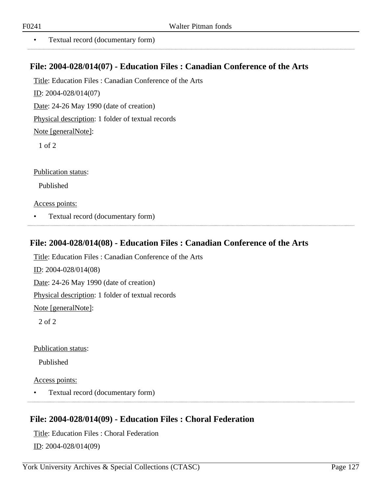..................

• Textual record (documentary form)

#### **File: 2004-028/014(07) - Education Files : Canadian Conference of the Arts**

Title: Education Files : Canadian Conference of the Arts

ID: 2004-028/014(07)

Date: 24-26 May 1990 (date of creation)

Physical description: 1 folder of textual records

Note [generalNote]:

1 of 2

Publication status:

Published

Access points:

• Textual record (documentary form)

#### **File: 2004-028/014(08) - Education Files : Canadian Conference of the Arts**

Title: Education Files : Canadian Conference of the Arts ID: 2004-028/014(08) Date: 24-26 May 1990 (date of creation) Physical description: 1 folder of textual records Note [generalNote]: 2 of 2

Publication status:

Published

Access points:

• Textual record (documentary form)

# **File: 2004-028/014(09) - Education Files : Choral Federation**

Title: Education Files : Choral Federation ID: 2004-028/014(09)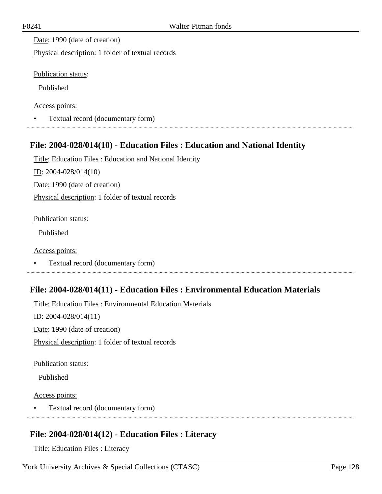Date: 1990 (date of creation)

Physical description: 1 folder of textual records

Publication status:

Published

Access points:

• Textual record (documentary form)

## **File: 2004-028/014(10) - Education Files : Education and National Identity**

Title: Education Files : Education and National Identity ID: 2004-028/014(10)

Date: 1990 (date of creation)

Physical description: 1 folder of textual records

Publication status:

Published

Access points:

• Textual record (documentary form)

## **File: 2004-028/014(11) - Education Files : Environmental Education Materials**

Title: Education Files : Environmental Education Materials ID: 2004-028/014(11) Date: 1990 (date of creation) Physical description: 1 folder of textual records

Publication status:

Published

Access points:

• Textual record (documentary form)

## **File: 2004-028/014(12) - Education Files : Literacy**

Title: Education Files : Literacy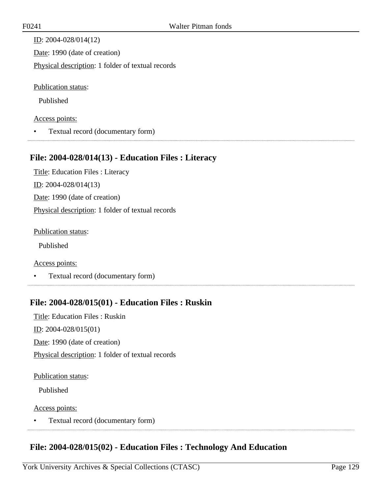ID: 2004-028/014(12) Date: 1990 (date of creation) Physical description: 1 folder of textual records

Publication status:

Published

#### Access points:

• Textual record (documentary form)

## **File: 2004-028/014(13) - Education Files : Literacy**

Title: Education Files : Literacy ID: 2004-028/014(13) Date: 1990 (date of creation) Physical description: 1 folder of textual records

Publication status:

Published

Access points:

• Textual record (documentary form)

## **File: 2004-028/015(01) - Education Files : Ruskin**

Title: Education Files : Ruskin ID: 2004-028/015(01) Date: 1990 (date of creation) Physical description: 1 folder of textual records

#### Publication status:

Published

#### Access points:

• Textual record (documentary form) 

## **File: 2004-028/015(02) - Education Files : Technology And Education**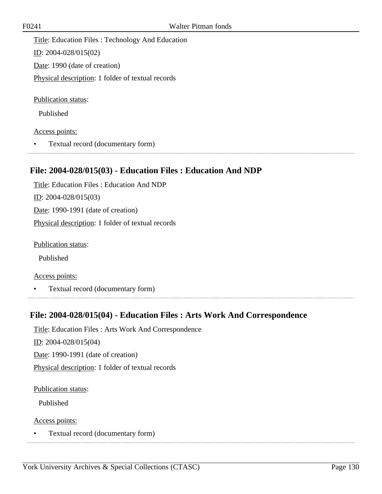Title: Education Files : Technology And Education ID: 2004-028/015(02) Date: 1990 (date of creation) Physical description: 1 folder of textual records

Publication status:

Published

Access points:

• Textual record (documentary form)

## **File: 2004-028/015(03) - Education Files : Education And NDP**

Title: Education Files : Education And NDP ID: 2004-028/015(03) Date: 1990-1991 (date of creation) Physical description: 1 folder of textual records

Publication status:

Published

Access points:

• Textual record (documentary form)

## **File: 2004-028/015(04) - Education Files : Arts Work And Correspondence**

Title: Education Files : Arts Work And Correspondence

 $ID: 2004-028/015(04)$ 

Date: 1990-1991 (date of creation)

Physical description: 1 folder of textual records

Publication status:

Published

Access points:

• Textual record (documentary form)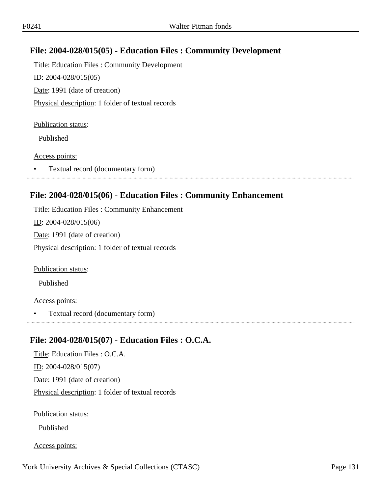## **File: 2004-028/015(05) - Education Files : Community Development**

Title: Education Files : Community Development ID: 2004-028/015(05) Date: 1991 (date of creation) Physical description: 1 folder of textual records

#### Publication status:

Published

#### Access points:

• Textual record (documentary form)

#### **File: 2004-028/015(06) - Education Files : Community Enhancement**

Title: Education Files : Community Enhancement ID: 2004-028/015(06) Date: 1991 (date of creation) Physical description: 1 folder of textual records

Publication status:

Published

#### Access points:

• Textual record (documentary form) 

## **File: 2004-028/015(07) - Education Files : O.C.A.**

Title: Education Files : O.C.A. ID: 2004-028/015(07) Date: 1991 (date of creation) Physical description: 1 folder of textual records

Publication status:

Published

Access points: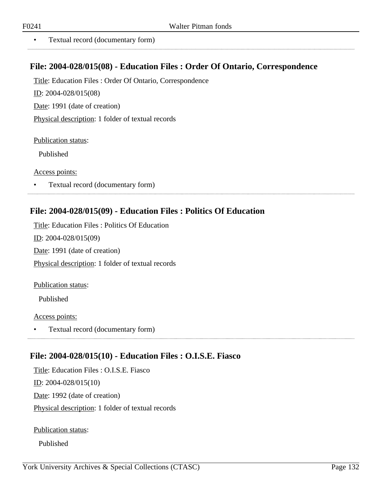. . . . . . . . . . . . . . . . . . .

• Textual record (documentary form)

#### **File: 2004-028/015(08) - Education Files : Order Of Ontario, Correspondence**

Title: Education Files : Order Of Ontario, Correspondence

ID: 2004-028/015(08)

Date: 1991 (date of creation)

Physical description: 1 folder of textual records

Publication status:

Published

Access points:

• Textual record (documentary form)

#### **File: 2004-028/015(09) - Education Files : Politics Of Education**

Title: Education Files : Politics Of Education ID: 2004-028/015(09) Date: 1991 (date of creation) Physical description: 1 folder of textual records

Publication status:

Published

Access points:

• Textual record (documentary form)

## **File: 2004-028/015(10) - Education Files : O.I.S.E. Fiasco**

Title: Education Files : O.I.S.E. Fiasco ID: 2004-028/015(10) Date: 1992 (date of creation) Physical description: 1 folder of textual records

Publication status:

Published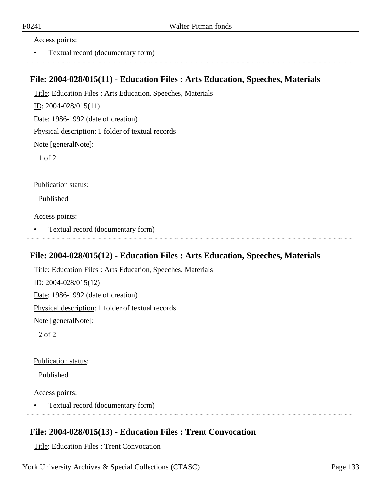#### Access points:

• Textual record (documentary form)

#### **File: 2004-028/015(11) - Education Files : Arts Education, Speeches, Materials**

Title: Education Files : Arts Education, Speeches, Materials

ID: 2004-028/015(11)

Date: 1986-1992 (date of creation)

Physical description: 1 folder of textual records

Note [generalNote]:

1 of 2

Publication status:

Published

Access points:

• Textual record (documentary form)

#### **File: 2004-028/015(12) - Education Files : Arts Education, Speeches, Materials**

Title: Education Files : Arts Education, Speeches, Materials ID: 2004-028/015(12) Date: 1986-1992 (date of creation) Physical description: 1 folder of textual records Note [generalNote]: 2 of 2

Publication status:

Published

Access points:

• Textual record (documentary form) 

## **File: 2004-028/015(13) - Education Files : Trent Convocation**

Title: Education Files : Trent Convocation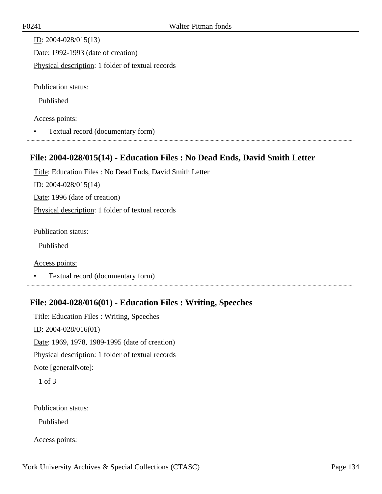| ID: $2004 - 028/015(13)$                          |
|---------------------------------------------------|
| Date: 1992-1993 (date of creation)                |
| Physical description: 1 folder of textual records |
| <b>Publication status:</b>                        |
|                                                   |

Published

#### Access points:

• Textual record (documentary form)

## **File: 2004-028/015(14) - Education Files : No Dead Ends, David Smith Letter**

Title: Education Files : No Dead Ends, David Smith Letter ID: 2004-028/015(14) Date: 1996 (date of creation) Physical description: 1 folder of textual records

Publication status:

Published

Access points:

• Textual record (documentary form)

## **File: 2004-028/016(01) - Education Files : Writing, Speeches**

Title: Education Files : Writing, Speeches ID: 2004-028/016(01) Date: 1969, 1978, 1989-1995 (date of creation) Physical description: 1 folder of textual records Note [generalNote]:

1 of 3

#### Publication status:

Published

Access points: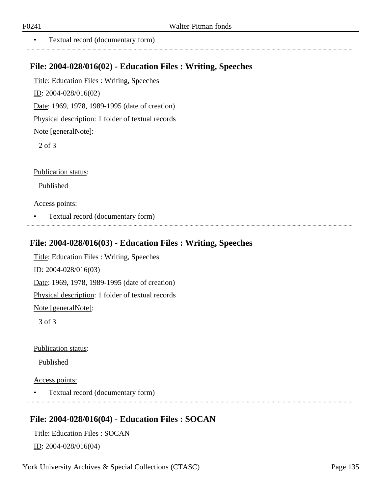• Textual record (documentary form)

## **File: 2004-028/016(02) - Education Files : Writing, Speeches**

Title: Education Files : Writing, Speeches ID: 2004-028/016(02) Date: 1969, 1978, 1989-1995 (date of creation)

Physical description: 1 folder of textual records

Note [generalNote]:

2 of 3

Publication status:

Published

Access points:

• Textual record (documentary form)

## **File: 2004-028/016(03) - Education Files : Writing, Speeches**

Title: Education Files : Writing, Speeches ID: 2004-028/016(03) Date: 1969, 1978, 1989-1995 (date of creation) Physical description: 1 folder of textual records Note [generalNote]:

3 of 3

Publication status:

Published

Access points:

• Textual record (documentary form)

## **File: 2004-028/016(04) - Education Files : SOCAN**

Title: Education Files : SOCAN ID: 2004-028/016(04)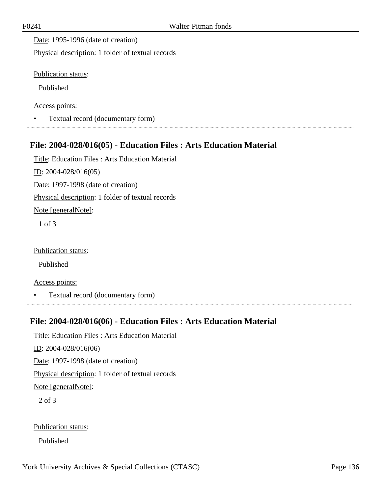Date: 1995-1996 (date of creation)

Physical description: 1 folder of textual records

Publication status:

Published

Access points:

• Textual record (documentary form)

## **File: 2004-028/016(05) - Education Files : Arts Education Material**

Title: Education Files : Arts Education Material ID: 2004-028/016(05) Date: 1997-1998 (date of creation) Physical description: 1 folder of textual records Note [generalNote]: 1 of 3

Publication status:

Published

Access points:

• Textual record (documentary form)

## **File: 2004-028/016(06) - Education Files : Arts Education Material**

Title: Education Files : Arts Education Material ID: 2004-028/016(06) Date: 1997-1998 (date of creation) Physical description: 1 folder of textual records Note [generalNote]: 2 of 3

Publication status:

Published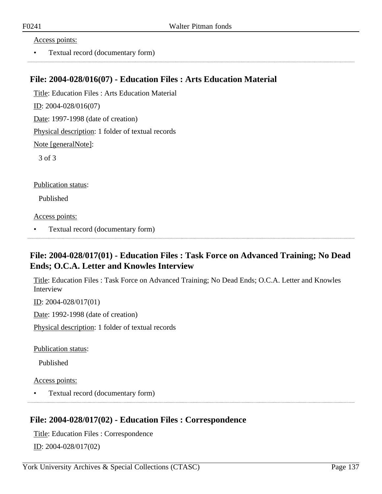#### Access points:

• Textual record (documentary form)

#### **File: 2004-028/016(07) - Education Files : Arts Education Material**

Title: Education Files : Arts Education Material

ID: 2004-028/016(07)

Date: 1997-1998 (date of creation)

Physical description: 1 folder of textual records

Note [generalNote]:

3 of 3

Publication status:

Published

Access points:

• Textual record (documentary form)

## **File: 2004-028/017(01) - Education Files : Task Force on Advanced Training; No Dead Ends; O.C.A. Letter and Knowles Interview**

Title: Education Files : Task Force on Advanced Training; No Dead Ends; O.C.A. Letter and Knowles Interview

ID: 2004-028/017(01)

Date: 1992-1998 (date of creation)

Physical description: 1 folder of textual records

Publication status:

Published

Access points:

• Textual record (documentary form)

## **File: 2004-028/017(02) - Education Files : Correspondence**

Title: Education Files : Correspondence

ID: 2004-028/017(02)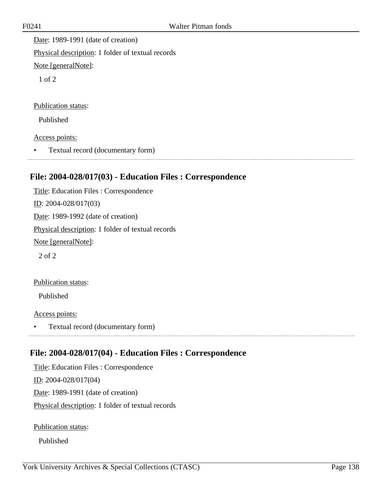Date: 1989-1991 (date of creation) Physical description: 1 folder of textual records Note [generalNote]:

1 of 2

Publication status:

Published

Access points:

• Textual record (documentary form) 

## **File: 2004-028/017(03) - Education Files : Correspondence**

Title: Education Files : Correspondence ID: 2004-028/017(03) Date: 1989-1992 (date of creation) Physical description: 1 folder of textual records Note [generalNote]: 2 of 2

Publication status:

Published

Access points:

• Textual record (documentary form)

## **File: 2004-028/017(04) - Education Files : Correspondence**

Title: Education Files : Correspondence ID: 2004-028/017(04) Date: 1989-1991 (date of creation) Physical description: 1 folder of textual records

Publication status:

Published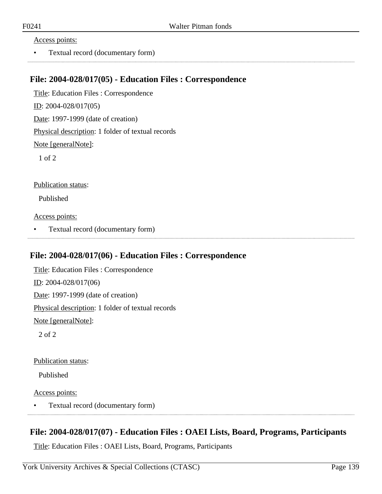#### Access points:

• Textual record (documentary form)

#### **File: 2004-028/017(05) - Education Files : Correspondence**

Title: Education Files : Correspondence ID: 2004-028/017(05) Date: 1997-1999 (date of creation) Physical description: 1 folder of textual records Note [generalNote]:

1 of 2

Publication status:

Published

Access points:

• Textual record (documentary form)

#### **File: 2004-028/017(06) - Education Files : Correspondence**

Title: Education Files : Correspondence ID: 2004-028/017(06) Date: 1997-1999 (date of creation) Physical description: 1 folder of textual records Note [generalNote]: 2 of 2

Publication status:

Published

Access points:

• Textual record (documentary form) 

## **File: 2004-028/017(07) - Education Files : OAEI Lists, Board, Programs, Participants**

Title: Education Files : OAEI Lists, Board, Programs, Participants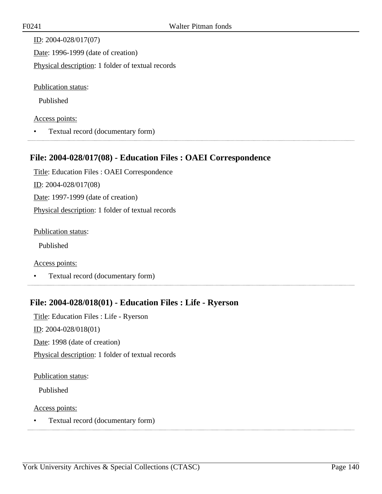| ID: $2004 - 028/017(07)$                          |
|---------------------------------------------------|
| Date: 1996-1999 (date of creation)                |
| Physical description: 1 folder of textual records |
| <b>Publication status:</b>                        |

Published

#### Access points:

• Textual record (documentary form)

#### **File: 2004-028/017(08) - Education Files : OAEI Correspondence**

Title: Education Files : OAEI Correspondence ID: 2004-028/017(08) Date: 1997-1999 (date of creation) Physical description: 1 folder of textual records

Publication status:

Published

Access points:

• Textual record (documentary form)

## **File: 2004-028/018(01) - Education Files : Life - Ryerson**

Title: Education Files : Life - Ryerson ID: 2004-028/018(01) Date: 1998 (date of creation) Physical description: 1 folder of textual records

#### Publication status:

Published

#### Access points:

• Textual record (documentary form)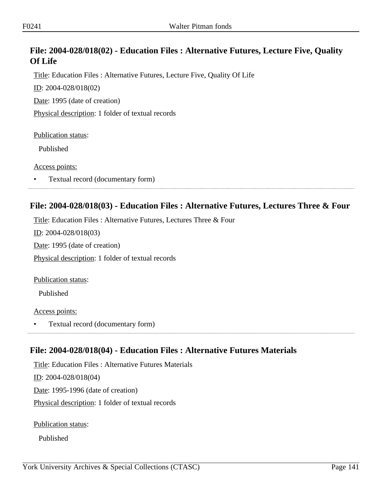## **File: 2004-028/018(02) - Education Files : Alternative Futures, Lecture Five, Quality Of Life**

Title: Education Files : Alternative Futures, Lecture Five, Quality Of Life

ID: 2004-028/018(02)

Date: 1995 (date of creation)

Physical description: 1 folder of textual records

Publication status:

Published

Access points:

• Textual record (documentary form)

## **File: 2004-028/018(03) - Education Files : Alternative Futures, Lectures Three & Four**

Title: Education Files : Alternative Futures, Lectures Three & Four

ID: 2004-028/018(03)

Date: 1995 (date of creation)

Physical description: 1 folder of textual records

Publication status:

Published

Access points:

• Textual record (documentary form)

## **File: 2004-028/018(04) - Education Files : Alternative Futures Materials**

Title: Education Files : Alternative Futures Materials ID: 2004-028/018(04) Date: 1995-1996 (date of creation) Physical description: 1 folder of textual records

Publication status:

Published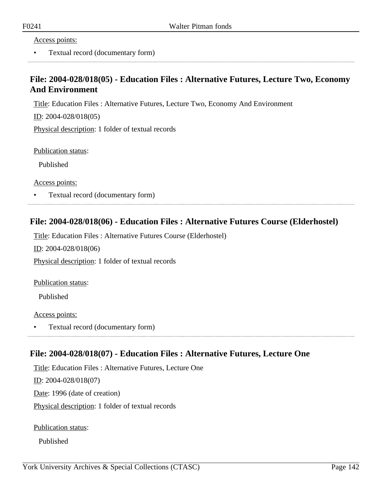#### Access points:

• Textual record (documentary form)

## **File: 2004-028/018(05) - Education Files : Alternative Futures, Lecture Two, Economy And Environment**

Title: Education Files : Alternative Futures, Lecture Two, Economy And Environment

ID: 2004-028/018(05)

Physical description: 1 folder of textual records

Publication status:

Published

Access points:

• Textual record (documentary form)

#### **File: 2004-028/018(06) - Education Files : Alternative Futures Course (Elderhostel)**

Title: Education Files : Alternative Futures Course (Elderhostel)

 $ID: 2004-028/018(06)$ 

Physical description: 1 folder of textual records

Publication status:

Published

Access points:

• Textual record (documentary form)

# **File: 2004-028/018(07) - Education Files : Alternative Futures, Lecture One**

Title: Education Files : Alternative Futures, Lecture One ID: 2004-028/018(07) Date: 1996 (date of creation) Physical description: 1 folder of textual records

Publication status:

Published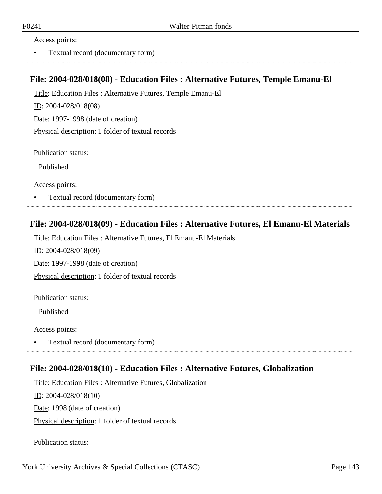#### Access points:

• Textual record (documentary form)

#### **File: 2004-028/018(08) - Education Files : Alternative Futures, Temple Emanu-El**

Title: Education Files : Alternative Futures, Temple Emanu-El

ID: 2004-028/018(08)

Date: 1997-1998 (date of creation)

Physical description: 1 folder of textual records

Publication status:

Published

Access points:

• Textual record (documentary form)

## **File: 2004-028/018(09) - Education Files : Alternative Futures, El Emanu-El Materials**

Title: Education Files : Alternative Futures, El Emanu-El Materials

ID: 2004-028/018(09)

Date: 1997-1998 (date of creation)

Physical description: 1 folder of textual records

#### Publication status:

Published

Access points:

• Textual record (documentary form)

#### **File: 2004-028/018(10) - Education Files : Alternative Futures, Globalization**

Title: Education Files : Alternative Futures, Globalization

ID: 2004-028/018(10)

Date: 1998 (date of creation)

Physical description: 1 folder of textual records

Publication status: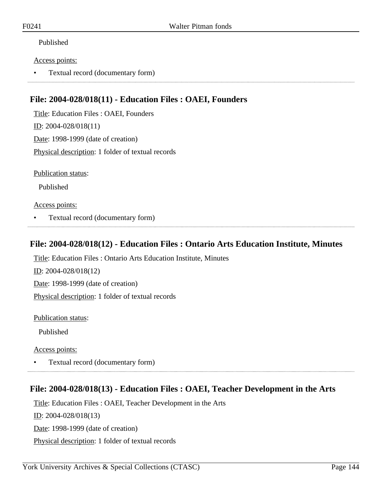#### Published

#### Access points:

• Textual record (documentary form)

## **File: 2004-028/018(11) - Education Files : OAEI, Founders**

Title: Education Files : OAEI, Founders ID: 2004-028/018(11) Date: 1998-1999 (date of creation) Physical description: 1 folder of textual records

Publication status:

Published

#### Access points:

• Textual record (documentary form)

#### **File: 2004-028/018(12) - Education Files : Ontario Arts Education Institute, Minutes**

Title: Education Files : Ontario Arts Education Institute, Minutes

ID: 2004-028/018(12) Date: 1998-1999 (date of creation) Physical description: 1 folder of textual records

Publication status:

Published

Access points:

• Textual record (documentary form)

## **File: 2004-028/018(13) - Education Files : OAEI, Teacher Development in the Arts**

Title: Education Files : OAEI, Teacher Development in the Arts ID: 2004-028/018(13) Date: 1998-1999 (date of creation) Physical description: 1 folder of textual records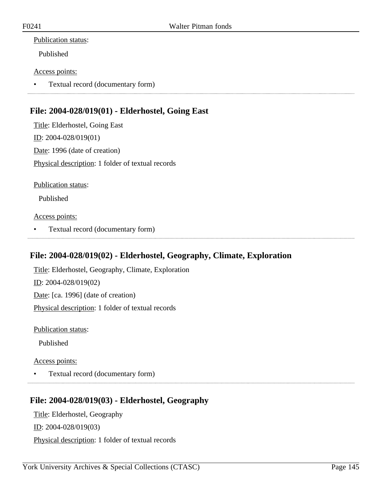Published

### Access points:

• Textual record (documentary form)

## **File: 2004-028/019(01) - Elderhostel, Going East**

Title: Elderhostel, Going East ID: 2004-028/019(01) Date: 1996 (date of creation) Physical description: 1 folder of textual records

Publication status:

Published

Access points:

• Textual record (documentary form)

## **File: 2004-028/019(02) - Elderhostel, Geography, Climate, Exploration**

Title: Elderhostel, Geography, Climate, Exploration ID: 2004-028/019(02) Date: [ca. 1996] (date of creation) Physical description: 1 folder of textual records

Publication status:

Published

Access points:

• Textual record (documentary form)

## **File: 2004-028/019(03) - Elderhostel, Geography**

Title: Elderhostel, Geography

ID: 2004-028/019(03)

Physical description: 1 folder of textual records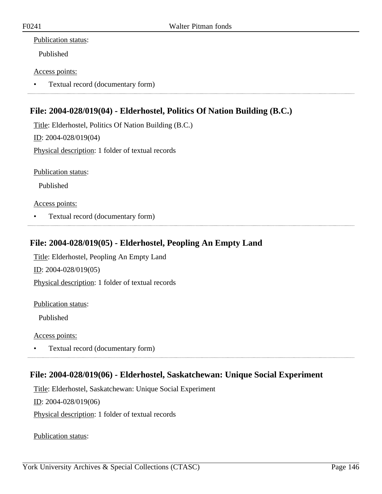Published

### Access points:

• Textual record (documentary form)

# **File: 2004-028/019(04) - Elderhostel, Politics Of Nation Building (B.C.)**

Title: Elderhostel, Politics Of Nation Building (B.C.) ID: 2004-028/019(04) Physical description: 1 folder of textual records

Publication status:

Published

Access points:

• Textual record (documentary form)

## **File: 2004-028/019(05) - Elderhostel, Peopling An Empty Land**

Title: Elderhostel, Peopling An Empty Land ID: 2004-028/019(05) Physical description: 1 folder of textual records

Publication status:

Published

Access points:

• Textual record (documentary form)

## **File: 2004-028/019(06) - Elderhostel, Saskatchewan: Unique Social Experiment**

Title: Elderhostel, Saskatchewan: Unique Social Experiment ID: 2004-028/019(06) Physical description: 1 folder of textual records

Publication status: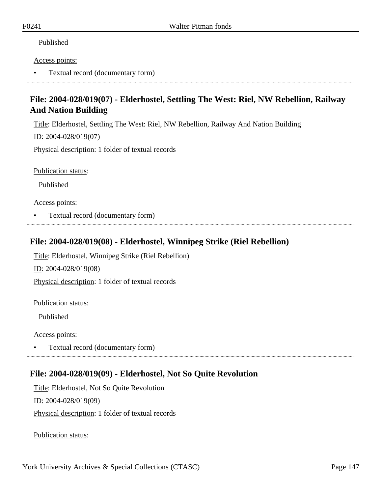### Published

#### Access points:

• Textual record (documentary form)

# **File: 2004-028/019(07) - Elderhostel, Settling The West: Riel, NW Rebellion, Railway And Nation Building**

Title: Elderhostel, Settling The West: Riel, NW Rebellion, Railway And Nation Building

ID: 2004-028/019(07)

Physical description: 1 folder of textual records

Publication status:

Published

Access points:

• Textual record (documentary form)

## **File: 2004-028/019(08) - Elderhostel, Winnipeg Strike (Riel Rebellion)**

Title: Elderhostel, Winnipeg Strike (Riel Rebellion)

ID: 2004-028/019(08)

Physical description: 1 folder of textual records

Publication status:

Published

Access points:

• Textual record (documentary form)

## **File: 2004-028/019(09) - Elderhostel, Not So Quite Revolution**

Title: Elderhostel, Not So Quite Revolution ID: 2004-028/019(09) Physical description: 1 folder of textual records

Publication status: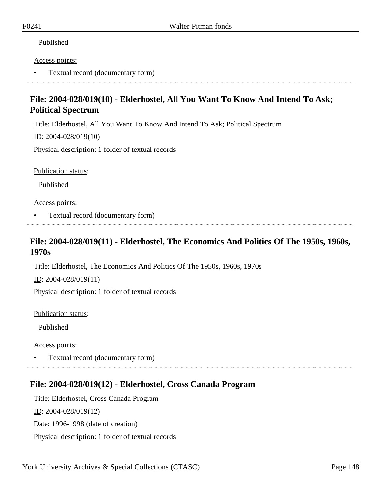### Published

#### Access points:

• Textual record (documentary form)

# **File: 2004-028/019(10) - Elderhostel, All You Want To Know And Intend To Ask; Political Spectrum**

Title: Elderhostel, All You Want To Know And Intend To Ask; Political Spectrum

ID: 2004-028/019(10)

Physical description: 1 folder of textual records

Publication status:

Published

Access points:

• Textual record (documentary form)

## **File: 2004-028/019(11) - Elderhostel, The Economics And Politics Of The 1950s, 1960s, 1970s**

Title: Elderhostel, The Economics And Politics Of The 1950s, 1960s, 1970s

ID: 2004-028/019(11)

Physical description: 1 folder of textual records

Publication status:

Published

Access points:

• Textual record (documentary form)

## **File: 2004-028/019(12) - Elderhostel, Cross Canada Program**

Title: Elderhostel, Cross Canada Program ID: 2004-028/019(12) Date: 1996-1998 (date of creation) Physical description: 1 folder of textual records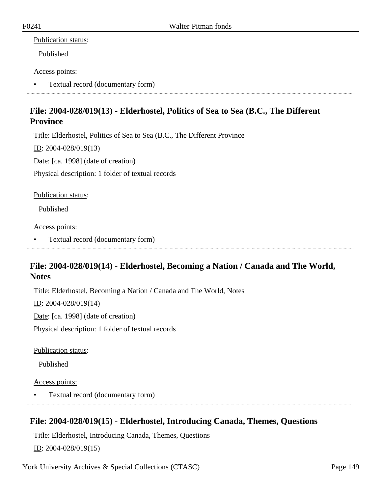Published

### Access points:

• Textual record (documentary form)

# **File: 2004-028/019(13) - Elderhostel, Politics of Sea to Sea (B.C., The Different Province**

Title: Elderhostel, Politics of Sea to Sea (B.C., The Different Province

ID: 2004-028/019(13)

Date: [ca. 1998] (date of creation)

Physical description: 1 folder of textual records

Publication status:

Published

Access points:

• Textual record (documentary form)

## **File: 2004-028/019(14) - Elderhostel, Becoming a Nation / Canada and The World, Notes**

Title: Elderhostel, Becoming a Nation / Canada and The World, Notes

ID: 2004-028/019(14)

Date: [ca. 1998] (date of creation)

Physical description: 1 folder of textual records

Publication status:

Published

Access points:

• Textual record (documentary form)

# **File: 2004-028/019(15) - Elderhostel, Introducing Canada, Themes, Questions**

Title: Elderhostel, Introducing Canada, Themes, Questions  $ID: 2004 - 028/019(15)$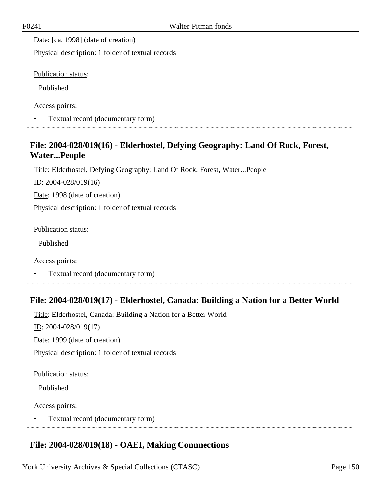Date: [ca. 1998] (date of creation)

Physical description: 1 folder of textual records

Publication status:

Published

Access points:

• Textual record (documentary form)

# **File: 2004-028/019(16) - Elderhostel, Defying Geography: Land Of Rock, Forest, Water...People**

Title: Elderhostel, Defying Geography: Land Of Rock, Forest, Water...People

ID: 2004-028/019(16)

Date: 1998 (date of creation)

Physical description: 1 folder of textual records

Publication status:

Published

Access points:

• Textual record (documentary form)

## **File: 2004-028/019(17) - Elderhostel, Canada: Building a Nation for a Better World**

Title: Elderhostel, Canada: Building a Nation for a Better World

 $ID: 2004-028/019(17)$ 

Date: 1999 (date of creation)

Physical description: 1 folder of textual records

Publication status:

Published

#### Access points:

• Textual record (documentary form)

# **File: 2004-028/019(18) - OAEI, Making Connnections**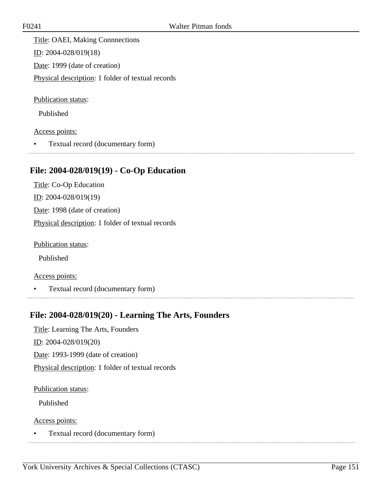Title: OAEI, Making Connnections ID: 2004-028/019(18) Date: 1999 (date of creation) Physical description: 1 folder of textual records

Publication status:

Published

Access points:

• Textual record (documentary form)

### **File: 2004-028/019(19) - Co-Op Education**

Title: Co-Op Education ID: 2004-028/019(19) Date: 1998 (date of creation) Physical description: 1 folder of textual records

Publication status:

Published

Access points:

• Textual record (documentary form)

### **File: 2004-028/019(20) - Learning The Arts, Founders**

Title: Learning The Arts, Founders  $ID: 2004-028/019(20)$ Date: 1993-1999 (date of creation)

Physical description: 1 folder of textual records

Publication status:

Published

Access points:

• Textual record (documentary form)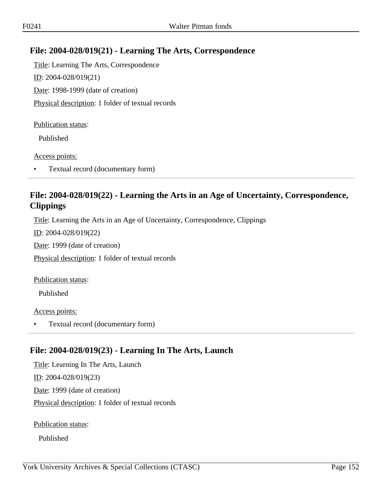# **File: 2004-028/019(21) - Learning The Arts, Correspondence**

Title: Learning The Arts, Correspondence ID: 2004-028/019(21) Date: 1998-1999 (date of creation) Physical description: 1 folder of textual records

#### Publication status:

Published

#### Access points:

• Textual record (documentary form)

# **File: 2004-028/019(22) - Learning the Arts in an Age of Uncertainty, Correspondence, Clippings**

Title: Learning the Arts in an Age of Uncertainty, Correspondence, Clippings

ID: 2004-028/019(22)

Date: 1999 (date of creation)

Physical description: 1 folder of textual records

Publication status:

Published

Access points:

• Textual record (documentary form)

## **File: 2004-028/019(23) - Learning In The Arts, Launch**

Title: Learning In The Arts, Launch ID: 2004-028/019(23) Date: 1999 (date of creation) Physical description: 1 folder of textual records

Publication status:

Published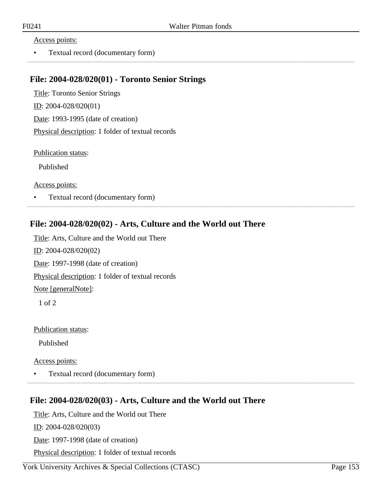#### Access points:

• Textual record (documentary form)

### **File: 2004-028/020(01) - Toronto Senior Strings**

Title: Toronto Senior Strings ID: 2004-028/020(01) Date: 1993-1995 (date of creation) Physical description: 1 folder of textual records

Publication status:

Published

Access points:

• Textual record (documentary form)

## **File: 2004-028/020(02) - Arts, Culture and the World out There**

Title: Arts, Culture and the World out There ID: 2004-028/020(02) Date: 1997-1998 (date of creation) Physical description: 1 folder of textual records Note [generalNote]: 1 of 2

Publication status:

Published

Access points:

• Textual record (documentary form)

### **File: 2004-028/020(03) - Arts, Culture and the World out There**

Title: Arts, Culture and the World out There

ID: 2004-028/020(03)

Date: 1997-1998 (date of creation)

Physical description: 1 folder of textual records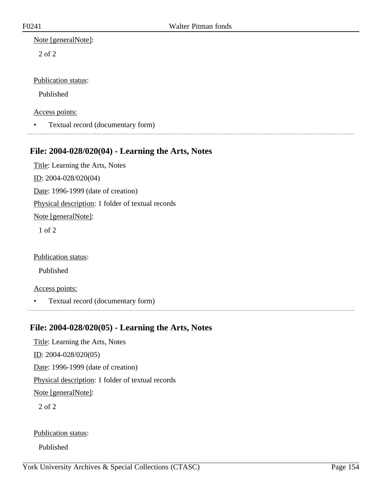2 of 2

### Publication status:

Published

Access points:

• Textual record (documentary form)

## **File: 2004-028/020(04) - Learning the Arts, Notes**

Title: Learning the Arts, Notes ID: 2004-028/020(04) Date: 1996-1999 (date of creation) Physical description: 1 folder of textual records Note [generalNote]: 1 of 2

Publication status:

Published

### Access points:

• Textual record (documentary form)

## **File: 2004-028/020(05) - Learning the Arts, Notes**

Title: Learning the Arts, Notes ID: 2004-028/020(05) Date: 1996-1999 (date of creation) Physical description: 1 folder of textual records Note [generalNote]: 2 of 2

Publication status:

Published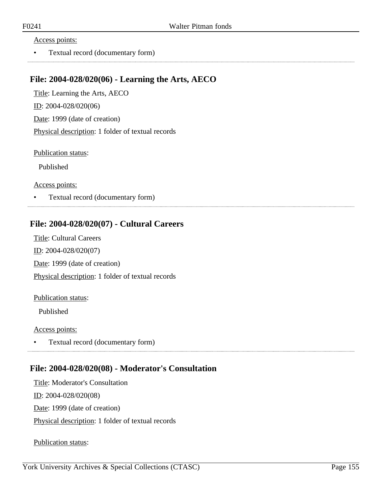#### Access points:

• Textual record (documentary form)

## **File: 2004-028/020(06) - Learning the Arts, AECO**

Title: Learning the Arts, AECO ID: 2004-028/020(06) Date: 1999 (date of creation) Physical description: 1 folder of textual records

Publication status:

Published

Access points:

• Textual record (documentary form)

## **File: 2004-028/020(07) - Cultural Careers**

Title: Cultural Careers ID: 2004-028/020(07) Date: 1999 (date of creation) Physical description: 1 folder of textual records

#### Publication status:

Published

#### Access points:

• Textual record (documentary form) 

## **File: 2004-028/020(08) - Moderator's Consultation**

Title: Moderator's Consultation ID: 2004-028/020(08) Date: 1999 (date of creation) Physical description: 1 folder of textual records

Publication status: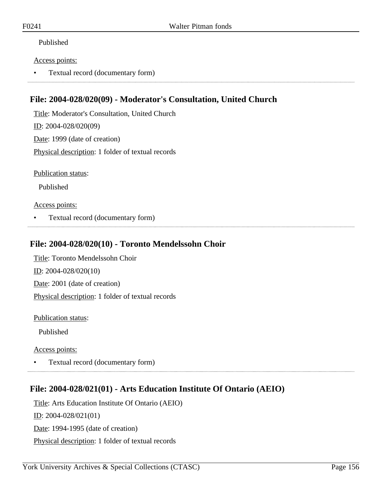### Published

#### Access points:

• Textual record (documentary form)

## **File: 2004-028/020(09) - Moderator's Consultation, United Church**

Title: Moderator's Consultation, United Church ID: 2004-028/020(09) Date: 1999 (date of creation) Physical description: 1 folder of textual records

Publication status:

Published

### Access points:

• Textual record (documentary form)

## **File: 2004-028/020(10) - Toronto Mendelssohn Choir**

Title: Toronto Mendelssohn Choir ID: 2004-028/020(10) Date: 2001 (date of creation) Physical description: 1 folder of textual records

Publication status:

Published

Access points:

• Textual record (documentary form)

# **File: 2004-028/021(01) - Arts Education Institute Of Ontario (AEIO)**

Title: Arts Education Institute Of Ontario (AEIO) ID: 2004-028/021(01) Date: 1994-1995 (date of creation) Physical description: 1 folder of textual records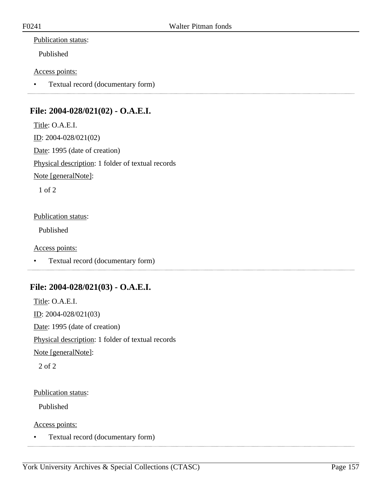Published

### Access points:

• Textual record (documentary form)

# **File: 2004-028/021(02) - O.A.E.I.**

Title: O.A.E.I. ID: 2004-028/021(02) Date: 1995 (date of creation) Physical description: 1 folder of textual records Note [generalNote]: 1 of 2

### Publication status:

Published

### Access points:

• Textual record (documentary form)

## **File: 2004-028/021(03) - O.A.E.I.**

Title: O.A.E.I. ID: 2004-028/021(03) Date: 1995 (date of creation) Physical description: 1 folder of textual records Note [generalNote]:

2 of 2

### Publication status:

Published

Access points:

• Textual record (documentary form)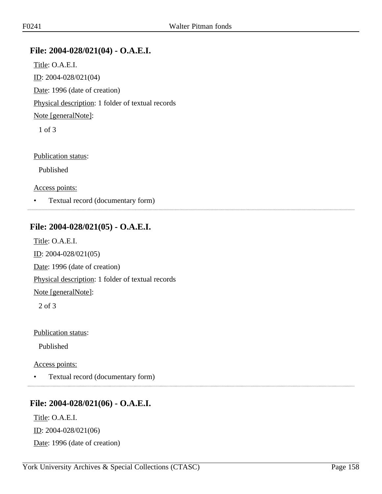## **File: 2004-028/021(04) - O.A.E.I.**

Title: O.A.E.I. ID: 2004-028/021(04) Date: 1996 (date of creation) Physical description: 1 folder of textual records Note [generalNote]: 1 of 3

Publication status:

Published

Access points:

• Textual record (documentary form)

## **File: 2004-028/021(05) - O.A.E.I.**

Title: O.A.E.I. ID: 2004-028/021(05) Date: 1996 (date of creation) Physical description: 1 folder of textual records Note [generalNote]: 2 of 3

Publication status:

Published

#### Access points:

• Textual record (documentary form)

### **File: 2004-028/021(06) - O.A.E.I.**

Title: O.A.E.I. ID: 2004-028/021(06) Date: 1996 (date of creation)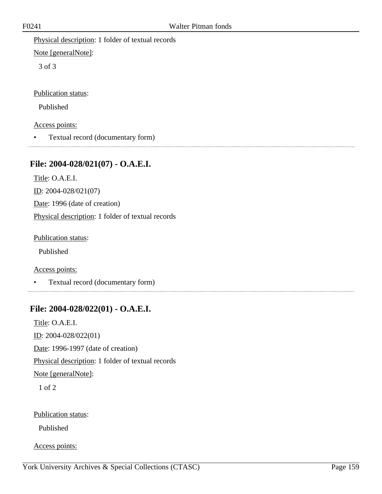Physical description: 1 folder of textual records

Note [generalNote]:

3 of 3

Publication status:

Published

Access points:

• Textual record (documentary form)

# **File: 2004-028/021(07) - O.A.E.I.**

Title: O.A.E.I. ID: 2004-028/021(07) Date: 1996 (date of creation) Physical description: 1 folder of textual records

Publication status:

Published

Access points:

• Textual record (documentary form)

# **File: 2004-028/022(01) - O.A.E.I.**

Title: O.A.E.I. ID: 2004-028/022(01) Date: 1996-1997 (date of creation) Physical description: 1 folder of textual records Note [generalNote]: 1 of 2

Publication status:

Published

Access points: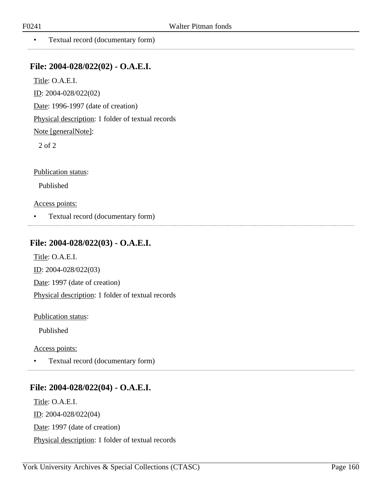. . . . . . . . . . . . . .

• Textual record (documentary form)

### **File: 2004-028/022(02) - O.A.E.I.**

Title: O.A.E.I.

ID: 2004-028/022(02)

Date: 1996-1997 (date of creation)

Physical description: 1 folder of textual records

Note [generalNote]:

2 of 2

Publication status:

Published

Access points:

• Textual record (documentary form)

## **File: 2004-028/022(03) - O.A.E.I.**

Title: O.A.E.I. ID: 2004-028/022(03) Date: 1997 (date of creation) Physical description: 1 folder of textual records

Publication status:

Published

Access points:

• Textual record (documentary form)

## **File: 2004-028/022(04) - O.A.E.I.**

Title: O.A.E.I. ID: 2004-028/022(04) Date: 1997 (date of creation) Physical description: 1 folder of textual records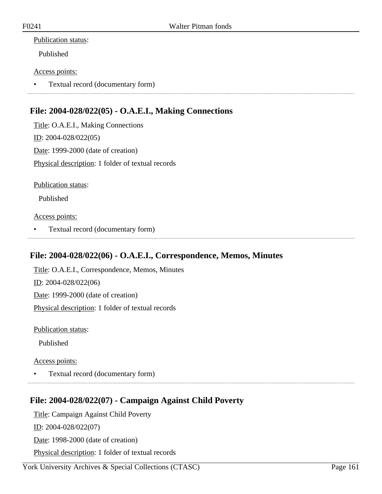Published

### Access points:

• Textual record (documentary form)

# **File: 2004-028/022(05) - O.A.E.I., Making Connections**

Title: O.A.E.I., Making Connections ID: 2004-028/022(05) Date: 1999-2000 (date of creation) Physical description: 1 folder of textual records

Publication status:

Published

Access points:

• Textual record (documentary form)

## **File: 2004-028/022(06) - O.A.E.I., Correspondence, Memos, Minutes**

Title: O.A.E.I., Correspondence, Memos, Minutes ID: 2004-028/022(06) Date: 1999-2000 (date of creation) Physical description: 1 folder of textual records

Publication status:

Published

Access points:

• Textual record (documentary form)

# **File: 2004-028/022(07) - Campaign Against Child Poverty**

Title: Campaign Against Child Poverty

ID: 2004-028/022(07)

Date: 1998-2000 (date of creation)

Physical description: 1 folder of textual records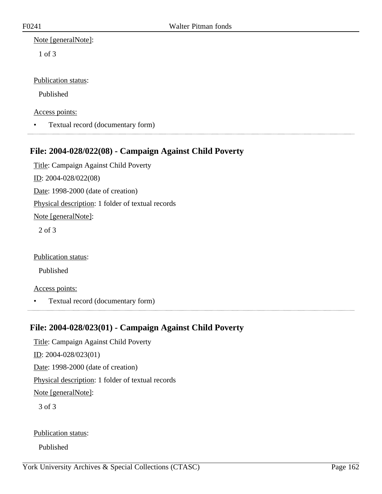Note [generalNote]:

1 of 3

Publication status:

Published

Access points:

• Textual record (documentary form)

## **File: 2004-028/022(08) - Campaign Against Child Poverty**

Title: Campaign Against Child Poverty ID: 2004-028/022(08) Date: 1998-2000 (date of creation) Physical description: 1 folder of textual records Note [generalNote]: 2 of 3

Publication status:

Published

Access points:

• Textual record (documentary form)

## **File: 2004-028/023(01) - Campaign Against Child Poverty**

Title: Campaign Against Child Poverty ID: 2004-028/023(01) Date: 1998-2000 (date of creation) Physical description: 1 folder of textual records Note [generalNote]: 3 of 3

Publication status:

Published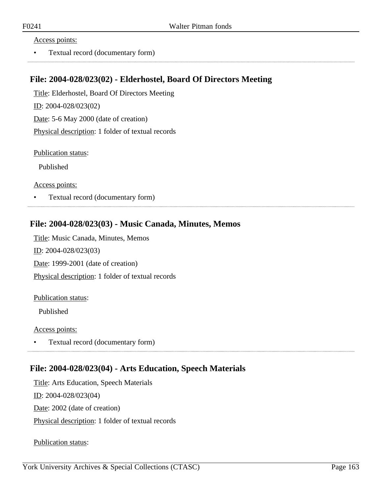#### Access points:

• Textual record (documentary form)

## **File: 2004-028/023(02) - Elderhostel, Board Of Directors Meeting**

Title: Elderhostel, Board Of Directors Meeting ID: 2004-028/023(02) Date: 5-6 May 2000 (date of creation) Physical description: 1 folder of textual records

Publication status:

Published

Access points:

• Textual record (documentary form)

## **File: 2004-028/023(03) - Music Canada, Minutes, Memos**

Title: Music Canada, Minutes, Memos ID: 2004-028/023(03) Date: 1999-2001 (date of creation) Physical description: 1 folder of textual records

#### Publication status:

Published

#### Access points:

• Textual record (documentary form) 

## **File: 2004-028/023(04) - Arts Education, Speech Materials**

Title: Arts Education, Speech Materials

ID: 2004-028/023(04)

Date: 2002 (date of creation)

Physical description: 1 folder of textual records

Publication status: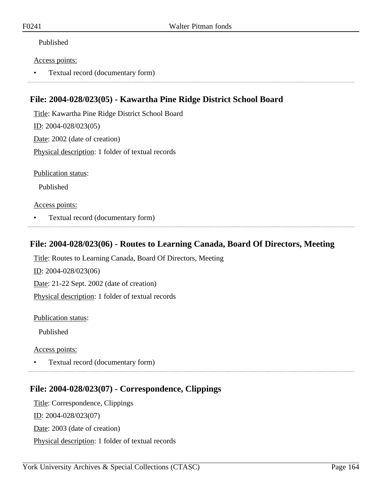### Published

#### Access points:

• Textual record (documentary form)

## **File: 2004-028/023(05) - Kawartha Pine Ridge District School Board**

Title: Kawartha Pine Ridge District School Board ID: 2004-028/023(05) Date: 2002 (date of creation) Physical description: 1 folder of textual records

Publication status:

Published

### Access points:

• Textual record (documentary form)

## **File: 2004-028/023(06) - Routes to Learning Canada, Board Of Directors, Meeting**

Title: Routes to Learning Canada, Board Of Directors, Meeting ID: 2004-028/023(06) Date: 21-22 Sept. 2002 (date of creation) Physical description: 1 folder of textual records

Publication status:

Published

Access points:

• Textual record (documentary form)

# **File: 2004-028/023(07) - Correspondence, Clippings**

Title: Correspondence, Clippings ID: 2004-028/023(07) Date: 2003 (date of creation) Physical description: 1 folder of textual records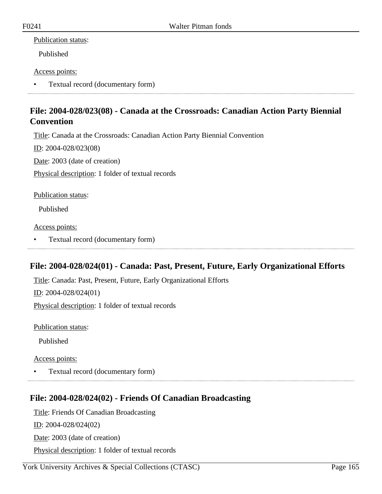Published

### Access points:

• Textual record (documentary form)

# **File: 2004-028/023(08) - Canada at the Crossroads: Canadian Action Party Biennial Convention**

Title: Canada at the Crossroads: Canadian Action Party Biennial Convention

ID: 2004-028/023(08)

Date: 2003 (date of creation)

Physical description: 1 folder of textual records

Publication status:

Published

Access points:

• Textual record (documentary form)

## **File: 2004-028/024(01) - Canada: Past, Present, Future, Early Organizational Efforts**

Title: Canada: Past, Present, Future, Early Organizational Efforts

ID: 2004-028/024(01)

Physical description: 1 folder of textual records

Publication status:

Published

Access points:

• Textual record (documentary form)

## **File: 2004-028/024(02) - Friends Of Canadian Broadcasting**

Title: Friends Of Canadian Broadcasting

ID: 2004-028/024(02)

Date: 2003 (date of creation)

Physical description: 1 folder of textual records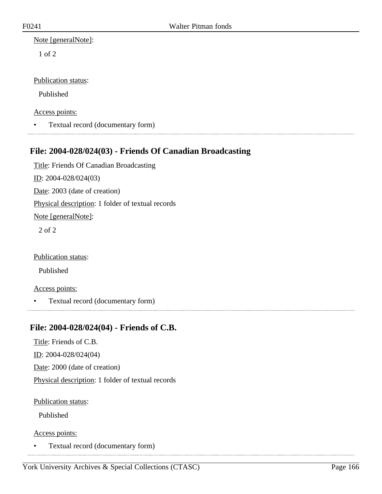1 of 2

### Publication status:

Published

Access points:

• Textual record (documentary form)

# **File: 2004-028/024(03) - Friends Of Canadian Broadcasting**

Title: Friends Of Canadian Broadcasting ID: 2004-028/024(03) Date: 2003 (date of creation) Physical description: 1 folder of textual records Note [generalNote]: 2 of 2

Publication status:

Published

### Access points:

• Textual record (documentary form)

## **File: 2004-028/024(04) - Friends of C.B.**

Title: Friends of C.B.

ID: 2004-028/024(04)

Date: 2000 (date of creation)

Physical description: 1 folder of textual records

Publication status:

Published

Access points:

• Textual record (documentary form)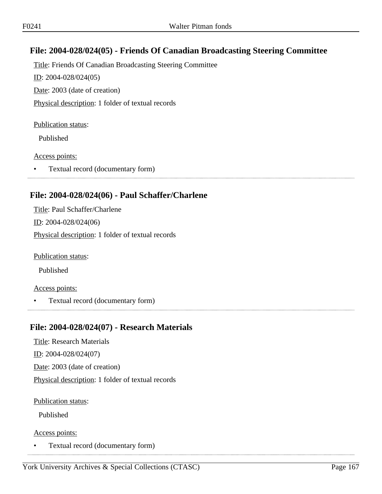# **File: 2004-028/024(05) - Friends Of Canadian Broadcasting Steering Committee**

Title: Friends Of Canadian Broadcasting Steering Committee ID: 2004-028/024(05) Date: 2003 (date of creation) Physical description: 1 folder of textual records

#### Publication status:

Published

#### Access points:

• Textual record (documentary form)

## **File: 2004-028/024(06) - Paul Schaffer/Charlene**

Title: Paul Schaffer/Charlene ID: 2004-028/024(06) Physical description: 1 folder of textual records

Publication status:

Published

### Access points:

• Textual record (documentary form) 

# **File: 2004-028/024(07) - Research Materials**

Title: Research Materials ID: 2004-028/024(07)

Date: 2003 (date of creation)

Physical description: 1 folder of textual records

Publication status:

Published

Access points:

• Textual record (documentary form)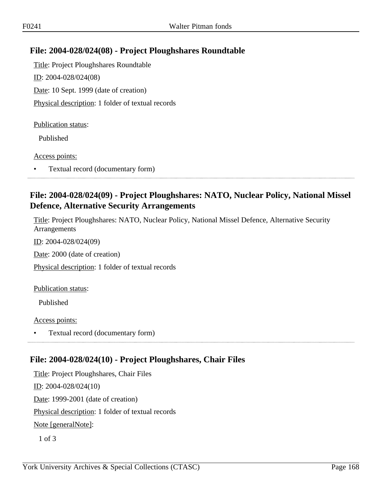## **File: 2004-028/024(08) - Project Ploughshares Roundtable**

Title: Project Ploughshares Roundtable ID: 2004-028/024(08) Date: 10 Sept. 1999 (date of creation) Physical description: 1 folder of textual records

#### Publication status:

Published

#### Access points:

• Textual record (documentary form)

## **File: 2004-028/024(09) - Project Ploughshares: NATO, Nuclear Policy, National Missel Defence, Alternative Security Arrangements**

Title: Project Ploughshares: NATO, Nuclear Policy, National Missel Defence, Alternative Security Arrangements

ID: 2004-028/024(09)

Date: 2000 (date of creation)

Physical description: 1 folder of textual records

Publication status:

Published

Access points:

• Textual record (documentary form)

# **File: 2004-028/024(10) - Project Ploughshares, Chair Files**

Title: Project Ploughshares, Chair Files ID: 2004-028/024(10) Date: 1999-2001 (date of creation) Physical description: 1 folder of textual records Note [generalNote]: 1 of 3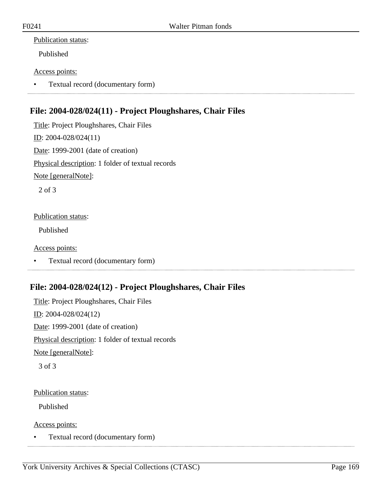Published

### Access points:

• Textual record (documentary form) 

# **File: 2004-028/024(11) - Project Ploughshares, Chair Files**

Title: Project Ploughshares, Chair Files ID: 2004-028/024(11) Date: 1999-2001 (date of creation) Physical description: 1 folder of textual records Note [generalNote]: 2 of 3

### Publication status:

Published

### Access points:

• Textual record (documentary form)

# **File: 2004-028/024(12) - Project Ploughshares, Chair Files**

Title: Project Ploughshares, Chair Files  $ID: 2004-028/024(12)$ Date: 1999-2001 (date of creation) Physical description: 1 folder of textual records Note [generalNote]: 3 of 3

### Publication status:

Published

Access points:

• Textual record (documentary form)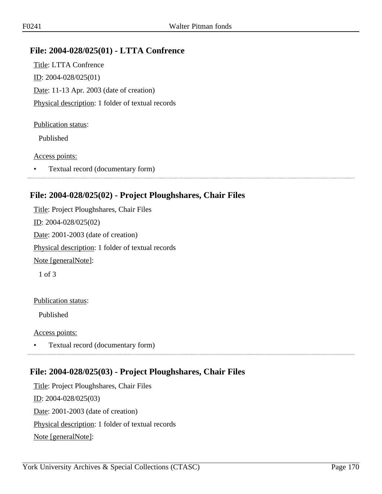## **File: 2004-028/025(01) - LTTA Confrence**

Title: LTTA Confrence ID: 2004-028/025(01) Date: 11-13 Apr. 2003 (date of creation) Physical description: 1 folder of textual records

#### Publication status:

Published

#### Access points:

• Textual record (documentary form)

### **File: 2004-028/025(02) - Project Ploughshares, Chair Files**

Title: Project Ploughshares, Chair Files ID: 2004-028/025(02) Date: 2001-2003 (date of creation) Physical description: 1 folder of textual records Note [generalNote]: 1 of 3

#### Publication status:

Published

#### Access points:

• Textual record (documentary form)

### **File: 2004-028/025(03) - Project Ploughshares, Chair Files**

Title: Project Ploughshares, Chair Files ID: 2004-028/025(03) Date: 2001-2003 (date of creation) Physical description: 1 folder of textual records Note [generalNote]: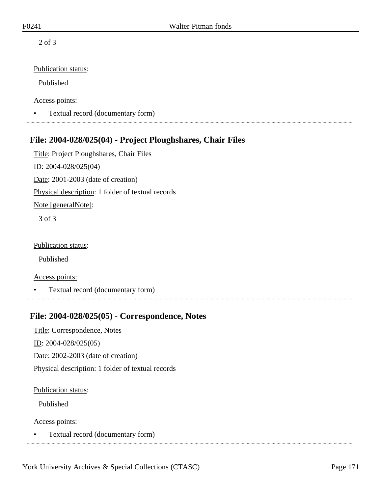2 of 3

### Publication status:

Published

Access points:

• Textual record (documentary form)

# **File: 2004-028/025(04) - Project Ploughshares, Chair Files**

Title: Project Ploughshares, Chair Files ID: 2004-028/025(04) Date: 2001-2003 (date of creation) Physical description: 1 folder of textual records Note [generalNote]: 3 of 3

Publication status:

Published

Access points:

• Textual record (documentary form)

## **File: 2004-028/025(05) - Correspondence, Notes**

Title: Correspondence, Notes

ID: 2004-028/025(05)

Date: 2002-2003 (date of creation)

Physical description: 1 folder of textual records

Publication status:

Published

Access points:

• Textual record (documentary form)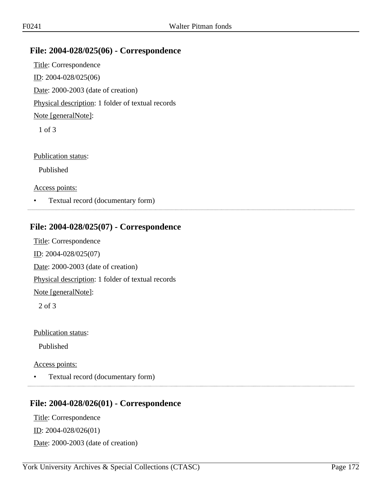## **File: 2004-028/025(06) - Correspondence**

Title: Correspondence ID: 2004-028/025(06) Date: 2000-2003 (date of creation) Physical description: 1 folder of textual records Note [generalNote]: 1 of 3

Publication status:

Published

Access points:

• Textual record (documentary form)

# **File: 2004-028/025(07) - Correspondence**

Title: Correspondence ID: 2004-028/025(07) Date: 2000-2003 (date of creation) Physical description: 1 folder of textual records Note [generalNote]:

2 of 3

Publication status:

Published

#### Access points:

• Textual record (documentary form)

### **File: 2004-028/026(01) - Correspondence**

Title: Correspondence ID: 2004-028/026(01) Date: 2000-2003 (date of creation)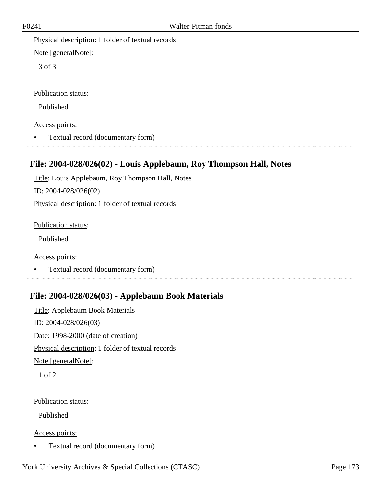Physical description: 1 folder of textual records

Note [generalNote]:

3 of 3

Publication status:

Published

Access points:

• Textual record (documentary form)

# **File: 2004-028/026(02) - Louis Applebaum, Roy Thompson Hall, Notes**

Title: Louis Applebaum, Roy Thompson Hall, Notes

ID: 2004-028/026(02)

Physical description: 1 folder of textual records

Publication status:

Published

Access points:

• Textual record (documentary form)

# **File: 2004-028/026(03) - Applebaum Book Materials**

Title: Applebaum Book Materials ID: 2004-028/026(03) Date: 1998-2000 (date of creation) Physical description: 1 folder of textual records Note [generalNote]:

1 of 2

### Publication status:

Published

Access points:

• Textual record (documentary form)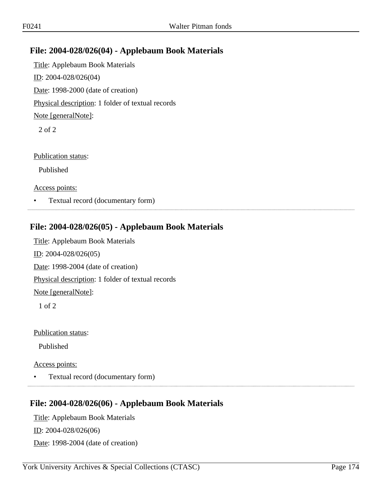## **File: 2004-028/026(04) - Applebaum Book Materials**

Title: Applebaum Book Materials ID: 2004-028/026(04) Date: 1998-2000 (date of creation) Physical description: 1 folder of textual records Note [generalNote]: 2 of 2

Publication status:

Published

Access points:

• Textual record (documentary form)

## **File: 2004-028/026(05) - Applebaum Book Materials**

Title: Applebaum Book Materials ID: 2004-028/026(05) Date: 1998-2004 (date of creation) Physical description: 1 folder of textual records Note [generalNote]: 1 of 2

Publication status:

Published

Access points:

• Textual record (documentary form)

### **File: 2004-028/026(06) - Applebaum Book Materials**

Title: Applebaum Book Materials ID: 2004-028/026(06) Date: 1998-2004 (date of creation)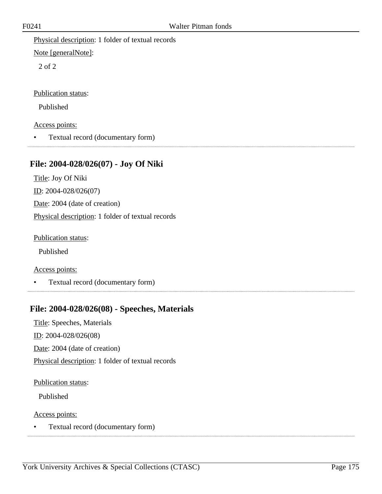Physical description: 1 folder of textual records

Note [generalNote]:

2 of 2

Publication status:

Published

Access points:

• Textual record (documentary form)

# **File: 2004-028/026(07) - Joy Of Niki**

Title: Joy Of Niki ID: 2004-028/026(07) Date: 2004 (date of creation) Physical description: 1 folder of textual records

Publication status:

Published

Access points:

• Textual record (documentary form)

# **File: 2004-028/026(08) - Speeches, Materials**

Title: Speeches, Materials ID: 2004-028/026(08)

Date: 2004 (date of creation)

Physical description: 1 folder of textual records

Publication status:

Published

Access points:

• Textual record (documentary form)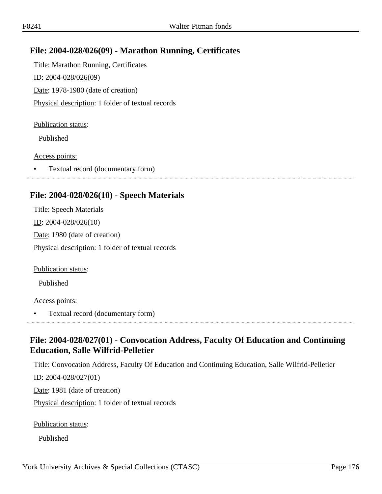## **File: 2004-028/026(09) - Marathon Running, Certificates**

Title: Marathon Running, Certificates ID: 2004-028/026(09) Date: 1978-1980 (date of creation) Physical description: 1 folder of textual records

#### Publication status:

Published

#### Access points:

• Textual record (documentary form)

## **File: 2004-028/026(10) - Speech Materials**

Title: Speech Materials ID: 2004-028/026(10) Date: 1980 (date of creation) Physical description: 1 folder of textual records

Publication status:

Published

#### Access points:

• Textual record (documentary form)

## **File: 2004-028/027(01) - Convocation Address, Faculty Of Education and Continuing Education, Salle Wilfrid-Pelletier**

Title: Convocation Address, Faculty Of Education and Continuing Education, Salle Wilfrid-Pelletier ID: 2004-028/027(01) Date: 1981 (date of creation) Physical description: 1 folder of textual records

Publication status:

Published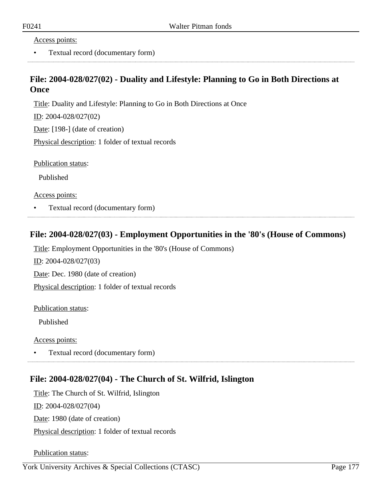Access points:

• Textual record (documentary form)

## **File: 2004-028/027(02) - Duality and Lifestyle: Planning to Go in Both Directions at Once**

Title: Duality and Lifestyle: Planning to Go in Both Directions at Once

ID: 2004-028/027(02)

Date: [198-] (date of creation)

Physical description: 1 folder of textual records

Publication status:

Published

Access points:

• Textual record (documentary form)

## **File: 2004-028/027(03) - Employment Opportunities in the '80's (House of Commons)**

Title: Employment Opportunities in the '80's (House of Commons) ID: 2004-028/027(03) Date: Dec. 1980 (date of creation) Physical description: 1 folder of textual records

Publication status:

Published

Access points:

• Textual record (documentary form)

### **File: 2004-028/027(04) - The Church of St. Wilfrid, Islington**

Title: The Church of St. Wilfrid, Islington ID: 2004-028/027(04) Date: 1980 (date of creation) Physical description: 1 folder of textual records

Publication status: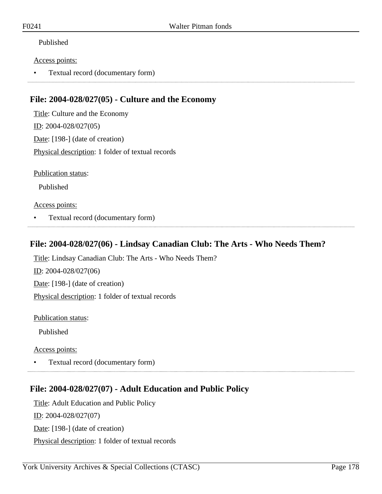### Published

#### Access points:

• Textual record (documentary form)

## **File: 2004-028/027(05) - Culture and the Economy**

Title: Culture and the Economy ID: 2004-028/027(05) Date: [198-] (date of creation) Physical description: 1 folder of textual records

Publication status:

Published

#### Access points:

• Textual record (documentary form)

## **File: 2004-028/027(06) - Lindsay Canadian Club: The Arts - Who Needs Them?**

Title: Lindsay Canadian Club: The Arts - Who Needs Them?

ID: 2004-028/027(06) Date: [198-] (date of creation) Physical description: 1 folder of textual records

Publication status:

Published

Access points:

• Textual record (documentary form)

# **File: 2004-028/027(07) - Adult Education and Public Policy**

Title: Adult Education and Public Policy ID: 2004-028/027(07) Date: [198-] (date of creation) Physical description: 1 folder of textual records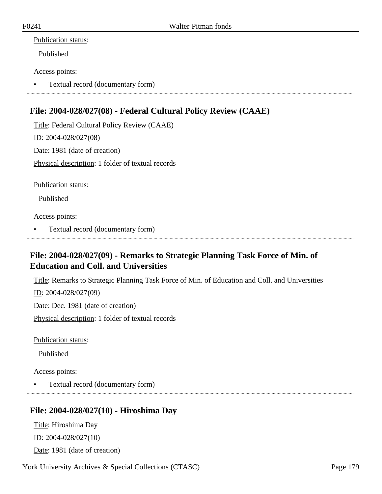Published

### Access points:

• Textual record (documentary form)

# **File: 2004-028/027(08) - Federal Cultural Policy Review (CAAE)**

Title: Federal Cultural Policy Review (CAAE) ID: 2004-028/027(08) Date: 1981 (date of creation) Physical description: 1 folder of textual records

Publication status:

Published

Access points:

• Textual record (documentary form)

# **File: 2004-028/027(09) - Remarks to Strategic Planning Task Force of Min. of Education and Coll. and Universities**

Title: Remarks to Strategic Planning Task Force of Min. of Education and Coll. and Universities

ID: 2004-028/027(09)

Date: Dec. 1981 (date of creation)

Physical description: 1 folder of textual records

Publication status:

Published

### Access points:

• Textual record (documentary form)

# **File: 2004-028/027(10) - Hiroshima Day**

Title: Hiroshima Day ID: 2004-028/027(10)

Date: 1981 (date of creation)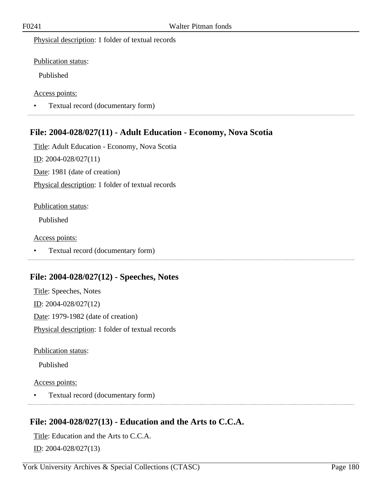Physical description: 1 folder of textual records

Publication status:

Published

Access points:

• Textual record (documentary form) 

## **File: 2004-028/027(11) - Adult Education - Economy, Nova Scotia**

Title: Adult Education - Economy, Nova Scotia ID: 2004-028/027(11)

Date: 1981 (date of creation)

Physical description: 1 folder of textual records

#### Publication status:

Published

Access points:

• Textual record (documentary form)

## **File: 2004-028/027(12) - Speeches, Notes**

Title: Speeches, Notes ID: 2004-028/027(12) Date: 1979-1982 (date of creation) Physical description: 1 folder of textual records

Publication status:

Published

Access points:

• Textual record (documentary form)

## **File: 2004-028/027(13) - Education and the Arts to C.C.A.**

Title: Education and the Arts to C.C.A.

ID: 2004-028/027(13)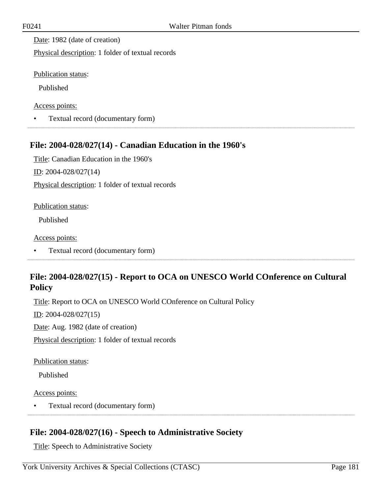Date: 1982 (date of creation)

Physical description: 1 folder of textual records

Publication status:

Published

Access points:

• Textual record (documentary form)

## **File: 2004-028/027(14) - Canadian Education in the 1960's**

Title: Canadian Education in the 1960's

ID: 2004-028/027(14)

Physical description: 1 folder of textual records

Publication status:

Published

Access points:

• Textual record (documentary form)

## **File: 2004-028/027(15) - Report to OCA on UNESCO World COnference on Cultural Policy**

Title: Report to OCA on UNESCO World COnference on Cultural Policy

ID: 2004-028/027(15)

Date: Aug. 1982 (date of creation)

Physical description: 1 folder of textual records

Publication status:

Published

Access points:

• Textual record (documentary form)

## **File: 2004-028/027(16) - Speech to Administrative Society**

Title: Speech to Administrative Society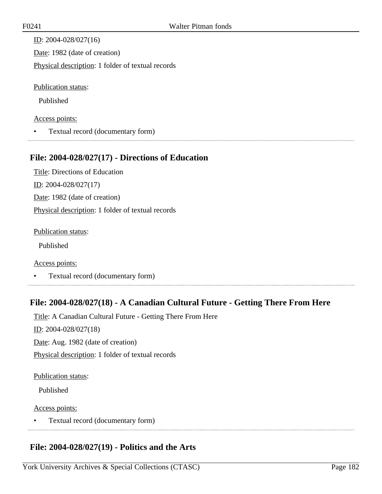ID: 2004-028/027(16) Date: 1982 (date of creation) Physical description: 1 folder of textual records

Publication status:

Published

#### Access points:

• Textual record (documentary form)

## **File: 2004-028/027(17) - Directions of Education**

Title: Directions of Education ID: 2004-028/027(17) Date: 1982 (date of creation) Physical description: 1 folder of textual records

Publication status:

Published

Access points:

• Textual record (documentary form)

## **File: 2004-028/027(18) - A Canadian Cultural Future - Getting There From Here**

Title: A Canadian Cultural Future - Getting There From Here ID: 2004-028/027(18) Date: Aug. 1982 (date of creation) Physical description: 1 folder of textual records

#### Publication status:

Published

#### Access points:

• Textual record (documentary form) 

## **File: 2004-028/027(19) - Politics and the Arts**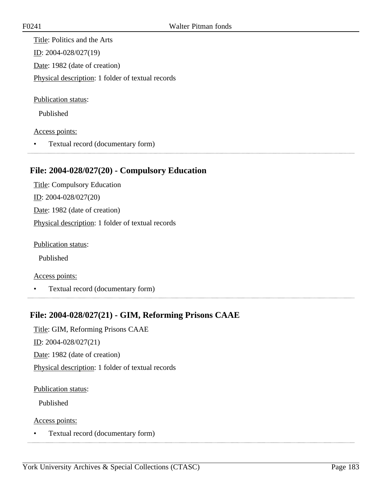Title: Politics and the Arts ID: 2004-028/027(19) Date: 1982 (date of creation) Physical description: 1 folder of textual records

Publication status:

Published

Access points:

• Textual record (documentary form)

## **File: 2004-028/027(20) - Compulsory Education**

Title: Compulsory Education ID: 2004-028/027(20) Date: 1982 (date of creation) Physical description: 1 folder of textual records

Publication status:

Published

Access points:

• Textual record (documentary form)

## **File: 2004-028/027(21) - GIM, Reforming Prisons CAAE**

Title: GIM, Reforming Prisons CAAE

 $ID: 2004-028/027(21)$ 

Date: 1982 (date of creation)

Physical description: 1 folder of textual records

Publication status:

Published

Access points:

• Textual record (documentary form)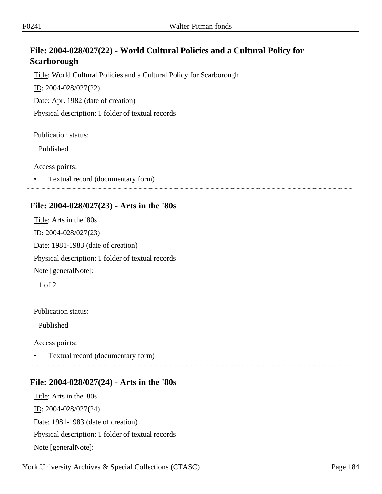## **File: 2004-028/027(22) - World Cultural Policies and a Cultural Policy for Scarborough**

Title: World Cultural Policies and a Cultural Policy for Scarborough

ID: 2004-028/027(22)

Date: Apr. 1982 (date of creation)

Physical description: 1 folder of textual records

#### Publication status:

Published

Access points:

• Textual record (documentary form)

## **File: 2004-028/027(23) - Arts in the '80s**

Title: Arts in the '80s ID: 2004-028/027(23) Date: 1981-1983 (date of creation) Physical description: 1 folder of textual records Note [generalNote]: 1 of 2

Publication status:

Published

Access points:

• Textual record (documentary form)

## **File: 2004-028/027(24) - Arts in the '80s**

Title: Arts in the '80s  $ID: 2004-028/027(24)$ Date: 1981-1983 (date of creation) Physical description: 1 folder of textual records Note [generalNote]: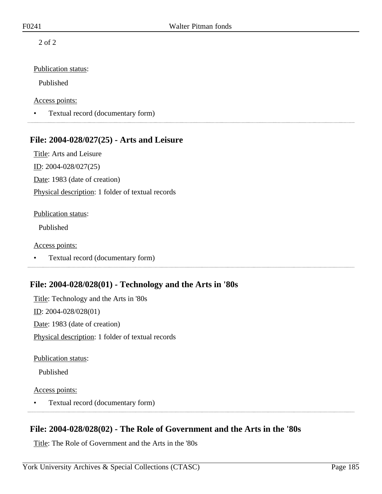2 of 2

#### Publication status:

Published

#### Access points:

• Textual record (documentary form)

#### **File: 2004-028/027(25) - Arts and Leisure**

Title: Arts and Leisure ID: 2004-028/027(25) Date: 1983 (date of creation) Physical description: 1 folder of textual records

#### Publication status:

Published

#### Access points:

• Textual record (documentary form)

## **File: 2004-028/028(01) - Technology and the Arts in '80s**

Title: Technology and the Arts in '80s ID: 2004-028/028(01) Date: 1983 (date of creation) Physical description: 1 folder of textual records

Publication status:

Published

#### Access points:

• Textual record (documentary form)

## **File: 2004-028/028(02) - The Role of Government and the Arts in the '80s**

Title: The Role of Government and the Arts in the '80s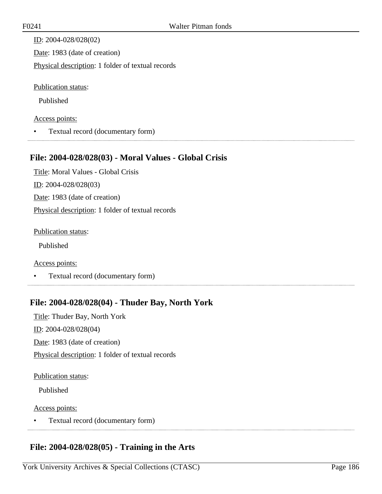ID: 2004-028/028(02) Date: 1983 (date of creation) Physical description: 1 folder of textual records

Publication status:

Published

#### Access points:

• Textual record (documentary form)

## **File: 2004-028/028(03) - Moral Values - Global Crisis**

Title: Moral Values - Global Crisis ID: 2004-028/028(03) Date: 1983 (date of creation) Physical description: 1 folder of textual records

Publication status:

Published

Access points:

• Textual record (documentary form)

## **File: 2004-028/028(04) - Thuder Bay, North York**

Title: Thuder Bay, North York ID: 2004-028/028(04) Date: 1983 (date of creation) Physical description: 1 folder of textual records

#### Publication status:

Published

#### Access points:

• Textual record (documentary form) 

## **File: 2004-028/028(05) - Training in the Arts**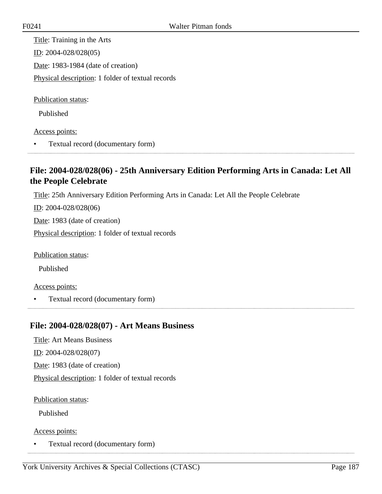Title: Training in the Arts ID: 2004-028/028(05) Date: 1983-1984 (date of creation) Physical description: 1 folder of textual records

Publication status:

Published

Access points:

• Textual record (documentary form)

## **File: 2004-028/028(06) - 25th Anniversary Edition Performing Arts in Canada: Let All the People Celebrate**

Title: 25th Anniversary Edition Performing Arts in Canada: Let All the People Celebrate

 $ID: 2004-028/028(06)$ 

Date: 1983 (date of creation)

Physical description: 1 folder of textual records

Publication status:

Published

Access points:

• Textual record (documentary form)

## **File: 2004-028/028(07) - Art Means Business**

Title: Art Means Business ID: 2004-028/028(07) Date: 1983 (date of creation) Physical description: 1 folder of textual records

Publication status:

Published

Access points:

• Textual record (documentary form)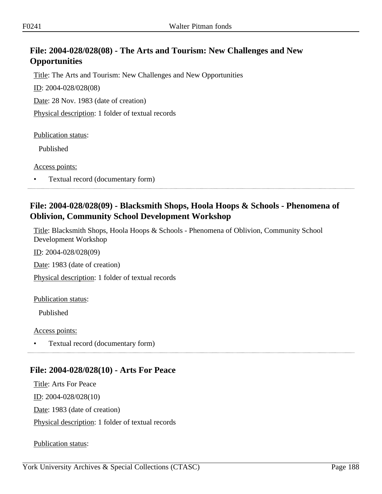## **File: 2004-028/028(08) - The Arts and Tourism: New Challenges and New Opportunities**

Title: The Arts and Tourism: New Challenges and New Opportunities

ID: 2004-028/028(08)

Date: 28 Nov. 1983 (date of creation)

Physical description: 1 folder of textual records

Publication status:

Published

Access points:

• Textual record (documentary form)

## **File: 2004-028/028(09) - Blacksmith Shops, Hoola Hoops & Schools - Phenomena of Oblivion, Community School Development Workshop**

Title: Blacksmith Shops, Hoola Hoops & Schools - Phenomena of Oblivion, Community School Development Workshop

ID: 2004-028/028(09)

Date: 1983 (date of creation)

Physical description: 1 folder of textual records

Publication status:

Published

Access points:

• Textual record (documentary form)

## **File: 2004-028/028(10) - Arts For Peace**

Title: Arts For Peace  $ID: 2004-028/028(10)$ Date: 1983 (date of creation) Physical description: 1 folder of textual records

Publication status: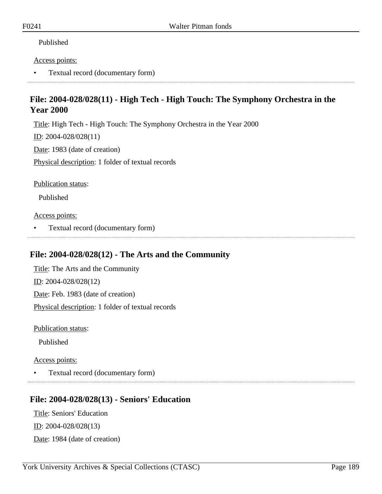#### Published

#### Access points:

• Textual record (documentary form)

## **File: 2004-028/028(11) - High Tech - High Touch: The Symphony Orchestra in the Year 2000**

Title: High Tech - High Touch: The Symphony Orchestra in the Year 2000

ID: 2004-028/028(11)

Date: 1983 (date of creation)

Physical description: 1 folder of textual records

Publication status:

Published

Access points:

• Textual record (documentary form)

# **File: 2004-028/028(12) - The Arts and the Community**

Title: The Arts and the Community ID: 2004-028/028(12) Date: Feb. 1983 (date of creation) Physical description: 1 folder of textual records

Publication status:

Published

Access points:

• Textual record (documentary form)

#### **File: 2004-028/028(13) - Seniors' Education**

Title: Seniors' Education ID: 2004-028/028(13) Date: 1984 (date of creation)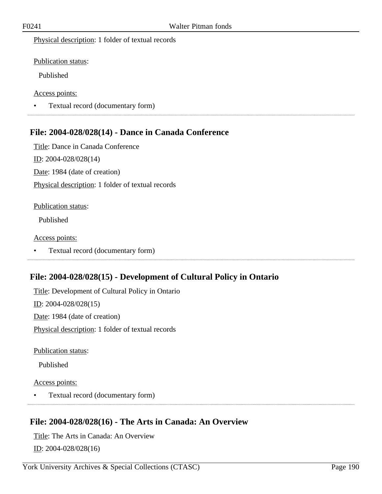Physical description: 1 folder of textual records

Publication status:

Published

Access points:

• Textual record (documentary form) 

## **File: 2004-028/028(14) - Dance in Canada Conference**

Title: Dance in Canada Conference ID: 2004-028/028(14) Date: 1984 (date of creation) Physical description: 1 folder of textual records

#### Publication status:

Published

#### Access points:

• Textual record (documentary form)

## **File: 2004-028/028(15) - Development of Cultural Policy in Ontario**

Title: Development of Cultural Policy in Ontario ID: 2004-028/028(15) Date: 1984 (date of creation) Physical description: 1 folder of textual records

Publication status:

Published

#### Access points:

• Textual record (documentary form)

## **File: 2004-028/028(16) - The Arts in Canada: An Overview**

Title: The Arts in Canada: An Overview ID: 2004-028/028(16)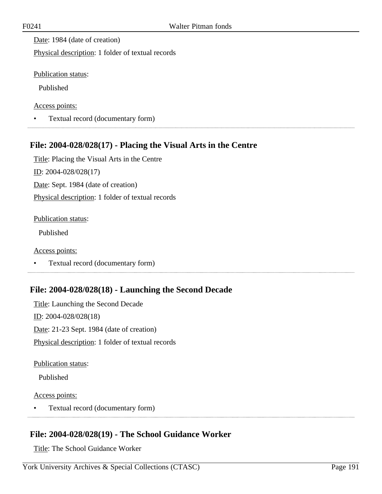Date: 1984 (date of creation)

Physical description: 1 folder of textual records

Publication status:

Published

Access points:

• Textual record (documentary form)

## **File: 2004-028/028(17) - Placing the Visual Arts in the Centre**

Title: Placing the Visual Arts in the Centre ID: 2004-028/028(17) Date: Sept. 1984 (date of creation) Physical description: 1 folder of textual records

Publication status:

Published

Access points:

• Textual record (documentary form)

## **File: 2004-028/028(18) - Launching the Second Decade**

Title: Launching the Second Decade ID: 2004-028/028(18) Date: 21-23 Sept. 1984 (date of creation) Physical description: 1 folder of textual records

Publication status:

Published

#### Access points:

• Textual record (documentary form) 

## **File: 2004-028/028(19) - The School Guidance Worker**

Title: The School Guidance Worker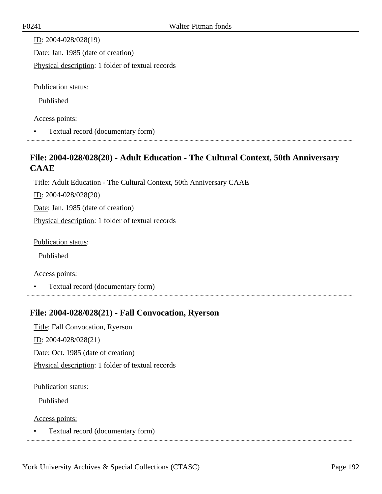| ID: $2004 - 028/028(19)$                          |
|---------------------------------------------------|
| Date: Jan. 1985 (date of creation)                |
| Physical description: 1 folder of textual records |
|                                                   |
| Publication status:                               |
| Published                                         |
| Access points:                                    |

• Textual record (documentary form)

## **File: 2004-028/028(20) - Adult Education - The Cultural Context, 50th Anniversary CAAE**

Title: Adult Education - The Cultural Context, 50th Anniversary CAAE

ID: 2004-028/028(20)

Date: Jan. 1985 (date of creation)

Physical description: 1 folder of textual records

Publication status:

Published

#### Access points:

• Textual record (documentary form) 

## **File: 2004-028/028(21) - Fall Convocation, Ryerson**

Title: Fall Convocation, Ryerson ID: 2004-028/028(21) Date: Oct. 1985 (date of creation) Physical description: 1 folder of textual records

#### Publication status:

Published

Access points:

• Textual record (documentary form)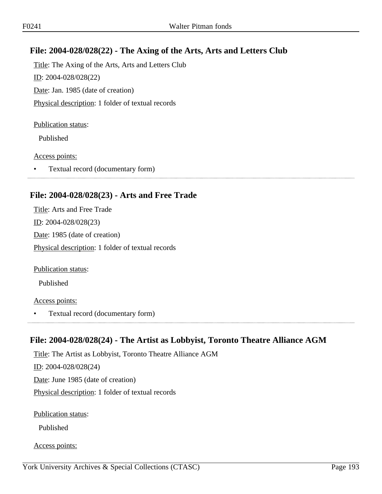## **File: 2004-028/028(22) - The Axing of the Arts, Arts and Letters Club**

Title: The Axing of the Arts, Arts and Letters Club ID: 2004-028/028(22) Date: Jan. 1985 (date of creation) Physical description: 1 folder of textual records

#### Publication status:

Published

#### Access points:

• Textual record (documentary form)

## **File: 2004-028/028(23) - Arts and Free Trade**

Title: Arts and Free Trade ID: 2004-028/028(23) Date: 1985 (date of creation) Physical description: 1 folder of textual records

Publication status:

Published

#### Access points:

• Textual record (documentary form)

## **File: 2004-028/028(24) - The Artist as Lobbyist, Toronto Theatre Alliance AGM**

Title: The Artist as Lobbyist, Toronto Theatre Alliance AGM ID: 2004-028/028(24) Date: June 1985 (date of creation) Physical description: 1 folder of textual records

Publication status:

Published

Access points: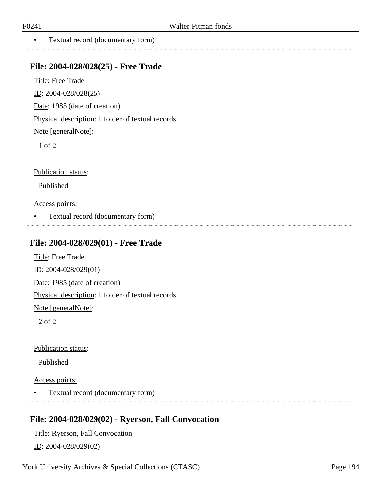. . . . . . . . . . . . . .

• Textual record (documentary form)

#### **File: 2004-028/028(25) - Free Trade**

Title: Free Trade ID: 2004-028/028(25)

Date: 1985 (date of creation)

Physical description: 1 folder of textual records

Note [generalNote]:

1 of 2

Publication status:

Published

Access points:

• Textual record (documentary form)

#### **File: 2004-028/029(01) - Free Trade**

Title: Free Trade ID: 2004-028/029(01) Date: 1985 (date of creation) Physical description: 1 folder of textual records

Note [generalNote]:

2 of 2

Publication status:

Published

Access points:

• Textual record (documentary form)

## **File: 2004-028/029(02) - Ryerson, Fall Convocation**

Title: Ryerson, Fall Convocation ID: 2004-028/029(02)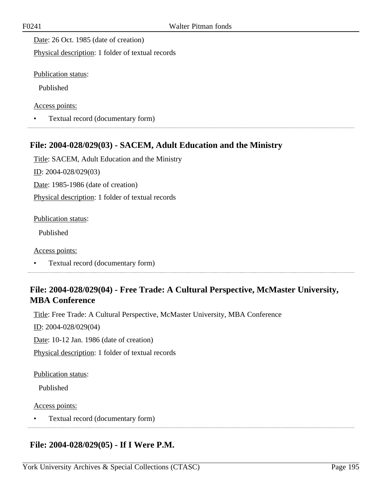Date: 26 Oct. 1985 (date of creation)

Physical description: 1 folder of textual records

Publication status:

Published

Access points:

• Textual record (documentary form)

## **File: 2004-028/029(03) - SACEM, Adult Education and the Ministry**

Title: SACEM, Adult Education and the Ministry ID: 2004-028/029(03) Date: 1985-1986 (date of creation) Physical description: 1 folder of textual records

Publication status:

Published

Access points:

• Textual record (documentary form)

## **File: 2004-028/029(04) - Free Trade: A Cultural Perspective, McMaster University, MBA Conference**

Title: Free Trade: A Cultural Perspective, McMaster University, MBA Conference

ID: 2004-028/029(04)

Date: 10-12 Jan. 1986 (date of creation)

Physical description: 1 folder of textual records

Publication status:

Published

Access points:

• Textual record (documentary form)

## **File: 2004-028/029(05) - If I Were P.M.**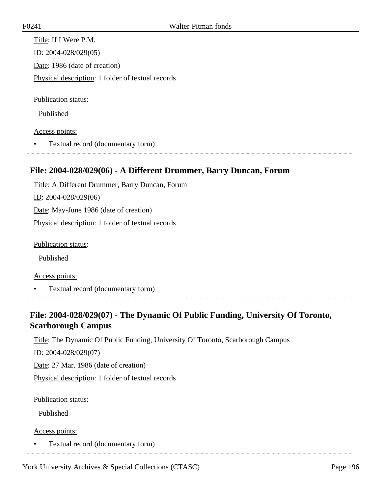Title: If I Were P.M. ID: 2004-028/029(05) Date: 1986 (date of creation) Physical description: 1 folder of textual records

Publication status:

Published

#### Access points:

• Textual record (documentary form)

## **File: 2004-028/029(06) - A Different Drummer, Barry Duncan, Forum**

Title: A Different Drummer, Barry Duncan, Forum ID: 2004-028/029(06) Date: May-June 1986 (date of creation) Physical description: 1 folder of textual records

Publication status:

Published

Access points:

• Textual record (documentary form)

## **File: 2004-028/029(07) - The Dynamic Of Public Funding, University Of Toronto, Scarborough Campus**

Title: The Dynamic Of Public Funding, University Of Toronto, Scarborough Campus

ID: 2004-028/029(07)

Date: 27 Mar. 1986 (date of creation)

Physical description: 1 folder of textual records

Publication status:

Published

Access points:

• Textual record (documentary form)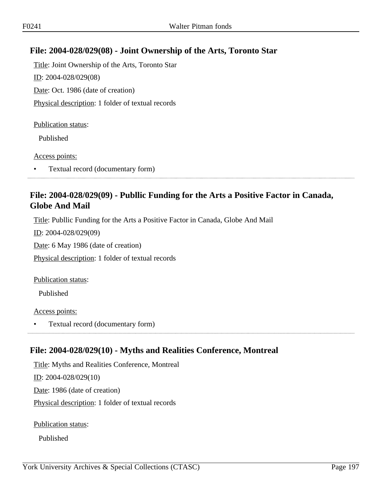## **File: 2004-028/029(08) - Joint Ownership of the Arts, Toronto Star**

Title: Joint Ownership of the Arts, Toronto Star ID: 2004-028/029(08) Date: Oct. 1986 (date of creation) Physical description: 1 folder of textual records

#### Publication status:

Published

Access points:

• Textual record (documentary form)

## **File: 2004-028/029(09) - Publlic Funding for the Arts a Positive Factor in Canada, Globe And Mail**

Title: Publlic Funding for the Arts a Positive Factor in Canada, Globe And Mail

ID: 2004-028/029(09)

Date: 6 May 1986 (date of creation)

Physical description: 1 folder of textual records

Publication status:

Published

Access points:

• Textual record (documentary form)

## **File: 2004-028/029(10) - Myths and Realities Conference, Montreal**

Title: Myths and Realities Conference, Montreal ID: 2004-028/029(10) Date: 1986 (date of creation) Physical description: 1 folder of textual records

Publication status:

Published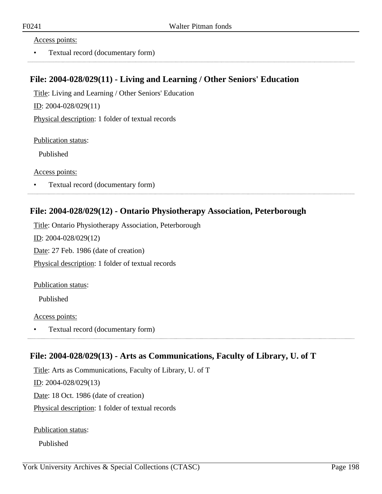#### Access points:

• Textual record (documentary form)

#### **File: 2004-028/029(11) - Living and Learning / Other Seniors' Education**

Title: Living and Learning / Other Seniors' Education ID: 2004-028/029(11)

Physical description: 1 folder of textual records

Publication status:

Published

Access points:

• Textual record (documentary form) 

#### **File: 2004-028/029(12) - Ontario Physiotherapy Association, Peterborough**

Title: Ontario Physiotherapy Association, Peterborough ID: 2004-028/029(12) Date: 27 Feb. 1986 (date of creation) Physical description: 1 folder of textual records

Publication status:

Published

Access points:

• Textual record (documentary form)

## **File: 2004-028/029(13) - Arts as Communications, Faculty of Library, U. of T**

Title: Arts as Communications, Faculty of Library, U. of T ID: 2004-028/029(13) Date: 18 Oct. 1986 (date of creation) Physical description: 1 folder of textual records

Publication status:

Published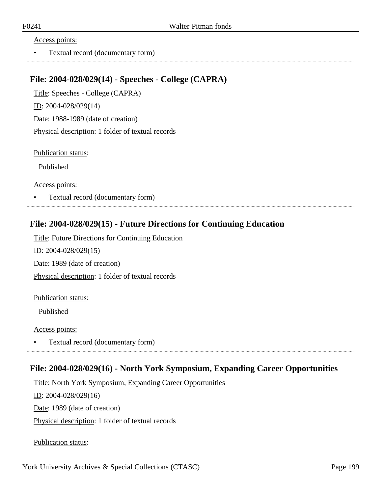#### Access points:

• Textual record (documentary form)

#### **File: 2004-028/029(14) - Speeches - College (CAPRA)**

Title: Speeches - College (CAPRA) ID: 2004-028/029(14) Date: 1988-1989 (date of creation) Physical description: 1 folder of textual records

Publication status:

Published

Access points:

• Textual record (documentary form)

## **File: 2004-028/029(15) - Future Directions for Continuing Education**

Title: Future Directions for Continuing Education ID: 2004-028/029(15) Date: 1989 (date of creation) Physical description: 1 folder of textual records

#### Publication status:

Published

Access points:

• Textual record (documentary form) 

## **File: 2004-028/029(16) - North York Symposium, Expanding Career Opportunities**

Title: North York Symposium, Expanding Career Opportunities

ID: 2004-028/029(16)

Date: 1989 (date of creation)

Physical description: 1 folder of textual records

Publication status: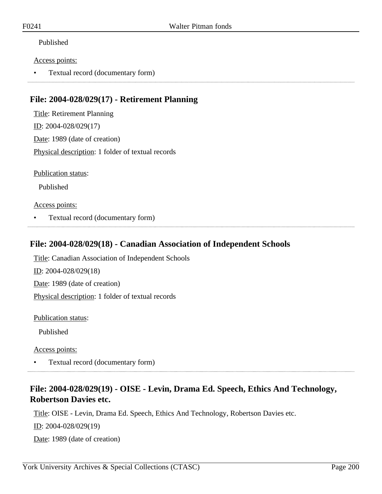#### Published

#### Access points:

• Textual record (documentary form)

## **File: 2004-028/029(17) - Retirement Planning**

Title: Retirement Planning ID: 2004-028/029(17) Date: 1989 (date of creation) Physical description: 1 folder of textual records

Publication status:

Published

#### Access points:

• Textual record (documentary form)

#### **File: 2004-028/029(18) - Canadian Association of Independent Schools**

Title: Canadian Association of Independent Schools ID: 2004-028/029(18) Date: 1989 (date of creation) Physical description: 1 folder of textual records

Publication status:

Published

Access points:

• Textual record (documentary form)

## **File: 2004-028/029(19) - OISE - Levin, Drama Ed. Speech, Ethics And Technology, Robertson Davies etc.**

Title: OISE - Levin, Drama Ed. Speech, Ethics And Technology, Robertson Davies etc.

ID: 2004-028/029(19)

Date: 1989 (date of creation)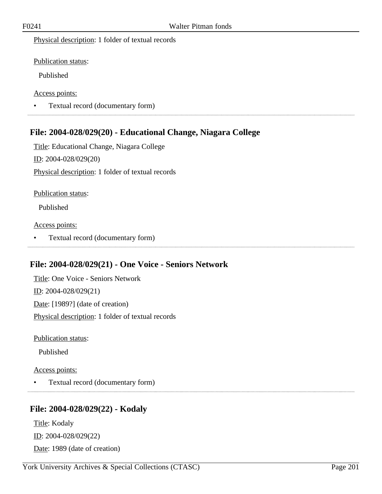#### Physical description: 1 folder of textual records

Publication status:

Published

Access points:

• Textual record (documentary form) 

## **File: 2004-028/029(20) - Educational Change, Niagara College**

Title: Educational Change, Niagara College ID: 2004-028/029(20) Physical description: 1 folder of textual records

Publication status:

Published

Access points:

• Textual record (documentary form)

## **File: 2004-028/029(21) - One Voice - Seniors Network**

Title: One Voice - Seniors Network ID: 2004-028/029(21) Date: [1989?] (date of creation) Physical description: 1 folder of textual records

Publication status:

Published

Access points:

• Textual record (documentary form)

## **File: 2004-028/029(22) - Kodaly**

Title: Kodaly ID: 2004-028/029(22) Date: 1989 (date of creation)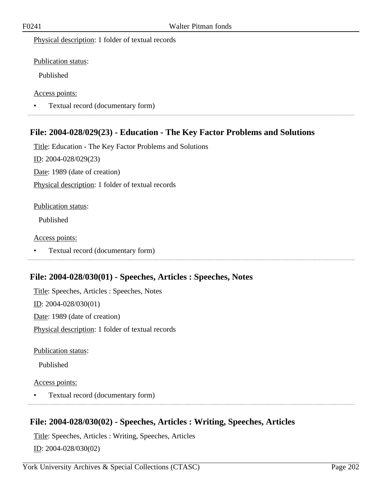Physical description: 1 folder of textual records

Publication status:

Published

Access points:

• Textual record (documentary form) 

## **File: 2004-028/029(23) - Education - The Key Factor Problems and Solutions**

Title: Education - The Key Factor Problems and Solutions ID: 2004-028/029(23) Date: 1989 (date of creation) Physical description: 1 folder of textual records

#### Publication status:

Published

Access points:

• Textual record (documentary form)

## **File: 2004-028/030(01) - Speeches, Articles : Speeches, Notes**

Title: Speeches, Articles : Speeches, Notes ID: 2004-028/030(01) Date: 1989 (date of creation) Physical description: 1 folder of textual records

Publication status:

Published

Access points:

• Textual record (documentary form)

## **File: 2004-028/030(02) - Speeches, Articles : Writing, Speeches, Articles**

Title: Speeches, Articles : Writing, Speeches, Articles ID: 2004-028/030(02)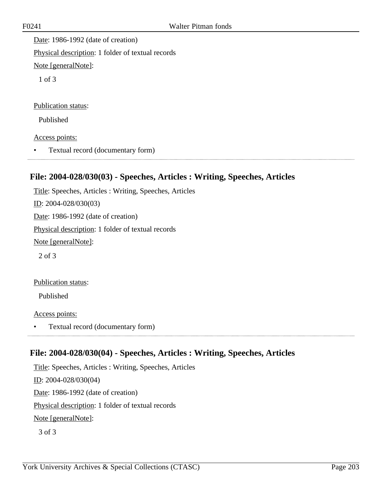Date: 1986-1992 (date of creation) Physical description: 1 folder of textual records Note [generalNote]:

1 of 3

Publication status:

Published

Access points:

• Textual record (documentary form) 

## **File: 2004-028/030(03) - Speeches, Articles : Writing, Speeches, Articles**

Title: Speeches, Articles : Writing, Speeches, Articles ID: 2004-028/030(03) Date: 1986-1992 (date of creation) Physical description: 1 folder of textual records Note [generalNote]: 2 of 3

Publication status:

Published

Access points:

• Textual record (documentary form)

## **File: 2004-028/030(04) - Speeches, Articles : Writing, Speeches, Articles**

Title: Speeches, Articles : Writing, Speeches, Articles ID: 2004-028/030(04) Date: 1986-1992 (date of creation) Physical description: 1 folder of textual records Note [generalNote]: 3 of 3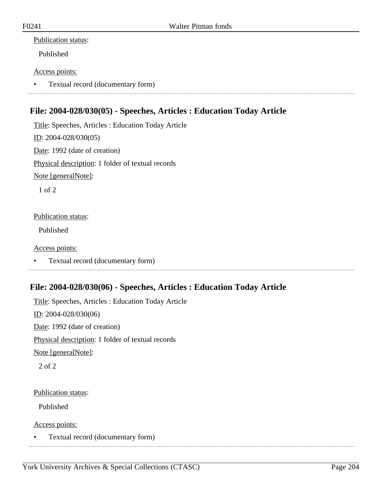#### Publication status:

Published

#### Access points:

• Textual record (documentary form)

## **File: 2004-028/030(05) - Speeches, Articles : Education Today Article**

Title: Speeches, Articles : Education Today Article ID: 2004-028/030(05) Date: 1992 (date of creation) Physical description: 1 folder of textual records Note [generalNote]:

1 of 2

#### Publication status:

Published

#### Access points:

• Textual record (documentary form)

## **File: 2004-028/030(06) - Speeches, Articles : Education Today Article**

Title: Speeches, Articles : Education Today Article ID: 2004-028/030(06) Date: 1992 (date of creation) Physical description: 1 folder of textual records Note [generalNote]: 2 of 2

#### Publication status:

Published

Access points:

• Textual record (documentary form)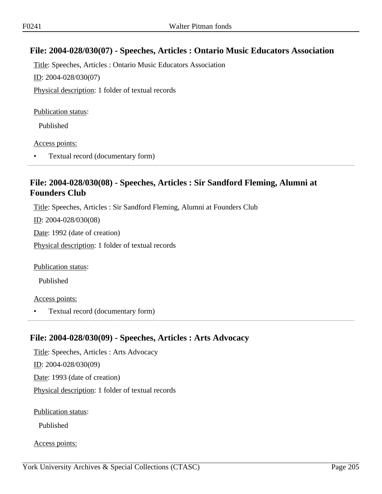## **File: 2004-028/030(07) - Speeches, Articles : Ontario Music Educators Association**

Title: Speeches, Articles : Ontario Music Educators Association ID: 2004-028/030(07) Physical description: 1 folder of textual records

Publication status:

Published

Access points:

• Textual record (documentary form)

## **File: 2004-028/030(08) - Speeches, Articles : Sir Sandford Fleming, Alumni at Founders Club**

Title: Speeches, Articles : Sir Sandford Fleming, Alumni at Founders Club

ID: 2004-028/030(08)

Date: 1992 (date of creation)

Physical description: 1 folder of textual records

Publication status:

Published

Access points:

• Textual record (documentary form)

## **File: 2004-028/030(09) - Speeches, Articles : Arts Advocacy**

Title: Speeches, Articles : Arts Advocacy ID: 2004-028/030(09) Date: 1993 (date of creation) Physical description: 1 folder of textual records

Publication status:

Published

Access points: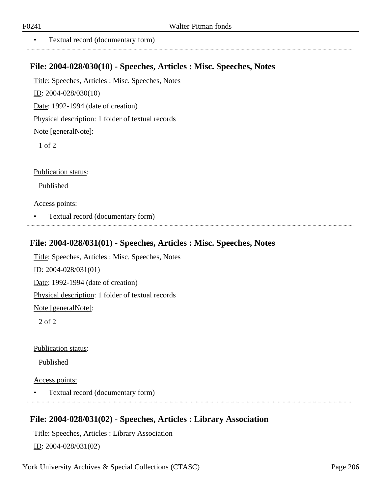• Textual record (documentary form)

#### **File: 2004-028/030(10) - Speeches, Articles : Misc. Speeches, Notes**

Title: Speeches, Articles : Misc. Speeches, Notes

ID: 2004-028/030(10)

Date: 1992-1994 (date of creation)

Physical description: 1 folder of textual records

Note [generalNote]:

1 of 2

Publication status:

Published

Access points:

• Textual record (documentary form)

#### **File: 2004-028/031(01) - Speeches, Articles : Misc. Speeches, Notes**

Title: Speeches, Articles : Misc. Speeches, Notes ID: 2004-028/031(01) Date: 1992-1994 (date of creation) Physical description: 1 folder of textual records Note [generalNote]: 2 of 2

Publication status:

Published

Access points:

• Textual record (documentary form)

# **File: 2004-028/031(02) - Speeches, Articles : Library Association**

Title: Speeches, Articles : Library Association ID: 2004-028/031(02)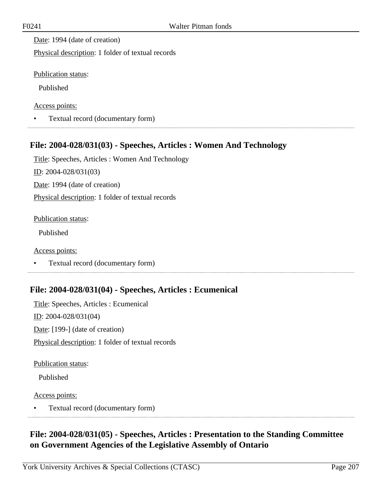Date: 1994 (date of creation)

Physical description: 1 folder of textual records

Publication status:

Published

Access points:

• Textual record (documentary form)

## **File: 2004-028/031(03) - Speeches, Articles : Women And Technology**

Title: Speeches, Articles : Women And Technology ID: 2004-028/031(03) Date: 1994 (date of creation) Physical description: 1 folder of textual records

Publication status:

Published

Access points:

• Textual record (documentary form)

## **File: 2004-028/031(04) - Speeches, Articles : Ecumenical**

Title: Speeches, Articles : Ecumenical ID: 2004-028/031(04) Date: [199-] (date of creation) Physical description: 1 folder of textual records

Publication status:

Published

Access points:

• Textual record (documentary form) 

## **File: 2004-028/031(05) - Speeches, Articles : Presentation to the Standing Committee on Government Agencies of the Legislative Assembly of Ontario**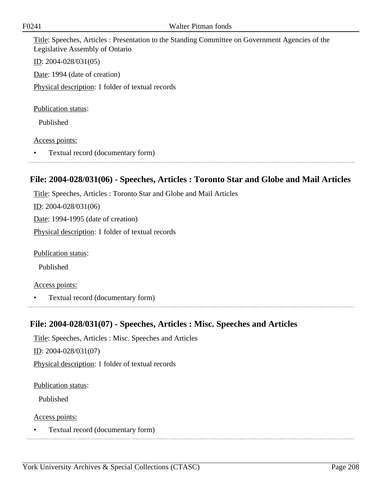Title: Speeches, Articles : Presentation to the Standing Committee on Government Agencies of the Legislative Assembly of Ontario

ID: 2004-028/031(05)

Date: 1994 (date of creation)

Physical description: 1 folder of textual records

Publication status:

Published

#### Access points:

• Textual record (documentary form)

## **File: 2004-028/031(06) - Speeches, Articles : Toronto Star and Globe and Mail Articles**

Title: Speeches, Articles : Toronto Star and Globe and Mail Articles ID: 2004-028/031(06) Date: 1994-1995 (date of creation) Physical description: 1 folder of textual records

Publication status:

Published

Access points:

• Textual record (documentary form)

#### **File: 2004-028/031(07) - Speeches, Articles : Misc. Speeches and Articles**

Title: Speeches, Articles : Misc. Speeches and Articles ID: 2004-028/031(07) Physical description: 1 folder of textual records

Publication status:

Published

Access points:

• Textual record (documentary form)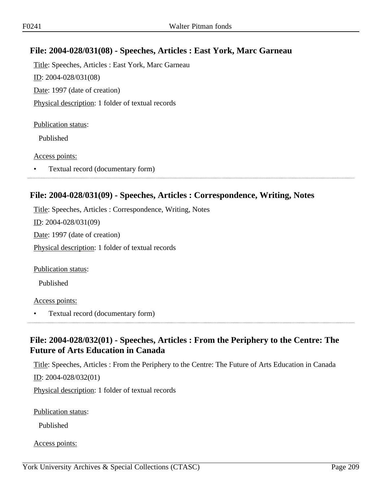## **File: 2004-028/031(08) - Speeches, Articles : East York, Marc Garneau**

Title: Speeches, Articles : East York, Marc Garneau ID: 2004-028/031(08) Date: 1997 (date of creation) Physical description: 1 folder of textual records

#### Publication status:

Published

#### Access points:

• Textual record (documentary form)

#### **File: 2004-028/031(09) - Speeches, Articles : Correspondence, Writing, Notes**

Title: Speeches, Articles : Correspondence, Writing, Notes ID: 2004-028/031(09) Date: 1997 (date of creation) Physical description: 1 folder of textual records

Publication status:

Published

#### Access points:

• Textual record (documentary form)

## **File: 2004-028/032(01) - Speeches, Articles : From the Periphery to the Centre: The Future of Arts Education in Canada**

Title: Speeches, Articles : From the Periphery to the Centre: The Future of Arts Education in Canada ID: 2004-028/032(01)

Physical description: 1 folder of textual records

Publication status:

Published

Access points: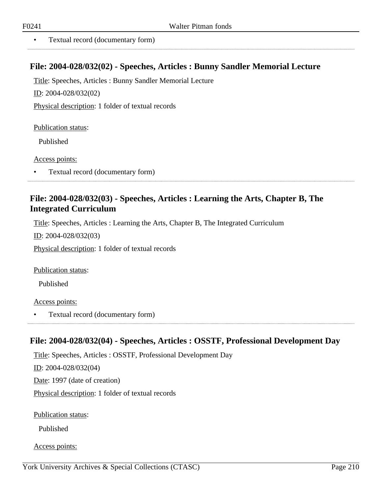• Textual record (documentary form)

#### **File: 2004-028/032(02) - Speeches, Articles : Bunny Sandler Memorial Lecture**

Title: Speeches, Articles : Bunny Sandler Memorial Lecture

ID: 2004-028/032(02)

Physical description: 1 folder of textual records

Publication status:

Published

Access points:

• Textual record (documentary form)

## **File: 2004-028/032(03) - Speeches, Articles : Learning the Arts, Chapter B, The Integrated Curriculum**

Title: Speeches, Articles : Learning the Arts, Chapter B, The Integrated Curriculum

ID: 2004-028/032(03)

Physical description: 1 folder of textual records

Publication status:

Published

Access points:

• Textual record (documentary form)

## **File: 2004-028/032(04) - Speeches, Articles : OSSTF, Professional Development Day**

Title: Speeches, Articles : OSSTF, Professional Development Day ID: 2004-028/032(04) Date: 1997 (date of creation) Physical description: 1 folder of textual records

Publication status:

Published

Access points: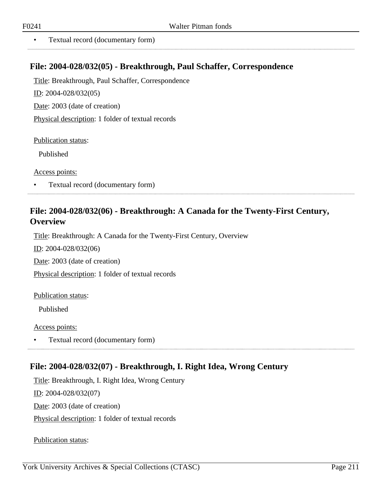. . . . . . . . . . . . . . .

• Textual record (documentary form)

#### **File: 2004-028/032(05) - Breakthrough, Paul Schaffer, Correspondence**

Title: Breakthrough, Paul Schaffer, Correspondence

ID: 2004-028/032(05)

Date: 2003 (date of creation)

Physical description: 1 folder of textual records

Publication status:

Published

Access points:

• Textual record (documentary form)

## **File: 2004-028/032(06) - Breakthrough: A Canada for the Twenty-First Century, Overview**

Title: Breakthrough: A Canada for the Twenty-First Century, Overview

ID: 2004-028/032(06)

Date: 2003 (date of creation)

Physical description: 1 folder of textual records

#### Publication status:

Published

Access points:

• Textual record (documentary form)

## **File: 2004-028/032(07) - Breakthrough, I. Right Idea, Wrong Century**

Title: Breakthrough, I. Right Idea, Wrong Century ID: 2004-028/032(07) Date: 2003 (date of creation) Physical description: 1 folder of textual records

Publication status: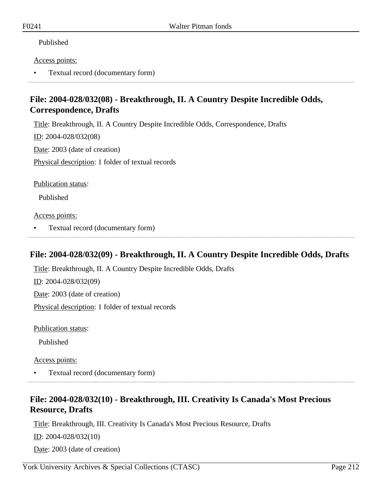#### Published

#### Access points:

• Textual record (documentary form)

## **File: 2004-028/032(08) - Breakthrough, II. A Country Despite Incredible Odds, Correspondence, Drafts**

Title: Breakthrough, II. A Country Despite Incredible Odds, Correspondence, Drafts

ID: 2004-028/032(08)

Date: 2003 (date of creation)

Physical description: 1 folder of textual records

Publication status:

Published

Access points:

• Textual record (documentary form)

# **File: 2004-028/032(09) - Breakthrough, II. A Country Despite Incredible Odds, Drafts**

Title: Breakthrough, II. A Country Despite Incredible Odds, Drafts ID: 2004-028/032(09) Date: 2003 (date of creation) Physical description: 1 folder of textual records

Publication status:

Published

Access points:

• Textual record (documentary form)

## **File: 2004-028/032(10) - Breakthrough, III. Creativity Is Canada's Most Precious Resource, Drafts**

Title: Breakthrough, III. Creativity Is Canada's Most Precious Resource, Drafts

ID: 2004-028/032(10)

Date: 2003 (date of creation)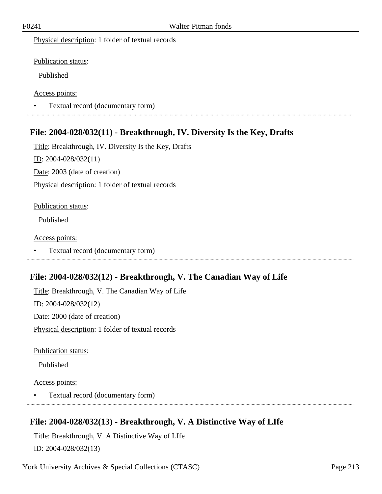Physical description: 1 folder of textual records

Publication status:

Published

Access points:

• Textual record (documentary form) 

## **File: 2004-028/032(11) - Breakthrough, IV. Diversity Is the Key, Drafts**

Title: Breakthrough, IV. Diversity Is the Key, Drafts ID: 2004-028/032(11) Date: 2003 (date of creation) Physical description: 1 folder of textual records

#### Publication status:

Published

Access points:

• Textual record (documentary form)

## **File: 2004-028/032(12) - Breakthrough, V. The Canadian Way of Life**

Title: Breakthrough, V. The Canadian Way of Life ID: 2004-028/032(12) Date: 2000 (date of creation) Physical description: 1 folder of textual records

Publication status:

Published

Access points:

• Textual record (documentary form)

## **File: 2004-028/032(13) - Breakthrough, V. A Distinctive Way of LIfe**

Title: Breakthrough, V. A Distinctive Way of LIfe ID: 2004-028/032(13)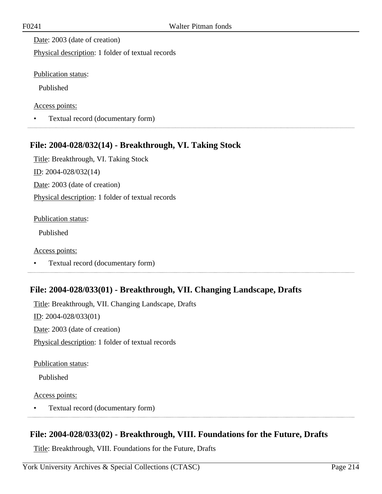Date: 2003 (date of creation)

Physical description: 1 folder of textual records

Publication status:

Published

Access points:

• Textual record (documentary form)

## **File: 2004-028/032(14) - Breakthrough, VI. Taking Stock**

Title: Breakthrough, VI. Taking Stock ID: 2004-028/032(14) Date: 2003 (date of creation) Physical description: 1 folder of textual records

#### Publication status:

Published

Access points:

• Textual record (documentary form)

## **File: 2004-028/033(01) - Breakthrough, VII. Changing Landscape, Drafts**

Title: Breakthrough, VII. Changing Landscape, Drafts ID: 2004-028/033(01) Date: 2003 (date of creation) Physical description: 1 folder of textual records

Publication status:

Published

Access points:

• Textual record (documentary form) 

## **File: 2004-028/033(02) - Breakthrough, VIII. Foundations for the Future, Drafts**

Title: Breakthrough, VIII. Foundations for the Future, Drafts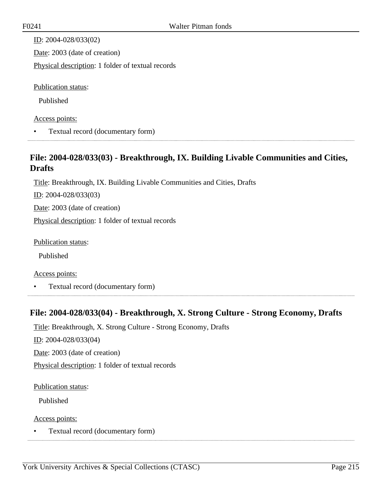| ID: $2004 - 028/033(02)$                          |
|---------------------------------------------------|
| Date: 2003 (date of creation)                     |
| Physical description: 1 folder of textual records |
|                                                   |
| <b>Publication status:</b>                        |
| Published                                         |
| Access points:                                    |

• Textual record (documentary form)

## **File: 2004-028/033(03) - Breakthrough, IX. Building Livable Communities and Cities, Drafts**

Title: Breakthrough, IX. Building Livable Communities and Cities, Drafts

ID: 2004-028/033(03)

Date: 2003 (date of creation)

Physical description: 1 folder of textual records

Publication status:

Published

#### Access points:

• Textual record (documentary form)

## **File: 2004-028/033(04) - Breakthrough, X. Strong Culture - Strong Economy, Drafts**

Title: Breakthrough, X. Strong Culture - Strong Economy, Drafts ID: 2004-028/033(04) Date: 2003 (date of creation) Physical description: 1 folder of textual records

#### Publication status:

Published

Access points:

• Textual record (documentary form)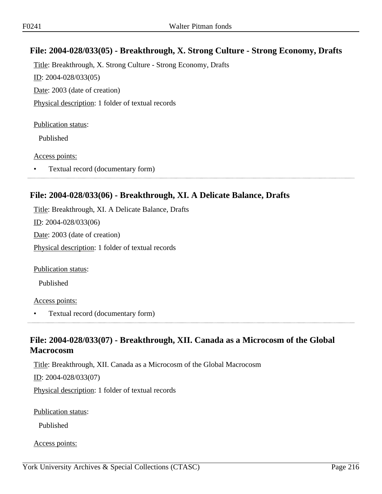## **File: 2004-028/033(05) - Breakthrough, X. Strong Culture - Strong Economy, Drafts**

Title: Breakthrough, X. Strong Culture - Strong Economy, Drafts ID: 2004-028/033(05) Date: 2003 (date of creation) Physical description: 1 folder of textual records

#### Publication status:

Published

#### Access points:

• Textual record (documentary form)

## **File: 2004-028/033(06) - Breakthrough, XI. A Delicate Balance, Drafts**

Title: Breakthrough, XI. A Delicate Balance, Drafts ID: 2004-028/033(06) Date: 2003 (date of creation) Physical description: 1 folder of textual records

Publication status:

Published

#### Access points:

• Textual record (documentary form)

## **File: 2004-028/033(07) - Breakthrough, XII. Canada as a Microcosm of the Global Macrocosm**

Title: Breakthrough, XII. Canada as a Microcosm of the Global Macrocosm ID: 2004-028/033(07)

Physical description: 1 folder of textual records

Publication status:

Published

Access points: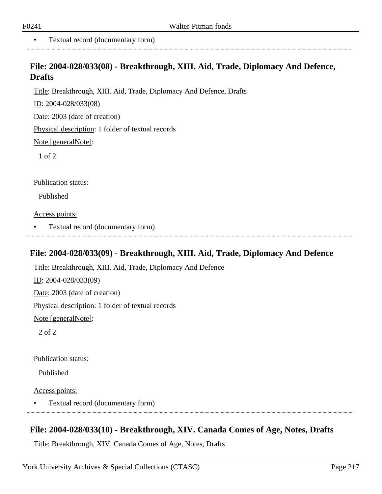• Textual record (documentary form)

## **File: 2004-028/033(08) - Breakthrough, XIII. Aid, Trade, Diplomacy And Defence, Drafts**

Title: Breakthrough, XIII. Aid, Trade, Diplomacy And Defence, Drafts

ID: 2004-028/033(08)

Date: 2003 (date of creation)

Physical description: 1 folder of textual records

Note [generalNote]:

1 of 2

Publication status:

Published

Access points:

• Textual record (documentary form)

# **File: 2004-028/033(09) - Breakthrough, XIII. Aid, Trade, Diplomacy And Defence**

Title: Breakthrough, XIII. Aid, Trade, Diplomacy And Defence ID: 2004-028/033(09) Date: 2003 (date of creation) Physical description: 1 folder of textual records Note [generalNote]: 2 of 2

Publication status:

Published

Access points:

• Textual record (documentary form)

# **File: 2004-028/033(10) - Breakthrough, XIV. Canada Comes of Age, Notes, Drafts**

Title: Breakthrough, XIV. Canada Comes of Age, Notes, Drafts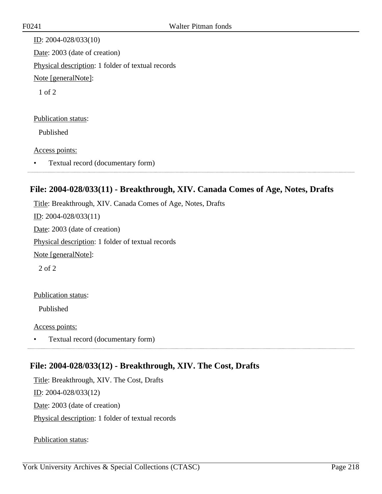ID: 2004-028/033(10) Date: 2003 (date of creation) Physical description: 1 folder of textual records Note [generalNote]: 1 of 2

#### Publication status:

Published

#### Access points:

• Textual record (documentary form)

## **File: 2004-028/033(11) - Breakthrough, XIV. Canada Comes of Age, Notes, Drafts**

Title: Breakthrough, XIV. Canada Comes of Age, Notes, Drafts ID: 2004-028/033(11) Date: 2003 (date of creation) Physical description: 1 folder of textual records Note [generalNote]: 2 of 2

### Publication status:

Published

Access points:

• Textual record (documentary form)

## **File: 2004-028/033(12) - Breakthrough, XIV. The Cost, Drafts**

Title: Breakthrough, XIV. The Cost, Drafts ID: 2004-028/033(12) Date: 2003 (date of creation) Physical description: 1 folder of textual records

Publication status: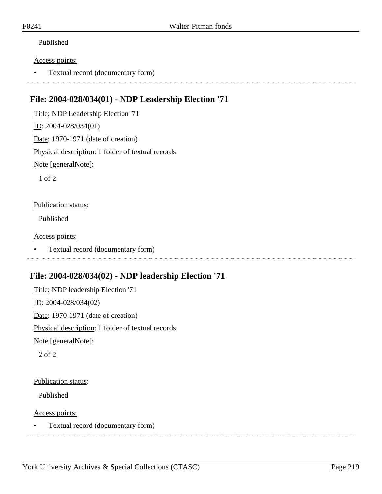### Published

#### Access points:

• Textual record (documentary form)

## **File: 2004-028/034(01) - NDP Leadership Election '71**

Title: NDP Leadership Election '71 ID: 2004-028/034(01) Date: 1970-1971 (date of creation)

Physical description: 1 folder of textual records

Note [generalNote]:

1 of 2

#### Publication status:

Published

Access points:

• Textual record (documentary form)

## **File: 2004-028/034(02) - NDP leadership Election '71**

Title: NDP leadership Election '71 ID: 2004-028/034(02) Date: 1970-1971 (date of creation) Physical description: 1 folder of textual records Note [generalNote]:

2 of 2

#### Publication status:

Published

Access points:

• Textual record (documentary form)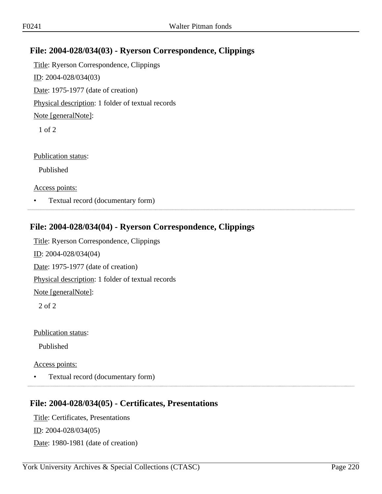# **File: 2004-028/034(03) - Ryerson Correspondence, Clippings**

Title: Ryerson Correspondence, Clippings ID: 2004-028/034(03) Date: 1975-1977 (date of creation) Physical description: 1 folder of textual records Note [generalNote]: 1 of 2

Publication status:

Published

Access points:

• Textual record (documentary form)

### **File: 2004-028/034(04) - Ryerson Correspondence, Clippings**

Title: Ryerson Correspondence, Clippings ID: 2004-028/034(04) Date: 1975-1977 (date of creation) Physical description: 1 folder of textual records Note [generalNote]: 2 of 2

Publication status:

Published

Access points:

• Textual record (documentary form)

### **File: 2004-028/034(05) - Certificates, Presentations**

Title: Certificates, Presentations ID: 2004-028/034(05) Date: 1980-1981 (date of creation)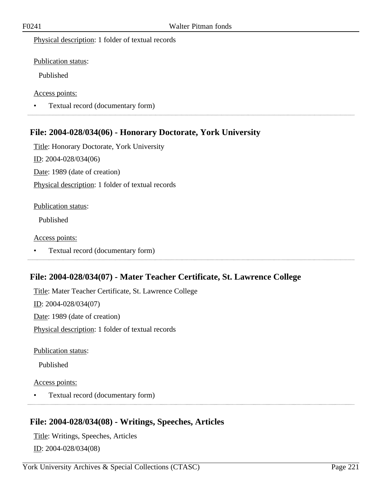Physical description: 1 folder of textual records

Publication status:

Published

Access points:

• Textual record (documentary form) 

## **File: 2004-028/034(06) - Honorary Doctorate, York University**

Title: Honorary Doctorate, York University ID: 2004-028/034(06) Date: 1989 (date of creation) Physical description: 1 folder of textual records

#### Publication status:

Published

#### Access points:

• Textual record (documentary form)

# **File: 2004-028/034(07) - Mater Teacher Certificate, St. Lawrence College**

Title: Mater Teacher Certificate, St. Lawrence College ID: 2004-028/034(07) Date: 1989 (date of creation) Physical description: 1 folder of textual records

Publication status:

Published

### Access points:

• Textual record (documentary form)

## **File: 2004-028/034(08) - Writings, Speeches, Articles**

Title: Writings, Speeches, Articles ID: 2004-028/034(08)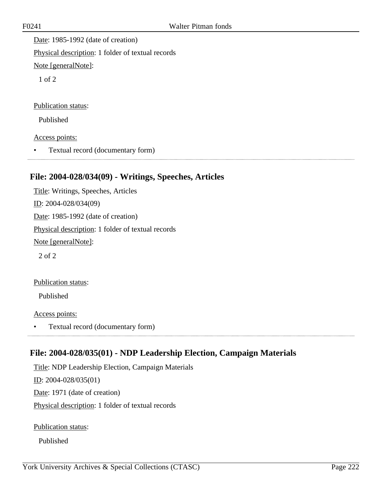Date: 1985-1992 (date of creation) Physical description: 1 folder of textual records Note [generalNote]:

1 of 2

Publication status:

Published

Access points:

• Textual record (documentary form) 

## **File: 2004-028/034(09) - Writings, Speeches, Articles**

Title: Writings, Speeches, Articles ID: 2004-028/034(09) Date: 1985-1992 (date of creation) Physical description: 1 folder of textual records Note [generalNote]:

2 of 2

Publication status:

Published

Access points:

• Textual record (documentary form) 

# **File: 2004-028/035(01) - NDP Leadership Election, Campaign Materials**

Title: NDP Leadership Election, Campaign Materials ID: 2004-028/035(01) Date: 1971 (date of creation) Physical description: 1 folder of textual records

Publication status:

Published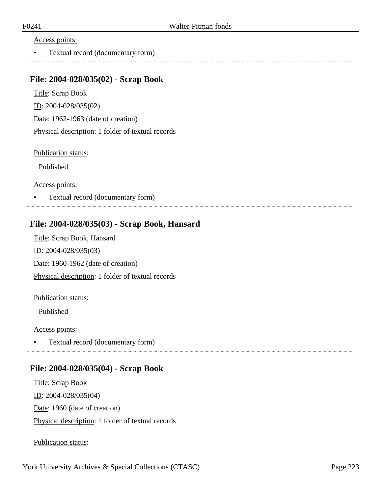#### Access points:

• Textual record (documentary form)

### **File: 2004-028/035(02) - Scrap Book**

Title: Scrap Book ID: 2004-028/035(02) Date: 1962-1963 (date of creation) Physical description: 1 folder of textual records

Publication status:

Published

Access points:

• Textual record (documentary form)

## **File: 2004-028/035(03) - Scrap Book, Hansard**

Title: Scrap Book, Hansard ID: 2004-028/035(03) Date: 1960-1962 (date of creation) Physical description: 1 folder of textual records

#### Publication status:

Published

#### Access points:

• Textual record (documentary form) 

### **File: 2004-028/035(04) - Scrap Book**

Title: Scrap Book ID: 2004-028/035(04) Date: 1960 (date of creation) Physical description: 1 folder of textual records

Publication status: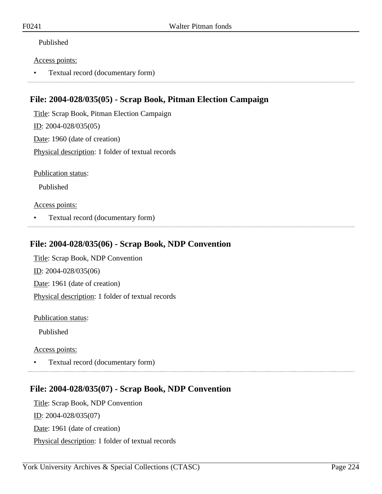### Published

#### Access points:

• Textual record (documentary form)

## **File: 2004-028/035(05) - Scrap Book, Pitman Election Campaign**

Title: Scrap Book, Pitman Election Campaign ID: 2004-028/035(05) Date: 1960 (date of creation) Physical description: 1 folder of textual records

Publication status:

Published

#### Access points:

• Textual record (documentary form)

## **File: 2004-028/035(06) - Scrap Book, NDP Convention**

Title: Scrap Book, NDP Convention ID: 2004-028/035(06) Date: 1961 (date of creation) Physical description: 1 folder of textual records

Publication status:

Published

Access points:

• Textual record (documentary form)

# **File: 2004-028/035(07) - Scrap Book, NDP Convention**

Title: Scrap Book, NDP Convention ID: 2004-028/035(07) Date: 1961 (date of creation) Physical description: 1 folder of textual records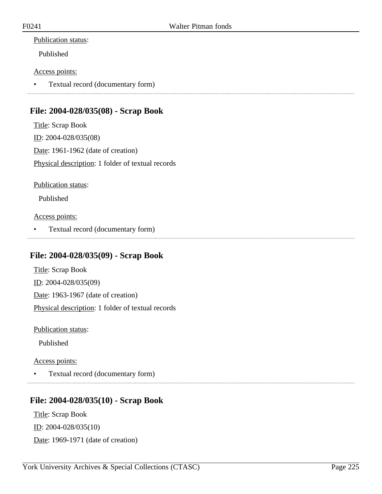### Publication status:

Published

### Access points:

• Textual record (documentary form)

# **File: 2004-028/035(08) - Scrap Book**

Title: Scrap Book ID: 2004-028/035(08) Date: 1961-1962 (date of creation) Physical description: 1 folder of textual records

Publication status:

Published

Access points:

• Textual record (documentary form)

## **File: 2004-028/035(09) - Scrap Book**

Title: Scrap Book ID: 2004-028/035(09) Date: 1963-1967 (date of creation) Physical description: 1 folder of textual records

Publication status:

Published

Access points:

• Textual record (documentary form)

## **File: 2004-028/035(10) - Scrap Book**

Title: Scrap Book ID: 2004-028/035(10) Date: 1969-1971 (date of creation)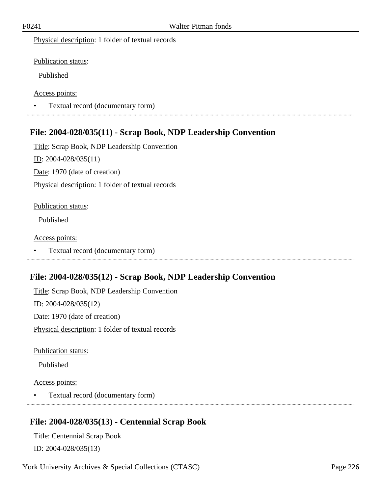Physical description: 1 folder of textual records

Publication status:

Published

Access points:

• Textual record (documentary form)

## **File: 2004-028/035(11) - Scrap Book, NDP Leadership Convention**

Title: Scrap Book, NDP Leadership Convention

ID: 2004-028/035(11)

Date: 1970 (date of creation)

Physical description: 1 folder of textual records

#### Publication status:

Published

Access points:

• Textual record (documentary form) 

# **File: 2004-028/035(12) - Scrap Book, NDP Leadership Convention**

Title: Scrap Book, NDP Leadership Convention ID: 2004-028/035(12) Date: 1970 (date of creation) Physical description: 1 folder of textual records

Publication status:

Published

Access points:

• Textual record (documentary form)

## **File: 2004-028/035(13) - Centennial Scrap Book**

Title: Centennial Scrap Book ID: 2004-028/035(13)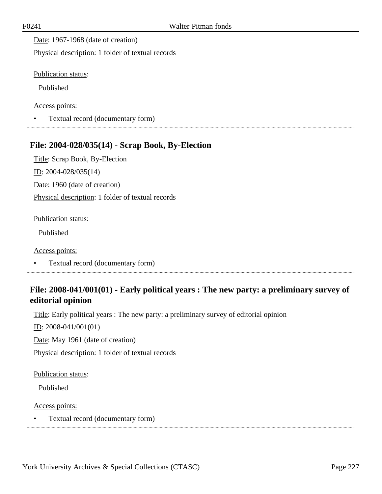Date: 1967-1968 (date of creation)

Physical description: 1 folder of textual records

Publication status:

Published

Access points:

• Textual record (documentary form)

## **File: 2004-028/035(14) - Scrap Book, By-Election**

Title: Scrap Book, By-Election ID: 2004-028/035(14) Date: 1960 (date of creation) Physical description: 1 folder of textual records

#### Publication status:

Published

Access points:

• Textual record (documentary form)

# **File: 2008-041/001(01) - Early political years : The new party: a preliminary survey of editorial opinion**

Title: Early political years : The new party: a preliminary survey of editorial opinion

ID: 2008-041/001(01)

Date: May 1961 (date of creation)

Physical description: 1 folder of textual records

Publication status:

Published

#### Access points:

• Textual record (documentary form)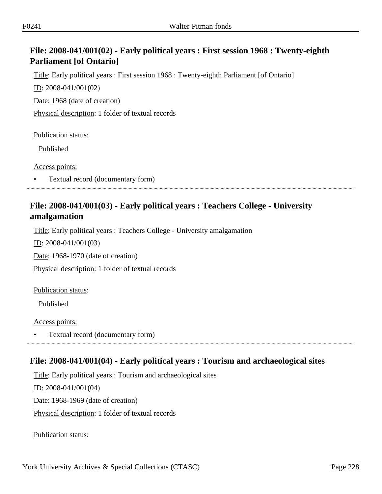# **File: 2008-041/001(02) - Early political years : First session 1968 : Twenty-eighth Parliament [of Ontario]**

Title: Early political years : First session 1968 : Twenty-eighth Parliament [of Ontario]

ID: 2008-041/001(02)

Date: 1968 (date of creation)

Physical description: 1 folder of textual records

Publication status:

Published

Access points:

• Textual record (documentary form)

# **File: 2008-041/001(03) - Early political years : Teachers College - University amalgamation**

Title: Early political years : Teachers College - University amalgamation

ID: 2008-041/001(03)

Date: 1968-1970 (date of creation)

Physical description: 1 folder of textual records

Publication status:

Published

Access points:

• Textual record (documentary form)

# **File: 2008-041/001(04) - Early political years : Tourism and archaeological sites**

Title: Early political years : Tourism and archaeological sites

ID: 2008-041/001(04)

Date: 1968-1969 (date of creation)

Physical description: 1 folder of textual records

Publication status: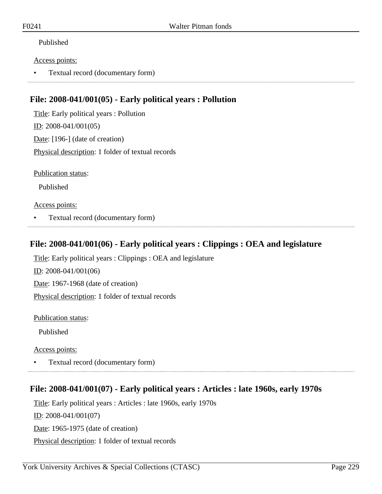### Published

#### Access points:

• Textual record (documentary form)

## **File: 2008-041/001(05) - Early political years : Pollution**

Title: Early political years : Pollution ID: 2008-041/001(05) Date: [196-] (date of creation) Physical description: 1 folder of textual records

Publication status:

Published

#### Access points:

• Textual record (documentary form)

### **File: 2008-041/001(06) - Early political years : Clippings : OEA and legislature**

Title: Early political years : Clippings : OEA and legislature ID: 2008-041/001(06)

Date: 1967-1968 (date of creation) Physical description: 1 folder of textual records

Publication status:

Published

Access points:

• Textual record (documentary form)

# **File: 2008-041/001(07) - Early political years : Articles : late 1960s, early 1970s**

Title: Early political years : Articles : late 1960s, early 1970s ID: 2008-041/001(07) Date: 1965-1975 (date of creation) Physical description: 1 folder of textual records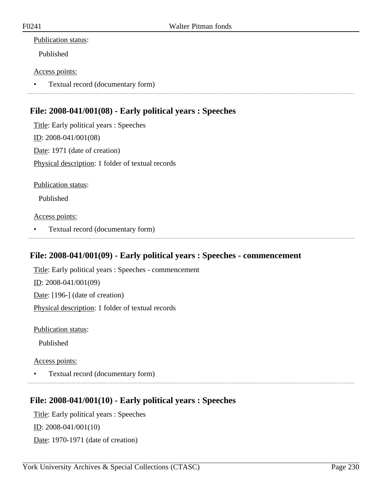### Publication status:

Published

### Access points:

• Textual record (documentary form)

# **File: 2008-041/001(08) - Early political years : Speeches**

Title: Early political years : Speeches ID: 2008-041/001(08) Date: 1971 (date of creation) Physical description: 1 folder of textual records

Publication status:

Published

Access points:

• Textual record (documentary form)

## **File: 2008-041/001(09) - Early political years : Speeches - commencement**

Title: Early political years : Speeches - commencement ID: 2008-041/001(09) Date: [196-] (date of creation) Physical description: 1 folder of textual records

Publication status:

Published

Access points:

• Textual record (documentary form)

# **File: 2008-041/001(10) - Early political years : Speeches**

Title: Early political years : Speeches ID: 2008-041/001(10) Date: 1970-1971 (date of creation)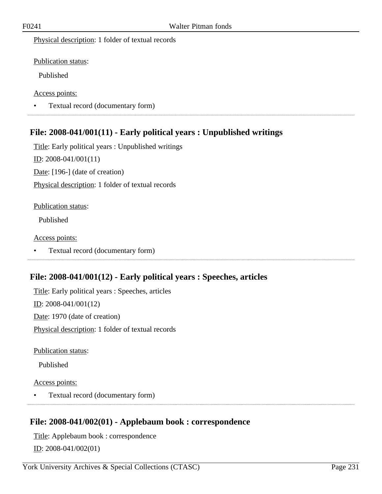Physical description: 1 folder of textual records

Publication status:

Published

Access points:

• Textual record (documentary form)

## **File: 2008-041/001(11) - Early political years : Unpublished writings**

Title: Early political years : Unpublished writings  $ID: 2008-041/001(11)$ Date: [196-] (date of creation) Physical description: 1 folder of textual records

#### Publication status:

Published

Access points:

• Textual record (documentary form)

# **File: 2008-041/001(12) - Early political years : Speeches, articles**

Title: Early political years : Speeches, articles ID: 2008-041/001(12) Date: 1970 (date of creation) Physical description: 1 folder of textual records

Publication status:

Published

Access points:

• Textual record (documentary form)

## **File: 2008-041/002(01) - Applebaum book : correspondence**

Title: Applebaum book : correspondence ID: 2008-041/002(01)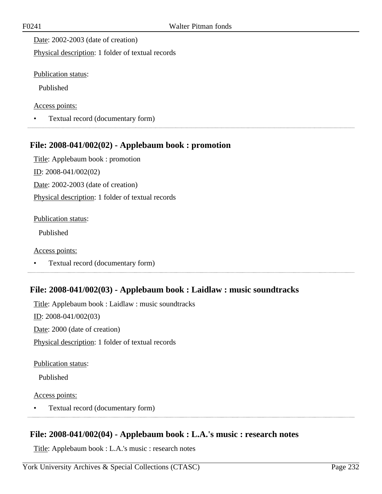Date: 2002-2003 (date of creation)

Physical description: 1 folder of textual records

Publication status:

Published

Access points:

• Textual record (documentary form)

# **File: 2008-041/002(02) - Applebaum book : promotion**

Title: Applebaum book : promotion ID: 2008-041/002(02) Date: 2002-2003 (date of creation) Physical description: 1 folder of textual records

#### Publication status:

Published

Access points:

• Textual record (documentary form)

## **File: 2008-041/002(03) - Applebaum book : Laidlaw : music soundtracks**

Title: Applebaum book : Laidlaw : music soundtracks ID: 2008-041/002(03) Date: 2000 (date of creation) Physical description: 1 folder of textual records

Publication status:

Published

Access points:

• Textual record (documentary form) 

## **File: 2008-041/002(04) - Applebaum book : L.A.'s music : research notes**

Title: Applebaum book : L.A.'s music : research notes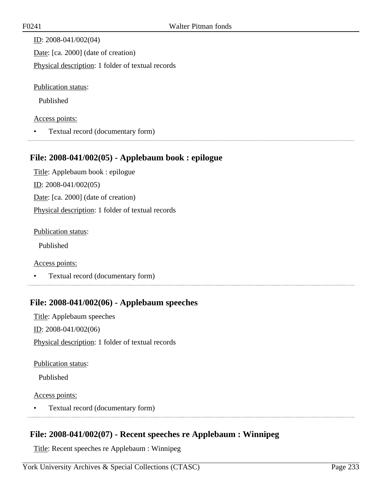ID: 2008-041/002(04) Date: [ca. 2000] (date of creation) Physical description: 1 folder of textual records

Publication status:

Published

#### Access points:

• Textual record (documentary form)

### **File: 2008-041/002(05) - Applebaum book : epilogue**

Title: Applebaum book : epilogue ID: 2008-041/002(05) Date: [ca. 2000] (date of creation) Physical description: 1 folder of textual records

Publication status:

Published

Access points:

• Textual record (documentary form)

## **File: 2008-041/002(06) - Applebaum speeches**

Title: Applebaum speeches ID: 2008-041/002(06) Physical description: 1 folder of textual records

Publication status:

Published

Access points:

• Textual record (documentary form) 

## **File: 2008-041/002(07) - Recent speeches re Applebaum : Winnipeg**

Title: Recent speeches re Applebaum : Winnipeg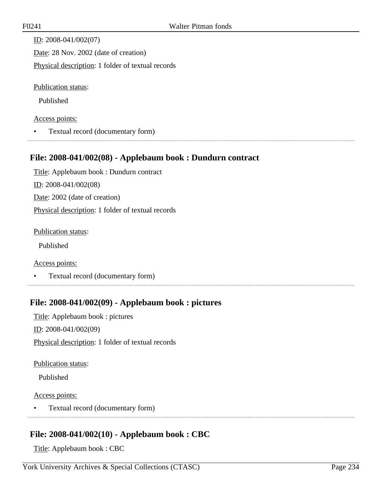ID: 2008-041/002(07) Date: 28 Nov. 2002 (date of creation) Physical description: 1 folder of textual records Publication status:

Published

#### Access points:

• Textual record (documentary form)

### **File: 2008-041/002(08) - Applebaum book : Dundurn contract**

Title: Applebaum book : Dundurn contract ID: 2008-041/002(08) Date: 2002 (date of creation) Physical description: 1 folder of textual records

Publication status:

Published

Access points:

• Textual record (documentary form)

## **File: 2008-041/002(09) - Applebaum book : pictures**

Title: Applebaum book : pictures ID: 2008-041/002(09) Physical description: 1 folder of textual records

Publication status:

Published

Access points:

• Textual record (documentary form) 

# **File: 2008-041/002(10) - Applebaum book : CBC**

Title: Applebaum book : CBC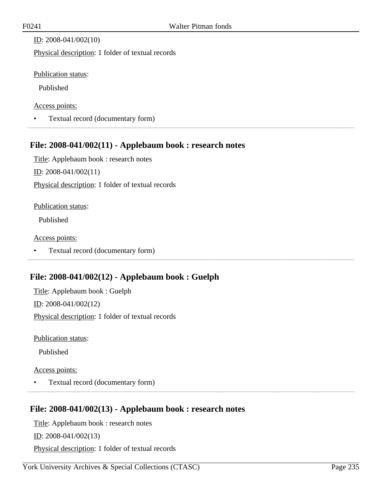### ID: 2008-041/002(10)

Physical description: 1 folder of textual records

### Publication status:

Published

### Access points:

• Textual record (documentary form)

## **File: 2008-041/002(11) - Applebaum book : research notes**

Title: Applebaum book : research notes

ID: 2008-041/002(11)

Physical description: 1 folder of textual records

### Publication status:

Published

Access points:

• Textual record (documentary form)

# **File: 2008-041/002(12) - Applebaum book : Guelph**

Title: Applebaum book : Guelph ID: 2008-041/002(12) Physical description: 1 folder of textual records

Publication status:

Published

### Access points:

• Textual record (documentary form)

# **File: 2008-041/002(13) - Applebaum book : research notes**

Title: Applebaum book : research notes

ID: 2008-041/002(13)

Physical description: 1 folder of textual records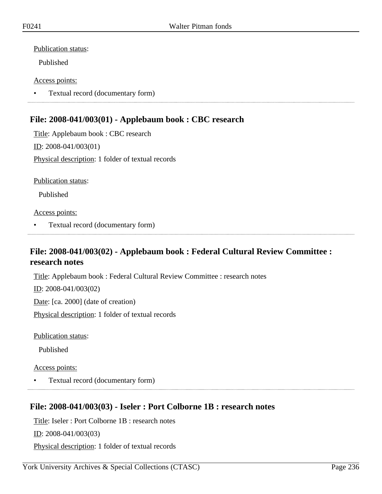#### Publication status:

Published

#### Access points:

• Textual record (documentary form)

## **File: 2008-041/003(01) - Applebaum book : CBC research**

Title: Applebaum book : CBC research ID: 2008-041/003(01) Physical description: 1 folder of textual records

Publication status:

Published

#### Access points:

• Textual record (documentary form)

## **File: 2008-041/003(02) - Applebaum book : Federal Cultural Review Committee : research notes**

Title: Applebaum book : Federal Cultural Review Committee : research notes ID: 2008-041/003(02) Date: [ca. 2000] (date of creation) Physical description: 1 folder of textual records

Publication status:

Published

### Access points:

• Textual record (documentary form)

## **File: 2008-041/003(03) - Iseler : Port Colborne 1B : research notes**

Title: Iseler : Port Colborne 1B : research notes

ID: 2008-041/003(03)

Physical description: 1 folder of textual records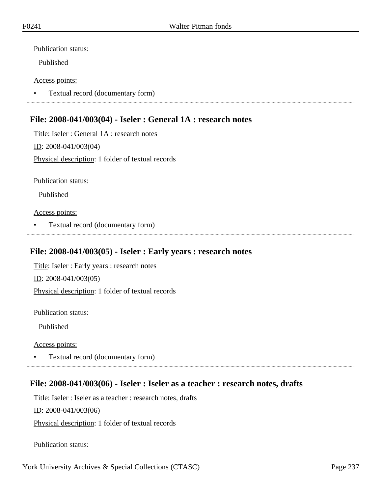#### Publication status:

Published

#### Access points:

• Textual record (documentary form)

## **File: 2008-041/003(04) - Iseler : General 1A : research notes**

Title: Iseler : General 1A : research notes ID: 2008-041/003(04) Physical description: 1 folder of textual records

Publication status:

Published

Access points:

• Textual record (documentary form)

## **File: 2008-041/003(05) - Iseler : Early years : research notes**

Title: Iseler : Early years : research notes ID: 2008-041/003(05) Physical description: 1 folder of textual records

Publication status:

Published

Access points:

• Textual record (documentary form)

## **File: 2008-041/003(06) - Iseler : Iseler as a teacher : research notes, drafts**

Title: Iseler : Iseler as a teacher : research notes, drafts

 $ID: 2008-041/003(06)$ 

Physical description: 1 folder of textual records

Publication status: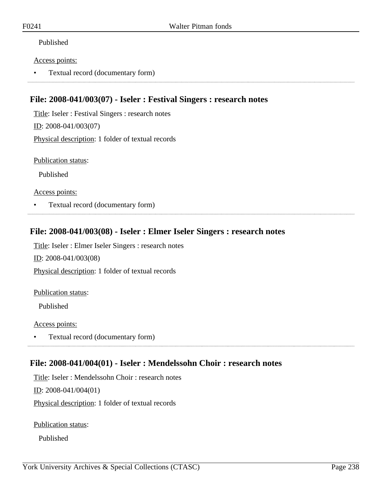### Published

#### Access points:

• Textual record (documentary form)

## **File: 2008-041/003(07) - Iseler : Festival Singers : research notes**

Title: Iseler : Festival Singers : research notes

ID: 2008-041/003(07)

Physical description: 1 folder of textual records

Publication status:

Published

Access points:

• Textual record (documentary form)

### **File: 2008-041/003(08) - Iseler : Elmer Iseler Singers : research notes**

Title: Iseler : Elmer Iseler Singers : research notes

ID: 2008-041/003(08)

Physical description: 1 folder of textual records

Publication status:

Published

Access points:

• Textual record (documentary form)

## **File: 2008-041/004(01) - Iseler : Mendelssohn Choir : research notes**

Title: Iseler : Mendelssohn Choir : research notes

ID: 2008-041/004(01)

Physical description: 1 folder of textual records

Publication status:

Published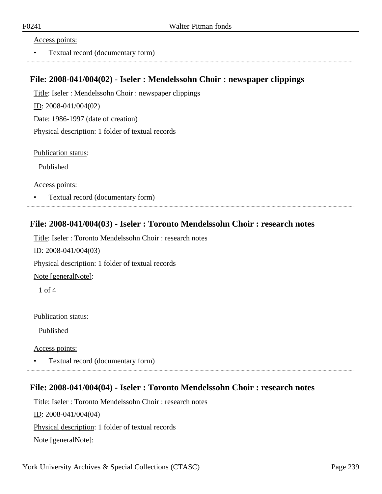#### Access points:

• Textual record (documentary form)

### **File: 2008-041/004(02) - Iseler : Mendelssohn Choir : newspaper clippings**

Title: Iseler : Mendelssohn Choir : newspaper clippings ID: 2008-041/004(02) Date: 1986-1997 (date of creation) Physical description: 1 folder of textual records

Publication status:

Published

Access points:

• Textual record (documentary form)

## **File: 2008-041/004(03) - Iseler : Toronto Mendelssohn Choir : research notes**

Title: Iseler : Toronto Mendelssohn Choir : research notes

ID: 2008-041/004(03)

Physical description: 1 folder of textual records

Note [generalNote]:

1 of 4

Publication status:

Published

Access points:

• Textual record (documentary form)

### **File: 2008-041/004(04) - Iseler : Toronto Mendelssohn Choir : research notes**

Title: Iseler : Toronto Mendelssohn Choir : research notes ID: 2008-041/004(04) Physical description: 1 folder of textual records Note [generalNote]: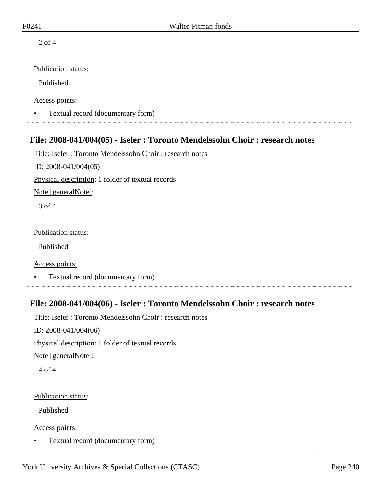2 of 4

### Publication status:

Published

Access points:

• Textual record (documentary form)

## **File: 2008-041/004(05) - Iseler : Toronto Mendelssohn Choir : research notes**

Title: Iseler : Toronto Mendelssohn Choir : research notes

ID: 2008-041/004(05)

Physical description: 1 folder of textual records

Note [generalNote]:

3 of 4

Publication status:

Published

Access points:

• Textual record (documentary form)

## **File: 2008-041/004(06) - Iseler : Toronto Mendelssohn Choir : research notes**

Title: Iseler : Toronto Mendelssohn Choir : research notes

ID: 2008-041/004(06)

Physical description: 1 folder of textual records

Note [generalNote]:

4 of 4

Publication status:

Published

Access points:

• Textual record (documentary form)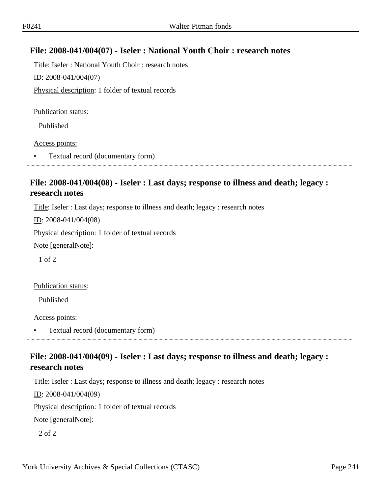# **File: 2008-041/004(07) - Iseler : National Youth Choir : research notes**

Title: Iseler : National Youth Choir : research notes ID: 2008-041/004(07) Physical description: 1 folder of textual records

Publication status:

Published

Access points:

• Textual record (documentary form)

# **File: 2008-041/004(08) - Iseler : Last days; response to illness and death; legacy : research notes**

Title: Iseler : Last days; response to illness and death; legacy : research notes

ID: 2008-041/004(08)

Physical description: 1 folder of textual records

Note [generalNote]:

1 of 2

Publication status:

Published

Access points:

• Textual record (documentary form)

## **File: 2008-041/004(09) - Iseler : Last days; response to illness and death; legacy : research notes**

Title: Iseler : Last days; response to illness and death; legacy : research notes

ID: 2008-041/004(09)

Physical description: 1 folder of textual records

Note [generalNote]:

2 of 2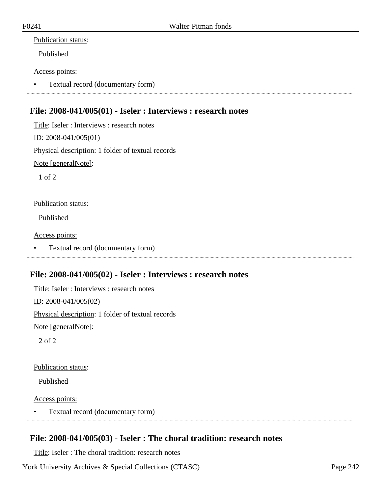### Publication status:

Published

#### Access points:

• Textual record (documentary form)

## **File: 2008-041/005(01) - Iseler : Interviews : research notes**

Title: Iseler : Interviews : research notes ID: 2008-041/005(01) Physical description: 1 folder of textual records Note [generalNote]: 1 of 2

#### Publication status:

Published

Access points:

• Textual record (documentary form)

### **File: 2008-041/005(02) - Iseler : Interviews : research notes**

Title: Iseler : Interviews : research notes ID: 2008-041/005(02) Physical description: 1 folder of textual records Note [generalNote]: 2 of 2

Publication status:

Published

Access points:

• Textual record (documentary form)

## **File: 2008-041/005(03) - Iseler : The choral tradition: research notes**

Title: Iseler : The choral tradition: research notes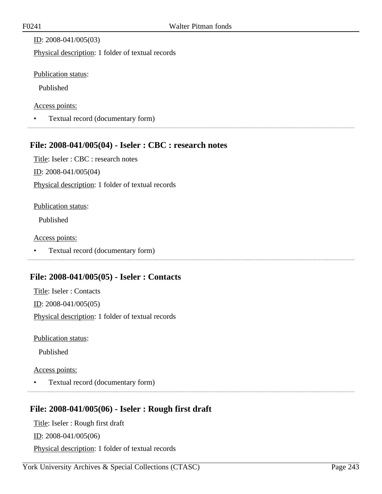ID: 2008-041/005(03)

Physical description: 1 folder of textual records

Publication status:

Published

Access points:

• Textual record (documentary form)

## **File: 2008-041/005(04) - Iseler : CBC : research notes**

Title: Iseler : CBC : research notes ID: 2008-041/005(04)

Physical description: 1 folder of textual records

#### Publication status:

Published

Access points:

• Textual record (documentary form) 

# **File: 2008-041/005(05) - Iseler : Contacts**

Title: Iseler : Contacts ID: 2008-041/005(05) Physical description: 1 folder of textual records

Publication status:

Published

### Access points:

• Textual record (documentary form)

## **File: 2008-041/005(06) - Iseler : Rough first draft**

Title: Iseler : Rough first draft ID: 2008-041/005(06) Physical description: 1 folder of textual records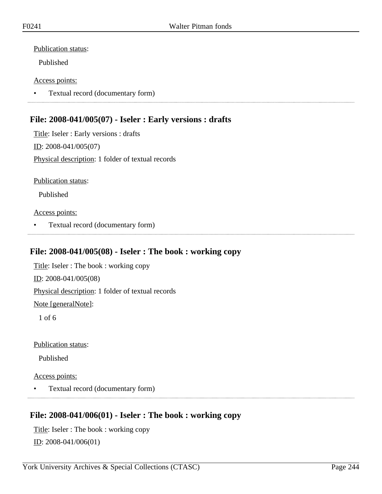#### Publication status:

Published

#### Access points:

• Textual record (documentary form)

## **File: 2008-041/005(07) - Iseler : Early versions : drafts**

Title: Iseler : Early versions : drafts ID: 2008-041/005(07) Physical description: 1 folder of textual records

Publication status:

Published

Access points:

• Textual record (documentary form)

# **File: 2008-041/005(08) - Iseler : The book : working copy**

Title: Iseler : The book : working copy ID: 2008-041/005(08) Physical description: 1 folder of textual records Note [generalNote]:

1 of 6

Publication status:

Published

#### Access points:

• Textual record (documentary form)

## **File: 2008-041/006(01) - Iseler : The book : working copy**

Title: Iseler : The book : working copy ID: 2008-041/006(01)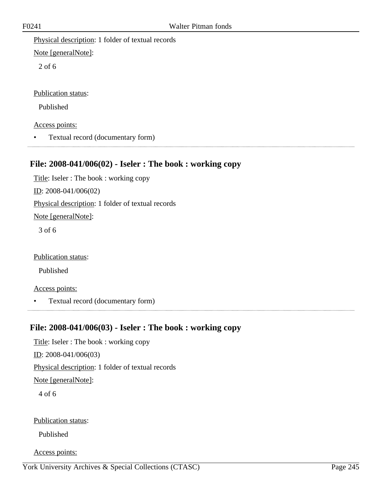Physical description: 1 folder of textual records

Note [generalNote]:

2 of 6

Publication status:

Published

Access points:

• Textual record (documentary form)

# **File: 2008-041/006(02) - Iseler : The book : working copy**

Title: Iseler : The book : working copy ID: 2008-041/006(02) Physical description: 1 folder of textual records Note [generalNote]: 3 of 6

Publication status:

Published

Access points:

• Textual record (documentary form) 

## **File: 2008-041/006(03) - Iseler : The book : working copy**

Title: Iseler : The book : working copy ID: 2008-041/006(03) Physical description: 1 folder of textual records Note [generalNote]: 4 of 6 Publication status: Published

Access points: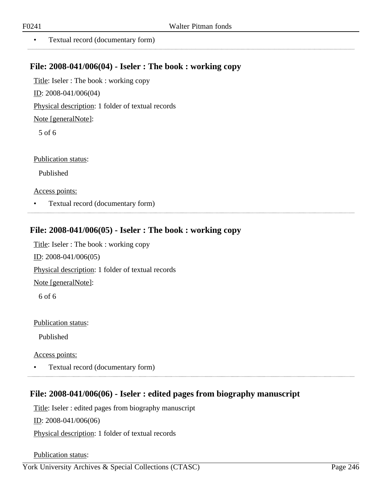• Textual record (documentary form)

### **File: 2008-041/006(04) - Iseler : The book : working copy**

Title: Iseler : The book : working copy

ID: 2008-041/006(04)

Physical description: 1 folder of textual records

Note [generalNote]:

5 of 6

Publication status:

Published

Access points:

• Textual record (documentary form)

## **File: 2008-041/006(05) - Iseler : The book : working copy**

Title: Iseler : The book : working copy ID: 2008-041/006(05) Physical description: 1 folder of textual records Note [generalNote]: 6 of 6

### Publication status:

Published

Access points:

• Textual record (documentary form) 

# **File: 2008-041/006(06) - Iseler : edited pages from biography manuscript**

Title: Iseler : edited pages from biography manuscript

ID: 2008-041/006(06)

Physical description: 1 folder of textual records

Publication status: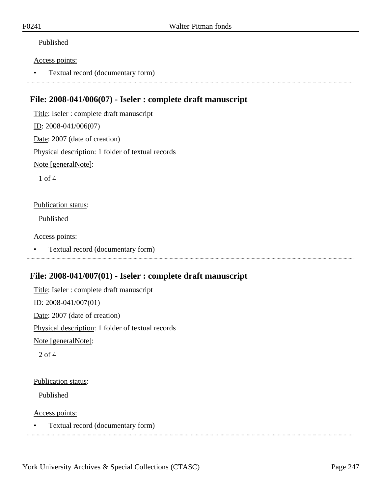### Published

#### Access points:

• Textual record (documentary form)

## **File: 2008-041/006(07) - Iseler : complete draft manuscript**

Title: Iseler : complete draft manuscript ID: 2008-041/006(07) Date: 2007 (date of creation) Physical description: 1 folder of textual records Note [generalNote]: 1 of 4 Publication status: Published

Access points:

• Textual record (documentary form)

## **File: 2008-041/007(01) - Iseler : complete draft manuscript**

Title: Iseler : complete draft manuscript ID: 2008-041/007(01) Date: 2007 (date of creation) Physical description: 1 folder of textual records Note [generalNote]: 2 of 4

#### Publication status:

Published

Access points:

• Textual record (documentary form)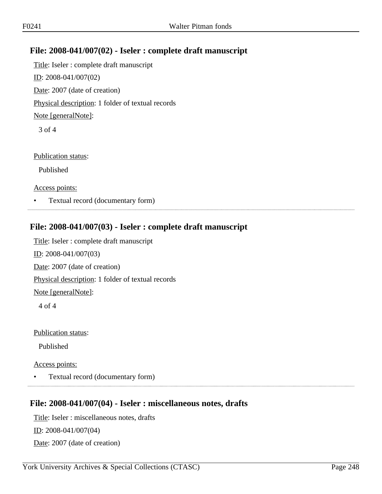# **File: 2008-041/007(02) - Iseler : complete draft manuscript**

Title: Iseler : complete draft manuscript ID: 2008-041/007(02) Date: 2007 (date of creation) Physical description: 1 folder of textual records Note [generalNote]: 3 of 4

Publication status:

Published

Access points:

• Textual record (documentary form)

## **File: 2008-041/007(03) - Iseler : complete draft manuscript**

Title: Iseler : complete draft manuscript ID: 2008-041/007(03) Date: 2007 (date of creation) Physical description: 1 folder of textual records Note [generalNote]: 4 of 4

Publication status:

Published

Access points:

• Textual record (documentary form)

### **File: 2008-041/007(04) - Iseler : miscellaneous notes, drafts**

Title: Iseler : miscellaneous notes, drafts ID: 2008-041/007(04) Date: 2007 (date of creation)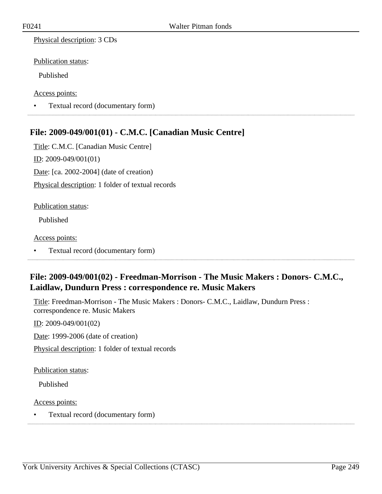Physical description: 3 CDs

Publication status:

Published

Access points:

• Textual record (documentary form) 

## **File: 2009-049/001(01) - C.M.C. [Canadian Music Centre]**

Title: C.M.C. [Canadian Music Centre] ID: 2009-049/001(01) Date: [ca. 2002-2004] (date of creation) Physical description: 1 folder of textual records

#### Publication status:

Published

#### Access points:

• Textual record (documentary form)

# **File: 2009-049/001(02) - Freedman-Morrison - The Music Makers : Donors- C.M.C., Laidlaw, Dundurn Press : correspondence re. Music Makers**

Title: Freedman-Morrison - The Music Makers : Donors- C.M.C., Laidlaw, Dundurn Press : correspondence re. Music Makers

ID: 2009-049/001(02)

Date: 1999-2006 (date of creation)

Physical description: 1 folder of textual records

Publication status:

Published

Access points:

• Textual record (documentary form)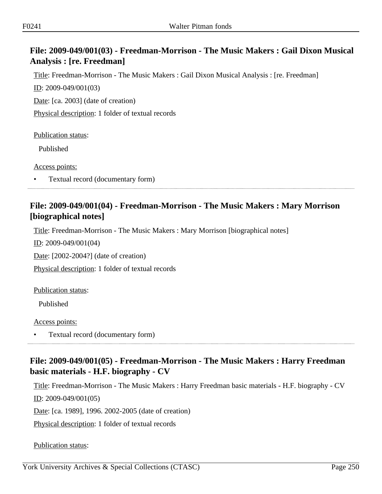# **File: 2009-049/001(03) - Freedman-Morrison - The Music Makers : Gail Dixon Musical Analysis : [re. Freedman]**

Title: Freedman-Morrison - The Music Makers : Gail Dixon Musical Analysis : [re. Freedman]

ID: 2009-049/001(03)

Date: [ca. 2003] (date of creation)

Physical description: 1 folder of textual records

Publication status:

Published

Access points:

• Textual record (documentary form)

# **File: 2009-049/001(04) - Freedman-Morrison - The Music Makers : Mary Morrison [biographical notes]**

Title: Freedman-Morrison - The Music Makers : Mary Morrison [biographical notes]

ID: 2009-049/001(04)

Date: [2002-2004?] (date of creation)

Physical description: 1 folder of textual records

Publication status:

Published

Access points:

• Textual record (documentary form)

# **File: 2009-049/001(05) - Freedman-Morrison - The Music Makers : Harry Freedman basic materials - H.F. biography - CV**

Title: Freedman-Morrison - The Music Makers : Harry Freedman basic materials - H.F. biography - CV ID: 2009-049/001(05)

Date: [ca. 1989], 1996. 2002-2005 (date of creation)

Physical description: 1 folder of textual records

Publication status: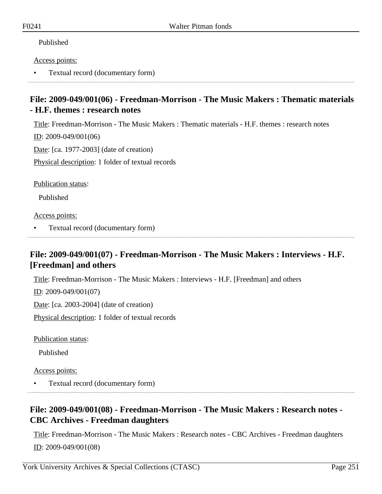### Published

#### Access points:

• Textual record (documentary form)

# **File: 2009-049/001(06) - Freedman-Morrison - The Music Makers : Thematic materials - H.F. themes : research notes**

Title: Freedman-Morrison - The Music Makers : Thematic materials - H.F. themes : research notes

ID: 2009-049/001(06)

Date: [ca. 1977-2003] (date of creation)

Physical description: 1 folder of textual records

Publication status:

Published

Access points:

• Textual record (documentary form)

# **File: 2009-049/001(07) - Freedman-Morrison - The Music Makers : Interviews - H.F. [Freedman] and others**

Title: Freedman-Morrison - The Music Makers : Interviews - H.F. [Freedman] and others

ID: 2009-049/001(07)

Date: [ca. 2003-2004] (date of creation)

Physical description: 1 folder of textual records

Publication status:

Published

Access points:

• Textual record (documentary form)

# **File: 2009-049/001(08) - Freedman-Morrison - The Music Makers : Research notes - CBC Archives - Freedman daughters**

Title: Freedman-Morrison - The Music Makers : Research notes - CBC Archives - Freedman daughters ID: 2009-049/001(08)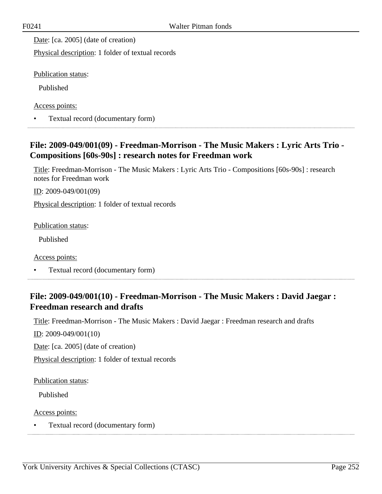Date: [ca. 2005] (date of creation)

Physical description: 1 folder of textual records

Publication status:

Published

Access points:

• Textual record (documentary form)

# **File: 2009-049/001(09) - Freedman-Morrison - The Music Makers : Lyric Arts Trio - Compositions [60s-90s] : research notes for Freedman work**

Title: Freedman-Morrison - The Music Makers : Lyric Arts Trio - Compositions [60s-90s] : research notes for Freedman work

ID: 2009-049/001(09)

Physical description: 1 folder of textual records

Publication status:

Published

Access points:

• Textual record (documentary form)

## **File: 2009-049/001(10) - Freedman-Morrison - The Music Makers : David Jaegar : Freedman research and drafts**

Title: Freedman-Morrison - The Music Makers : David Jaegar : Freedman research and drafts

ID: 2009-049/001(10)

Date: [ca. 2005] (date of creation)

Physical description: 1 folder of textual records

Publication status:

Published

Access points:

• Textual record (documentary form)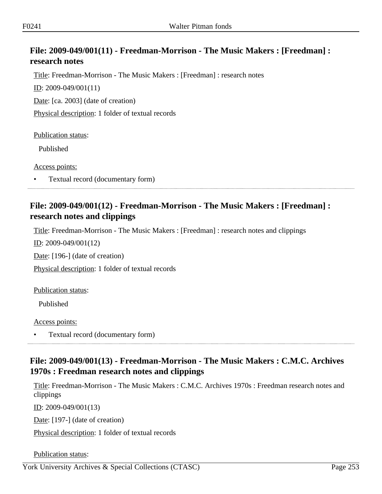# **File: 2009-049/001(11) - Freedman-Morrison - The Music Makers : [Freedman] : research notes**

Title: Freedman-Morrison - The Music Makers : [Freedman] : research notes

ID: 2009-049/001(11)

Date: [ca. 2003] (date of creation)

Physical description: 1 folder of textual records

Publication status:

Published

Access points:

• Textual record (documentary form)

## **File: 2009-049/001(12) - Freedman-Morrison - The Music Makers : [Freedman] : research notes and clippings**

Title: Freedman-Morrison - The Music Makers : [Freedman] : research notes and clippings

ID: 2009-049/001(12)

Date: [196-] (date of creation)

Physical description: 1 folder of textual records

Publication status:

Published

Access points:

• Textual record (documentary form)

# **File: 2009-049/001(13) - Freedman-Morrison - The Music Makers : C.M.C. Archives 1970s : Freedman research notes and clippings**

Title: Freedman-Morrison - The Music Makers : C.M.C. Archives 1970s : Freedman research notes and clippings

 $ID: 2009-049/001(13)$ 

Date: [197-] (date of creation)

Physical description: 1 folder of textual records

Publication status: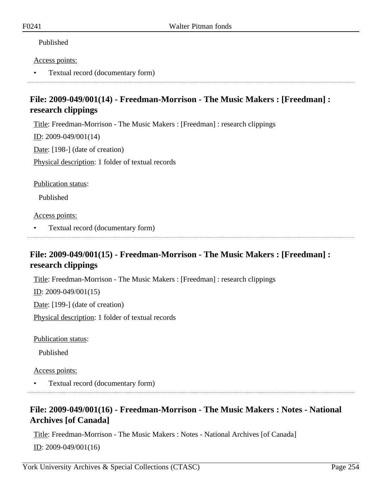### Published

### Access points:

• Textual record (documentary form)

# **File: 2009-049/001(14) - Freedman-Morrison - The Music Makers : [Freedman] : research clippings**

Title: Freedman-Morrison - The Music Makers : [Freedman] : research clippings

 $ID: 2009-049/001(14)$ 

Date: [198-] (date of creation)

Physical description: 1 folder of textual records

Publication status:

Published

Access points:

• Textual record (documentary form)

## **File: 2009-049/001(15) - Freedman-Morrison - The Music Makers : [Freedman] : research clippings**

Title: Freedman-Morrison - The Music Makers : [Freedman] : research clippings

ID: 2009-049/001(15)

Date: [199-] (date of creation)

Physical description: 1 folder of textual records

Publication status:

Published

Access points:

• Textual record (documentary form)

## **File: 2009-049/001(16) - Freedman-Morrison - The Music Makers : Notes - National Archives [of Canada]**

Title: Freedman-Morrison - The Music Makers : Notes - National Archives [of Canada] ID: 2009-049/001(16)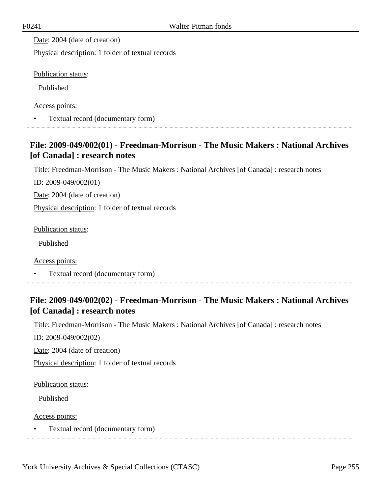Date: 2004 (date of creation)

Physical description: 1 folder of textual records

Publication status:

Published

Access points:

• Textual record (documentary form)

# **File: 2009-049/002(01) - Freedman-Morrison - The Music Makers : National Archives [of Canada] : research notes**

Title: Freedman-Morrison - The Music Makers : National Archives [of Canada] : research notes

ID: 2009-049/002(01)

Date: 2004 (date of creation)

Physical description: 1 folder of textual records

Publication status:

Published

Access points:

• Textual record (documentary form)

## **File: 2009-049/002(02) - Freedman-Morrison - The Music Makers : National Archives [of Canada] : research notes**

Title: Freedman-Morrison - The Music Makers : National Archives [of Canada] : research notes

ID: 2009-049/002(02)

Date: 2004 (date of creation)

Physical description: 1 folder of textual records

Publication status:

Published

Access points: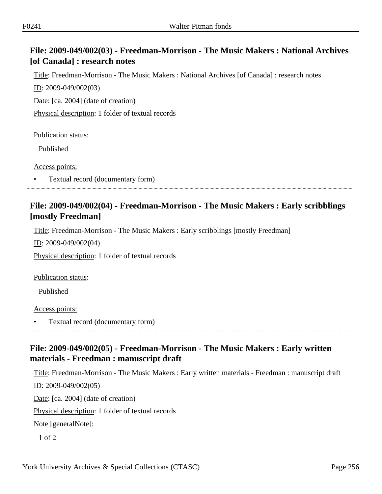# **File: 2009-049/002(03) - Freedman-Morrison - The Music Makers : National Archives [of Canada] : research notes**

Title: Freedman-Morrison - The Music Makers : National Archives [of Canada] : research notes

ID: 2009-049/002(03)

Date: [ca. 2004] (date of creation)

Physical description: 1 folder of textual records

Publication status:

Published

Access points:

• Textual record (documentary form)

## **File: 2009-049/002(04) - Freedman-Morrison - The Music Makers : Early scribblings [mostly Freedman]**

Title: Freedman-Morrison - The Music Makers : Early scribblings [mostly Freedman]

ID: 2009-049/002(04)

Physical description: 1 folder of textual records

Publication status:

Published

Access points:

• Textual record (documentary form)

## **File: 2009-049/002(05) - Freedman-Morrison - The Music Makers : Early written materials - Freedman : manuscript draft**

Title: Freedman-Morrison - The Music Makers : Early written materials - Freedman : manuscript draft

ID: 2009-049/002(05)

Date: [ca. 2004] (date of creation)

Physical description: 1 folder of textual records

Note [generalNote]:

1 of 2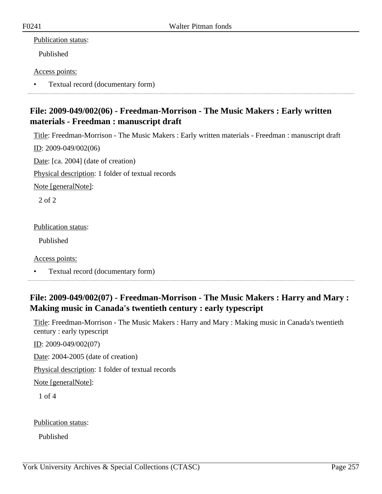### Publication status:

Published

### Access points:

• Textual record (documentary form)

# **File: 2009-049/002(06) - Freedman-Morrison - The Music Makers : Early written materials - Freedman : manuscript draft**

Title: Freedman-Morrison - The Music Makers : Early written materials - Freedman : manuscript draft

ID: 2009-049/002(06)

Date: [ca. 2004] (date of creation)

Physical description: 1 folder of textual records

Note [generalNote]:

2 of 2

Publication status:

Published

Access points:

• Textual record (documentary form)

# **File: 2009-049/002(07) - Freedman-Morrison - The Music Makers : Harry and Mary : Making music in Canada's twentieth century : early typescript**

Title: Freedman-Morrison - The Music Makers : Harry and Mary : Making music in Canada's twentieth century : early typescript

ID: 2009-049/002(07)

Date: 2004-2005 (date of creation)

Physical description: 1 folder of textual records

Note [generalNote]:

1 of 4

Publication status:

Published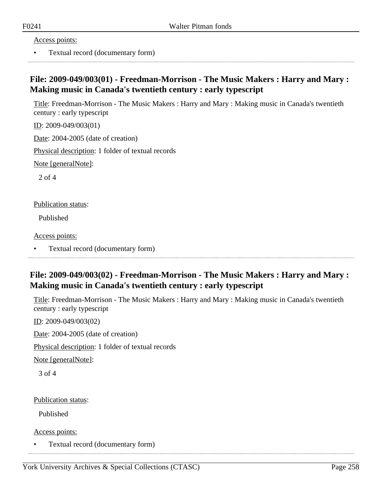Access points:

• Textual record (documentary form)

# **File: 2009-049/003(01) - Freedman-Morrison - The Music Makers : Harry and Mary : Making music in Canada's twentieth century : early typescript**

Title: Freedman-Morrison - The Music Makers : Harry and Mary : Making music in Canada's twentieth century : early typescript

ID: 2009-049/003(01)

Date: 2004-2005 (date of creation)

Physical description: 1 folder of textual records

Note [generalNote]:

2 of 4

Publication status:

Published

Access points:

• Textual record (documentary form)

## **File: 2009-049/003(02) - Freedman-Morrison - The Music Makers : Harry and Mary : Making music in Canada's twentieth century : early typescript**

Title: Freedman-Morrison - The Music Makers : Harry and Mary : Making music in Canada's twentieth century : early typescript

ID: 2009-049/003(02)

Date: 2004-2005 (date of creation)

Physical description: 1 folder of textual records

Note [generalNote]:

3 of 4

Publication status:

Published

Access points: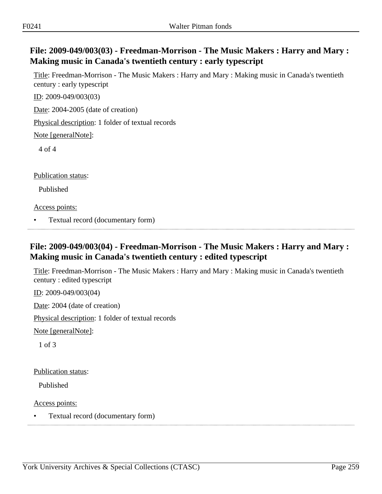# **File: 2009-049/003(03) - Freedman-Morrison - The Music Makers : Harry and Mary : Making music in Canada's twentieth century : early typescript**

Title: Freedman-Morrison - The Music Makers : Harry and Mary : Making music in Canada's twentieth century : early typescript

ID: 2009-049/003(03)

Date: 2004-2005 (date of creation)

Physical description: 1 folder of textual records

Note [generalNote]:

4 of 4

Publication status:

Published

Access points:

• Textual record (documentary form)

# **File: 2009-049/003(04) - Freedman-Morrison - The Music Makers : Harry and Mary : Making music in Canada's twentieth century : edited typescript**

Title: Freedman-Morrison - The Music Makers : Harry and Mary : Making music in Canada's twentieth century : edited typescript

ID: 2009-049/003(04)

Date: 2004 (date of creation)

Physical description: 1 folder of textual records

Note [generalNote]:

1 of 3

Publication status:

Published

Access points: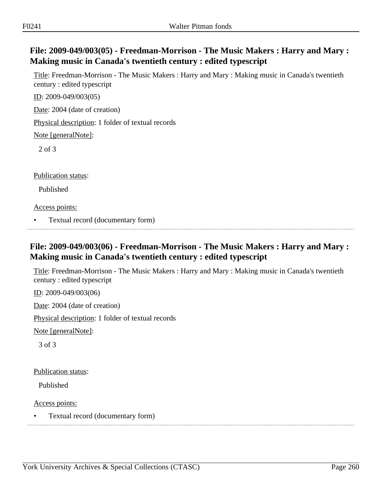# **File: 2009-049/003(05) - Freedman-Morrison - The Music Makers : Harry and Mary : Making music in Canada's twentieth century : edited typescript**

Title: Freedman-Morrison - The Music Makers : Harry and Mary : Making music in Canada's twentieth century : edited typescript

ID: 2009-049/003(05)

Date: 2004 (date of creation)

Physical description: 1 folder of textual records

Note [generalNote]:

2 of 3

Publication status:

Published

Access points:

• Textual record (documentary form)

# **File: 2009-049/003(06) - Freedman-Morrison - The Music Makers : Harry and Mary : Making music in Canada's twentieth century : edited typescript**

Title: Freedman-Morrison - The Music Makers : Harry and Mary : Making music in Canada's twentieth century : edited typescript

ID: 2009-049/003(06)

Date: 2004 (date of creation)

Physical description: 1 folder of textual records

Note [generalNote]:

3 of 3

Publication status:

Published

Access points: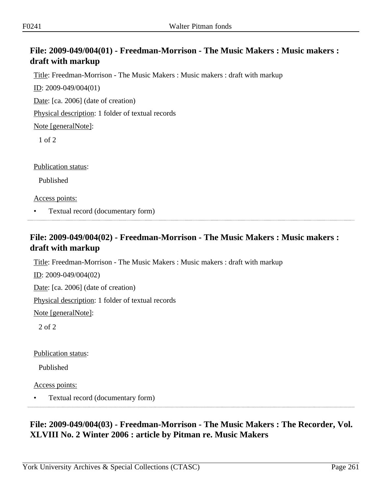# **File: 2009-049/004(01) - Freedman-Morrison - The Music Makers : Music makers : draft with markup**

Title: Freedman-Morrison - The Music Makers : Music makers : draft with markup

ID: 2009-049/004(01)

Date: [ca. 2006] (date of creation)

Physical description: 1 folder of textual records

Note [generalNote]:

1 of 2

Publication status:

Published

Access points:

• Textual record (documentary form)

# **File: 2009-049/004(02) - Freedman-Morrison - The Music Makers : Music makers : draft with markup**

Title: Freedman-Morrison - The Music Makers : Music makers : draft with markup

ID: 2009-049/004(02)

Date: [ca. 2006] (date of creation)

Physical description: 1 folder of textual records

Note [generalNote]:

2 of 2

Publication status:

Published

Access points:

• Textual record (documentary form)

# **File: 2009-049/004(03) - Freedman-Morrison - The Music Makers : The Recorder, Vol. XLVIII No. 2 Winter 2006 : article by Pitman re. Music Makers**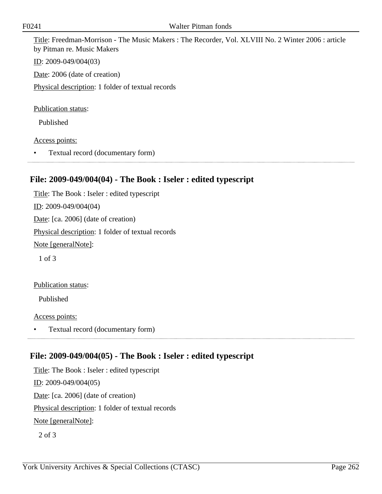Title: Freedman-Morrison - The Music Makers : The Recorder, Vol. XLVIII No. 2 Winter 2006 : article by Pitman re. Music Makers

ID: 2009-049/004(03)

Date: 2006 (date of creation)

Physical description: 1 folder of textual records

Publication status:

Published

#### Access points:

• Textual record (documentary form)

## **File: 2009-049/004(04) - The Book : Iseler : edited typescript**

Title: The Book : Iseler : edited typescript ID: 2009-049/004(04) Date: [ca. 2006] (date of creation) Physical description: 1 folder of textual records Note [generalNote]: 1 of 3 Publication status:

Published

Access points:

• Textual record (documentary form)

### **File: 2009-049/004(05) - The Book : Iseler : edited typescript**

Title: The Book : Iseler : edited typescript ID: 2009-049/004(05) Date: [ca. 2006] (date of creation) Physical description: 1 folder of textual records Note [generalNote]:

2 of 3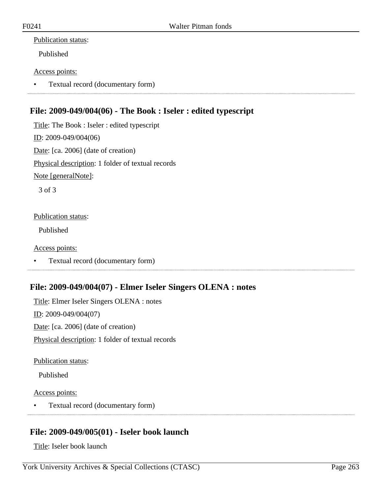### Publication status:

Published

### Access points:

• Textual record (documentary form)

# **File: 2009-049/004(06) - The Book : Iseler : edited typescript**

Title: The Book : Iseler : edited typescript ID: 2009-049/004(06) Date: [ca. 2006] (date of creation) Physical description: 1 folder of textual records Note [generalNote]:

3 of 3

### Publication status:

Published

### Access points:

• Textual record (documentary form)

## **File: 2009-049/004(07) - Elmer Iseler Singers OLENA : notes**

Title: Elmer Iseler Singers OLENA : notes ID: 2009-049/004(07) Date: [ca. 2006] (date of creation) Physical description: 1 folder of textual records

Publication status:

Published

Access points:

• Textual record (documentary form)

# **File: 2009-049/005(01) - Iseler book launch**

Title: Iseler book launch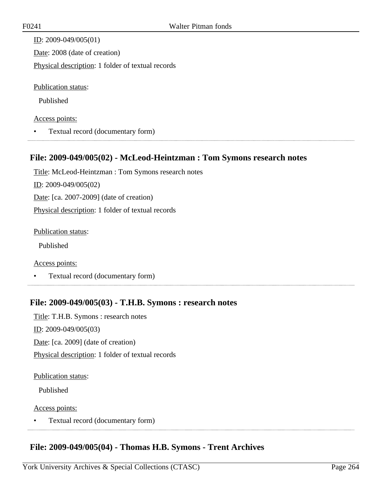ID: 2009-049/005(01) Date: 2008 (date of creation) Physical description: 1 folder of textual records Publication status:

Published

#### Access points:

• Textual record (documentary form)

### **File: 2009-049/005(02) - McLeod-Heintzman : Tom Symons research notes**

Title: McLeod-Heintzman : Tom Symons research notes ID: 2009-049/005(02) Date: [ca. 2007-2009] (date of creation) Physical description: 1 folder of textual records

Publication status:

Published

Access points:

• Textual record (documentary form)

### **File: 2009-049/005(03) - T.H.B. Symons : research notes**

Title: T.H.B. Symons : research notes ID: 2009-049/005(03) Date: [ca. 2009] (date of creation) Physical description: 1 folder of textual records

#### Publication status:

Published

#### Access points:

• Textual record (documentary form) 

### **File: 2009-049/005(04) - Thomas H.B. Symons - Trent Archives**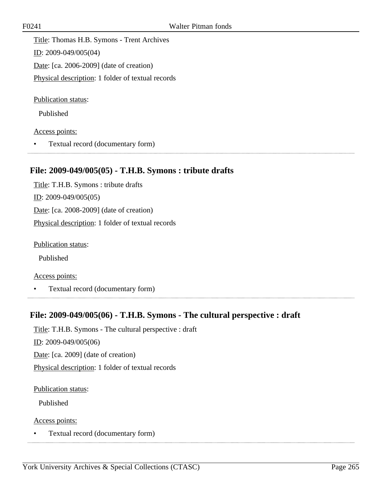Title: Thomas H.B. Symons - Trent Archives ID: 2009-049/005(04) Date: [ca. 2006-2009] (date of creation) Physical description: 1 folder of textual records

Publication status:

Published

Access points:

• Textual record (documentary form)

### **File: 2009-049/005(05) - T.H.B. Symons : tribute drafts**

Title: T.H.B. Symons : tribute drafts ID: 2009-049/005(05) Date: [ca. 2008-2009] (date of creation) Physical description: 1 folder of textual records

Publication status:

Published

Access points:

• Textual record (documentary form)

### **File: 2009-049/005(06) - T.H.B. Symons - The cultural perspective : draft**

Title: T.H.B. Symons - The cultural perspective : draft

ID: 2009-049/005(06)

Date: [ca. 2009] (date of creation)

Physical description: 1 folder of textual records

Publication status:

Published

Access points: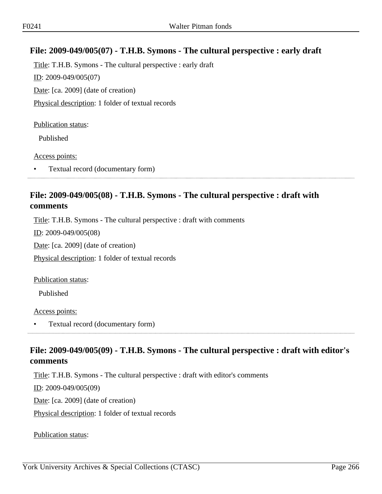## **File: 2009-049/005(07) - T.H.B. Symons - The cultural perspective : early draft**

Title: T.H.B. Symons - The cultural perspective : early draft ID: 2009-049/005(07) Date: [ca. 2009] (date of creation) Physical description: 1 folder of textual records

#### Publication status:

Published

Access points:

• Textual record (documentary form)

## **File: 2009-049/005(08) - T.H.B. Symons - The cultural perspective : draft with comments**

Title: T.H.B. Symons - The cultural perspective : draft with comments

ID: 2009-049/005(08)

Date: [ca. 2009] (date of creation)

Physical description: 1 folder of textual records

Publication status:

Published

Access points:

• Textual record (documentary form)

# **File: 2009-049/005(09) - T.H.B. Symons - The cultural perspective : draft with editor's comments**

Title: T.H.B. Symons - The cultural perspective : draft with editor's comments

ID: 2009-049/005(09)

Date: [ca. 2009] (date of creation)

Physical description: 1 folder of textual records

Publication status: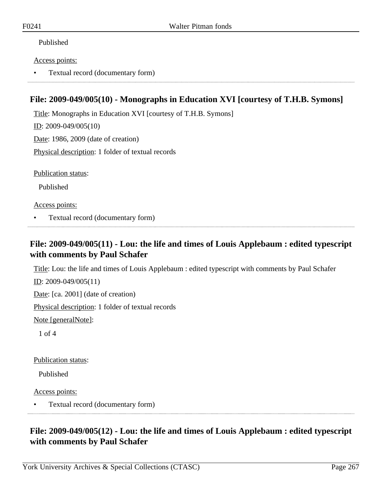### Published

#### Access points:

• Textual record (documentary form)

### **File: 2009-049/005(10) - Monographs in Education XVI [courtesy of T.H.B. Symons]**

Title: Monographs in Education XVI [courtesy of T.H.B. Symons] ID: 2009-049/005(10) Date: 1986, 2009 (date of creation)

Physical description: 1 folder of textual records

Publication status:

Published

Access points:

• Textual record (documentary form)

### **File: 2009-049/005(11) - Lou: the life and times of Louis Applebaum : edited typescript with comments by Paul Schafer**

Title: Lou: the life and times of Louis Applebaum : edited typescript with comments by Paul Schafer

ID: 2009-049/005(11)

Date: [ca. 2001] (date of creation)

Physical description: 1 folder of textual records

Note [generalNote]:

1 of 4

Publication status:

Published

Access points:

• Textual record (documentary form)

# **File: 2009-049/005(12) - Lou: the life and times of Louis Applebaum : edited typescript with comments by Paul Schafer**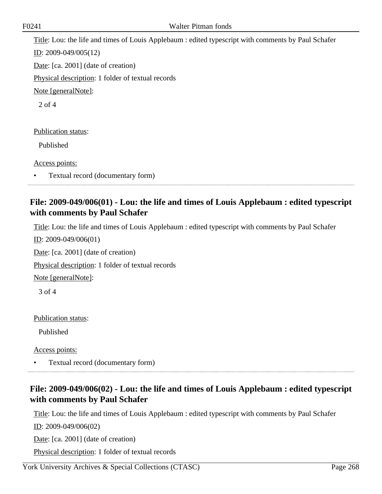Title: Lou: the life and times of Louis Applebaum : edited typescript with comments by Paul Schafer ID: 2009-049/005(12) Date: [ca. 2001] (date of creation) Physical description: 1 folder of textual records Note [generalNote]: 2 of 4

Publication status:

Published

Access points:

• Textual record (documentary form)

# **File: 2009-049/006(01) - Lou: the life and times of Louis Applebaum : edited typescript with comments by Paul Schafer**

Title: Lou: the life and times of Louis Applebaum : edited typescript with comments by Paul Schafer

ID: 2009-049/006(01)

Date: [ca. 2001] (date of creation)

Physical description: 1 folder of textual records

Note [generalNote]:

3 of 4

Publication status:

Published

Access points:

• Textual record (documentary form)

## **File: 2009-049/006(02) - Lou: the life and times of Louis Applebaum : edited typescript with comments by Paul Schafer**

Title: Lou: the life and times of Louis Applebaum : edited typescript with comments by Paul Schafer

ID: 2009-049/006(02)

Date: [ca. 2001] (date of creation)

Physical description: 1 folder of textual records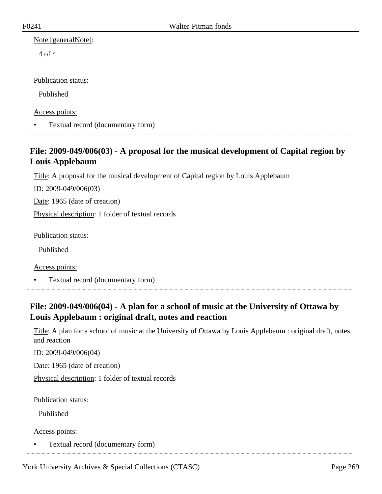Note [generalNote]:

4 of 4

Publication status:

Published

Access points:

• Textual record (documentary form)

# **File: 2009-049/006(03) - A proposal for the musical development of Capital region by Louis Applebaum**

Title: A proposal for the musical development of Capital region by Louis Applebaum

ID: 2009-049/006(03)

Date: 1965 (date of creation)

Physical description: 1 folder of textual records

Publication status:

Published

Access points:

• Textual record (documentary form)

# **File: 2009-049/006(04) - A plan for a school of music at the University of Ottawa by Louis Applebaum : original draft, notes and reaction**

Title: A plan for a school of music at the University of Ottawa by Louis Applebaum : original draft, notes and reaction

ID: 2009-049/006(04)

Date: 1965 (date of creation)

Physical description: 1 folder of textual records

Publication status:

Published

Access points: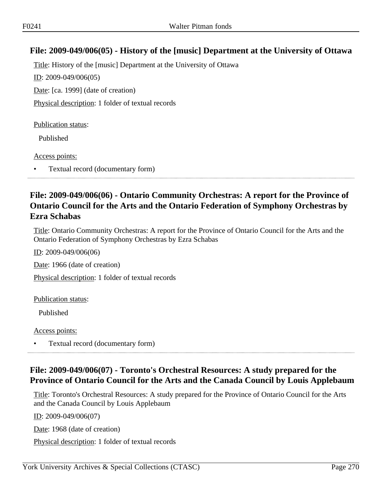## **File: 2009-049/006(05) - History of the [music] Department at the University of Ottawa**

Title: History of the [music] Department at the University of Ottawa ID: 2009-049/006(05) Date: [ca. 1999] (date of creation) Physical description: 1 folder of textual records

Publication status:

Published

Access points:

• Textual record (documentary form)

## **File: 2009-049/006(06) - Ontario Community Orchestras: A report for the Province of Ontario Council for the Arts and the Ontario Federation of Symphony Orchestras by Ezra Schabas**

Title: Ontario Community Orchestras: A report for the Province of Ontario Council for the Arts and the Ontario Federation of Symphony Orchestras by Ezra Schabas

ID: 2009-049/006(06)

Date: 1966 (date of creation)

Physical description: 1 folder of textual records

Publication status:

Published

Access points:

• Textual record (documentary form)

## **File: 2009-049/006(07) - Toronto's Orchestral Resources: A study prepared for the Province of Ontario Council for the Arts and the Canada Council by Louis Applebaum**

Title: Toronto's Orchestral Resources: A study prepared for the Province of Ontario Council for the Arts and the Canada Council by Louis Applebaum

ID: 2009-049/006(07)

Date: 1968 (date of creation)

Physical description: 1 folder of textual records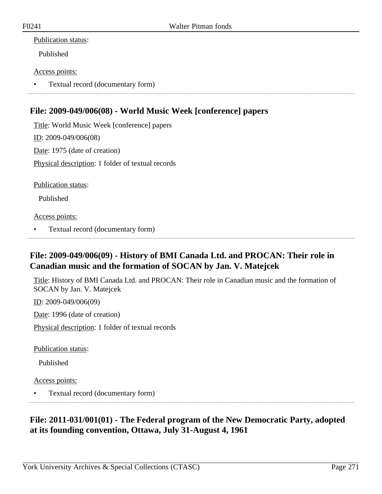### Publication status:

Published

### Access points:

• Textual record (documentary form)

# **File: 2009-049/006(08) - World Music Week [conference] papers**

Title: World Music Week [conference] papers ID: 2009-049/006(08) Date: 1975 (date of creation) Physical description: 1 folder of textual records

Publication status:

Published

Access points:

• Textual record (documentary form)

# **File: 2009-049/006(09) - History of BMI Canada Ltd. and PROCAN: Their role in Canadian music and the formation of SOCAN by Jan. V. Matejcek**

Title: History of BMI Canada Ltd. and PROCAN: Their role in Canadian music and the formation of SOCAN by Jan. V. Matejcek

ID: 2009-049/006(09)

Date: 1996 (date of creation)

Physical description: 1 folder of textual records

Publication status:

Published

Access points:

• Textual record (documentary form)

# **File: 2011-031/001(01) - The Federal program of the New Democratic Party, adopted at its founding convention, Ottawa, July 31-August 4, 1961**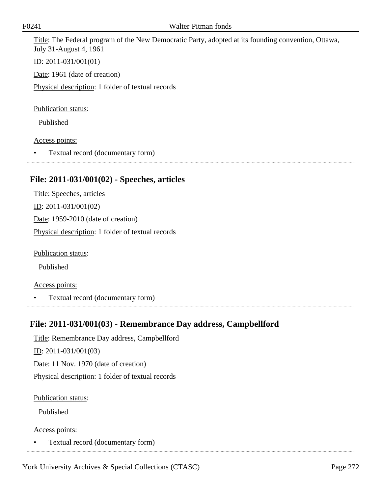Title: The Federal program of the New Democratic Party, adopted at its founding convention, Ottawa, July 31-August 4, 1961

ID: 2011-031/001(01)

Date: 1961 (date of creation)

Physical description: 1 folder of textual records

Publication status:

Published

#### Access points:

• Textual record (documentary form)

### **File: 2011-031/001(02) - Speeches, articles**

Title: Speeches, articles ID: 2011-031/001(02) Date: 1959-2010 (date of creation) Physical description: 1 folder of textual records

Publication status:

Published

Access points:

• Textual record (documentary form)

### **File: 2011-031/001(03) - Remembrance Day address, Campbellford**

Title: Remembrance Day address, Campbellford ID: 2011-031/001(03) Date: 11 Nov. 1970 (date of creation) Physical description: 1 folder of textual records

Publication status:

Published

Access points: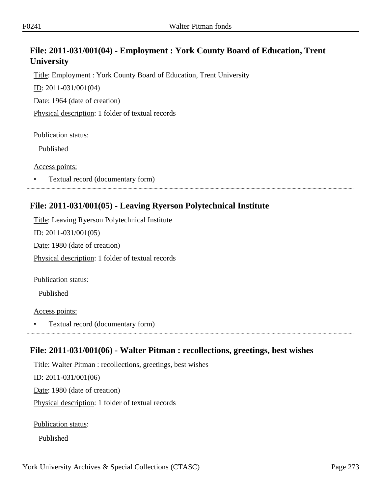# **File: 2011-031/001(04) - Employment : York County Board of Education, Trent University**

Title: Employment : York County Board of Education, Trent University

ID: 2011-031/001(04)

Date: 1964 (date of creation)

Physical description: 1 folder of textual records

Publication status:

Published

Access points:

• Textual record (documentary form)

## **File: 2011-031/001(05) - Leaving Ryerson Polytechnical Institute**

Title: Leaving Ryerson Polytechnical Institute ID: 2011-031/001(05) Date: 1980 (date of creation) Physical description: 1 folder of textual records

Publication status:

Published

Access points:

• Textual record (documentary form)

### **File: 2011-031/001(06) - Walter Pitman : recollections, greetings, best wishes**

Title: Walter Pitman : recollections, greetings, best wishes ID: 2011-031/001(06) Date: 1980 (date of creation) Physical description: 1 folder of textual records

Publication status:

Published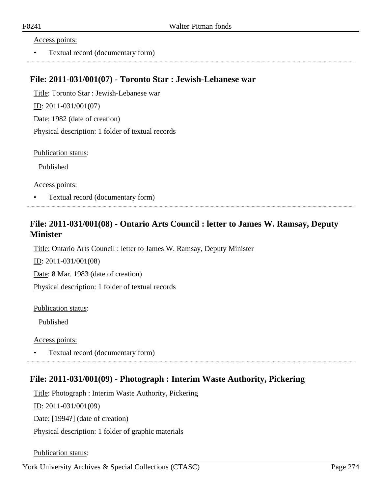#### Access points:

• Textual record (documentary form)

### **File: 2011-031/001(07) - Toronto Star : Jewish-Lebanese war**

Title: Toronto Star : Jewish-Lebanese war ID: 2011-031/001(07) Date: 1982 (date of creation) Physical description: 1 folder of textual records

Publication status:

Published

Access points:

• Textual record (documentary form)

## **File: 2011-031/001(08) - Ontario Arts Council : letter to James W. Ramsay, Deputy Minister**

Title: Ontario Arts Council : letter to James W. Ramsay, Deputy Minister

ID: 2011-031/001(08)

Date: 8 Mar. 1983 (date of creation)

Physical description: 1 folder of textual records

Publication status:

Published

Access points:

• Textual record (documentary form)

### **File: 2011-031/001(09) - Photograph : Interim Waste Authority, Pickering**

Title: Photograph : Interim Waste Authority, Pickering ID: 2011-031/001(09) Date: [1994?] (date of creation) Physical description: 1 folder of graphic materials

Publication status: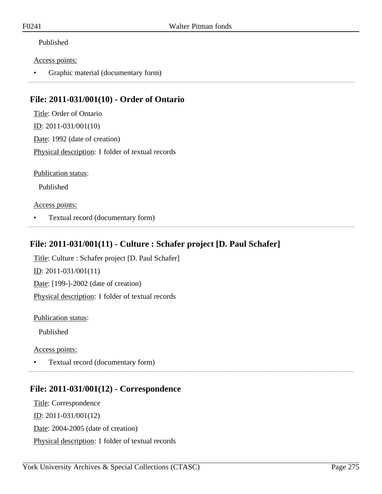### Published

#### Access points:

• Graphic material (documentary form)

### **File: 2011-031/001(10) - Order of Ontario**

Title: Order of Ontario ID: 2011-031/001(10) Date: 1992 (date of creation) Physical description: 1 folder of textual records

Publication status:

Published

### Access points:

• Textual record (documentary form)

# **File: 2011-031/001(11) - Culture : Schafer project [D. Paul Schafer]**

Title: Culture : Schafer project [D. Paul Schafer] ID: 2011-031/001(11) Date: [199-]-2002 (date of creation) Physical description: 1 folder of textual records

Publication status:

Published

Access points:

• Textual record (documentary form)

## **File: 2011-031/001(12) - Correspondence**

Title: Correspondence ID: 2011-031/001(12) Date: 2004-2005 (date of creation) Physical description: 1 folder of textual records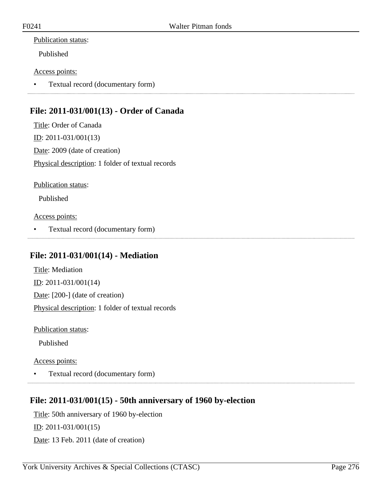### Publication status:

Published

### Access points:

• Textual record (documentary form)

# **File: 2011-031/001(13) - Order of Canada**

Title: Order of Canada ID: 2011-031/001(13) Date: 2009 (date of creation) Physical description: 1 folder of textual records

Publication status:

Published

Access points:

• Textual record (documentary form)

### **File: 2011-031/001(14) - Mediation**

Title: Mediation ID: 2011-031/001(14) Date: [200-] (date of creation) Physical description: 1 folder of textual records

Publication status:

Published

Access points:

• Textual record (documentary form)

## **File: 2011-031/001(15) - 50th anniversary of 1960 by-election**

Title: 50th anniversary of 1960 by-election ID: 2011-031/001(15) Date: 13 Feb. 2011 (date of creation)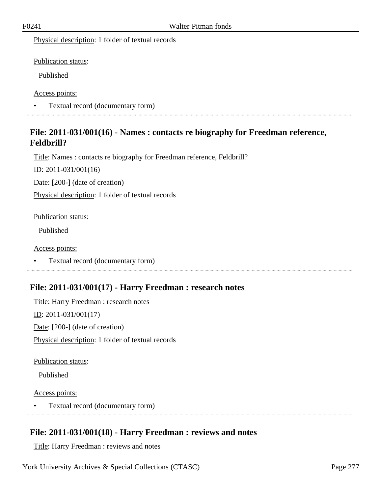Physical description: 1 folder of textual records

Publication status:

Published

Access points:

• Textual record (documentary form) 

### **File: 2011-031/001(16) - Names : contacts re biography for Freedman reference, Feldbrill?**

Title: Names : contacts re biography for Freedman reference, Feldbrill?

ID: 2011-031/001(16)

Date: [200-] (date of creation)

Physical description: 1 folder of textual records

Publication status:

Published

Access points:

• Textual record (documentary form)

### **File: 2011-031/001(17) - Harry Freedman : research notes**

Title: Harry Freedman : research notes ID: 2011-031/001(17) Date: [200-] (date of creation) Physical description: 1 folder of textual records

Publication status:

Published

Access points:

• Textual record (documentary form)

## **File: 2011-031/001(18) - Harry Freedman : reviews and notes**

Title: Harry Freedman : reviews and notes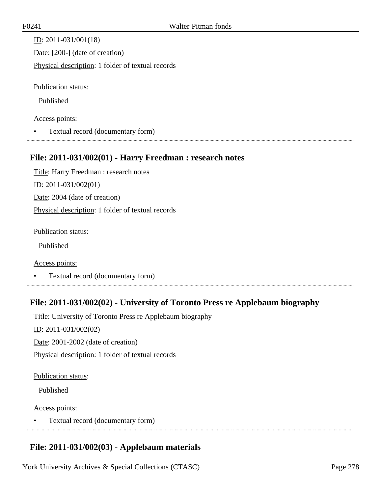ID: 2011-031/001(18) Date: [200-] (date of creation) Physical description: 1 folder of textual records

Publication status:

Published

#### Access points:

• Textual record (documentary form)

### **File: 2011-031/002(01) - Harry Freedman : research notes**

Title: Harry Freedman : research notes ID: 2011-031/002(01) Date: 2004 (date of creation) Physical description: 1 folder of textual records

Publication status:

Published

Access points:

• Textual record (documentary form)

## **File: 2011-031/002(02) - University of Toronto Press re Applebaum biography**

Title: University of Toronto Press re Applebaum biography ID: 2011-031/002(02) Date: 2001-2002 (date of creation) Physical description: 1 folder of textual records

#### Publication status:

Published

### Access points:

• Textual record (documentary form) 

# **File: 2011-031/002(03) - Applebaum materials**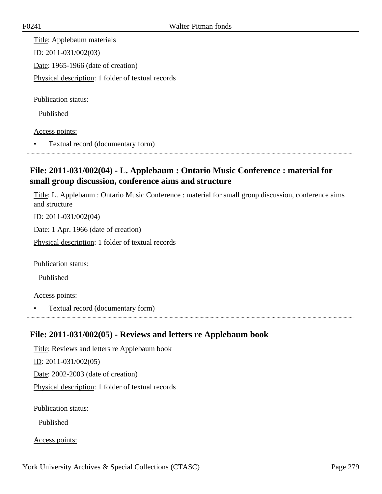Title: Applebaum materials ID: 2011-031/002(03) Date: 1965-1966 (date of creation) Physical description: 1 folder of textual records

Publication status:

Published

Access points:

• Textual record (documentary form)

# **File: 2011-031/002(04) - L. Applebaum : Ontario Music Conference : material for small group discussion, conference aims and structure**

Title: L. Applebaum : Ontario Music Conference : material for small group discussion, conference aims and structure

ID: 2011-031/002(04)

Date: 1 Apr. 1966 (date of creation)

Physical description: 1 folder of textual records

Publication status:

Published

Access points:

• Textual record (documentary form)

### **File: 2011-031/002(05) - Reviews and letters re Applebaum book**

Title: Reviews and letters re Applebaum book ID: 2011-031/002(05) Date: 2002-2003 (date of creation) Physical description: 1 folder of textual records

Publication status:

Published

Access points: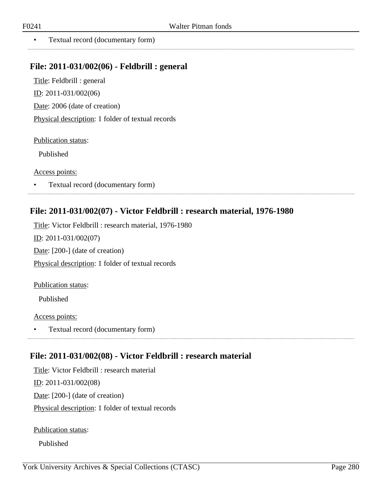. . . . . . . . . . . . . . . . . . .

• Textual record (documentary form)

### **File: 2011-031/002(06) - Feldbrill : general**

Title: Feldbrill : general ID: 2011-031/002(06) Date: 2006 (date of creation) Physical description: 1 folder of textual records

Publication status:

Published

Access points:

• Textual record (documentary form)

### **File: 2011-031/002(07) - Victor Feldbrill : research material, 1976-1980**

Title: Victor Feldbrill : research material, 1976-1980 ID: 2011-031/002(07) Date: [200-] (date of creation) Physical description: 1 folder of textual records

Publication status:

Published

Access points:

• Textual record (documentary form)

### **File: 2011-031/002(08) - Victor Feldbrill : research material**

Title: Victor Feldbrill : research material ID: 2011-031/002(08) Date: [200-] (date of creation) Physical description: 1 folder of textual records

Publication status:

Published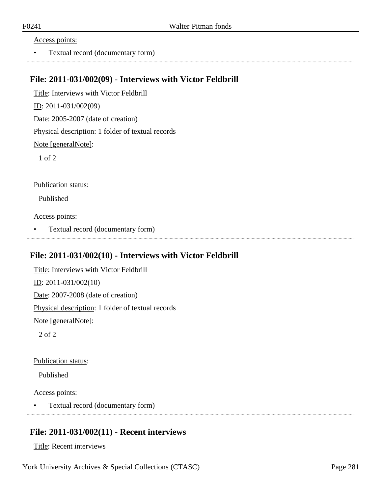#### Access points:

• Textual record (documentary form)

### **File: 2011-031/002(09) - Interviews with Victor Feldbrill**

Title: Interviews with Victor Feldbrill ID: 2011-031/002(09) Date: 2005-2007 (date of creation) Physical description: 1 folder of textual records Note [generalNote]: 1 of 2

Publication status:

Published

Access points:

• Textual record (documentary form)

### **File: 2011-031/002(10) - Interviews with Victor Feldbrill**

Title: Interviews with Victor Feldbrill ID: 2011-031/002(10) Date: 2007-2008 (date of creation) Physical description: 1 folder of textual records Note [generalNote]:

2 of 2

Publication status:

Published

Access points:

• Textual record (documentary form)

### **File: 2011-031/002(11) - Recent interviews**

Title: Recent interviews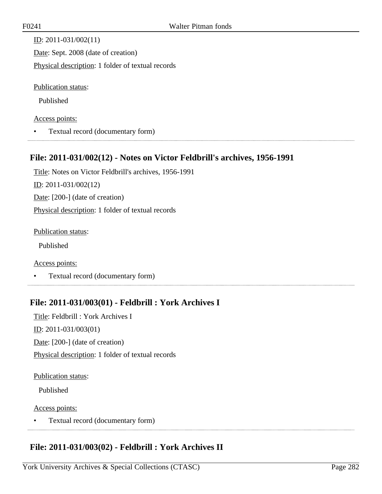| ID: $2011 - 031/002(11)$                          |
|---------------------------------------------------|
| Date: Sept. 2008 (date of creation)               |
| Physical description: 1 folder of textual records |
|                                                   |
| Publication status:                               |

Published

#### Access points:

• Textual record (documentary form)

### **File: 2011-031/002(12) - Notes on Victor Feldbrill's archives, 1956-1991**

Title: Notes on Victor Feldbrill's archives, 1956-1991 ID: 2011-031/002(12) Date: [200-] (date of creation) Physical description: 1 folder of textual records

Publication status:

Published

Access points:

• Textual record (documentary form)

## **File: 2011-031/003(01) - Feldbrill : York Archives I**

Title: Feldbrill : York Archives I ID: 2011-031/003(01) Date: [200-] (date of creation) Physical description: 1 folder of textual records

#### Publication status:

Published

### Access points:

• Textual record (documentary form) 

### **File: 2011-031/003(02) - Feldbrill : York Archives II**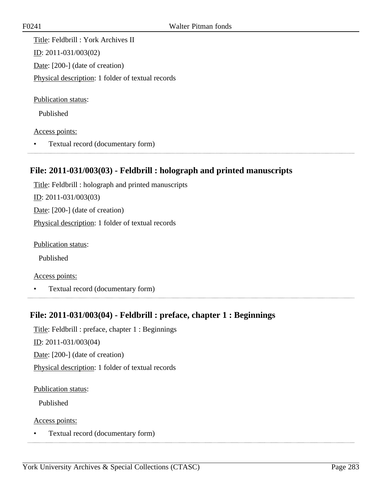Title: Feldbrill : York Archives II ID: 2011-031/003(02) Date: [200-] (date of creation) Physical description: 1 folder of textual records

Publication status:

Published

Access points:

• Textual record (documentary form)

## **File: 2011-031/003(03) - Feldbrill : holograph and printed manuscripts**

Title: Feldbrill : holograph and printed manuscripts ID: 2011-031/003(03) Date: [200-] (date of creation) Physical description: 1 folder of textual records

Publication status:

Published

Access points:

• Textual record (documentary form)

## **File: 2011-031/003(04) - Feldbrill : preface, chapter 1 : Beginnings**

Title: Feldbrill : preface, chapter 1 : Beginnings <u>ID</u>: 2011-031/003(04) Date: [200-] (date of creation) Physical description: 1 folder of textual records

Publication status:

Published

Access points: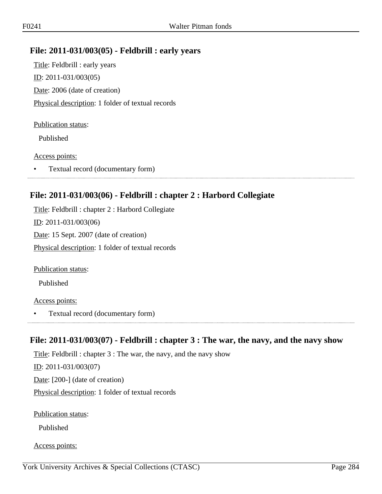### **File: 2011-031/003(05) - Feldbrill : early years**

Title: Feldbrill : early years ID: 2011-031/003(05) Date: 2006 (date of creation) Physical description: 1 folder of textual records

#### Publication status:

Published

#### Access points:

• Textual record (documentary form)

### **File: 2011-031/003(06) - Feldbrill : chapter 2 : Harbord Collegiate**

Title: Feldbrill : chapter 2 : Harbord Collegiate ID: 2011-031/003(06) Date: 15 Sept. 2007 (date of creation) Physical description: 1 folder of textual records

Publication status:

Published

#### Access points:

• Textual record (documentary form)

### **File: 2011-031/003(07) - Feldbrill : chapter 3 : The war, the navy, and the navy show**

Title: Feldbrill : chapter 3 : The war, the navy, and the navy show ID: 2011-031/003(07) Date: [200-] (date of creation) Physical description: 1 folder of textual records

Publication status:

Published

Access points: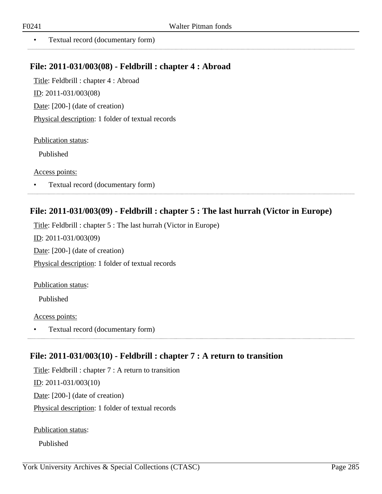. . . . . . . . . . . . . . . . . .

• Textual record (documentary form)

### **File: 2011-031/003(08) - Feldbrill : chapter 4 : Abroad**

Title: Feldbrill : chapter 4 : Abroad ID: 2011-031/003(08) Date: [200-] (date of creation) Physical description: 1 folder of textual records

Publication status:

Published

Access points:

• Textual record (documentary form)

### **File: 2011-031/003(09) - Feldbrill : chapter 5 : The last hurrah (Victor in Europe)**

Title: Feldbrill : chapter 5 : The last hurrah (Victor in Europe) ID: 2011-031/003(09) Date: [200-] (date of creation) Physical description: 1 folder of textual records

Publication status:

Published

Access points:

• Textual record (documentary form)

### **File: 2011-031/003(10) - Feldbrill : chapter 7 : A return to transition**

Title: Feldbrill : chapter 7 : A return to transition ID: 2011-031/003(10) Date: [200-] (date of creation) Physical description: 1 folder of textual records

Publication status:

Published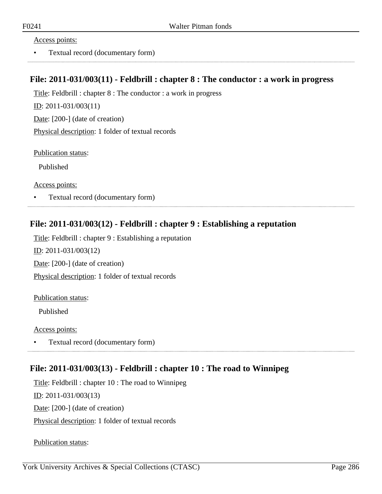#### Access points:

• Textual record (documentary form)

### **File: 2011-031/003(11) - Feldbrill : chapter 8 : The conductor : a work in progress**

Title: Feldbrill : chapter 8 : The conductor : a work in progress

ID: 2011-031/003(11)

Date: [200-] (date of creation)

Physical description: 1 folder of textual records

Publication status:

Published

Access points:

• Textual record (documentary form)

### **File: 2011-031/003(12) - Feldbrill : chapter 9 : Establishing a reputation**

Title: Feldbrill : chapter 9 : Establishing a reputation ID: 2011-031/003(12) Date: [200-] (date of creation) Physical description: 1 folder of textual records

#### Publication status:

Published

#### Access points:

• Textual record (documentary form) 

### **File: 2011-031/003(13) - Feldbrill : chapter 10 : The road to Winnipeg**

Title: Feldbrill : chapter 10 : The road to Winnipeg

ID: 2011-031/003(13)

Date: [200-] (date of creation)

Physical description: 1 folder of textual records

Publication status: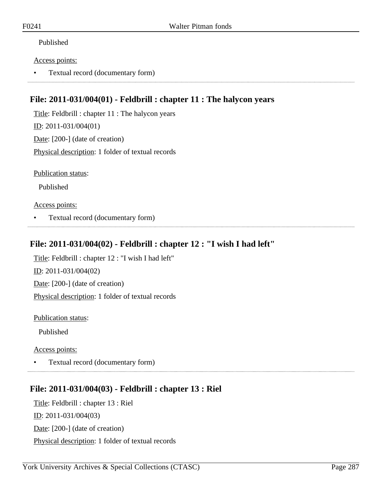### Published

#### Access points:

• Textual record (documentary form)

## **File: 2011-031/004(01) - Feldbrill : chapter 11 : The halycon years**

Title: Feldbrill : chapter 11 : The halycon years ID: 2011-031/004(01) Date: [200-] (date of creation) Physical description: 1 folder of textual records

Publication status:

Published

#### Access points:

• Textual record (documentary form)

### **File: 2011-031/004(02) - Feldbrill : chapter 12 : "I wish I had left"**

Title: Feldbrill : chapter 12 : "I wish I had left" ID: 2011-031/004(02) Date: [200-] (date of creation) Physical description: 1 folder of textual records

Publication status:

Published

Access points:

• Textual record (documentary form)

## **File: 2011-031/004(03) - Feldbrill : chapter 13 : Riel**

Title: Feldbrill : chapter 13 : Riel ID: 2011-031/004(03) Date: [200-] (date of creation) Physical description: 1 folder of textual records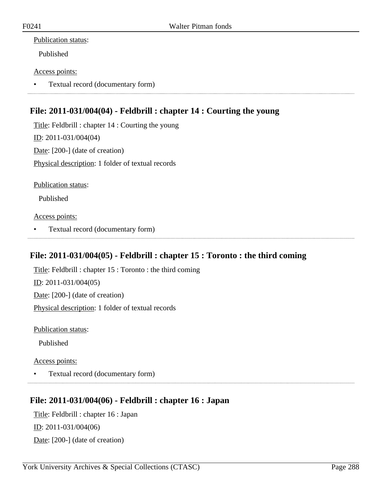### Publication status:

Published

### Access points:

• Textual record (documentary form)

# **File: 2011-031/004(04) - Feldbrill : chapter 14 : Courting the young**

Title: Feldbrill : chapter 14 : Courting the young ID: 2011-031/004(04) Date: [200-] (date of creation) Physical description: 1 folder of textual records

Publication status:

Published

Access points:

• Textual record (documentary form)

## **File: 2011-031/004(05) - Feldbrill : chapter 15 : Toronto : the third coming**

Title: Feldbrill : chapter 15 : Toronto : the third coming ID: 2011-031/004(05) Date: [200-] (date of creation) Physical description: 1 folder of textual records

Publication status:

Published

Access points:

• Textual record (documentary form)

## **File: 2011-031/004(06) - Feldbrill : chapter 16 : Japan**

Title: Feldbrill : chapter 16 : Japan ID: 2011-031/004(06) Date: [200-] (date of creation)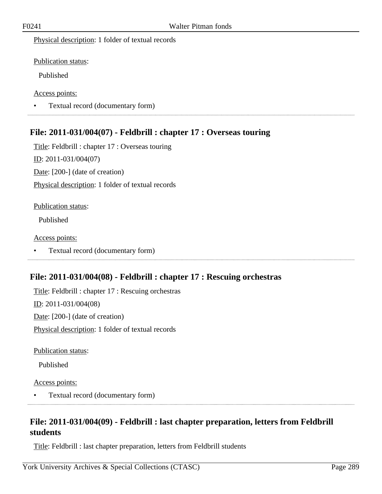Physical description: 1 folder of textual records

Publication status:

Published

Access points:

• Textual record (documentary form)

# **File: 2011-031/004(07) - Feldbrill : chapter 17 : Overseas touring**

Title: Feldbrill : chapter 17 : Overseas touring ID: 2011-031/004(07) Date: [200-] (date of creation) Physical description: 1 folder of textual records

### Publication status:

Published

Access points:

• Textual record (documentary form)

### **File: 2011-031/004(08) - Feldbrill : chapter 17 : Rescuing orchestras**

Title: Feldbrill : chapter 17 : Rescuing orchestras ID: 2011-031/004(08) Date: [200-] (date of creation) Physical description: 1 folder of textual records

Publication status:

Published

Access points:

• Textual record (documentary form)

# **File: 2011-031/004(09) - Feldbrill : last chapter preparation, letters from Feldbrill students**

Title: Feldbrill : last chapter preparation, letters from Feldbrill students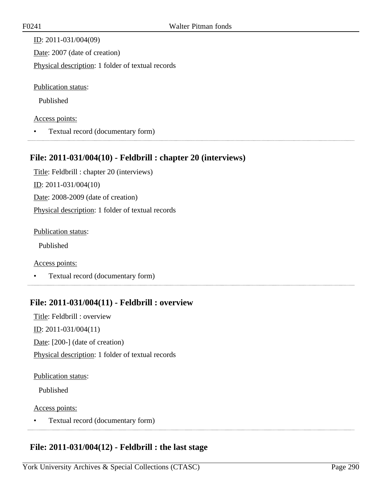ID: 2011-031/004(09) Date: 2007 (date of creation) Physical description: 1 folder of textual records

Publication status:

Published

### Access points:

• Textual record (documentary form)

# **File: 2011-031/004(10) - Feldbrill : chapter 20 (interviews)**

Title: Feldbrill : chapter 20 (interviews) ID: 2011-031/004(10) Date: 2008-2009 (date of creation) Physical description: 1 folder of textual records

Publication status:

Published

Access points:

• Textual record (documentary form)

# **File: 2011-031/004(11) - Feldbrill : overview**

Title: Feldbrill : overview ID: 2011-031/004(11) Date: [200-] (date of creation) Physical description: 1 folder of textual records

### Publication status:

Published

### Access points:

• Textual record (documentary form) 

# **File: 2011-031/004(12) - Feldbrill : the last stage**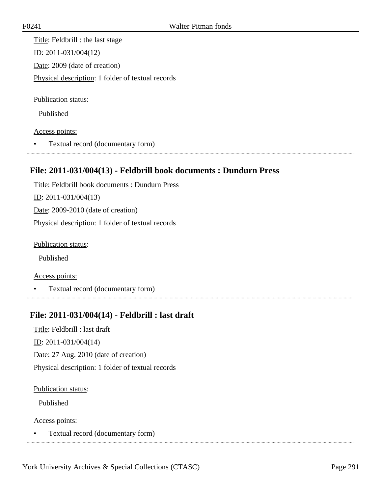Title: Feldbrill : the last stage ID: 2011-031/004(12) Date: 2009 (date of creation) Physical description: 1 folder of textual records

Publication status:

Published

Access points:

• Textual record (documentary form)

# **File: 2011-031/004(13) - Feldbrill book documents : Dundurn Press**

Title: Feldbrill book documents : Dundurn Press ID: 2011-031/004(13) Date: 2009-2010 (date of creation) Physical description: 1 folder of textual records

Publication status:

Published

Access points:

• Textual record (documentary form)

# **File: 2011-031/004(14) - Feldbrill : last draft**

Title: Feldbrill : last draft

<u>ID</u>: 2011-031/004(14)

Date: 27 Aug. 2010 (date of creation)

Physical description: 1 folder of textual records

Publication status:

Published

Access points:

• Textual record (documentary form)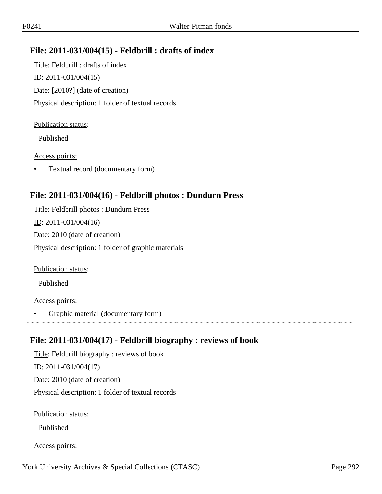## **File: 2011-031/004(15) - Feldbrill : drafts of index**

Title: Feldbrill : drafts of index <u>ID</u>: 2011-031/004(15) Date: [2010?] (date of creation) Physical description: 1 folder of textual records

#### Publication status:

Published

#### Access points:

• Textual record (documentary form)

### **File: 2011-031/004(16) - Feldbrill photos : Dundurn Press**

Title: Feldbrill photos : Dundurn Press ID: 2011-031/004(16) Date: 2010 (date of creation) Physical description: 1 folder of graphic materials

Publication status:

Published

### Access points:

• Graphic material (documentary form)

### **File: 2011-031/004(17) - Feldbrill biography : reviews of book**

Title: Feldbrill biography : reviews of book ID: 2011-031/004(17) Date: 2010 (date of creation) Physical description: 1 folder of textual records

Publication status:

Published

Access points: